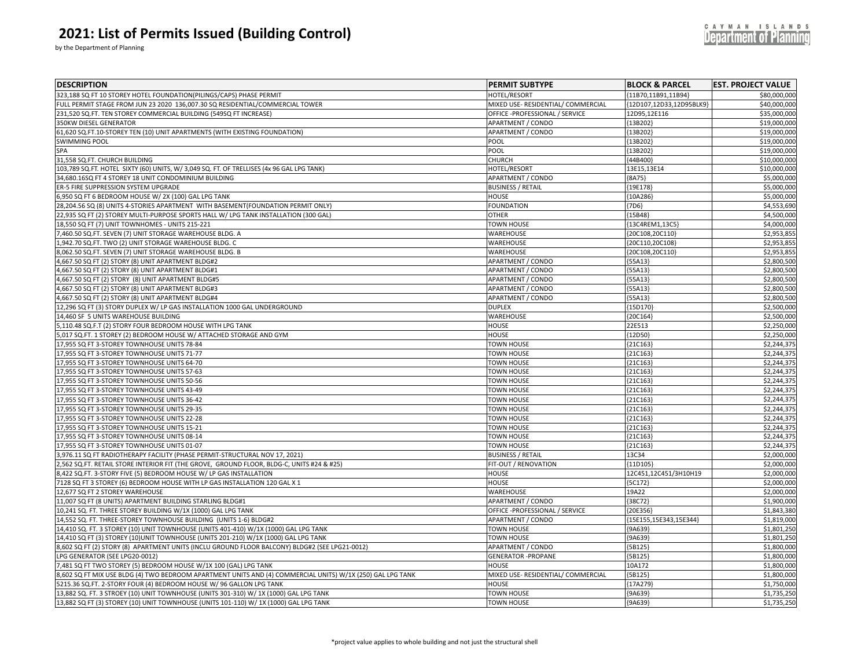by the Department of Planning

| <b>DESCRIPTION</b>                                                                                         | <b>PERMIT SUBTYPE</b>              | <b>BLOCK &amp; PARCEL</b> | <b>EST. PROJECT VALUE</b>  |
|------------------------------------------------------------------------------------------------------------|------------------------------------|---------------------------|----------------------------|
| 323,188 SQ FT 10 STOREY HOTEL FOUNDATION(PILINGS/CAPS) PHASE PERMIT                                        | <b>HOTEL/RESORT</b>                | {11B70,11B91,11B94}       | \$80,000,000               |
| FULL PERMIT STAGE FROM JUN 23 2020 136,007.30 SQ RESIDENTIAL/COMMERCIAL TOWER                              | MIXED USE- RESIDENTIAL/ COMMERCIAL | {12D107,12D33,12D95BLK9}  | \$40,000,000               |
| 231,520 SQ.FT. TEN STOREY COMMERCIAL BUILDING (549SQ FT INCREASE)                                          | OFFICE -PROFESSIONAL / SERVICE     | 12D95,12E116              | \$35,000,000               |
| 350KW DIESEL GENERATOR                                                                                     | APARTMENT / CONDO                  | ${13B202}$                | \$19,000,000               |
| 61,620 SQ.FT.10-STOREY TEN (10) UNIT APARTMENTS (WITH EXISTING FOUNDATION)                                 | APARTMENT / CONDO                  | ${13B202}$                | \$19,000,000               |
| <b>SWIMMING POOL</b>                                                                                       | POOL                               | ${13B202}$                | \$19,000,000               |
| SPA                                                                                                        | POOL                               | {13B202}                  | \$19,000,000               |
| 31,558 SQ.FT. CHURCH BUILDING                                                                              | CHURCH                             | ${44B400}$                | \$10,000,000               |
| 103,789 SQ.FT. HOTEL SIXTY (60) UNITS, W/ 3,049 SQ. FT. OF TRELLISES (4x 96 GAL LPG TANK)                  | HOTEL/RESORT                       | 13E15,13E14               | \$10,000,000               |
| 34,680.16SQ FT 4 STOREY 18 UNIT CONDOMINIUM BUILDING                                                       | APARTMENT / CONDO                  | ${8A75}$                  | \$5,000,000                |
| ER-5 FIRE SUPPRESSION SYSTEM UPGRADE                                                                       | <b>BUSINESS / RETAIL</b>           | {19E178}                  | \$5,000,000                |
| 6,950 SQ FT 6 BEDROOM HOUSE W/ 2X (100) GAL LPG TANK                                                       | HOUSE                              | {10A286                   | \$5,000,00                 |
| 28,204.56 SQ (8) UNITS 4-STORIES APARTMENT WITH BASEMENT (FOUNDATION PERMIT ONLY)                          | <b>FOUNDATION</b>                  | ${7D6}$                   | \$4,553,690                |
| 22,935 SQ FT (2) STOREY MULTI-PURPOSE SPORTS HALL W/ LPG TANK INSTALLATION (300 GAL)                       | <b>OTHER</b>                       | ${15B48}$                 | \$4,500,000                |
| 18,550 SQ FT (7) UNIT TOWNHOMES - UNITS 215-221                                                            | TOWN HOUSE                         | {13C4REM1,13C5}           | \$4,000,000                |
| 7,460.50 SQ.FT. SEVEN (7) UNIT STORAGE WAREHOUSE BLDG. A                                                   | WAREHOUSE                          | {20C108,20C110}           | \$2,953,85                 |
| 1,942.70 SQ.FT. TWO (2) UNIT STORAGE WAREHOUSE BLDG. C                                                     | WAREHOUSE                          | {20C110,20C108}           | \$2,953,855                |
| 8,062.50 SQ.FT. SEVEN (7) UNIT STORAGE WAREHOUSE BLDG. B                                                   | WAREHOUSE                          | {20C108,20C110}           | \$2,953,855                |
| 4,667.50 SQ FT (2) STORY (8) UNIT APARTMENT BLDG#2                                                         | <b>APARTMENT / CONDO</b>           | ${55A13}$                 | \$2,800,500                |
| 4,667.50 SQ FT (2) STORY (8) UNIT APARTMENT BLDG#1                                                         | APARTMENT / CONDO                  | ${55A13}$                 | \$2,800,500                |
| 4,667.50 SQ FT (2) STORY (8) UNIT APARTMENT BLDG#5                                                         | APARTMENT / CONDO                  | ${55A13}$                 | \$2,800,500                |
| 4,667.50 SQ FT (2) STORY (8) UNIT APARTMENT BLDG#3                                                         | APARTMENT / CONDO                  | ${55A13}$                 | \$2,800,500                |
| 4,667.50 SQ FT (2) STORY (8) UNIT APARTMENT BLDG#4                                                         | APARTMENT / CONDO                  | ${55A13}$                 | \$2,800,500                |
| 12,296 SQ FT (3) STORY DUPLEX W/ LP GAS INSTALLATION 1000 GAL UNDERGROUND                                  | <b>DUPLEX</b>                      | {15D170                   | \$2,500,000                |
| 14,460 SF 5 UNITS WAREHOUSE BUILDING                                                                       | WAREHOUSE                          | {20C164}                  | \$2,500,000                |
| 5,110.48 SQ.F.T (2) STORY FOUR BEDROOM HOUSE WITH LPG TANK                                                 | HOUSE                              | 22E513                    | \$2,250,000                |
| 5,017 SQ.FT. 1 STOREY (2) BEDROOM HOUSE W/ ATTACHED STORAGE AND GYM                                        | <b>HOUSE</b>                       | ${12D50}$                 | \$2,250,000                |
| 17,955 SQ FT 3-STOREY TOWNHOUSE UNITS 78-84                                                                | <b>TOWN HOUSE</b>                  | ${21C163}$                | \$2,244,375                |
| 17,955 SQ FT 3-STOREY TOWNHOUSE UNITS 71-77                                                                | <b>TOWN HOUSE</b>                  | {21C163                   | \$2,244,375                |
| 17,955 SQ FT 3-STOREY TOWNHOUSE UNITS 64-70                                                                | <b>TOWN HOUSE</b>                  | {21C163                   | \$2,244,375                |
| 17,955 SQ FT 3-STOREY TOWNHOUSE UNITS 57-63                                                                | <b>TOWN HOUSE</b>                  | {21C163}                  | \$2,244,375                |
| 17,955 SQ FT 3-STOREY TOWNHOUSE UNITS 50-56                                                                | <b>TOWN HOUSE</b>                  | {21C163}                  | \$2,244,37                 |
| 17,955 SQ FT 3-STOREY TOWNHOUSE UNITS 43-49                                                                | <b>TOWN HOUSE</b>                  | ${21C163}$                | \$2,244,37                 |
| 17,955 SQ FT 3-STOREY TOWNHOUSE UNITS 36-42                                                                | <b>TOWN HOUSE</b>                  | ${21C163}$                | \$2,244,375                |
| 17,955 SQ FT 3-STOREY TOWNHOUSE UNITS 29-35                                                                | TOWN HOUSE                         | ${21C163}$                | \$2,244,375                |
| 17,955 SQ FT 3-STOREY TOWNHOUSE UNITS 22-28                                                                | <b>TOWN HOUSE</b>                  | ${21C163}$                | \$2,244,37                 |
| 17,955 SQ FT 3-STOREY TOWNHOUSE UNITS 15-21                                                                | <b>TOWN HOUSE</b>                  | ${21C163}$                | \$2,244,375                |
| 17,955 SQ FT 3-STOREY TOWNHOUSE UNITS 08-14                                                                | <b>TOWN HOUSE</b>                  | {21C163}                  | \$2,244,375                |
| 17,955 SQ FT 3-STOREY TOWNHOUSE UNITS 01-07                                                                | <b>TOWN HOUSE</b>                  | ${21C163}$                | \$2,244,375                |
| 3,976.11 SQ FT RADIOTHERAPY FACILITY (PHASE PERMIT-STRUCTURAL NOV 17, 2021)                                | <b>BUSINESS / RETAIL</b>           | 13C34                     | \$2,000,000                |
| 2,562 SQ.FT. RETAIL STORE INTERIOR FIT (THE GROVE, GROUND FLOOR, BLDG-C, UNITS #24 & #25)                  | FIT-OUT / RENOVATION               | ${11D105}$                | \$2,000,000                |
| 8,422 SQ.FT. 3-STORY FIVE (5) BEDROOM HOUSE W/ LP GAS INSTALLATION                                         | HOUSE                              | 12C451,12C451/3H10H19     | \$2,000,000                |
| 7128 SQ FT 3 STOREY (6) BEDROOM HOUSE WITH LP GAS INSTALLATION 120 GAL X 1                                 | HOUSE                              | ${5C172}$                 | \$2,000,000                |
| 12,677 SQ FT 2 STOREY WAREHOUSE                                                                            |                                    | 19A22                     |                            |
| 11,007 SQ FT (8 UNITS) APARTMENT BUILDING STARLING BLDG#1                                                  | WAREHOUSE<br>APARTMENT / CONDO     | ${38C72}$                 | \$2,000,000<br>\$1,900,000 |
| 10,241 SQ. FT. THREE STOREY BUILDING W/1X (1000) GAL LPG TANK                                              | OFFICE -PROFESSIONAL / SERVICE     | ${20E356}$                | \$1,843,380                |
|                                                                                                            | <b>APARTMENT / CONDO</b>           |                           | \$1,819,000                |
| 14,552 SQ. FT. THREE-STOREY TOWNHOUSE BUILDING (UNITS 1-6) BLDG#2                                          |                                    | {15E155,15E343,15E344}    |                            |
| 14,410 SQ. FT. 3 STOREY (10) UNIT TOWNHOUSE (UNITS 401-410) W/1X (1000) GAL LPG TANK                       | TOWN HOUSE                         | ${9A639}$                 | \$1,801,250                |
| 14,410 SQ FT (3) STOREY (10)UNIT TOWNHOUSE (UNITS 201-210) W/1X (1000) GAL LPG TANK                        | <b>TOWN HOUSE</b>                  | ${9A639}$                 | \$1,801,250                |
| 8,602 SQ FT (2) STORY (8) APARTMENT UNITS (INCLU GROUND FLOOR BALCONY) BLDG#2 (SEE LPG21-0012)             | APARTMENT / CONDO                  | ${5B125}$                 | \$1,800,000                |
| LPG GENERATOR (SEE LPG20-0012)                                                                             | <b>GENERATOR - PROPANE</b>         | ${5B125}$                 | \$1,800,000                |
| 7,481 SQ FT TWO STOREY (5) BEDROOM HOUSE W/1X 100 (GAL) LPG TANK                                           | HOUSE                              | 10A172                    | \$1,800,000                |
| 8,602 SQ FT MIX USE BLDG (4) TWO BEDROOM APARTMENT UNITS AND (4) COMMERCIAL UNITS) W/1X (250) GAL LPG TANK | MIXED USE- RESIDENTIAL/ COMMERCIAL | ${5B125}$                 | \$1,800,000                |
| 5215.36 SQ.FT. 2-STORY FOUR (4) BEDROOM HOUSE W/ 96 GALLON LPG TANK                                        | HOUSE                              | {17A279}                  | \$1,750,000                |
| 13,882 SQ. FT. 3 STROEY (10) UNIT TOWNHOUSE (UNITS 301-310) W/ 1X (1000) GAL LPG TANK                      | TOWN HOUSE                         | ${9A639}$                 | \$1,735,250                |
| 13,882 SQ FT (3) STOREY (10) UNIT TOWNHOUSE (UNITS 101-110) W/ 1X (1000) GAL LPG TANK                      | <b>TOWN HOUSE</b>                  | ${9A639}$                 | \$1,735,250                |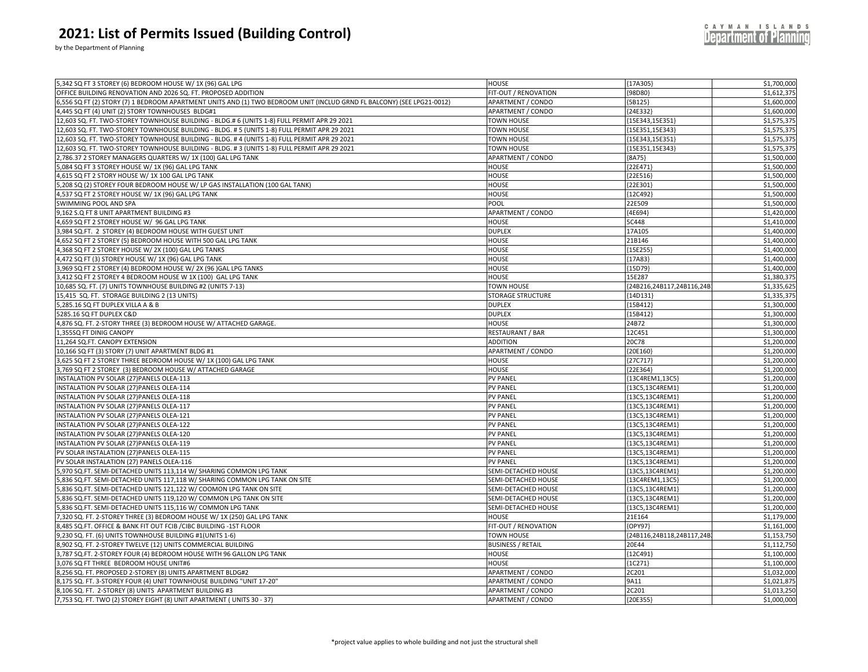by the Department of Planning

| 5,342 SQ FT 3 STOREY (6) BEDROOM HOUSE W/ 1X (96) GAL LPG                                                                         | <b>HOUSE</b>                           | ${17A305}$               | \$1,700,000                |
|-----------------------------------------------------------------------------------------------------------------------------------|----------------------------------------|--------------------------|----------------------------|
| OFFICE BUILDING RENOVATION AND 2026 SQ. FT. PROPOSED ADDITION                                                                     | FIT-OUT / RENOVATION                   | 98D80}                   | \$1,612,375                |
| ,556 SQ FT (2) STORY (7) 1 BEDROOM APARTMENT UNITS AND (1) TWO BEDROOM UNIT (INCLUD GRND FL BALCONY) (SEE LPG21-0012)             | APARTMENT / CONDO                      | 5B125}                   | \$1,600,000                |
| 4,445 SQ FT (4) UNIT (2) STORY TOWNHOUSES BLDG#1                                                                                  | APARTMENT / CONDO                      | ${24E332}$               | \$1,600,000                |
| 12,603 SQ. FT. TWO-STOREY TOWNHOUSE BUILDING - BLDG.# 6 (UNITS 1-8) FULL PERMIT APR 29 2021                                       | TOWN HOUSE                             | ${15E343, 15E351}$       | \$1,575,375                |
| 12,603 SQ. FT. TWO-STOREY TOWNHOUSE BUILDING - BLDG. # 5 (UNITS 1-8) FULL PERMIT APR 29 2021                                      | <b>TOWN HOUSE</b>                      | {15E351,15E343}          | \$1,575,375                |
| 12,603 SQ. FT. TWO-STOREY TOWNHOUSE BUILDING - BLDG. # 4 (UNITS 1-8) FULL PERMIT APR 29 2021                                      | TOWN HOUSE                             | ${15E343, 15E351}$       | \$1,575,375                |
| 2,603 SQ. FT. TWO-STOREY TOWNHOUSE BUILDING - BLDG. #3 (UNITS 1-8) FULL PERMIT APR 29 2021                                        | TOWN HOUSE                             | {15E351,15E343}          | \$1,575,375                |
| ,786.37 2 STOREY MANAGERS QUARTERS W/ 1X (100) GAL LPG TANK                                                                       | APARTMENT / CONDO                      | ${8A75}$                 | \$1,500,000                |
| ,084 SQ FT 3 STOREY HOUSE W/ 1X (96) GAL LPG TANK                                                                                 | <b>HOUSE</b>                           | (22E471)                 | \$1,500,000                |
| ,615 SQ FT 2 STORY HOUSE W/ 1X 100 GAL LPG TANK                                                                                   | <b>HOUSE</b>                           | ${22E516}$               | \$1,500,000                |
| ,208 SQ (2) STOREY FOUR BEDROOM HOUSE W/ LP GAS INSTALLATION (100 GAL TANK)                                                       | HOUSE                                  | {22E301}                 | \$1,500,000                |
| ,537 SQ FT 2 STOREY HOUSE W/ 1X (96) GAL LPG TANK                                                                                 | <b>HOUSE</b>                           | 12C492                   | \$1,500,000                |
| SWIMMING POOL AND SPA                                                                                                             | POOL                                   | 22E509                   | \$1,500,000                |
| 9,162 S.Q FT 8 UNIT APARTMENT BUILDING #3                                                                                         | APARTMENT / CONDO                      | ${4E694}$                | \$1,420,000                |
| ,659 SQ FT 2 STOREY HOUSE W/ 96 GAL LPG TANK                                                                                      | HOUSE                                  | 5C448                    | \$1,410,000                |
| 984 SQ.FT. 2 STOREY (4) BEDROOM HOUSE WITH GUEST UNIT                                                                             | <b>DUPLEX</b>                          | 17A105                   | \$1,400,000                |
| 652 SQ FT 2 STOREY (5) BEDROOM HOUSE WITH 500 GAL LPG TANK                                                                        | <b>HOUSE</b>                           | 21B146                   | \$1,400,000                |
| 368 SQ FT 2 STOREY HOUSE W/ 2X (100) GAL LPG TANKS                                                                                | HOUSE                                  | 15E255                   | \$1,400,000                |
| 4,472 SQ FT (3) STOREY HOUSE W/ 1X (96) GAL LPG TANK                                                                              | <b>HOUSE</b>                           | ${17A83}$                | \$1,400,000                |
| ,969 SQ FT 2 STOREY (4) BEDROOM HOUSE W/ 2X (96 )GAL LPG TANKS                                                                    | HOUSE                                  | {15D79}                  | \$1,400,000                |
| 3,412 SQ FT 2 STOREY 4 BEDROOM HOUSE W 1X (100) GAL LPG TANK                                                                      | HOUSE                                  | 15E287                   | \$1,380,375                |
| 10,685 SQ. FT. (7) UNITS TOWNHOUSE BUILDING #2 (UNITS 7-13)                                                                       | <b>TOWN HOUSE</b>                      | 24B216,24B117,24B116,24B | \$1,335,625                |
| 15,415 SQ. FT. STORAGE BUILDING 2 (13 UNITS)                                                                                      | <b>STORAGE STRUCTURE</b>               | [14D131]                 | \$1,335,375                |
| ,285.16 SQ FT DUPLEX VILLA A & B                                                                                                  | <b>DUPLEX</b>                          | ${15B412}$               | \$1,300,000                |
| 285.16 SQ FT DUPLEX C&D                                                                                                           | <b>DUPLEX</b>                          | 15B412                   | \$1,300,000                |
| 4,876 SQ. FT. 2-STORY THREE (3) BEDROOM HOUSE W/ ATTACHED GARAGE.                                                                 | HOUSE                                  | 24B72                    | \$1,300,000                |
| ,355SQ FT DINIG CANOPY                                                                                                            | RESTAURANT / BAR                       | 12C451                   | \$1,300,000                |
| 1,264 SQ.FT. CANOPY EXTENSION                                                                                                     | <b>ADDITION</b>                        | 20C78                    | \$1,200,000                |
| 10,166 SQ FT (3) STORY (7) UNIT APARTMENT BLDG #1                                                                                 | APARTMENT / CONDO                      | ${20E160}$               | \$1,200,000                |
| ,625 SQ FT 2 STOREY THREE BEDROOM HOUSE W/ 1X (100) GAL LPG TANK                                                                  | HOUSE                                  | 27C717)                  | \$1,200,000                |
| 3,769 SQ FT 2 STOREY (3) BEDROOM HOUSE W/ ATTACHED GARAGE                                                                         | HOUSE                                  | ${22E364}$               | \$1,200,000                |
| NSTALATION PV SOLAR (27)PANELS OLEA-113                                                                                           | <b>PV PANEL</b>                        | {13C4REM1,13C5}          | \$1,200,000                |
| INSTALATION PV SOLAR (27)PANELS OLEA-114                                                                                          | <b>PV PANEL</b>                        | 13C5,13C4REM1            | \$1,200,000                |
| INSTALATION PV SOLAR (27)PANELS OLEA-118                                                                                          | <b>PV PANEL</b>                        | {13C5,13C4REM1}          | \$1,200,000                |
| NSTALATION PV SOLAR (27)PANELS OLEA-117                                                                                           | <b>PV PANEL</b>                        | 13C5,13C4REM1            | \$1,200,000                |
| INSTALATION PV SOLAR (27) PANELS OLEA-121                                                                                         | <b>PV PANEL</b>                        | {13C5,13C4REM1}          | \$1,200,000                |
| NSTALATION PV SOLAR (27) PANELS OLEA-122                                                                                          | <b>PV PANEL</b>                        | {13C5,13C4REM1}          | \$1,200,000                |
| NSTALATION PV SOLAR (27)PANELS OLEA-120                                                                                           | <b>PV PANEL</b>                        | {13C5,13C4REM1}          | \$1,200,000                |
| INSTALATION PV SOLAR (27)PANELS OLEA-119                                                                                          | <b>PV PANEL</b>                        | {13C5,13C4REM1}          | \$1,200,000                |
| PV SOLAR INSTALATION (27) PANELS OLEA-115                                                                                         | <b>PV PANEL</b>                        | ${13C5, 13C4REM1}$       | \$1,200,000                |
| PV SOLAR INSTALATION (27) PANELS OLEA-116                                                                                         | <b>PV PANEL</b>                        | {13C5,13C4REM1}          | \$1,200,000                |
| ,970 SQ.FT. SEMI-DETACHED UNITS 113,114 W/ SHARING COMMON LPG TANK                                                                | SEMI-DETACHED HOUSE                    | ${13C5, 13C4REM1}$       | \$1,200,000                |
| ,836 SQ.FT. SEMI-DETACHED UNITS 117,118 W/ SHARING COMMON LPG TANK ON SITE                                                        | SEMI-DETACHED HOUSE                    | 13C4REM1,13C5            | \$1,200,000                |
| 5,836 SQ.FT. SEMI-DETACHED UNITS 121,122 W/ COOMON LPG TANK ON SITE                                                               | SEMI-DETACHED HOUSE                    | {13C5,13C4REM1}          | \$1,200,000                |
| ,836 SQ.FT. SEMI-DETACHED UNITS 119,120 W/ COMMON LPG TANK ON SITE                                                                | SEMI-DETACHED HOUSE                    | [13C5,13C4REM1]          | \$1,200,000                |
| ,836 SQ.FT. SEMI-DETACHED UNITS 115,116 W/ COMMON LPG TANK                                                                        | SEMI-DETACHED HOUSE                    | ${13C5, 13C4REM1}$       | \$1,200,000                |
| 320 SQ. FT. 2-STOREY THREE (3) BEDROOM HOUSE W/ 1X (250) GAL LPG TANK, '                                                          | <b>HOUSE</b>                           | 21E164                   | \$1,179,000                |
| ,485 SQ.FT. OFFICE & BANK FIT OUT FCIB / CIBC BUILDING -1ST FLOOR                                                                 | FIT-OUT / RENOVATION                   | OPY97}                   | \$1,161,000                |
| 9,230 SQ. FT. (6) UNITS TOWNHOUSE BUILDING #1(UNITS 1-6)                                                                          | TOWN HOUSE                             | 24B116,24B118,24B117,24E | \$1,153,750                |
| 8,902 SQ. FT. 2-STOREY TWELVE (12) UNITS COMMERCIAL BUILDING                                                                      | <b>BUSINESS / RETAIL</b>               | 20E44                    | \$1,112,750                |
| ,787 SQ.FT. 2-STOREY FOUR (4) BEDROOM HOUSE WITH 96 GALLON LPG TANK                                                               | HOUSE                                  | ${12C491}$               | \$1,100,000                |
| 076 SQ FT THREE BEDROOM HOUSE UNIT#6                                                                                              | <b>HOUSE</b>                           | (1C271)                  | \$1,100,000                |
|                                                                                                                                   |                                        |                          |                            |
| ,256 SQ. FT. PROPOSED 2-STOREY (8) UNITS APARTMENT BLDG#2<br>3,175 SQ. FT. 3-STOREY FOUR (4) UNIT TOWNHOUSE BUILDING "UNIT 17-20" | APARTMENT / CONDO<br>APARTMENT / CONDO | 2C201<br>9A11            | \$1,032,000<br>\$1,021,875 |
|                                                                                                                                   |                                        |                          |                            |
| ,106 SQ. FT. 2-STOREY (8) UNITS APARTMENT BUILDING #3                                                                             | APARTMENT / CONDO                      | 2C201                    | \$1,013,250                |
| 7,753 SQ. FT. TWO (2) STOREY EIGHT (8) UNIT APARTMENT (UNITS 30 - 37)                                                             | APARTMENT / CONDO                      | ${20E355}$               | \$1,000,000                |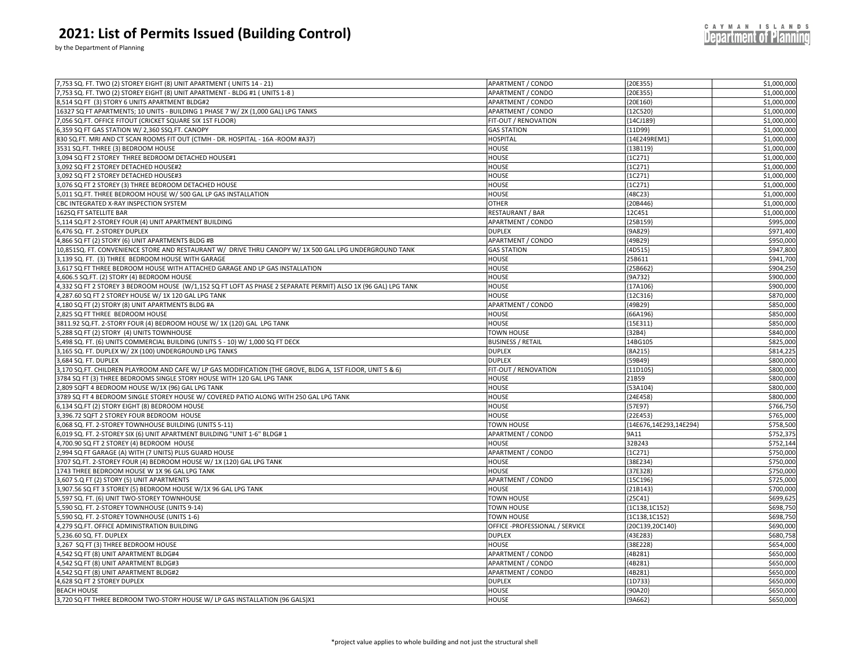by the Department of Planning

| 7,753 SQ. FT. TWO (2) STOREY EIGHT (8) UNIT APARTMENT (UNITS 14 - 21)                                          | APARTMENT / CONDO              | ${20E355}$             | \$1,000,000 |
|----------------------------------------------------------------------------------------------------------------|--------------------------------|------------------------|-------------|
| 7,753 SQ. FT. TWO (2) STOREY EIGHT (8) UNIT APARTMENT - BLDG #1 ( UNITS 1-8 )                                  | <b>APARTMENT / CONDO</b>       | ${20E355}$             | \$1,000,000 |
| 8,514 SQ FT (3) STORY 6 UNITS APARTMENT BLDG#2                                                                 | APARTMENT / CONDO              | {20E160}               | \$1,000,000 |
| .6327 SQ FT APARTMENTS; 10 UNITS - BUILDING 1 PHASE 7 W/ 2X (1,000 GAL) LPG TANKS                              | <b>APARTMENT / CONDO</b>       | {12C520}               | \$1,000,000 |
| 7,056 SQ.FT. OFFICE FITOUT (CRICKET SQUARE SIX 1ST FLOOR)                                                      | FIT-OUT / RENOVATION           | ${14C}189$             | \$1,000,000 |
| ,359 SQ FT GAS STATION W/ 2,360 SSQ.FT. CANOPY                                                                 | <b>GAS STATION</b>             | ${11D99}$              | \$1,000,000 |
| 330 SQ.FT. MRI AND CT SCAN ROOMS FIT OUT (CTMH - DR. HOSPITAL - 16A -ROOM #A37)                                | <b>HOSPITAL</b>                | {14E249REM1}           | \$1,000,000 |
| 3531 SQ.FT. THREE (3) BEDROOM HOUSE                                                                            | <b>HOUSE</b>                   | ${13B119}$             | \$1,000,000 |
| ,094 SQ FT 2 STOREY THREE BEDROOM DETACHED HOUSE#1                                                             | HOUSE                          | (1C271)                | \$1,000,000 |
| ,092 SQ FT 2 STOREY DETACHED HOUSE#2                                                                           | HOUSE                          | ${1C271}$              | \$1,000,000 |
| ,092 SQ FT 2 STOREY DETACHED HOUSE#3                                                                           | HOUSE                          | ${1C271}$              | \$1,000,000 |
| ,076 SQ FT 2 STOREY (3) THREE BEDROOM DETACHED HOUSE                                                           | <b>HOUSE</b>                   | (1C271)                | \$1,000,000 |
| ,011 SQ.FT. THREE BEDROOM HOUSE W/ 500 GAL LP GAS INSTALLATION                                                 | <b>HOUSE</b>                   | ${48C23}$              | \$1,000,000 |
| BC INTEGRATED X-RAY INSPECTION SYSTEM                                                                          | <b>OTHER</b>                   | 20B446                 | \$1,000,000 |
| 162SQ FT SATELLITE BAR                                                                                         | RESTAURANT / BAR               | 12C451                 | \$1,000,000 |
| ,114 SQ.FT 2-STOREY FOUR (4) UNIT APARTMENT BUILDING                                                           | APARTMENT / CONDO              | 25B159                 | \$995,000   |
| ,476 SQ. FT. 2-STOREY DUPLEX                                                                                   | <b>DUPLEX</b>                  | [9A829]                | \$971,400   |
| 4,866 SQ FT (2) STORY (6) UNIT APARTMENTS BLDG #B                                                              | APARTMENT / CONDO              | {49B29}                | \$950,000   |
| 10,851SQ. FT. CONVENIENCE STORE AND RESTAURANT W/ DRIVE THRU CANOPY W/1X 500 GAL LPG UNDERGROUND TANK          | <b>GAS STATION</b>             | 4D515}                 | \$947,800   |
| 3,139 SQ. FT. (3) THREE BEDROOM HOUSE WITH GARAGE                                                              | HOUSE                          | 25B611                 | \$941,700   |
| 617 SQ FT THREE BEDROOM HOUSE WITH ATTACHED GARAGE AND LP GAS INSTALLATION                                     | <b>HOUSE</b>                   | 25B662                 | \$904,250   |
| ,606.5 SQ.FT. (2) STORY (4) BEDROOM HOUSE                                                                      | <b>HOUSE</b>                   | ${9A732}$              | \$900,000   |
| 4,332 SQ FT 2 STOREY 3 BEDROOM HOUSE (W/1,152 SQ FT LOFT AS PHASE 2 SEPARATE PERMIT) ALSO 1X (96 GAL) LPG TANK | <b>HOUSE</b>                   | {17A106                | \$900,000   |
|                                                                                                                |                                |                        |             |
| ,287.60 SQ FT 2 STOREY HOUSE W/ 1X 120 GAL LPG TANK                                                            | <b>HOUSE</b>                   | 12C316                 | \$870,000   |
| 4,180 SQ FT (2) STORY (8) UNIT APARTMENTS BLDG #A                                                              | APARTMENT / CONDO              | ${49B29}$              | \$850,000   |
| .825 SQ FT THREE BEDROOM HOUSE                                                                                 | <b>HOUSE</b>                   | 66A196                 | \$850,000   |
| 8811.92 SQ.FT. 2-STORY FOUR (4) BEDROOM HOUSE W/ 1X (120) GAL LPG TANK                                         | HOUSE                          | {15E311                | \$850,000   |
| 5,288 SQ FT (2) STORY (4) UNITS TOWNHOUSE                                                                      | <b>TOWN HOUSE</b>              | ${32B4}$               | \$840,000   |
| ,498 SQ. FT. (6) UNITS COMMERCIAL BUILDING (UNITS 5 - 10) W/ 1,000 SQ FT DECK                                  | <b>BUSINESS / RETAIL</b>       | 14BG105                | \$825,000   |
| ,165 SQ. FT. DUPLEX W/ 2X (100) UNDERGROUND LPG TANKS                                                          | <b>DUPLEX</b>                  | ${8A215}$              | \$814,225   |
| ,684 SQ. FT. DUPLEX                                                                                            | <b>DUPLEX</b>                  | 59B49}                 | \$800,000   |
| ,170 SQ.FT. CHILDREN PLAYROOM AND CAFE W/LP GAS MODIFICATION (THE GROVE, BLDG A, 1ST FLOOR, UNIT 5 & 6)        | FIT-OUT / RENOVATION           | 11D105                 | \$800,000   |
| 3784 SQ FT (3) THREE BEDROOMS SINGLE STORY HOUSE WITH 120 GAL LPG TANK                                         | <b>HOUSE</b>                   | 21B59                  | \$800,000   |
| ,809 SQFT 4 BEDROOM HOUSE W/1X (96) GAL LPG TANK                                                               | <b>HOUSE</b>                   | 53A104                 | \$800,000   |
| 3789 SQ FT 4 BEDROOM SINGLE STOREY HOUSE W/ COVERED PATIO ALONG WITH 250 GAL LPG TANK                          | HOUSE                          | ${24E458}$             | \$800,000   |
| 5,134 SQ.FT (2) STORY EIGHT (8) BEDROOM HOUSE                                                                  | HOUSE                          | {57E97}                | \$766,750   |
| ,396.72 SQFT 2 STOREY FOUR BEDROOM HOUSE                                                                       | HOUSE                          | {22E453}               | \$765,000   |
| 6,068 SQ. FT. 2-STOREY TOWNHOUSE BUILDING (UNITS 5-11)                                                         | TOWN HOUSE                     | {14E676,14E293,14E294} | \$758,500   |
| 6,019 SQ. FT. 2-STOREY SIX (6) UNIT APARTMENT BUILDING "UNIT 1-6" BLDG# 1                                      | APARTMENT / CONDO              | 9A11                   | \$752,375   |
| ,700.90 SQ FT 2 STOREY (4) BEDROOM HOUSE                                                                       | <b>HOUSE</b>                   | 32B243                 | \$752,144   |
| ,994 SQ FT GARAGE (A) WITH (7 UNITS) PLUS GUARD HOUSE                                                          | APARTMENT / CONDO              | ${1C271}$              | \$750,000   |
| 707 SQ.FT. 2-STOREY FOUR (4) BEDROOM HOUSE W/ 1X (120) GAL LPG TANK                                            | HOUSE                          | 38E234                 | \$750,000   |
| 1743 THREE BEDROOM HOUSE W 1X 96 GAL LPG TANK                                                                  | <b>HOUSE</b>                   | ${37E328}$             | \$750,000   |
| ,607 S.Q FT (2) STORY (5) UNIT APARTMENTS                                                                      | APARTMENT / CONDO              | ${15C196}$             | \$725,000   |
| ,907.56 SQ FT 3 STOREY (5) BEDROOM HOUSE W/1X 96 GAL LPG TANK                                                  | HOUSE                          | ${21B143}$             | \$700,000   |
| ,597 SQ. FT. (6) UNIT TWO-STOREY TOWNHOUSE                                                                     | TOWN HOUSE                     | ${25C41}$              | \$699,625   |
| ,590 SQ. FT. 2-STOREY TOWNHOUSE (UNITS 9-14)                                                                   | <b>TOWN HOUSE</b>              | (1C138, 1C152)         | \$698,750   |
| ,590 SQ. FT. 2-STOREY TOWNHOUSE (UNITS 1-6)                                                                    | <b>TOWN HOUSE</b>              | ${1C138, 1C152}$       | \$698,750   |
|                                                                                                                |                                |                        | \$690,000   |
| 4,279 SQ.FT. OFFICE ADMINISTRATION BUILDING                                                                    | OFFICE -PROFESSIONAL / SERVICE | {20C139,20C140}        | \$680,758   |
| ,236.60 SQ. FT. DUPLEX                                                                                         | <b>DUPLEX</b>                  | 43E283                 |             |
| 3,267 SQ FT (3) THREE BEDROOM HOUSE                                                                            | HOUSE                          | 38E228                 | \$654,000   |
| 4,542 SQ FT (8) UNIT APARTMENT BLDG#4                                                                          | APARTMENT / CONDO              | ${4B281}$              | \$650,000   |
| 4,542 SQ FT (8) UNIT APARTMENT BLDG#3                                                                          | APARTMENT / CONDO              | [4B281]                | \$650,000   |
| 4,542 SQ FT (8) UNIT APARTMENT BLDG#2                                                                          | <b>APARTMENT / CONDO</b>       | ${4B281}$              | \$650,000   |
| 628 SQ FT 2 STOREY DUPLEX                                                                                      | <b>DUPLEX</b>                  | 1D733                  | \$650,000   |
| <b>BEACH HOUSE</b>                                                                                             | <b>HOUSE</b>                   | ${90A20}$              | \$650,000   |
| 3,720 SQ FT THREE BEDROOM TWO-STORY HOUSE W/ LP GAS INSTALLATION (96 GALS)X1                                   | <b>HOUSE</b>                   | ${9A662}$              | \$650,000   |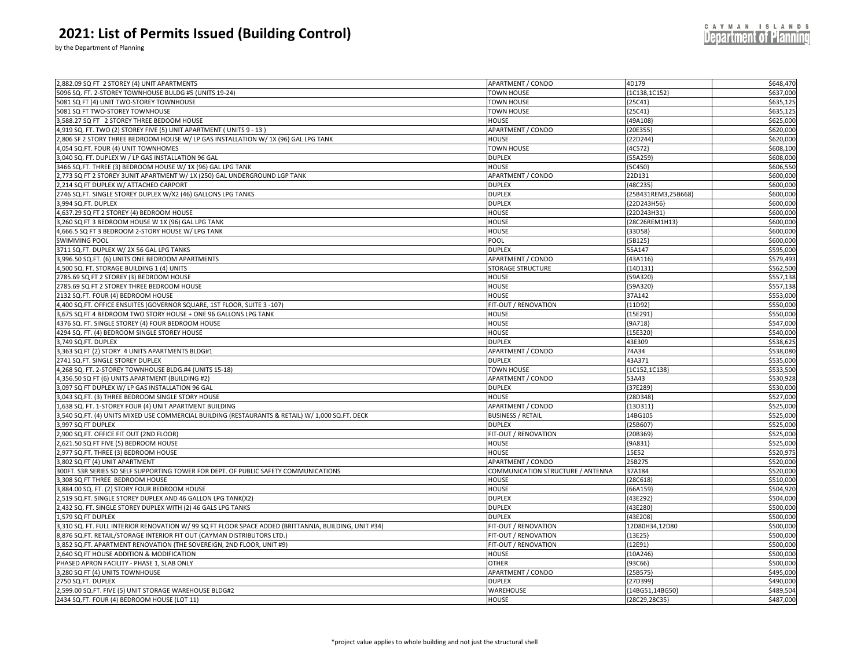| 2,882.09 SQ FT 2 STOREY (4) UNIT APARTMENTS                                                      | <b>APARTMENT / CONDO</b> | 4D179               | \$648,470 |
|--------------------------------------------------------------------------------------------------|--------------------------|---------------------|-----------|
| 5096 SQ. FT. 2-STOREY TOWNHOUSE BULDG #5 (UNITS 19-24)                                           | <b>TOWN HOUSE</b>        | ${1C138, 1C152}$    | \$637,000 |
| 5081 SQ FT (4) UNIT TWO-STOREY TOWNHOUSE                                                         | <b>TOWN HOUSE</b>        | ${25C41}$           | \$635,125 |
| 5081 SQ FT TWO-STOREY TOWNHOUSE                                                                  | <b>TOWN HOUSE</b>        | ${25C41}$           | \$635,125 |
| 3,588.27 SQ FT 2 STOREY THREE BEDOOM HOUSE                                                       | <b>HOUSE</b>             | {49A108}            | \$625.000 |
| 4,919 SQ. FT. TWO (2) STOREY FIVE (5) UNIT APARTMENT (UNITS 9 - 13)                              | APARTMENT / CONDO        | {20E355}            | \$620,000 |
| 2,806 SF 2 STORY THREE BEDROOM HOUSE W/ LP GAS INSTALLATION W/ 1X (96) GAL LPG TANK              | <b>HOUSE</b>             | ${22D244}$          | \$620,000 |
| 4,054 SQ.FT. FOUR (4) UNIT TOWNHOMES                                                             | <b>TOWN HOUSE</b>        | ${4C572}$           | \$608,100 |
| 3,040 SQ. FT. DUPLEX W / LP GAS INSTALLATION 96 GAL                                              | <b>DUPLEX</b>            | ${55A259}$          | \$608,000 |
| 3466 SQ.FT. THREE (3) BEDROOM HOUSE W/ 1X (96) GAL LPG TANK                                      | <b>HOUSE</b>             | ${5C450}$           | \$606,550 |
| 2,773 SQ FT 2 STOREY 3UNIT APARTMENT W/ 1X (250) GAL UNDERGROUND LGP TANK                        | APARTMENT / CONDO        | 22D131              | \$600,000 |
| 2,214 SQ FT DUPLEX W/ ATTACHED CARPORT                                                           | <b>DUPLEX</b>            | {48C235}            | \$600,000 |
| 2746 SQ.FT. SINGLE STOREY DUPLEX W/X2 (46) GALLONS LPG TANKS                                     | <b>DUPLEX</b>            | {25B431REM3,25B668} | \$600,000 |
| 3,994 SQ.FT. DUPLEX                                                                              | <b>DUPLEX</b>            | {22D243H56}         | \$600,000 |
| 4,637.29 SQ FT 2 STOREY (4) BEDROOM HOUSE                                                        | <b>HOUSE</b>             | {22D243H31}         | \$600,000 |
| 3.260 SQ FT 3 BEDROOM HOUSE W 1X (96) GAL LPG TANK                                               | <b>HOUSE</b>             | {28C26REM1H13}      | \$600,000 |
| 4,666.5 SQ FT 3 BEDROOM 2-STORY HOUSE W/ LPG TANK                                                | <b>HOUSE</b>             | ${33D58}$           | \$600,000 |
| <b>SWIMMING POOL</b>                                                                             | POOL                     | ${5B125}$           | \$600,000 |
| 3711 SQ.FT. DUPLEX W/ 2X 56 GAL LPG TANKS                                                        | <b>DUPLEX</b>            | 55A147              | \$595,000 |
| 3,996.50 SQ.FT. (6) UNITS ONE BEDROOM APARTMENTS                                                 | <b>APARTMENT / CONDO</b> | ${43A116}$          | \$579,493 |
| 4,500 SQ. FT. STORAGE BUILDING 1 (4) UNITS                                                       | <b>STORAGE STRUCTURE</b> | ${14D131}$          | \$562,500 |
| 2785.69 SQ FT 2 STOREY (3) BEDROOM HOUSE                                                         | <b>HOUSE</b>             | ${59A320}$          | \$557,138 |
| 2785.69 SQ FT 2 STOREY THREE BEDROOM HOUSE                                                       | <b>HOUSE</b>             | ${59A320}$          | \$557,138 |
| 2132 SQ.FT. FOUR (4) BEDROOM HOUSE                                                               | <b>HOUSE</b>             | 37A142              | \$553,000 |
| 4,400 SQ.FT. OFFICE ENSUITES (GOVERNOR SQUARE, 1ST FLOOR, SUITE 3 -107)                          | FIT-OUT / RENOVATION     | ${11D92}$           | \$550,000 |
| 3,675 SQ FT 4 BEDROOM TWO STORY HOUSE + ONE 96 GALLONS LPG TANK                                  | <b>HOUSE</b>             | {15E291}            | \$550,000 |
| 4376 SQ. FT. SINGLE STOREY (4) FOUR BEDROOM HOUSE                                                | <b>HOUSE</b>             | ${9A718}$           | \$547,000 |
| 4294 SQ. FT. (4) BEDROOM SINGLE STOREY HOUSE                                                     | <b>HOUSE</b>             | ${15E320}$          | \$540,000 |
| 3,749 SQ.FT. DUPLEX                                                                              | <b>DUPLEX</b>            | 43E309              | \$538,625 |
| 3,363 SQ FT (2) STORY 4 UNITS APARTMENTS BLDG#1                                                  | <b>APARTMENT / CONDO</b> | 74A34               | \$538,080 |
| 2741 SQ.FT. SINGLE STOREY DUPLEX                                                                 | <b>DUPLEX</b>            | 43A371              | \$535,000 |
| 4,268 SQ. FT. 2-STOREY TOWNHOUSE BLDG.#4 (UNITS 15-18)                                           | <b>TOWN HOUSE</b>        | {1C152,1C138}       | \$533,500 |
| 4,356.50 SQ FT (6) UNITS APARTMENT (BUILDING #2)                                                 | <b>APARTMENT / CONDO</b> | 53A43               | \$530,928 |
| 3,097 SQ FT DUPLEX W/ LP GAS INSTALLATION 96 GAL                                                 | <b>DUPLEX</b>            | {37E289}            | \$530,000 |
| 3,043 SQ.FT. (3) THREE BEDROOM SINGLE STORY HOUSE                                                | <b>HOUSE</b>             | ${28D348}$          | \$527,000 |
| 1,638 SQ. FT. 1-STOREY FOUR (4) UNIT APARTMENT BUILDING                                          | APARTMENT / CONDO        | ${13D311}$          | \$525,000 |
| 3,540 SQ.FT. (4) UNITS MIXED USE COMMERCIAL BUILDING (RESTAURANTS & RETAIL) W/ 1,000 SQ.FT. DECK | <b>BUSINESS / RETAIL</b> | 14BG105             | \$525.000 |
| 3,997 SQ FT DUPLEX                                                                               | <b>DUPLEX</b>            | ${25B607}$          | \$525,000 |
| 2,900 SQ.FT. OFFICE FIT OUT (2ND FLOOR)                                                          | FIT-OUT / RENOVATION     | ${20B369}$          | \$525,000 |
| 2,621.50 SQ FT FIVE (5) BEDROOM HOUSE                                                            | <b>HOUSE</b>             | ${9A831}$           | \$525,000 |
| 2,977 SQ.FT. THREE (3) BEDROOM HOUSE                                                             | <b>HOUSE</b>             | 15E52               | \$520,975 |
| 3,802 SQ FT (4) UNIT APARTMENT                                                                   | <b>APARTMENT / CONDO</b> | 25B275              | \$520,000 |

300FT. S3R SERIES SD SELF SUPPORTING TOWER FOR DEPT. OF PUBLIC SAFETY COMMUNICATIONS COMMUNICATION STRUCTURE / ANTENNA 37A184 \$520,000 3,308 SQ FT THREE BEDROOM HOUSE \$510,000 \$510,000 \$510,000 \$510,000 \$510,000 \$510,000 \$510,000 \$510,000 \$510,000 \$510,000 \$510,000 \$510,000 \$510,000 \$510,000 \$510,000 \$510,000 \$510,000 \$510,000 \$510,000 \$510,000 \$510,000 \$ 3,884.00 SQ. FT. (2) STORY FOUR BEDROOM HOUSE \$504,920 \$504,920 \$504,920 \$504,920 \$504,920 \$504,920 \$ \$504,920 2,519 SQ.FT. SINGLE STOREY DUPLEX AND 46 GALLON LPG TANK(X2) DUPLEX {43E292} \$504,000 2,432 SQ. FT. SINGLE STOREY DUPLEX WITH (2) 46 GALS LPG TANKS \$500,000 \$500,000 \$500,000 \$500,000 \$500,000 \$500,000 \$500,000 \$500,000 \$500,000 \$500,000 \$500,000 \$500,000 \$500,000 \$500,000 \$500,000 \$500,000 \$500,000 \$500,00 1,579 SQ FT DUPLEX DUPLEX {43E208} \$500,000 3,310 SQ. FT. FULL INTERIOR RENOVATION W/ 99 SQ FT FLOOR SPACE ADDED (BRITTANNIA, BUILDING, UNIT #34) FIT-OUT / RENOVATION 3500,000 8,876 SQ.FT. RETAIL/STORAGE INTERIOR FIT OUT (CAYMAN DISTRIBUTORS LTD.) \$500,000 FIT-OUT / RENOVATION {13E25} \$500,000 \$500,000 3,852 SQ.FT. APARTMENT RENOVATION (THE SOVEREIGN, 2ND FLOOR, UNIT #9) FIT-OUT / RENOVATION {12E91} \$500,000 \$500,000 2,640 SQ FT HOUSE ADDITION & MODIFICATION HOUSE {10A246} \$500,000 PHASED APRON FACILITY - PHASE 1, SLAB ONLY \$500,000 \$500,000 \$500,000 \$500,000 \$500,000 \$500,000 \$500,000 \$500,000 \$500,000 \$500,000 \$500,000 \$500,000 \$500,000 \$500,000 \$500,000 \$500,000 \$500,000 \$500,000 \$500,000 \$500,000 3,280 SQ FT (4) UNITS TOWNHOUSE SA95,000 SA95,000 SAPARTMENT / CONDO (25B575) \$495,000 2750 SQ.FT. DUPLEX DUPLEX {27D399} \$490,000 2,599.00 SQ.FT. FIVE (5) UNIT STORAGE WAREHOUSE BLDG#2 \$489,504 2434 SQ.FT. FOUR (4) BEDROOM HOUSE (LOT 11) \$487,000 \$487,000 \$487,000 \$487,000 \$487,000 \$487,000 \$487,000 \$487,000 \$487,000 \$487,000 \$5487,000 \$5487,000 \$5487,000 \$5487,000 \$5487,000 \$5487,000 \$5487,000 \$5487,000 \$5487,00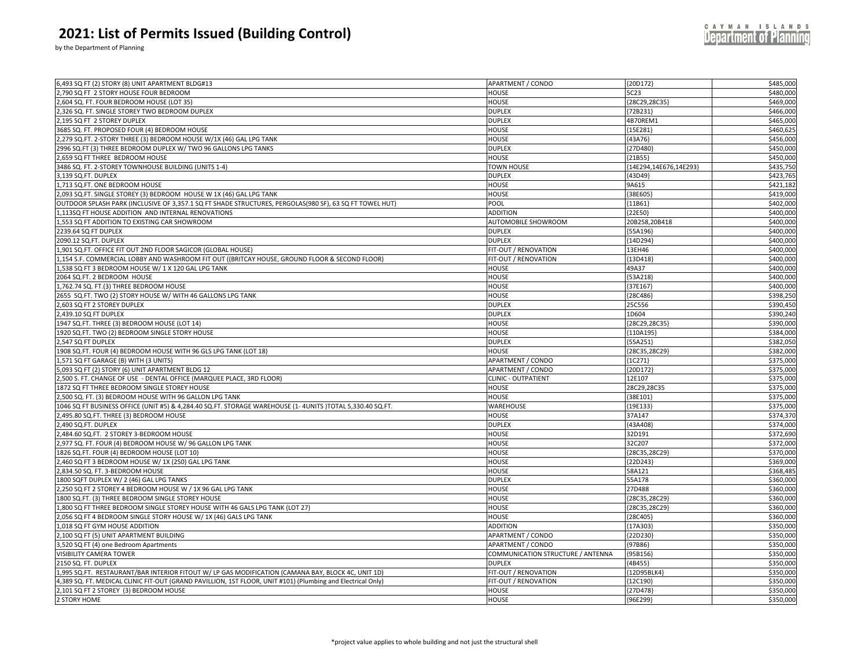| <b>2021: List of Permits Issued (Building Control)</b><br>by the Department of Planning |                          |          | CAYMAN ISLANDS<br>Department of Planning |
|-----------------------------------------------------------------------------------------|--------------------------|----------|------------------------------------------|
| 6,493 SQ FT (2) STORY (8) UNIT APARTMENT BLDG#13                                        | <b>APARTMENT / CONDO</b> | {20D172} | \$485,000                                |
| <b>12 700 CO ET 3 CTORY HOUSE FOUR REDROOM</b>                                          | LIOUCE                   | ECD2     | 0.00000                                  |

|                                                                                                             | $\frac{1}{2}$                     | 2001) 2                | <del>,,,,,,,,,,,,,,</del> |
|-------------------------------------------------------------------------------------------------------------|-----------------------------------|------------------------|---------------------------|
| 2,790 SQ FT 2 STORY HOUSE FOUR BEDROOM                                                                      | HOUSE                             | 5C23                   | \$480,000                 |
| 2,604 SQ. FT. FOUR BEDROOM HOUSE (LOT 35)                                                                   | <b>HOUSE</b>                      | ${28C29, 28C35}$       | \$469,000                 |
| 2,326 SQ. FT. SINGLE STOREY TWO BEDROOM DUPLEX                                                              | <b>DUPLEX</b>                     | ${72B231}$             | \$466,000                 |
| 2,195 SQ FT 2 STOREY DUPLEX                                                                                 | <b>DUPLEX</b>                     | 4B70REM1               | \$465,000                 |
| 3685 SQ. FT. PROPOSED FOUR (4) BEDROOM HOUSE                                                                | <b>HOUSE</b>                      | {15E281}               | \$460,625                 |
| 2,279 SQ.FT. 2-STORY THREE (3) BEDROOM HOUSE W/1X (46) GAL LPG TANK                                         | <b>HOUSE</b>                      | ${43A76}$              | \$456,000                 |
| 2996 SQ.FT (3) THREE BEDROOM DUPLEX W/ TWO 96 GALLONS LPG TANKS                                             | <b>DUPLEX</b>                     | ${27D480}$             | \$450,000                 |
| 2,659 SQ FT THREE BEDROOM HOUSE                                                                             | <b>HOUSE</b>                      | ${21B55}$              | \$450,000                 |
| 3486 SQ. FT. 2-STOREY TOWNHOUSE BUILDING (UNITS 1-4)                                                        | TOWN HOUSE                        | {14E294,14E676,14E293} | \$435,750                 |
| 3,139 SQ.FT. DUPLEX                                                                                         | <b>DUPLEX</b>                     | ${43D49}$              | \$423,765                 |
| 1,713 SQ.FT. ONE BEDROOM HOUSE                                                                              | <b>HOUSE</b>                      | 9A615                  | \$421,182                 |
| ,093 SQ.FT. SINGLE STOREY (3) BEDROOM HOUSE W 1X (46) GAL LPG TANK                                          | <b>HOUSE</b>                      | {38E605}               | \$419,000                 |
| OUTDOOR SPLASH PARK (INCLUSIVE OF 3,357.1 SQ FT SHADE STRUCTURES, PERGOLAS(980 SF), 63 SQ FT TOWEL HUT)     | POOL                              | ${11B61}$              | \$402,000                 |
| 1,113SQ FT HOUSE ADDITION AND INTERNAL RENOVATIONS                                                          | <b>ADDITION</b>                   | ${22E50}$              | \$400,000                 |
| 1,553 SQ FT ADDITION TO EXISTING CAR SHOWROOM                                                               | AUTOMOBILE SHOWROOM               | 20B258,20B418          | \$400,000                 |
| 239.64 SQ FT DUPLEX                                                                                         | <b>DUPLEX</b>                     | ${55A196}$             | \$400,000                 |
| 2090.12 SQ.FT. DUPLEX                                                                                       | <b>DUPLEX</b>                     | {14D294}               | \$400,000                 |
| .,901 SQ.FT. OFFICE FIT OUT 2ND FLOOR SAGICOR (GLOBAL HOUSE)                                                | FIT-OUT / RENOVATION              | 13EH46                 | \$400,000                 |
| 1,154 S.F. COMMERCIAL LOBBY AND WASHROOM FIT OUT ((BRITCAY HOUSE, GROUND FLOOR & SECOND FLOOR).             | FIT-OUT / RENOVATION              | ${13D418}$             | \$400,000                 |
| 1,538 SQ FT 3 BEDROOM HOUSE W/ 1 X 120 GAL LPG TANK                                                         | <b>HOUSE</b>                      | 49A37                  | \$400,000                 |
| 2064 SQ.FT. 2 BEDROOM HOUSE                                                                                 | <b>HOUSE</b>                      | ${53A218}$             | \$400,000                 |
| 1,762.74 SQ. FT.(3) THREE BEDROOM HOUSE                                                                     | <b>HOUSE</b>                      | ${37E167}$             | \$400,000                 |
| 2655 SQ.FT. TWO (2) STORY HOUSE W/ WITH 46 GALLONS LPG TANK                                                 | <b>HOUSE</b>                      | ${28C486}$             | \$398,250                 |
| ,603 SQ FT 2 STOREY DUPLEX                                                                                  | <b>DUPLEX</b>                     | 25C556                 | \$390,450                 |
| 2,439.10 SQ FT DUPLEX                                                                                       | <b>DUPLEX</b>                     | 1D604                  | \$390,240                 |
|                                                                                                             |                                   |                        | \$390,000                 |
| 1947 SQ.FT. THREE (3) BEDROOM HOUSE (LOT 14)                                                                | <b>HOUSE</b>                      | {28C29,28C35}          |                           |
| 1920 SQ.FT. TWO (2) BEDROOM SINGLE STORY HOUSE                                                              | HOUSE                             | [110A195]              | \$384,000                 |
| 2,547 SQ FT DUPLEX                                                                                          | <b>DUPLEX</b>                     | ${55A251}$             | \$382,050                 |
| 1908 SQ.FT. FOUR (4) BEDROOM HOUSE WITH 96 GLS LPG TANK (LOT 18)                                            | <b>HOUSE</b>                      | {28C35,28C29}          | \$382,000                 |
| 1,571 SQ FT GARAGE (B) WITH (3 UNITS)                                                                       | APARTMENT / CONDO                 | ${1C271}$              | \$375,000                 |
| 5,093 SQ FT (2) STORY (6) UNIT APARTMENT BLDG 12                                                            | APARTMENT / CONDO                 | ${20D172}$             | \$375,000                 |
| ,500 S. FT. CHANGE OF USE - DENTAL OFFICE (MARQUEE PLACE, 3RD FLOOR)                                        | <b>CLINIC - OUTPATIENT</b>        | 12E107                 | \$375,000                 |
| 1872 SQ FT THREE BEDROOM SINGLE STOREY HOUSE                                                                | HOUSE                             | 28C29,28C35            | \$375,000                 |
| 2,500 SQ. FT. (3) BEDROOM HOUSE WITH 96 GALLON LPG TANK                                                     | HOUSE                             | {38E101}               | \$375,000                 |
| 1046 SQ FT BUSINESS OFFICE (UNIT #5) & 4,284.40 SQ.FT. STORAGE WAREHOUSE (1- 4UNITS )TOTAL 5,330.40 SQ.FT   | WAREHOUSE                         | {19E133`               | \$375,000                 |
| 2,495.80 SQ.FT. THREE (3) BEDROOM HOUSE                                                                     | HOUSE                             | 37A147                 | \$374,370                 |
| 2,490 SQ.FT. DUPLEX                                                                                         | <b>DUPLEX</b>                     | 43A408                 | \$374,000                 |
| 2,484.60 SQ.FT. 2 STOREY 3-BEDROOM HOUSE                                                                    | <b>HOUSE</b>                      | 32D191                 | \$372,690                 |
| 2,977 SQ. FT. FOUR (4) BEDROOM HOUSE W/ 96 GALLON LPG TANK                                                  | <b>HOUSE</b>                      | 32C207                 | \$372,000                 |
| 1826 SQ.FT. FOUR (4) BEDROOM HOUSE (LOT 10)                                                                 | HOUSE                             | {28C35,28C29}          | \$370,000                 |
| ,460 SQ FT 3 BEDROOM HOUSE W/ 1X (250) GAL LPG TANK                                                         | <b>HOUSE</b>                      | ${22D243}$             | \$369,000                 |
| 2,834.50 SQ. FT. 3-BEDROOM HOUSE                                                                            | HOUSE                             | 58A121                 | \$368,485                 |
| 1800 SQFT DUPLEX W/ 2 (46) GAL LPG TANKS                                                                    | <b>DUPLEX</b>                     | 55A178                 | \$360,000                 |
| 250 SQ FT 2 STOREY 4 BEDROOM HOUSE W / 1X 96 GAL LPG TANK                                                   | <b>HOUSE</b>                      | 27D488                 | \$360,000                 |
| 1800 SQ.FT. (3) THREE BEDROOM SINGLE STOREY HOUSE                                                           | HOUSE                             | ${28C35, 28C29}$       | \$360,000                 |
| ,800 SQ FT THREE BEDROOM SINGLE STOREY HOUSE WITH 46 GALS LPG TANK (LOT 27)                                 | <b>HOUSE</b>                      | {28C35,28C29}          | \$360,000                 |
| ,056 SQ FT 4 BEDROOM SINGLE STORY HOUSE W/ 1X (46) GALS LPG TANK                                            | HOUSE                             | ${28C405}$             | \$360,000                 |
| 1,018 SQ FT GYM HOUSE ADDITION                                                                              | <b>ADDITION</b>                   | ${17A303}$             | \$350,000                 |
| 2,100 SQ FT (5) UNIT APARTMENT BUILDING                                                                     | APARTMENT / CONDO                 | {22D230}               | \$350,000                 |
| 3,520 SQ FT (4) one Bedroom Apartments                                                                      | APARTMENT / CONDO                 | ${97B86}$              | \$350,000                 |
| VISIBILITY CAMERA TOWER                                                                                     | COMMUNICATION STRUCTURE / ANTENNA | ${95B156}$             | \$350,000                 |
| 2150 SQ. FT. DUPLEX                                                                                         | <b>DUPLEX</b>                     | ${4B455}$              | \$350,000                 |
| 1,995 SQ.FT. RESTAURANT/BAR INTERIOR FITOUT W/ LP GAS MODIFICATION (CAMANA BAY, BLOCK 4C, UNIT 1D)          | FIT-OUT / RENOVATION              | {12D95BLK4}            | \$350,000                 |
| 4,389 SQ. FT. MEDICAL CLINIC FIT-OUT (GRAND PAVILLION, 1ST FLOOR, UNIT #101) (Plumbing and Electrical Only) | FIT-OUT / RENOVATION              | ${12C190}$             | \$350,000                 |
| 2,101 SQ FT 2 STOREY (3) BEDROOM HOUSE                                                                      | <b>HOUSE</b>                      | ${27D478}$             | \$350,000                 |
| 2 STORY HOME                                                                                                | <b>HOUSE</b>                      | ${96E299}$             | \$350,000                 |
|                                                                                                             |                                   |                        |                           |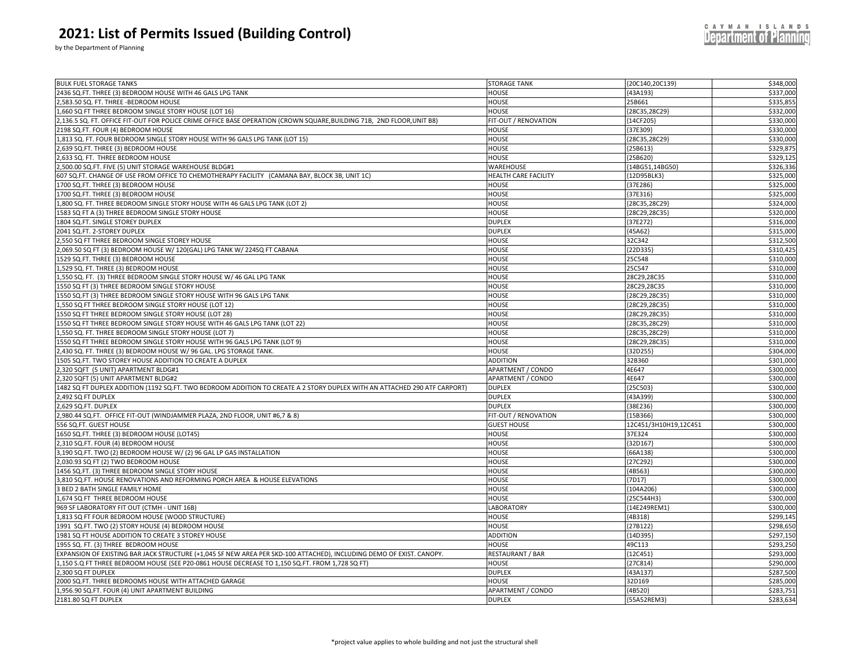by the Department of Planning

| 2436 SQ.FT. THREE (3) BEDROOM HOUSE WITH 46 GALS LPG TANK<br>\$337,000<br>HOUSE<br>${43A193}$<br>\$335,855<br>,583.50 SQ. FT. THREE -BEDROOM HOUSE<br>HOUSE<br>25B661<br>1,660 SQ FT THREE BEDROOM SINGLE STORY HOUSE (LOT 16)<br>HOUSE<br>{28C35,28C29}<br>\$332,000<br>\$330,000<br>,136.5 SQ. FT. OFFICE FIT-OUT FOR POLICE CRIME OFFICE BASE OPERATION (CROWN SQUARE,BUILDING 71B, 2ND FLOOR,UNIT B8)<br>FIT-OUT / RENOVATION<br>${14}CF205$<br>${37E309}$<br>\$330,000<br>198 SQ.FT. FOUR (4) BEDROOM HOUSE<br>HOUSE<br>\$330,000<br>,813 SQ. FT. FOUR BEDROOM SINGLE STORY HOUSE WITH 96 GALS LPG TANK (LOT 15)<br>HOUSE<br>{28C35,28C29}<br>\$329,875<br>639 SQ.FT. THREE (3) BEDROOM HOUSE<br>HOUSE<br>${25B613}$<br>,633 SQ. FT. THREE BEDROOM HOUSE<br>\$329,12<br>HOUSE<br>${25B620}$<br>\$326,336<br>,500.00 SQ.FT. FIVE (5) UNIT STORAGE WAREHOUSE BLDG#1<br>WAREHOUSE<br>{14BG51,14BG50}<br>\$325,000<br>607 SQ.FT. CHANGE OF USE FROM OFFICE TO CHEMOTHERAPY FACILITY (CAMANA BAY, BLOCK 3B, UNIT 1C)<br>HEALTH CARE FACILITY<br>{12D95BLK3}<br>\$325,000<br>1700 SQ.FT. THREE (3) BEDROOM HOUSE<br>HOUSE<br>${37E286}$<br>\$325,000<br>1700 SQ.FT. THREE (3) BEDROOM HOUSE<br>HOUSE<br>${37E316}$<br>,800 SQ. FT. THREE BEDROOM SINGLE STORY HOUSE WITH 46 GALS LPG TANK (LOT 2)<br>HOUSE<br>{28C35,28C29}<br>\$324,000<br>1583 SQ FT A (3) THREE BEDROOM SINGLE STORY HOUSE<br>HOUSE<br>\$320,000<br>{28C29,28C35}<br>1804 SQ.FT. SINGLE STOREY DUPLEX<br><b>DUPLEX</b><br>${37E272}$<br>\$316,00<br>2041 SQ.FT. 2-STOREY DUPLEX<br><b>DUPLEX</b><br>\$315,000<br>${45A62}$<br>32C342<br>\$312,500<br>,550 SQ FT THREE BEDROOM SINGLE STOREY HOUSE<br>HOUSE<br>\$310,42<br>,069.50 SQ FT (3) BEDROOM HOUSE W/ 120(GAL) LPG TANK W/ 224SQ FT CABANA<br>HOUSE<br>${22D335}$<br>529 SQ.FT. THREE (3) BEDROOM HOUSE<br>HOUSE<br>25C548<br>\$310,000<br>.529 SQ. FT. THREE (3) BEDROOM HOUSE<br>HOUSE<br>25C547<br>\$310,00<br>\$310,000<br>550 SQ. FT. (3) THREE BEDROOM SINGLE STORY HOUSE W/ 46 GAL LPG TANK<br>HOUSE<br>28C29,28C35<br>550 SQ FT (3) THREE BEDROOM SINGLE STORY HOUSE<br>HOUSE<br>28C29,28C35<br>\$310,000<br>\$310,000<br>1550 SQ.FT (3) THREE BEDROOM SINGLE STORY HOUSE WITH 96 GALS LPG TANK<br>HOUSE<br>{28C29,28C35}<br>\$310,000<br>,550 SQ FT THREE BEDROOM SINGLE STORY HOUSE (LOT 12)<br>HOUSE<br>{28C29,28C35}<br>\$310,00<br>1550 SQ FT THREE BEDROOM SINGLE STORY HOUSE (LOT 28)<br>HOUSE<br>{28C29,28C35}<br>550 SQ FT THREE BEDROOM SINGLE STORY HOUSE WITH 46 GALS LPG TANK (LOT 22)<br>HOUSE<br>{28C35,28C29}<br>\$310,000<br>\$310,000<br>,550 SQ. FT. THREE BEDROOM SINGLE STORY HOUSE (LOT 7)<br>HOUSE<br>{28C35,28C29}<br>\$310,000<br>L550 SQ FT THREE BEDROOM SINGLE STORY HOUSE WITH 96 GALS LPG TANK (LOT 9)<br>HOUSE<br>{28C29,28C35}<br>\$304,000<br>,430 SQ. FT. THREE (3) BEDROOM HOUSE W/ 96 GAL. LPG STORAGE TANK.<br>HOUSE<br>${32D255}$<br>1505 SQ.FT. TWO STOREY HOUSE ADDITION TO CREATE A DUPLEX<br>\$301,000<br>ADDITION<br>32B360<br>\$300,000<br>320 SQFT (5 UNIT) APARTMENT BLDG#1<br>APARTMENT / CONDO<br>4E647<br>,320 SQFT (5) UNIT APARTMENT BLDG#2<br>APARTMENT / CONDO<br>4E647<br>\$300,000<br>\$300,000<br>482 SQ FT DUPLEX ADDITION (1192 SQ.FT. TWO BEDROOM ADDITION TO CREATE A 2 STORY DUPLEX WITH AN ATTACHED 290 ATF CARPORT)<br><b>DUPLEX</b><br>{25C503<br>\$300,000<br>,492 SQ FT DUPLEX<br><b>DUPLEX</b><br>{43A399}<br>,629 SQ.FT. DUPLEX<br>\$300,000<br><b>DUPLEX</b><br>${38E236}$<br>,980.44 SQ.FT. OFFICE FIT-OUT (WINDJAMMER PLAZA, 2ND FLOOR, UNIT #6,7 & 8)<br>\$300,000<br>FIT-OUT / RENOVATION<br>${15B366}$<br>556 SQ.FT. GUEST HOUSE<br><b>GUEST HOUSE</b><br>12C451/3H10H19,12C451<br>\$300,000<br>650 SQ.FT. THREE (3) BEDROOM HOUSE (LOT45)<br>HOUSE<br>\$300,000<br>37E324<br>{32D167}<br>\$300,000<br>,310 SQ.FT. FOUR (4) BEDROOM HOUSE<br>HOUSE<br>,190 SQ.FT. TWO (2) BEDROOM HOUSE W/ (2) 96 GAL LP GAS INSTALLATION<br>HOUSE<br>{66A138<br>\$300,000<br>,030.93 SQ FT (2) TWO BEDROOM HOUSE<br>HOUSE<br>{27C292<br>\$300,000<br>\$300,000<br>1456 SQ.FT. (3) THREE BEDROOM SINGLE STORY HOUSE<br>HOUSE<br>${4B563}$<br>\$300,000<br>,810 SQ.FT. HOUSE RENOVATIONS AND REFORMING PORCH AREA & HOUSE ELEVATIONS<br>HOUSE<br>${7D17}$<br><b>BED 2 BATH SINGLE FAMILY HOME</b><br>HOUSE<br>\$300,000<br>${104A206}$<br>\$300,000<br>,674 SQ FT THREE BEDROOM HOUSE<br>HOUSE<br>{25C544H3}<br>\$300,000<br>969 SF LABORATORY FIT OUT (CTMH - UNIT 16B)<br>LABORATORY<br>{14E249REM1}<br>1,813 SQ FT FOUR BEDROOM HOUSE (WOOD STRUCTURE)<br>HOUSE<br>\$299,145<br>${4B318}$<br>1991 SQ.FT. TWO (2) STORY HOUSE (4) BEDROOM HOUSE<br>HOUSE<br>{27B122<br>\$298,650<br>\$297,150<br>1981 SQ FT HOUSE ADDITION TO CREATE 3 STOREY HOUSE<br>ADDITION<br>{14D395}<br>\$293,250<br>1955 SQ. FT. (3) THREE BEDROOM HOUSE<br>49C113<br>HOUSE<br>\$293,000<br>${12C451}$<br>EXPANSION OF EXISTING BAR JACK STRUCTURE (+1,045 SF NEW AREA PER SKD-100 ATTACHED), INCLUDING DEMO OF EXIST. CANOPY.<br>RESTAURANT / BAR<br>1,150 S.Q FT THREE BEDROOM HOUSE (SEE P20-0861 HOUSE DECREASE TO 1,150 SQ.FT. FROM 1,728 SQ FT).<br>HOUSE<br>${27C814}$<br>\$290,000<br>\$287,500<br>,300 SQ FT DUPLEX<br>DUPLEX<br>[43A137]<br>32D169<br>\$285,000<br>2000 SQ.FT. THREE BEDROOMS HOUSE WITH ATTACHED GARAGE<br>HOUSE<br>.956.90 SQ.FT. FOUR (4) UNIT APARTMENT BUILDING<br>\$283,751<br>APARTMENT / CONDO<br>{4B520}<br>\$283,634<br>2181.80 SQ FT DUPLEX<br><b>DUPLEX</b><br>{55A52REM3} | <b>BULK FUEL STORAGE TANKS</b> | <b>STORAGE TANK</b> | {20C140,20C139} | \$348,000 |
|--------------------------------------------------------------------------------------------------------------------------------------------------------------------------------------------------------------------------------------------------------------------------------------------------------------------------------------------------------------------------------------------------------------------------------------------------------------------------------------------------------------------------------------------------------------------------------------------------------------------------------------------------------------------------------------------------------------------------------------------------------------------------------------------------------------------------------------------------------------------------------------------------------------------------------------------------------------------------------------------------------------------------------------------------------------------------------------------------------------------------------------------------------------------------------------------------------------------------------------------------------------------------------------------------------------------------------------------------------------------------------------------------------------------------------------------------------------------------------------------------------------------------------------------------------------------------------------------------------------------------------------------------------------------------------------------------------------------------------------------------------------------------------------------------------------------------------------------------------------------------------------------------------------------------------------------------------------------------------------------------------------------------------------------------------------------------------------------------------------------------------------------------------------------------------------------------------------------------------------------------------------------------------------------------------------------------------------------------------------------------------------------------------------------------------------------------------------------------------------------------------------------------------------------------------------------------------------------------------------------------------------------------------------------------------------------------------------------------------------------------------------------------------------------------------------------------------------------------------------------------------------------------------------------------------------------------------------------------------------------------------------------------------------------------------------------------------------------------------------------------------------------------------------------------------------------------------------------------------------------------------------------------------------------------------------------------------------------------------------------------------------------------------------------------------------------------------------------------------------------------------------------------------------------------------------------------------------------------------------------------------------------------------------------------------------------------------------------------------------------------------------------------------------------------------------------------------------------------------------------------------------------------------------------------------------------------------------------------------------------------------------------------------------------------------------------------------------------------------------------------------------------------------------------------------------------------------------------------------------------------------------------------------------------------------------------------------------------------------------------------------------------------------------------------------------------------------------------------------------------------------------------------------------------------------------------------------------------------------------------------------------------------------------------------------------------------------------------------------------------------------------------------------------------------------------------------------------------------------------------------------------------------------------------------------------------------------------------------------------------------------------------------------------------------------------------------------------------------------------------------------------------------------------------------------------------------------------------------------------------------------------------------------------------------------------------------------------------------------------------------------------------------------------------------------------------------------------------------------------|--------------------------------|---------------------|-----------------|-----------|
|                                                                                                                                                                                                                                                                                                                                                                                                                                                                                                                                                                                                                                                                                                                                                                                                                                                                                                                                                                                                                                                                                                                                                                                                                                                                                                                                                                                                                                                                                                                                                                                                                                                                                                                                                                                                                                                                                                                                                                                                                                                                                                                                                                                                                                                                                                                                                                                                                                                                                                                                                                                                                                                                                                                                                                                                                                                                                                                                                                                                                                                                                                                                                                                                                                                                                                                                                                                                                                                                                                                                                                                                                                                                                                                                                                                                                                                                                                                                                                                                                                                                                                                                                                                                                                                                                                                                                                                                                                                                                                                                                                                                                                                                                                                                                                                                                                                                                                                                                                                                                                                                                                                                                                                                                                                                                                                                                                                                                                                                                      |                                |                     |                 |           |
|                                                                                                                                                                                                                                                                                                                                                                                                                                                                                                                                                                                                                                                                                                                                                                                                                                                                                                                                                                                                                                                                                                                                                                                                                                                                                                                                                                                                                                                                                                                                                                                                                                                                                                                                                                                                                                                                                                                                                                                                                                                                                                                                                                                                                                                                                                                                                                                                                                                                                                                                                                                                                                                                                                                                                                                                                                                                                                                                                                                                                                                                                                                                                                                                                                                                                                                                                                                                                                                                                                                                                                                                                                                                                                                                                                                                                                                                                                                                                                                                                                                                                                                                                                                                                                                                                                                                                                                                                                                                                                                                                                                                                                                                                                                                                                                                                                                                                                                                                                                                                                                                                                                                                                                                                                                                                                                                                                                                                                                                                      |                                |                     |                 |           |
|                                                                                                                                                                                                                                                                                                                                                                                                                                                                                                                                                                                                                                                                                                                                                                                                                                                                                                                                                                                                                                                                                                                                                                                                                                                                                                                                                                                                                                                                                                                                                                                                                                                                                                                                                                                                                                                                                                                                                                                                                                                                                                                                                                                                                                                                                                                                                                                                                                                                                                                                                                                                                                                                                                                                                                                                                                                                                                                                                                                                                                                                                                                                                                                                                                                                                                                                                                                                                                                                                                                                                                                                                                                                                                                                                                                                                                                                                                                                                                                                                                                                                                                                                                                                                                                                                                                                                                                                                                                                                                                                                                                                                                                                                                                                                                                                                                                                                                                                                                                                                                                                                                                                                                                                                                                                                                                                                                                                                                                                                      |                                |                     |                 |           |
|                                                                                                                                                                                                                                                                                                                                                                                                                                                                                                                                                                                                                                                                                                                                                                                                                                                                                                                                                                                                                                                                                                                                                                                                                                                                                                                                                                                                                                                                                                                                                                                                                                                                                                                                                                                                                                                                                                                                                                                                                                                                                                                                                                                                                                                                                                                                                                                                                                                                                                                                                                                                                                                                                                                                                                                                                                                                                                                                                                                                                                                                                                                                                                                                                                                                                                                                                                                                                                                                                                                                                                                                                                                                                                                                                                                                                                                                                                                                                                                                                                                                                                                                                                                                                                                                                                                                                                                                                                                                                                                                                                                                                                                                                                                                                                                                                                                                                                                                                                                                                                                                                                                                                                                                                                                                                                                                                                                                                                                                                      |                                |                     |                 |           |
|                                                                                                                                                                                                                                                                                                                                                                                                                                                                                                                                                                                                                                                                                                                                                                                                                                                                                                                                                                                                                                                                                                                                                                                                                                                                                                                                                                                                                                                                                                                                                                                                                                                                                                                                                                                                                                                                                                                                                                                                                                                                                                                                                                                                                                                                                                                                                                                                                                                                                                                                                                                                                                                                                                                                                                                                                                                                                                                                                                                                                                                                                                                                                                                                                                                                                                                                                                                                                                                                                                                                                                                                                                                                                                                                                                                                                                                                                                                                                                                                                                                                                                                                                                                                                                                                                                                                                                                                                                                                                                                                                                                                                                                                                                                                                                                                                                                                                                                                                                                                                                                                                                                                                                                                                                                                                                                                                                                                                                                                                      |                                |                     |                 |           |
|                                                                                                                                                                                                                                                                                                                                                                                                                                                                                                                                                                                                                                                                                                                                                                                                                                                                                                                                                                                                                                                                                                                                                                                                                                                                                                                                                                                                                                                                                                                                                                                                                                                                                                                                                                                                                                                                                                                                                                                                                                                                                                                                                                                                                                                                                                                                                                                                                                                                                                                                                                                                                                                                                                                                                                                                                                                                                                                                                                                                                                                                                                                                                                                                                                                                                                                                                                                                                                                                                                                                                                                                                                                                                                                                                                                                                                                                                                                                                                                                                                                                                                                                                                                                                                                                                                                                                                                                                                                                                                                                                                                                                                                                                                                                                                                                                                                                                                                                                                                                                                                                                                                                                                                                                                                                                                                                                                                                                                                                                      |                                |                     |                 |           |
|                                                                                                                                                                                                                                                                                                                                                                                                                                                                                                                                                                                                                                                                                                                                                                                                                                                                                                                                                                                                                                                                                                                                                                                                                                                                                                                                                                                                                                                                                                                                                                                                                                                                                                                                                                                                                                                                                                                                                                                                                                                                                                                                                                                                                                                                                                                                                                                                                                                                                                                                                                                                                                                                                                                                                                                                                                                                                                                                                                                                                                                                                                                                                                                                                                                                                                                                                                                                                                                                                                                                                                                                                                                                                                                                                                                                                                                                                                                                                                                                                                                                                                                                                                                                                                                                                                                                                                                                                                                                                                                                                                                                                                                                                                                                                                                                                                                                                                                                                                                                                                                                                                                                                                                                                                                                                                                                                                                                                                                                                      |                                |                     |                 |           |
|                                                                                                                                                                                                                                                                                                                                                                                                                                                                                                                                                                                                                                                                                                                                                                                                                                                                                                                                                                                                                                                                                                                                                                                                                                                                                                                                                                                                                                                                                                                                                                                                                                                                                                                                                                                                                                                                                                                                                                                                                                                                                                                                                                                                                                                                                                                                                                                                                                                                                                                                                                                                                                                                                                                                                                                                                                                                                                                                                                                                                                                                                                                                                                                                                                                                                                                                                                                                                                                                                                                                                                                                                                                                                                                                                                                                                                                                                                                                                                                                                                                                                                                                                                                                                                                                                                                                                                                                                                                                                                                                                                                                                                                                                                                                                                                                                                                                                                                                                                                                                                                                                                                                                                                                                                                                                                                                                                                                                                                                                      |                                |                     |                 |           |
|                                                                                                                                                                                                                                                                                                                                                                                                                                                                                                                                                                                                                                                                                                                                                                                                                                                                                                                                                                                                                                                                                                                                                                                                                                                                                                                                                                                                                                                                                                                                                                                                                                                                                                                                                                                                                                                                                                                                                                                                                                                                                                                                                                                                                                                                                                                                                                                                                                                                                                                                                                                                                                                                                                                                                                                                                                                                                                                                                                                                                                                                                                                                                                                                                                                                                                                                                                                                                                                                                                                                                                                                                                                                                                                                                                                                                                                                                                                                                                                                                                                                                                                                                                                                                                                                                                                                                                                                                                                                                                                                                                                                                                                                                                                                                                                                                                                                                                                                                                                                                                                                                                                                                                                                                                                                                                                                                                                                                                                                                      |                                |                     |                 |           |
|                                                                                                                                                                                                                                                                                                                                                                                                                                                                                                                                                                                                                                                                                                                                                                                                                                                                                                                                                                                                                                                                                                                                                                                                                                                                                                                                                                                                                                                                                                                                                                                                                                                                                                                                                                                                                                                                                                                                                                                                                                                                                                                                                                                                                                                                                                                                                                                                                                                                                                                                                                                                                                                                                                                                                                                                                                                                                                                                                                                                                                                                                                                                                                                                                                                                                                                                                                                                                                                                                                                                                                                                                                                                                                                                                                                                                                                                                                                                                                                                                                                                                                                                                                                                                                                                                                                                                                                                                                                                                                                                                                                                                                                                                                                                                                                                                                                                                                                                                                                                                                                                                                                                                                                                                                                                                                                                                                                                                                                                                      |                                |                     |                 |           |
|                                                                                                                                                                                                                                                                                                                                                                                                                                                                                                                                                                                                                                                                                                                                                                                                                                                                                                                                                                                                                                                                                                                                                                                                                                                                                                                                                                                                                                                                                                                                                                                                                                                                                                                                                                                                                                                                                                                                                                                                                                                                                                                                                                                                                                                                                                                                                                                                                                                                                                                                                                                                                                                                                                                                                                                                                                                                                                                                                                                                                                                                                                                                                                                                                                                                                                                                                                                                                                                                                                                                                                                                                                                                                                                                                                                                                                                                                                                                                                                                                                                                                                                                                                                                                                                                                                                                                                                                                                                                                                                                                                                                                                                                                                                                                                                                                                                                                                                                                                                                                                                                                                                                                                                                                                                                                                                                                                                                                                                                                      |                                |                     |                 |           |
|                                                                                                                                                                                                                                                                                                                                                                                                                                                                                                                                                                                                                                                                                                                                                                                                                                                                                                                                                                                                                                                                                                                                                                                                                                                                                                                                                                                                                                                                                                                                                                                                                                                                                                                                                                                                                                                                                                                                                                                                                                                                                                                                                                                                                                                                                                                                                                                                                                                                                                                                                                                                                                                                                                                                                                                                                                                                                                                                                                                                                                                                                                                                                                                                                                                                                                                                                                                                                                                                                                                                                                                                                                                                                                                                                                                                                                                                                                                                                                                                                                                                                                                                                                                                                                                                                                                                                                                                                                                                                                                                                                                                                                                                                                                                                                                                                                                                                                                                                                                                                                                                                                                                                                                                                                                                                                                                                                                                                                                                                      |                                |                     |                 |           |
|                                                                                                                                                                                                                                                                                                                                                                                                                                                                                                                                                                                                                                                                                                                                                                                                                                                                                                                                                                                                                                                                                                                                                                                                                                                                                                                                                                                                                                                                                                                                                                                                                                                                                                                                                                                                                                                                                                                                                                                                                                                                                                                                                                                                                                                                                                                                                                                                                                                                                                                                                                                                                                                                                                                                                                                                                                                                                                                                                                                                                                                                                                                                                                                                                                                                                                                                                                                                                                                                                                                                                                                                                                                                                                                                                                                                                                                                                                                                                                                                                                                                                                                                                                                                                                                                                                                                                                                                                                                                                                                                                                                                                                                                                                                                                                                                                                                                                                                                                                                                                                                                                                                                                                                                                                                                                                                                                                                                                                                                                      |                                |                     |                 |           |
|                                                                                                                                                                                                                                                                                                                                                                                                                                                                                                                                                                                                                                                                                                                                                                                                                                                                                                                                                                                                                                                                                                                                                                                                                                                                                                                                                                                                                                                                                                                                                                                                                                                                                                                                                                                                                                                                                                                                                                                                                                                                                                                                                                                                                                                                                                                                                                                                                                                                                                                                                                                                                                                                                                                                                                                                                                                                                                                                                                                                                                                                                                                                                                                                                                                                                                                                                                                                                                                                                                                                                                                                                                                                                                                                                                                                                                                                                                                                                                                                                                                                                                                                                                                                                                                                                                                                                                                                                                                                                                                                                                                                                                                                                                                                                                                                                                                                                                                                                                                                                                                                                                                                                                                                                                                                                                                                                                                                                                                                                      |                                |                     |                 |           |
|                                                                                                                                                                                                                                                                                                                                                                                                                                                                                                                                                                                                                                                                                                                                                                                                                                                                                                                                                                                                                                                                                                                                                                                                                                                                                                                                                                                                                                                                                                                                                                                                                                                                                                                                                                                                                                                                                                                                                                                                                                                                                                                                                                                                                                                                                                                                                                                                                                                                                                                                                                                                                                                                                                                                                                                                                                                                                                                                                                                                                                                                                                                                                                                                                                                                                                                                                                                                                                                                                                                                                                                                                                                                                                                                                                                                                                                                                                                                                                                                                                                                                                                                                                                                                                                                                                                                                                                                                                                                                                                                                                                                                                                                                                                                                                                                                                                                                                                                                                                                                                                                                                                                                                                                                                                                                                                                                                                                                                                                                      |                                |                     |                 |           |
|                                                                                                                                                                                                                                                                                                                                                                                                                                                                                                                                                                                                                                                                                                                                                                                                                                                                                                                                                                                                                                                                                                                                                                                                                                                                                                                                                                                                                                                                                                                                                                                                                                                                                                                                                                                                                                                                                                                                                                                                                                                                                                                                                                                                                                                                                                                                                                                                                                                                                                                                                                                                                                                                                                                                                                                                                                                                                                                                                                                                                                                                                                                                                                                                                                                                                                                                                                                                                                                                                                                                                                                                                                                                                                                                                                                                                                                                                                                                                                                                                                                                                                                                                                                                                                                                                                                                                                                                                                                                                                                                                                                                                                                                                                                                                                                                                                                                                                                                                                                                                                                                                                                                                                                                                                                                                                                                                                                                                                                                                      |                                |                     |                 |           |
|                                                                                                                                                                                                                                                                                                                                                                                                                                                                                                                                                                                                                                                                                                                                                                                                                                                                                                                                                                                                                                                                                                                                                                                                                                                                                                                                                                                                                                                                                                                                                                                                                                                                                                                                                                                                                                                                                                                                                                                                                                                                                                                                                                                                                                                                                                                                                                                                                                                                                                                                                                                                                                                                                                                                                                                                                                                                                                                                                                                                                                                                                                                                                                                                                                                                                                                                                                                                                                                                                                                                                                                                                                                                                                                                                                                                                                                                                                                                                                                                                                                                                                                                                                                                                                                                                                                                                                                                                                                                                                                                                                                                                                                                                                                                                                                                                                                                                                                                                                                                                                                                                                                                                                                                                                                                                                                                                                                                                                                                                      |                                |                     |                 |           |
|                                                                                                                                                                                                                                                                                                                                                                                                                                                                                                                                                                                                                                                                                                                                                                                                                                                                                                                                                                                                                                                                                                                                                                                                                                                                                                                                                                                                                                                                                                                                                                                                                                                                                                                                                                                                                                                                                                                                                                                                                                                                                                                                                                                                                                                                                                                                                                                                                                                                                                                                                                                                                                                                                                                                                                                                                                                                                                                                                                                                                                                                                                                                                                                                                                                                                                                                                                                                                                                                                                                                                                                                                                                                                                                                                                                                                                                                                                                                                                                                                                                                                                                                                                                                                                                                                                                                                                                                                                                                                                                                                                                                                                                                                                                                                                                                                                                                                                                                                                                                                                                                                                                                                                                                                                                                                                                                                                                                                                                                                      |                                |                     |                 |           |
|                                                                                                                                                                                                                                                                                                                                                                                                                                                                                                                                                                                                                                                                                                                                                                                                                                                                                                                                                                                                                                                                                                                                                                                                                                                                                                                                                                                                                                                                                                                                                                                                                                                                                                                                                                                                                                                                                                                                                                                                                                                                                                                                                                                                                                                                                                                                                                                                                                                                                                                                                                                                                                                                                                                                                                                                                                                                                                                                                                                                                                                                                                                                                                                                                                                                                                                                                                                                                                                                                                                                                                                                                                                                                                                                                                                                                                                                                                                                                                                                                                                                                                                                                                                                                                                                                                                                                                                                                                                                                                                                                                                                                                                                                                                                                                                                                                                                                                                                                                                                                                                                                                                                                                                                                                                                                                                                                                                                                                                                                      |                                |                     |                 |           |
|                                                                                                                                                                                                                                                                                                                                                                                                                                                                                                                                                                                                                                                                                                                                                                                                                                                                                                                                                                                                                                                                                                                                                                                                                                                                                                                                                                                                                                                                                                                                                                                                                                                                                                                                                                                                                                                                                                                                                                                                                                                                                                                                                                                                                                                                                                                                                                                                                                                                                                                                                                                                                                                                                                                                                                                                                                                                                                                                                                                                                                                                                                                                                                                                                                                                                                                                                                                                                                                                                                                                                                                                                                                                                                                                                                                                                                                                                                                                                                                                                                                                                                                                                                                                                                                                                                                                                                                                                                                                                                                                                                                                                                                                                                                                                                                                                                                                                                                                                                                                                                                                                                                                                                                                                                                                                                                                                                                                                                                                                      |                                |                     |                 |           |
|                                                                                                                                                                                                                                                                                                                                                                                                                                                                                                                                                                                                                                                                                                                                                                                                                                                                                                                                                                                                                                                                                                                                                                                                                                                                                                                                                                                                                                                                                                                                                                                                                                                                                                                                                                                                                                                                                                                                                                                                                                                                                                                                                                                                                                                                                                                                                                                                                                                                                                                                                                                                                                                                                                                                                                                                                                                                                                                                                                                                                                                                                                                                                                                                                                                                                                                                                                                                                                                                                                                                                                                                                                                                                                                                                                                                                                                                                                                                                                                                                                                                                                                                                                                                                                                                                                                                                                                                                                                                                                                                                                                                                                                                                                                                                                                                                                                                                                                                                                                                                                                                                                                                                                                                                                                                                                                                                                                                                                                                                      |                                |                     |                 |           |
|                                                                                                                                                                                                                                                                                                                                                                                                                                                                                                                                                                                                                                                                                                                                                                                                                                                                                                                                                                                                                                                                                                                                                                                                                                                                                                                                                                                                                                                                                                                                                                                                                                                                                                                                                                                                                                                                                                                                                                                                                                                                                                                                                                                                                                                                                                                                                                                                                                                                                                                                                                                                                                                                                                                                                                                                                                                                                                                                                                                                                                                                                                                                                                                                                                                                                                                                                                                                                                                                                                                                                                                                                                                                                                                                                                                                                                                                                                                                                                                                                                                                                                                                                                                                                                                                                                                                                                                                                                                                                                                                                                                                                                                                                                                                                                                                                                                                                                                                                                                                                                                                                                                                                                                                                                                                                                                                                                                                                                                                                      |                                |                     |                 |           |
|                                                                                                                                                                                                                                                                                                                                                                                                                                                                                                                                                                                                                                                                                                                                                                                                                                                                                                                                                                                                                                                                                                                                                                                                                                                                                                                                                                                                                                                                                                                                                                                                                                                                                                                                                                                                                                                                                                                                                                                                                                                                                                                                                                                                                                                                                                                                                                                                                                                                                                                                                                                                                                                                                                                                                                                                                                                                                                                                                                                                                                                                                                                                                                                                                                                                                                                                                                                                                                                                                                                                                                                                                                                                                                                                                                                                                                                                                                                                                                                                                                                                                                                                                                                                                                                                                                                                                                                                                                                                                                                                                                                                                                                                                                                                                                                                                                                                                                                                                                                                                                                                                                                                                                                                                                                                                                                                                                                                                                                                                      |                                |                     |                 |           |
|                                                                                                                                                                                                                                                                                                                                                                                                                                                                                                                                                                                                                                                                                                                                                                                                                                                                                                                                                                                                                                                                                                                                                                                                                                                                                                                                                                                                                                                                                                                                                                                                                                                                                                                                                                                                                                                                                                                                                                                                                                                                                                                                                                                                                                                                                                                                                                                                                                                                                                                                                                                                                                                                                                                                                                                                                                                                                                                                                                                                                                                                                                                                                                                                                                                                                                                                                                                                                                                                                                                                                                                                                                                                                                                                                                                                                                                                                                                                                                                                                                                                                                                                                                                                                                                                                                                                                                                                                                                                                                                                                                                                                                                                                                                                                                                                                                                                                                                                                                                                                                                                                                                                                                                                                                                                                                                                                                                                                                                                                      |                                |                     |                 |           |
|                                                                                                                                                                                                                                                                                                                                                                                                                                                                                                                                                                                                                                                                                                                                                                                                                                                                                                                                                                                                                                                                                                                                                                                                                                                                                                                                                                                                                                                                                                                                                                                                                                                                                                                                                                                                                                                                                                                                                                                                                                                                                                                                                                                                                                                                                                                                                                                                                                                                                                                                                                                                                                                                                                                                                                                                                                                                                                                                                                                                                                                                                                                                                                                                                                                                                                                                                                                                                                                                                                                                                                                                                                                                                                                                                                                                                                                                                                                                                                                                                                                                                                                                                                                                                                                                                                                                                                                                                                                                                                                                                                                                                                                                                                                                                                                                                                                                                                                                                                                                                                                                                                                                                                                                                                                                                                                                                                                                                                                                                      |                                |                     |                 |           |
|                                                                                                                                                                                                                                                                                                                                                                                                                                                                                                                                                                                                                                                                                                                                                                                                                                                                                                                                                                                                                                                                                                                                                                                                                                                                                                                                                                                                                                                                                                                                                                                                                                                                                                                                                                                                                                                                                                                                                                                                                                                                                                                                                                                                                                                                                                                                                                                                                                                                                                                                                                                                                                                                                                                                                                                                                                                                                                                                                                                                                                                                                                                                                                                                                                                                                                                                                                                                                                                                                                                                                                                                                                                                                                                                                                                                                                                                                                                                                                                                                                                                                                                                                                                                                                                                                                                                                                                                                                                                                                                                                                                                                                                                                                                                                                                                                                                                                                                                                                                                                                                                                                                                                                                                                                                                                                                                                                                                                                                                                      |                                |                     |                 |           |
|                                                                                                                                                                                                                                                                                                                                                                                                                                                                                                                                                                                                                                                                                                                                                                                                                                                                                                                                                                                                                                                                                                                                                                                                                                                                                                                                                                                                                                                                                                                                                                                                                                                                                                                                                                                                                                                                                                                                                                                                                                                                                                                                                                                                                                                                                                                                                                                                                                                                                                                                                                                                                                                                                                                                                                                                                                                                                                                                                                                                                                                                                                                                                                                                                                                                                                                                                                                                                                                                                                                                                                                                                                                                                                                                                                                                                                                                                                                                                                                                                                                                                                                                                                                                                                                                                                                                                                                                                                                                                                                                                                                                                                                                                                                                                                                                                                                                                                                                                                                                                                                                                                                                                                                                                                                                                                                                                                                                                                                                                      |                                |                     |                 |           |
|                                                                                                                                                                                                                                                                                                                                                                                                                                                                                                                                                                                                                                                                                                                                                                                                                                                                                                                                                                                                                                                                                                                                                                                                                                                                                                                                                                                                                                                                                                                                                                                                                                                                                                                                                                                                                                                                                                                                                                                                                                                                                                                                                                                                                                                                                                                                                                                                                                                                                                                                                                                                                                                                                                                                                                                                                                                                                                                                                                                                                                                                                                                                                                                                                                                                                                                                                                                                                                                                                                                                                                                                                                                                                                                                                                                                                                                                                                                                                                                                                                                                                                                                                                                                                                                                                                                                                                                                                                                                                                                                                                                                                                                                                                                                                                                                                                                                                                                                                                                                                                                                                                                                                                                                                                                                                                                                                                                                                                                                                      |                                |                     |                 |           |
|                                                                                                                                                                                                                                                                                                                                                                                                                                                                                                                                                                                                                                                                                                                                                                                                                                                                                                                                                                                                                                                                                                                                                                                                                                                                                                                                                                                                                                                                                                                                                                                                                                                                                                                                                                                                                                                                                                                                                                                                                                                                                                                                                                                                                                                                                                                                                                                                                                                                                                                                                                                                                                                                                                                                                                                                                                                                                                                                                                                                                                                                                                                                                                                                                                                                                                                                                                                                                                                                                                                                                                                                                                                                                                                                                                                                                                                                                                                                                                                                                                                                                                                                                                                                                                                                                                                                                                                                                                                                                                                                                                                                                                                                                                                                                                                                                                                                                                                                                                                                                                                                                                                                                                                                                                                                                                                                                                                                                                                                                      |                                |                     |                 |           |
|                                                                                                                                                                                                                                                                                                                                                                                                                                                                                                                                                                                                                                                                                                                                                                                                                                                                                                                                                                                                                                                                                                                                                                                                                                                                                                                                                                                                                                                                                                                                                                                                                                                                                                                                                                                                                                                                                                                                                                                                                                                                                                                                                                                                                                                                                                                                                                                                                                                                                                                                                                                                                                                                                                                                                                                                                                                                                                                                                                                                                                                                                                                                                                                                                                                                                                                                                                                                                                                                                                                                                                                                                                                                                                                                                                                                                                                                                                                                                                                                                                                                                                                                                                                                                                                                                                                                                                                                                                                                                                                                                                                                                                                                                                                                                                                                                                                                                                                                                                                                                                                                                                                                                                                                                                                                                                                                                                                                                                                                                      |                                |                     |                 |           |
|                                                                                                                                                                                                                                                                                                                                                                                                                                                                                                                                                                                                                                                                                                                                                                                                                                                                                                                                                                                                                                                                                                                                                                                                                                                                                                                                                                                                                                                                                                                                                                                                                                                                                                                                                                                                                                                                                                                                                                                                                                                                                                                                                                                                                                                                                                                                                                                                                                                                                                                                                                                                                                                                                                                                                                                                                                                                                                                                                                                                                                                                                                                                                                                                                                                                                                                                                                                                                                                                                                                                                                                                                                                                                                                                                                                                                                                                                                                                                                                                                                                                                                                                                                                                                                                                                                                                                                                                                                                                                                                                                                                                                                                                                                                                                                                                                                                                                                                                                                                                                                                                                                                                                                                                                                                                                                                                                                                                                                                                                      |                                |                     |                 |           |
|                                                                                                                                                                                                                                                                                                                                                                                                                                                                                                                                                                                                                                                                                                                                                                                                                                                                                                                                                                                                                                                                                                                                                                                                                                                                                                                                                                                                                                                                                                                                                                                                                                                                                                                                                                                                                                                                                                                                                                                                                                                                                                                                                                                                                                                                                                                                                                                                                                                                                                                                                                                                                                                                                                                                                                                                                                                                                                                                                                                                                                                                                                                                                                                                                                                                                                                                                                                                                                                                                                                                                                                                                                                                                                                                                                                                                                                                                                                                                                                                                                                                                                                                                                                                                                                                                                                                                                                                                                                                                                                                                                                                                                                                                                                                                                                                                                                                                                                                                                                                                                                                                                                                                                                                                                                                                                                                                                                                                                                                                      |                                |                     |                 |           |
|                                                                                                                                                                                                                                                                                                                                                                                                                                                                                                                                                                                                                                                                                                                                                                                                                                                                                                                                                                                                                                                                                                                                                                                                                                                                                                                                                                                                                                                                                                                                                                                                                                                                                                                                                                                                                                                                                                                                                                                                                                                                                                                                                                                                                                                                                                                                                                                                                                                                                                                                                                                                                                                                                                                                                                                                                                                                                                                                                                                                                                                                                                                                                                                                                                                                                                                                                                                                                                                                                                                                                                                                                                                                                                                                                                                                                                                                                                                                                                                                                                                                                                                                                                                                                                                                                                                                                                                                                                                                                                                                                                                                                                                                                                                                                                                                                                                                                                                                                                                                                                                                                                                                                                                                                                                                                                                                                                                                                                                                                      |                                |                     |                 |           |
|                                                                                                                                                                                                                                                                                                                                                                                                                                                                                                                                                                                                                                                                                                                                                                                                                                                                                                                                                                                                                                                                                                                                                                                                                                                                                                                                                                                                                                                                                                                                                                                                                                                                                                                                                                                                                                                                                                                                                                                                                                                                                                                                                                                                                                                                                                                                                                                                                                                                                                                                                                                                                                                                                                                                                                                                                                                                                                                                                                                                                                                                                                                                                                                                                                                                                                                                                                                                                                                                                                                                                                                                                                                                                                                                                                                                                                                                                                                                                                                                                                                                                                                                                                                                                                                                                                                                                                                                                                                                                                                                                                                                                                                                                                                                                                                                                                                                                                                                                                                                                                                                                                                                                                                                                                                                                                                                                                                                                                                                                      |                                |                     |                 |           |
|                                                                                                                                                                                                                                                                                                                                                                                                                                                                                                                                                                                                                                                                                                                                                                                                                                                                                                                                                                                                                                                                                                                                                                                                                                                                                                                                                                                                                                                                                                                                                                                                                                                                                                                                                                                                                                                                                                                                                                                                                                                                                                                                                                                                                                                                                                                                                                                                                                                                                                                                                                                                                                                                                                                                                                                                                                                                                                                                                                                                                                                                                                                                                                                                                                                                                                                                                                                                                                                                                                                                                                                                                                                                                                                                                                                                                                                                                                                                                                                                                                                                                                                                                                                                                                                                                                                                                                                                                                                                                                                                                                                                                                                                                                                                                                                                                                                                                                                                                                                                                                                                                                                                                                                                                                                                                                                                                                                                                                                                                      |                                |                     |                 |           |
|                                                                                                                                                                                                                                                                                                                                                                                                                                                                                                                                                                                                                                                                                                                                                                                                                                                                                                                                                                                                                                                                                                                                                                                                                                                                                                                                                                                                                                                                                                                                                                                                                                                                                                                                                                                                                                                                                                                                                                                                                                                                                                                                                                                                                                                                                                                                                                                                                                                                                                                                                                                                                                                                                                                                                                                                                                                                                                                                                                                                                                                                                                                                                                                                                                                                                                                                                                                                                                                                                                                                                                                                                                                                                                                                                                                                                                                                                                                                                                                                                                                                                                                                                                                                                                                                                                                                                                                                                                                                                                                                                                                                                                                                                                                                                                                                                                                                                                                                                                                                                                                                                                                                                                                                                                                                                                                                                                                                                                                                                      |                                |                     |                 |           |
|                                                                                                                                                                                                                                                                                                                                                                                                                                                                                                                                                                                                                                                                                                                                                                                                                                                                                                                                                                                                                                                                                                                                                                                                                                                                                                                                                                                                                                                                                                                                                                                                                                                                                                                                                                                                                                                                                                                                                                                                                                                                                                                                                                                                                                                                                                                                                                                                                                                                                                                                                                                                                                                                                                                                                                                                                                                                                                                                                                                                                                                                                                                                                                                                                                                                                                                                                                                                                                                                                                                                                                                                                                                                                                                                                                                                                                                                                                                                                                                                                                                                                                                                                                                                                                                                                                                                                                                                                                                                                                                                                                                                                                                                                                                                                                                                                                                                                                                                                                                                                                                                                                                                                                                                                                                                                                                                                                                                                                                                                      |                                |                     |                 |           |
|                                                                                                                                                                                                                                                                                                                                                                                                                                                                                                                                                                                                                                                                                                                                                                                                                                                                                                                                                                                                                                                                                                                                                                                                                                                                                                                                                                                                                                                                                                                                                                                                                                                                                                                                                                                                                                                                                                                                                                                                                                                                                                                                                                                                                                                                                                                                                                                                                                                                                                                                                                                                                                                                                                                                                                                                                                                                                                                                                                                                                                                                                                                                                                                                                                                                                                                                                                                                                                                                                                                                                                                                                                                                                                                                                                                                                                                                                                                                                                                                                                                                                                                                                                                                                                                                                                                                                                                                                                                                                                                                                                                                                                                                                                                                                                                                                                                                                                                                                                                                                                                                                                                                                                                                                                                                                                                                                                                                                                                                                      |                                |                     |                 |           |
|                                                                                                                                                                                                                                                                                                                                                                                                                                                                                                                                                                                                                                                                                                                                                                                                                                                                                                                                                                                                                                                                                                                                                                                                                                                                                                                                                                                                                                                                                                                                                                                                                                                                                                                                                                                                                                                                                                                                                                                                                                                                                                                                                                                                                                                                                                                                                                                                                                                                                                                                                                                                                                                                                                                                                                                                                                                                                                                                                                                                                                                                                                                                                                                                                                                                                                                                                                                                                                                                                                                                                                                                                                                                                                                                                                                                                                                                                                                                                                                                                                                                                                                                                                                                                                                                                                                                                                                                                                                                                                                                                                                                                                                                                                                                                                                                                                                                                                                                                                                                                                                                                                                                                                                                                                                                                                                                                                                                                                                                                      |                                |                     |                 |           |
|                                                                                                                                                                                                                                                                                                                                                                                                                                                                                                                                                                                                                                                                                                                                                                                                                                                                                                                                                                                                                                                                                                                                                                                                                                                                                                                                                                                                                                                                                                                                                                                                                                                                                                                                                                                                                                                                                                                                                                                                                                                                                                                                                                                                                                                                                                                                                                                                                                                                                                                                                                                                                                                                                                                                                                                                                                                                                                                                                                                                                                                                                                                                                                                                                                                                                                                                                                                                                                                                                                                                                                                                                                                                                                                                                                                                                                                                                                                                                                                                                                                                                                                                                                                                                                                                                                                                                                                                                                                                                                                                                                                                                                                                                                                                                                                                                                                                                                                                                                                                                                                                                                                                                                                                                                                                                                                                                                                                                                                                                      |                                |                     |                 |           |
|                                                                                                                                                                                                                                                                                                                                                                                                                                                                                                                                                                                                                                                                                                                                                                                                                                                                                                                                                                                                                                                                                                                                                                                                                                                                                                                                                                                                                                                                                                                                                                                                                                                                                                                                                                                                                                                                                                                                                                                                                                                                                                                                                                                                                                                                                                                                                                                                                                                                                                                                                                                                                                                                                                                                                                                                                                                                                                                                                                                                                                                                                                                                                                                                                                                                                                                                                                                                                                                                                                                                                                                                                                                                                                                                                                                                                                                                                                                                                                                                                                                                                                                                                                                                                                                                                                                                                                                                                                                                                                                                                                                                                                                                                                                                                                                                                                                                                                                                                                                                                                                                                                                                                                                                                                                                                                                                                                                                                                                                                      |                                |                     |                 |           |
|                                                                                                                                                                                                                                                                                                                                                                                                                                                                                                                                                                                                                                                                                                                                                                                                                                                                                                                                                                                                                                                                                                                                                                                                                                                                                                                                                                                                                                                                                                                                                                                                                                                                                                                                                                                                                                                                                                                                                                                                                                                                                                                                                                                                                                                                                                                                                                                                                                                                                                                                                                                                                                                                                                                                                                                                                                                                                                                                                                                                                                                                                                                                                                                                                                                                                                                                                                                                                                                                                                                                                                                                                                                                                                                                                                                                                                                                                                                                                                                                                                                                                                                                                                                                                                                                                                                                                                                                                                                                                                                                                                                                                                                                                                                                                                                                                                                                                                                                                                                                                                                                                                                                                                                                                                                                                                                                                                                                                                                                                      |                                |                     |                 |           |
|                                                                                                                                                                                                                                                                                                                                                                                                                                                                                                                                                                                                                                                                                                                                                                                                                                                                                                                                                                                                                                                                                                                                                                                                                                                                                                                                                                                                                                                                                                                                                                                                                                                                                                                                                                                                                                                                                                                                                                                                                                                                                                                                                                                                                                                                                                                                                                                                                                                                                                                                                                                                                                                                                                                                                                                                                                                                                                                                                                                                                                                                                                                                                                                                                                                                                                                                                                                                                                                                                                                                                                                                                                                                                                                                                                                                                                                                                                                                                                                                                                                                                                                                                                                                                                                                                                                                                                                                                                                                                                                                                                                                                                                                                                                                                                                                                                                                                                                                                                                                                                                                                                                                                                                                                                                                                                                                                                                                                                                                                      |                                |                     |                 |           |
|                                                                                                                                                                                                                                                                                                                                                                                                                                                                                                                                                                                                                                                                                                                                                                                                                                                                                                                                                                                                                                                                                                                                                                                                                                                                                                                                                                                                                                                                                                                                                                                                                                                                                                                                                                                                                                                                                                                                                                                                                                                                                                                                                                                                                                                                                                                                                                                                                                                                                                                                                                                                                                                                                                                                                                                                                                                                                                                                                                                                                                                                                                                                                                                                                                                                                                                                                                                                                                                                                                                                                                                                                                                                                                                                                                                                                                                                                                                                                                                                                                                                                                                                                                                                                                                                                                                                                                                                                                                                                                                                                                                                                                                                                                                                                                                                                                                                                                                                                                                                                                                                                                                                                                                                                                                                                                                                                                                                                                                                                      |                                |                     |                 |           |
|                                                                                                                                                                                                                                                                                                                                                                                                                                                                                                                                                                                                                                                                                                                                                                                                                                                                                                                                                                                                                                                                                                                                                                                                                                                                                                                                                                                                                                                                                                                                                                                                                                                                                                                                                                                                                                                                                                                                                                                                                                                                                                                                                                                                                                                                                                                                                                                                                                                                                                                                                                                                                                                                                                                                                                                                                                                                                                                                                                                                                                                                                                                                                                                                                                                                                                                                                                                                                                                                                                                                                                                                                                                                                                                                                                                                                                                                                                                                                                                                                                                                                                                                                                                                                                                                                                                                                                                                                                                                                                                                                                                                                                                                                                                                                                                                                                                                                                                                                                                                                                                                                                                                                                                                                                                                                                                                                                                                                                                                                      |                                |                     |                 |           |
|                                                                                                                                                                                                                                                                                                                                                                                                                                                                                                                                                                                                                                                                                                                                                                                                                                                                                                                                                                                                                                                                                                                                                                                                                                                                                                                                                                                                                                                                                                                                                                                                                                                                                                                                                                                                                                                                                                                                                                                                                                                                                                                                                                                                                                                                                                                                                                                                                                                                                                                                                                                                                                                                                                                                                                                                                                                                                                                                                                                                                                                                                                                                                                                                                                                                                                                                                                                                                                                                                                                                                                                                                                                                                                                                                                                                                                                                                                                                                                                                                                                                                                                                                                                                                                                                                                                                                                                                                                                                                                                                                                                                                                                                                                                                                                                                                                                                                                                                                                                                                                                                                                                                                                                                                                                                                                                                                                                                                                                                                      |                                |                     |                 |           |
|                                                                                                                                                                                                                                                                                                                                                                                                                                                                                                                                                                                                                                                                                                                                                                                                                                                                                                                                                                                                                                                                                                                                                                                                                                                                                                                                                                                                                                                                                                                                                                                                                                                                                                                                                                                                                                                                                                                                                                                                                                                                                                                                                                                                                                                                                                                                                                                                                                                                                                                                                                                                                                                                                                                                                                                                                                                                                                                                                                                                                                                                                                                                                                                                                                                                                                                                                                                                                                                                                                                                                                                                                                                                                                                                                                                                                                                                                                                                                                                                                                                                                                                                                                                                                                                                                                                                                                                                                                                                                                                                                                                                                                                                                                                                                                                                                                                                                                                                                                                                                                                                                                                                                                                                                                                                                                                                                                                                                                                                                      |                                |                     |                 |           |
|                                                                                                                                                                                                                                                                                                                                                                                                                                                                                                                                                                                                                                                                                                                                                                                                                                                                                                                                                                                                                                                                                                                                                                                                                                                                                                                                                                                                                                                                                                                                                                                                                                                                                                                                                                                                                                                                                                                                                                                                                                                                                                                                                                                                                                                                                                                                                                                                                                                                                                                                                                                                                                                                                                                                                                                                                                                                                                                                                                                                                                                                                                                                                                                                                                                                                                                                                                                                                                                                                                                                                                                                                                                                                                                                                                                                                                                                                                                                                                                                                                                                                                                                                                                                                                                                                                                                                                                                                                                                                                                                                                                                                                                                                                                                                                                                                                                                                                                                                                                                                                                                                                                                                                                                                                                                                                                                                                                                                                                                                      |                                |                     |                 |           |
|                                                                                                                                                                                                                                                                                                                                                                                                                                                                                                                                                                                                                                                                                                                                                                                                                                                                                                                                                                                                                                                                                                                                                                                                                                                                                                                                                                                                                                                                                                                                                                                                                                                                                                                                                                                                                                                                                                                                                                                                                                                                                                                                                                                                                                                                                                                                                                                                                                                                                                                                                                                                                                                                                                                                                                                                                                                                                                                                                                                                                                                                                                                                                                                                                                                                                                                                                                                                                                                                                                                                                                                                                                                                                                                                                                                                                                                                                                                                                                                                                                                                                                                                                                                                                                                                                                                                                                                                                                                                                                                                                                                                                                                                                                                                                                                                                                                                                                                                                                                                                                                                                                                                                                                                                                                                                                                                                                                                                                                                                      |                                |                     |                 |           |
|                                                                                                                                                                                                                                                                                                                                                                                                                                                                                                                                                                                                                                                                                                                                                                                                                                                                                                                                                                                                                                                                                                                                                                                                                                                                                                                                                                                                                                                                                                                                                                                                                                                                                                                                                                                                                                                                                                                                                                                                                                                                                                                                                                                                                                                                                                                                                                                                                                                                                                                                                                                                                                                                                                                                                                                                                                                                                                                                                                                                                                                                                                                                                                                                                                                                                                                                                                                                                                                                                                                                                                                                                                                                                                                                                                                                                                                                                                                                                                                                                                                                                                                                                                                                                                                                                                                                                                                                                                                                                                                                                                                                                                                                                                                                                                                                                                                                                                                                                                                                                                                                                                                                                                                                                                                                                                                                                                                                                                                                                      |                                |                     |                 |           |
|                                                                                                                                                                                                                                                                                                                                                                                                                                                                                                                                                                                                                                                                                                                                                                                                                                                                                                                                                                                                                                                                                                                                                                                                                                                                                                                                                                                                                                                                                                                                                                                                                                                                                                                                                                                                                                                                                                                                                                                                                                                                                                                                                                                                                                                                                                                                                                                                                                                                                                                                                                                                                                                                                                                                                                                                                                                                                                                                                                                                                                                                                                                                                                                                                                                                                                                                                                                                                                                                                                                                                                                                                                                                                                                                                                                                                                                                                                                                                                                                                                                                                                                                                                                                                                                                                                                                                                                                                                                                                                                                                                                                                                                                                                                                                                                                                                                                                                                                                                                                                                                                                                                                                                                                                                                                                                                                                                                                                                                                                      |                                |                     |                 |           |
|                                                                                                                                                                                                                                                                                                                                                                                                                                                                                                                                                                                                                                                                                                                                                                                                                                                                                                                                                                                                                                                                                                                                                                                                                                                                                                                                                                                                                                                                                                                                                                                                                                                                                                                                                                                                                                                                                                                                                                                                                                                                                                                                                                                                                                                                                                                                                                                                                                                                                                                                                                                                                                                                                                                                                                                                                                                                                                                                                                                                                                                                                                                                                                                                                                                                                                                                                                                                                                                                                                                                                                                                                                                                                                                                                                                                                                                                                                                                                                                                                                                                                                                                                                                                                                                                                                                                                                                                                                                                                                                                                                                                                                                                                                                                                                                                                                                                                                                                                                                                                                                                                                                                                                                                                                                                                                                                                                                                                                                                                      |                                |                     |                 |           |
|                                                                                                                                                                                                                                                                                                                                                                                                                                                                                                                                                                                                                                                                                                                                                                                                                                                                                                                                                                                                                                                                                                                                                                                                                                                                                                                                                                                                                                                                                                                                                                                                                                                                                                                                                                                                                                                                                                                                                                                                                                                                                                                                                                                                                                                                                                                                                                                                                                                                                                                                                                                                                                                                                                                                                                                                                                                                                                                                                                                                                                                                                                                                                                                                                                                                                                                                                                                                                                                                                                                                                                                                                                                                                                                                                                                                                                                                                                                                                                                                                                                                                                                                                                                                                                                                                                                                                                                                                                                                                                                                                                                                                                                                                                                                                                                                                                                                                                                                                                                                                                                                                                                                                                                                                                                                                                                                                                                                                                                                                      |                                |                     |                 |           |
|                                                                                                                                                                                                                                                                                                                                                                                                                                                                                                                                                                                                                                                                                                                                                                                                                                                                                                                                                                                                                                                                                                                                                                                                                                                                                                                                                                                                                                                                                                                                                                                                                                                                                                                                                                                                                                                                                                                                                                                                                                                                                                                                                                                                                                                                                                                                                                                                                                                                                                                                                                                                                                                                                                                                                                                                                                                                                                                                                                                                                                                                                                                                                                                                                                                                                                                                                                                                                                                                                                                                                                                                                                                                                                                                                                                                                                                                                                                                                                                                                                                                                                                                                                                                                                                                                                                                                                                                                                                                                                                                                                                                                                                                                                                                                                                                                                                                                                                                                                                                                                                                                                                                                                                                                                                                                                                                                                                                                                                                                      |                                |                     |                 |           |
|                                                                                                                                                                                                                                                                                                                                                                                                                                                                                                                                                                                                                                                                                                                                                                                                                                                                                                                                                                                                                                                                                                                                                                                                                                                                                                                                                                                                                                                                                                                                                                                                                                                                                                                                                                                                                                                                                                                                                                                                                                                                                                                                                                                                                                                                                                                                                                                                                                                                                                                                                                                                                                                                                                                                                                                                                                                                                                                                                                                                                                                                                                                                                                                                                                                                                                                                                                                                                                                                                                                                                                                                                                                                                                                                                                                                                                                                                                                                                                                                                                                                                                                                                                                                                                                                                                                                                                                                                                                                                                                                                                                                                                                                                                                                                                                                                                                                                                                                                                                                                                                                                                                                                                                                                                                                                                                                                                                                                                                                                      |                                |                     |                 |           |
|                                                                                                                                                                                                                                                                                                                                                                                                                                                                                                                                                                                                                                                                                                                                                                                                                                                                                                                                                                                                                                                                                                                                                                                                                                                                                                                                                                                                                                                                                                                                                                                                                                                                                                                                                                                                                                                                                                                                                                                                                                                                                                                                                                                                                                                                                                                                                                                                                                                                                                                                                                                                                                                                                                                                                                                                                                                                                                                                                                                                                                                                                                                                                                                                                                                                                                                                                                                                                                                                                                                                                                                                                                                                                                                                                                                                                                                                                                                                                                                                                                                                                                                                                                                                                                                                                                                                                                                                                                                                                                                                                                                                                                                                                                                                                                                                                                                                                                                                                                                                                                                                                                                                                                                                                                                                                                                                                                                                                                                                                      |                                |                     |                 |           |
|                                                                                                                                                                                                                                                                                                                                                                                                                                                                                                                                                                                                                                                                                                                                                                                                                                                                                                                                                                                                                                                                                                                                                                                                                                                                                                                                                                                                                                                                                                                                                                                                                                                                                                                                                                                                                                                                                                                                                                                                                                                                                                                                                                                                                                                                                                                                                                                                                                                                                                                                                                                                                                                                                                                                                                                                                                                                                                                                                                                                                                                                                                                                                                                                                                                                                                                                                                                                                                                                                                                                                                                                                                                                                                                                                                                                                                                                                                                                                                                                                                                                                                                                                                                                                                                                                                                                                                                                                                                                                                                                                                                                                                                                                                                                                                                                                                                                                                                                                                                                                                                                                                                                                                                                                                                                                                                                                                                                                                                                                      |                                |                     |                 |           |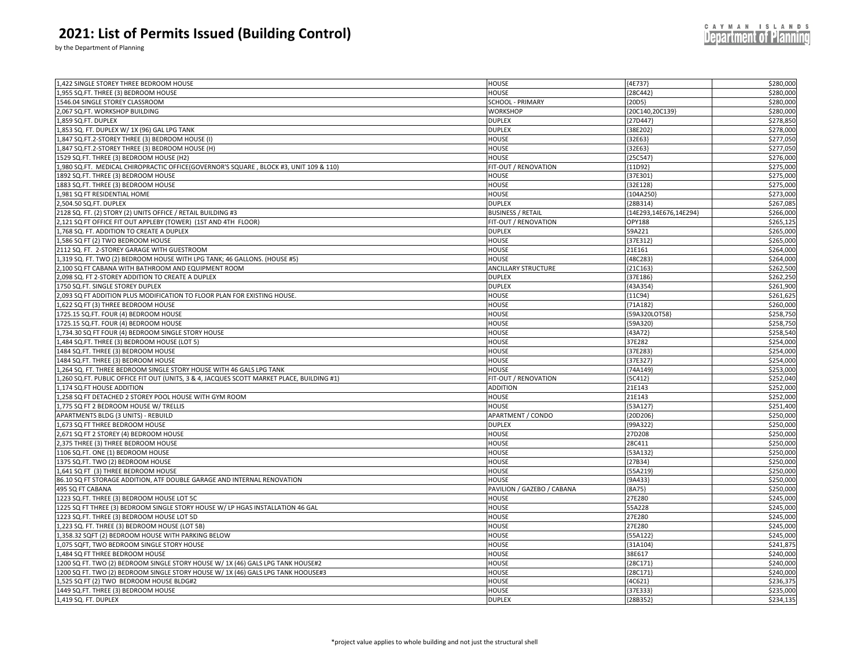by the Department of Planning

| 1,422 SINGLE STOREY THREE BEDROOM HOUSE                                                    | <b>HOUSE</b>               | ${4E737}$              | \$280,000 |
|--------------------------------------------------------------------------------------------|----------------------------|------------------------|-----------|
| 1,955 SQ.FT. THREE (3) BEDROOM HOUSE                                                       | HOUSE                      | $[28C442]$             | \$280,000 |
| 1546.04 SINGLE STOREY CLASSROOM                                                            | SCHOOL - PRIMARY           | ${20D5}$               | \$280,000 |
| 2,067 SQ.FT. WORKSHOP BUILDING                                                             | <b>WORKSHOP</b>            | 20C140,20C139}         | \$280,000 |
| 1,859 SQ.FT. DUPLEX                                                                        | <b>DUPLEX</b>              | ${27D447}$             | \$278,850 |
| 1,853 SQ. FT. DUPLEX W/ 1X (96) GAL LPG TANK                                               | <b>DUPLEX</b>              | {38E202}               | \$278,000 |
| 1,847 SQ.FT.2-STOREY THREE (3) BEDROOM HOUSE (I)                                           | HOUSE                      | 32E63)                 | \$277,050 |
| 1,847 SQ.FT.2-STOREY THREE (3) BEDROOM HOUSE (H)                                           | <b>HOUSE</b>               | ${32E63}$              | \$277,050 |
| 1529 SQ.FT. THREE (3) BEDROOM HOUSE (H2)                                                   | HOUSE                      | {25C547                | \$276,000 |
| 1,980 SQ.FT. MEDICAL CHIROPRACTIC OFFICE(GOVERNOR'S SQUARE, BLOCK #3, UNIT 109 & 110)      | FIT-OUT / RENOVATION       | ${11D92}$              | \$275,000 |
| 1892 SQ.FT. THREE (3) BEDROOM HOUSE                                                        | <b>HOUSE</b>               | 37E301                 | \$275,000 |
| 1883 SQ.FT. THREE (3) BEDROOM HOUSE                                                        | HOUSE                      | 32E128                 | \$275,000 |
| 1,981 SQ FT RESIDENTIAL HOME                                                               | <b>HOUSE</b>               | ${104A250}$            | \$273,000 |
| 2,504.50 SQ.FT. DUPLEX                                                                     | <b>DUPLEX</b>              | 28B314)                | \$267,08  |
|                                                                                            |                            |                        |           |
| 2128 SQ. FT. (2) STORY (2) UNITS OFFICE / RETAIL BUILDING #3                               | <b>BUSINESS / RETAIL</b>   | {14E293,14E676,14E294} | \$266,000 |
| 2,121 SQ FT OFFICE FIT OUT APPLEBY (TOWER) (1ST AND 4TH FLOOR)                             | FIT-OUT / RENOVATION       | OPY188                 | \$265,125 |
| 1,768 SQ. FT. ADDITION TO CREATE A DUPLEX                                                  | <b>DUPLEX</b>              | 59A221                 | \$265,000 |
| 1,586 SQ FT (2) TWO BEDROOM HOUSE                                                          | <b>HOUSE</b>               | ${37E312}$             | \$265,000 |
| 2112 SQ. FT. 2-STOREY GARAGE WITH GUESTROOM                                                | HOUSE                      | 21E161                 | \$264,000 |
| 1,319 SQ. FT. TWO (2) BEDROOM HOUSE WITH LPG TANK; 46 GALLONS. (HOUSE #5)                  | <b>HOUSE</b>               | ${48C283}$             | \$264,000 |
| 2,100 SQ FT CABANA WITH BATHROOM AND EQUIPMENT ROOM                                        | <b>ANCILLARY STRUCTURE</b> | $[21C163]$             | \$262,500 |
| 2,098 SQ. FT 2-STOREY ADDITION TO CREATE A DUPLEX                                          | <b>DUPLEX</b>              | {37E186}               | \$262,250 |
| 1750 SQ.FT. SINGLE STOREY DUPLEX                                                           | <b>DUPLEX</b>              | ${43A354}$             | \$261,900 |
| 2,093 SQ FT ADDITION PLUS MODIFICATION TO FLOOR PLAN FOR EXISTING HOUSE.                   | HOUSE                      | ${11C94}$              | \$261,62  |
| 1,622 SQ FT (3) THREE BEDROOM HOUSE                                                        | <b>HOUSE</b>               | $[71A182]$             | \$260,000 |
| 1725.15 SQ.FT. FOUR (4) BEDROOM HOUSE                                                      | <b>HOUSE</b>               | {59A320LOT58}          | \$258,750 |
| 1725.15 SQ.FT. FOUR (4) BEDROOM HOUSE                                                      | HOUSE                      | 59A320                 | \$258,750 |
| 1,734.30 SQ FT FOUR (4) BEDROOM SINGLE STORY HOUSE                                         | <b>HOUSE</b>               | {43A72}                | \$258,540 |
| 1,484 SQ.FT. THREE (3) BEDROOM HOUSE (LOT 5)                                               | HOUSE                      | 37E282                 | \$254,000 |
| 1484 SQ.FT. THREE (3) BEDROOM HOUSE                                                        | HOUSE                      | {37E283}               | \$254,000 |
| 1484 SQ.FT. THREE (3) BEDROOM HOUSE                                                        | <b>HOUSE</b>               | 37E327                 | \$254,000 |
| 1,264 SQ. FT. THREE BEDROOM SINGLE STORY HOUSE WITH 46 GALS LPG TANK                       | HOUSE                      | 74A149                 | \$253,000 |
| 1,260 SQ.FT. PUBLIC OFFICE FIT OUT (UNITS, 3 & 4, JACQUES SCOTT MARKET PLACE, BUILDING #1) | FIT-OUT / RENOVATION       | ${5C412}$              | \$252,040 |
| 1,174 SQ.FT HOUSE ADDITION                                                                 | <b>ADDITION</b>            | 21E143                 | \$252,000 |
| 1,258 SQ FT DETACHED 2 STOREY POOL HOUSE WITH GYM ROOM                                     | HOUSE                      | 21E143                 | \$252,000 |
| 1,775 SQ FT 2 BEDROOM HOUSE W/ TRELLIS                                                     | HOUSE                      | 53A127                 | \$251,400 |
| APARTMENTS BLDG (3 UNITS) - REBUILD                                                        | APARTMENT / CONDO          | 20D206                 | \$250,000 |
| 1,673 SQ FT THREE BEDROOM HOUSE                                                            | <b>DUPLEX</b>              | {99A322}               | \$250,000 |
| 2,671 SQ FT 2 STOREY (4) BEDROOM HOUSE                                                     | <b>HOUSE</b>               | 27D208                 | \$250,000 |
| 2,375 THREE (3) THREE BEDROOM HOUSE                                                        | HOUSE                      | 28C411                 | \$250,000 |
| 1106 SQ.FT. ONE (1) BEDROOM HOUSE                                                          | <b>HOUSE</b>               | [53A132]               | \$250,000 |
| 1375 SQ.FT. TWO (2) BEDROOM HOUSE                                                          | HOUSE                      | ${27B34}$              | \$250,000 |
| 1,641 SQ FT (3) THREE BEDROOM HOUSE                                                        | HOUSE                      | ${55A219}$             | \$250,000 |
| 86.10 SQ FT STORAGE ADDITION, ATF DOUBLE GARAGE AND INTERNAL RENOVATION                    | HOUSE                      | ${9A433}$              | \$250,000 |
| 495 SQ FT CABANA                                                                           | PAVILION / GAZEBO / CABANA | ${8A75}$               | \$250,000 |
| 1223 SQ.FT. THREE (3) BEDROOM HOUSE LOT 5C                                                 | <b>HOUSE</b>               | 27E280                 | \$245,000 |
| 1225 SQ FT THREE (3) BEDROOM SINGLE STORY HOUSE W/ LP HGAS INSTALLATION 46 GAL             | HOUSE                      | 55A228                 | \$245,000 |
| 1223 SQ.FT. THREE (3) BEDROOM HOUSE LOT 5D                                                 | HOUSE                      | 27E280                 | \$245,000 |
| 1,223 SQ. FT. THREE (3) BEDROOM HOUSE (LOT 5B)                                             | HOUSE                      | 27E280                 | \$245,000 |
| 1,358.32 SQFT (2) BEDROOM HOUSE WITH PARKING BELOW                                         | HOUSE                      | ${55A122}$             | \$245,000 |
| 1,075 SQFT, TWO BEDROOM SINGLE STORY HOUSE                                                 | HOUSE                      | ${31A104}$             | \$241,87  |
| 1,484 SQ FT THREE BEDROOM HOUSE                                                            | HOUSE                      | 38E617                 | \$240,000 |
| 1200 SQ FT. TWO (2) BEDROOM SINGLE STORY HOUSE W/ 1X (46) GALS LPG TANK HOUSE#2            | <b>HOUSE</b>               | ${28C171}$             | \$240,000 |
| 1200 SQ FT. TWO (2) BEDROOM SINGLE STORY HOUSE W/ 1X (46) GALS LPG TANK HOOUSE#3           | HOUSE                      | ${28C171}$             | \$240,000 |
| 1,525 SQ FT (2) TWO BEDROOM HOUSE BLDG#2                                                   | HOUSE                      | ${4C621}$              | \$236,375 |
| 1449 SQ.FT. THREE (3) BEDROOM HOUSE                                                        | HOUSE                      | 37E333                 | \$235,000 |
| 1,419 SQ. FT. DUPLEX                                                                       | <b>DUPLEX</b>              | $[28B352]$             | \$234,135 |
|                                                                                            |                            |                        |           |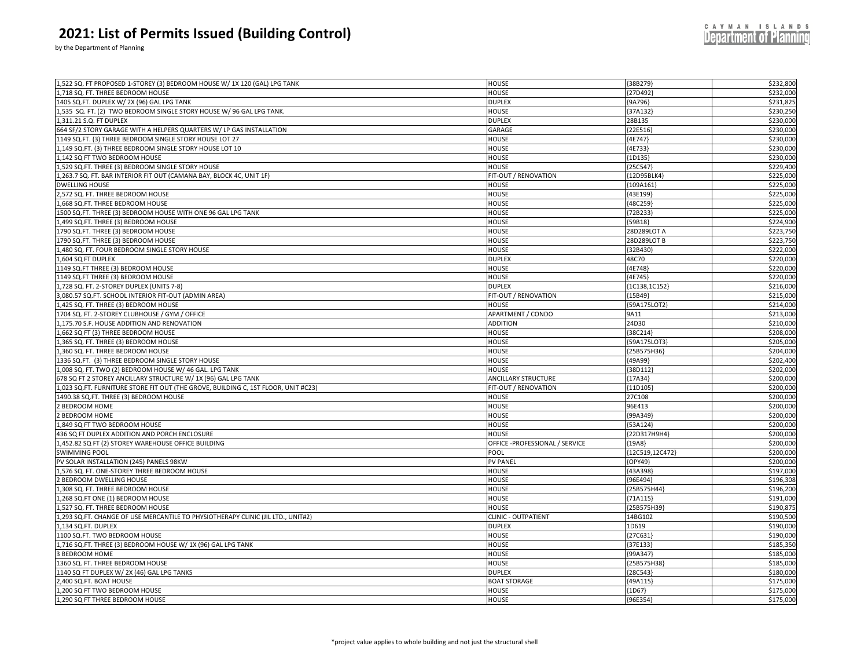by the Department of Planning

| 1,522 SQ. FT PROPOSED 1-STOREY (3) BEDROOM HOUSE W/ 1X 120 (GAL) LPG TANK          | <b>HOUSE</b>                   | [38B279]         | \$232,800 |
|------------------------------------------------------------------------------------|--------------------------------|------------------|-----------|
| 1,718 SQ. FT. THREE BEDROOM HOUSE                                                  | HOUSE                          | [27D492]         | \$232,000 |
| 1405 SQ.FT. DUPLEX W/ 2X (96) GAL LPG TANK                                         | <b>DUPLEX</b>                  | ${9A796}$        | \$231,825 |
|                                                                                    |                                | 37A132           |           |
| 1,535 SQ. FT. (2) TWO BEDROOM SINGLE STORY HOUSE W/ 96 GAL LPG TANK                | HOUSE                          |                  | \$230,250 |
| 1,311.21 S.Q. FT DUPLEX                                                            | <b>DUPLEX</b>                  | 28B135           | \$230,000 |
| 664 SF/2 STORY GARAGE WITH A HELPERS QUARTERS W/ LP GAS INSTALLATION               | GARAGE                         | 22E516           | \$230,000 |
| 1149 SQ.FT. (3) THREE BEDROOM SINGLE STORY HOUSE LOT 27                            | <b>HOUSE</b>                   | ${4E747}$        | \$230,000 |
| 1,149 SQ.FT. (3) THREE BEDROOM SINGLE STORY HOUSE LOT 10                           | <b>HOUSE</b>                   | ${4E733}$        | \$230,000 |
| 1,142 SQ FT TWO BEDROOM HOUSE                                                      | HOUSE                          | ${1D135}$        | \$230,000 |
| 1,529 SQ.FT. THREE (3) BEDROOM SINGLE STORY HOUSE                                  | HOUSE                          | ${25C547}$       | \$229,400 |
| 1,263.7 SQ. FT. BAR INTERIOR FIT OUT (CAMANA BAY, BLOCK 4C, UNIT 1F)               | FIT-OUT / RENOVATION           | 12D95BLK4        | \$225,000 |
| <b>DWELLING HOUSE</b>                                                              | <b>HOUSE</b>                   | {109A161         | \$225,000 |
| 2,572 SQ. FT. THREE BEDROOM HOUSE                                                  | HOUSE                          | ${43E199}$       | \$225,000 |
| 1,668 SQ.FT. THREE BEDROOM HOUSE                                                   | HOUSE                          | [48C259]         | \$225,000 |
| 1500 SQ.FT. THREE (3) BEDROOM HOUSE WITH ONE 96 GAL LPG TANK                       | <b>HOUSE</b>                   | [72B233]         | \$225,000 |
| 1,499 SQ.FT. THREE (3) BEDROOM HOUSE                                               | HOUSE                          | [59B18]          | \$224,900 |
| 1790 SQ.FT. THREE (3) BEDROOM HOUSE                                                | <b>HOUSE</b>                   | 28D289LOT A      | \$223,750 |
| 1790 SQ.FT. THREE (3) BEDROOM HOUSE                                                | HOUSE                          | 28D289LOT B      | \$223,750 |
| 1,480 SQ. FT. FOUR BEDROOM SINGLE STORY HOUSE                                      | HOUSE                          | ${32B430}$       | \$222,000 |
| 1,604 SQ FT DUPLEX                                                                 | <b>DUPLEX</b>                  | 48C70            | \$220,000 |
| 1149 SQ.FT THREE (3) BEDROOM HOUSE                                                 | HOUSE                          | 4E748            | \$220,000 |
| 1149 SQ.FT THREE (3) BEDROOM HOUSE                                                 | <b>HOUSE</b>                   | ${4E745}$        | \$220,000 |
| 1,728 SQ. FT. 2-STOREY DUPLEX (UNITS 7-8)                                          | <b>DUPLEX</b>                  | ${1C138, 1C152}$ | \$216,000 |
| 3,080.57 SQ.FT. SCHOOL INTERIOR FIT-OUT (ADMIN AREA)                               | FIT-OUT / RENOVATION           | [15B49]          | \$215,000 |
| 1,425 SQ. FT. THREE (3) BEDROOM HOUSE                                              | <b>HOUSE</b>                   | {59A175LOT2}     | \$214,000 |
| 1704 SQ. FT. 2-STOREY CLUBHOUSE / GYM / OFFICE                                     | APARTMENT / CONDO              | 9A11             | \$213,000 |
| 1,175.70 S.F. HOUSE ADDITION AND RENOVATION                                        | <b>ADDITION</b>                | 24D30            | \$210,000 |
| 1,662 SQ FT (3) THREE BEDROOM HOUSE                                                | HOUSE                          | [38C214]         | \$208,000 |
| 1,365 SQ. FT. THREE (3) BEDROOM HOUSE                                              | <b>HOUSE</b>                   | {59A175LOT3}     | \$205,000 |
| 1,360 SQ. FT. THREE BEDROOM HOUSE                                                  | HOUSE                          |                  | \$204,000 |
|                                                                                    |                                | {25B575H36}      |           |
| 1336 SQ.FT. (3) THREE BEDROOM SINGLE STORY HOUSE                                   | HOUSE                          | {49A99}          | \$202,400 |
| 1,008 SQ. FT. TWO (2) BEDROOM HOUSE W/ 46 GAL. LPG TANK                            | <b>HOUSE</b>                   | {38D112}         | \$202,000 |
| 678 SQ FT 2 STOREY ANCILLARY STRUCTURE W/ 1X (96) GAL LPG TANK                     | <b>ANCILLARY STRUCTURE</b>     | ${17A34}$        | \$200,000 |
| 1,023 SQ.FT. FURNITURE STORE FIT OUT (THE GROVE, BUILDING C, 1ST FLOOR, UNIT #C23) | FIT-OUT / RENOVATION           | 11D105           | \$200,000 |
| 1490.38 SQ.FT. THREE (3) BEDROOM HOUSE                                             | <b>HOUSE</b>                   | 27C108           | \$200,000 |
| 2 BEDROOM HOME                                                                     | HOUSE                          | 96E413           | \$200,000 |
| 2 BEDROOM HOME                                                                     | HOUSE                          | ${99A349}$       | \$200,000 |
| 1,849 SQ FT TWO BEDROOM HOUSE                                                      | HOUSE                          | ${53A124}$       | \$200,000 |
| 436 SQ FT DUPLEX ADDITION AND PORCH ENCLOSURE                                      | HOUSE                          | {22D317H9H4}     | \$200,000 |
| 1,452.82 SQ FT (2) STOREY WAREHOUSE OFFICE BUILDING                                | OFFICE -PROFESSIONAL / SERVICE | ${19A8}$         | \$200,000 |
| <b>SWIMMING POOL</b>                                                               | POOL                           | {12C519,12C472}  | \$200,000 |
| PV SOLAR INSTALLATION (245) PANELS 98KW                                            | <b>PV PANEL</b>                | ${OPY49}$        | \$200,000 |
| 1,576 SQ. FT. ONE-STOREY THREE BEDROOM HOUSE                                       | HOUSE                          | ${43A398}$       | \$197,000 |
| 2 BEDROOM DWELLING HOUSE                                                           | HOUSE                          | 96E494           | \$196,308 |
| 1,308 SQ. FT. THREE BEDROOM HOUSE                                                  | <b>HOUSE</b>                   | {25B575H44}      | \$196,200 |
| 1,268 SQ.FT ONE (1) BEDROOM HOUSE                                                  | HOUSE                          | ${71A115}$       | \$191,000 |
| 1,527 SQ. FT. THREE BEDROOM HOUSE                                                  | HOUSE                          | {25B575H39}      | \$190,87  |
| 1,293 SQ.FT. CHANGE OF USE MERCANTILE TO PHYSIOTHERAPY CLINIC (JIL LTD., UNIT#2)   | <b>CLINIC - OUTPATIENT</b>     | 14BG102          | \$190,500 |
| 1,134 SQ.FT. DUPLEX                                                                | <b>DUPLEX</b>                  | 1D619            | \$190,000 |
| 1100 SQ.FT. TWO BEDROOM HOUSE                                                      | HOUSE                          | ${27C631}$       | \$190,000 |
| 1,716 SQ.FT. THREE (3) BEDROOM HOUSE W/ 1X (96) GAL LPG TANK                       | <b>HOUSE</b>                   | {37E133}         | \$185,350 |
| 3 BEDROOM HOME                                                                     | HOUSE                          | ${99A347}$       | \$185,000 |
| 1360 SQ. FT. THREE BEDROOM HOUSE                                                   | <b>HOUSE</b>                   | {25B575H38}      | \$185,000 |
| 1140 SQ FT DUPLEX W/ 2X (46) GAL LPG TANKS                                         | <b>DUPLEX</b>                  | [28C543]         | \$180,000 |
| 2,400 SQ.FT. BOAT HOUSE                                                            | <b>BOAT STORAGE</b>            | ${49A115}$       | \$175,000 |
| 1,200 SQ FT TWO BEDROOM HOUSE                                                      | <b>HOUSE</b>                   | ${1D67}$         | \$175,000 |
| 1,290 SQ FT THREE BEDROOM HOUSE                                                    | HOUSE                          | ${96E354}$       | \$175,000 |
|                                                                                    |                                |                  |           |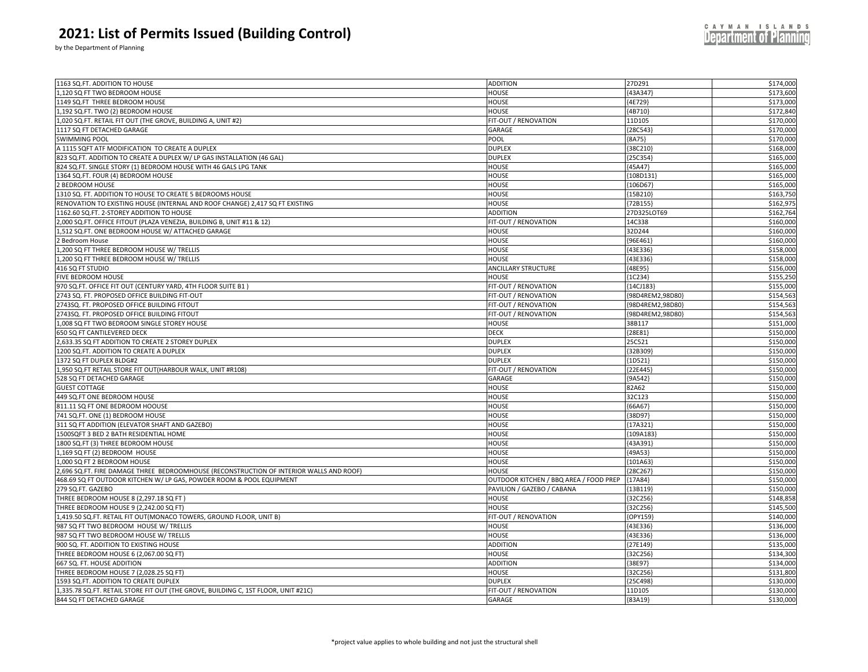by the Department of Planning

| 1163 SQ.FT. ADDITION TO HOUSE                                                           | <b>ADDITION</b>                        | 27D291           | \$174,000 |
|-----------------------------------------------------------------------------------------|----------------------------------------|------------------|-----------|
| 1,120 SQ FT TWO BEDROOM HOUSE                                                           | HOUSE                                  | 43A347           | \$173,600 |
| 1149 SQ.FT THREE BEDROOM HOUSE                                                          | HOUSE                                  | [4E729]          | \$173,000 |
| 1,192 SQ.FT. TWO (2) BEDROOM HOUSE                                                      | <b>HOUSE</b>                           | [4B710]          | \$172,840 |
| 1,020 SQ.FT. RETAIL FIT OUT (THE GROVE, BUILDING A, UNIT #2)                            | FIT-OUT / RENOVATION                   | 11D105           | \$170,000 |
| 1117 SQ FT DETACHED GARAGE                                                              | GARAGE                                 | $[28C543]$       | \$170,000 |
| <b>SWIMMING POOL</b>                                                                    | POOL                                   | [8A75]           | \$170,000 |
| A 1115 SQFT ATF MODIFICATION TO CREATE A DUPLEX                                         | <b>DUPLEX</b>                          | ${38C210}$       | \$168,000 |
| 823 SQ.FT. ADDITION TO CREATE A DUPLEX W/ LP GAS INSTALLATION (46 GAL)                  | <b>DUPLEX</b>                          | {25C354}         | \$165,000 |
| 824 SQ.FT. SINGLE STORY (1) BEDROOM HOUSE WITH 46 GALS LPG TANK                         | <b>HOUSE</b>                           | ${45A47}$        | \$165,000 |
| 1364 SQ.FT. FOUR (4) BEDROOM HOUSE                                                      |                                        | [108D131         | \$165,000 |
| 2 BEDROOM HOUSE                                                                         | <b>HOUSE</b><br><b>HOUSE</b>           | ${106D67}$       | \$165,000 |
| 1310 SQ. FT. ADDITION TO HOUSE TO CREATE 5 BEDROOMS HOUSE                               | HOUSE                                  | ${15B210}$       | \$163,750 |
|                                                                                         | <b>HOUSE</b>                           | ${72B155}$       | \$162,975 |
| RENOVATION TO EXISTING HOUSE (INTERNAL AND ROOF CHANGE) 2,417 SQ FT EXISTING            |                                        |                  |           |
| 1162.60 SQ.FT. 2-STOREY ADDITION TO HOUSE                                               | <b>ADDITION</b>                        | 27D325LOT69      | \$162,764 |
| 2,000 SQ.FT. OFFICE FITOUT (PLAZA VENEZIA, BUILDING B, UNIT #11 & 12)                   | FIT-OUT / RENOVATION                   | 14C338           | \$160,000 |
| 1,512 SQ.FT. ONE BEDROOM HOUSE W/ ATTACHED GARAGE                                       | <b>HOUSE</b>                           | 32D244           | \$160,000 |
| 2 Bedroom House                                                                         | <b>HOUSE</b>                           | ${96E461}$       | \$160,000 |
| 1,200 SQ FT THREE BEDROOM HOUSE W/ TRELLIS                                              | <b>HOUSE</b>                           | [43E336]         | \$158,000 |
| 1,200 SQ FT THREE BEDROOM HOUSE W/ TRELLIS                                              | <b>HOUSE</b>                           | ${43E336}$       | \$158,000 |
| 416 SQ FT STUDIO                                                                        | <b>ANCILLARY STRUCTURE</b>             | ${48E95}$        | \$156,000 |
| <b>FIVE BEDROOM HOUSE</b>                                                               | <b>HOUSE</b>                           | ${1C234}$        | \$155,250 |
| 970 SQ.FT. OFFICE FIT OUT (CENTURY YARD, 4TH FLOOR SUITE B1)                            | FIT-OUT / RENOVATION                   | {14CJ183}        | \$155,000 |
| 2743 SQ. FT. PROPOSED OFFICE BUILDING FIT-OUT                                           | FIT-OUT / RENOVATION                   | (98D4REM2,98D80) | \$154,563 |
| 2743SQ. FT. PROPOSED OFFICE BUILDING FITOUT                                             | FIT-OUT / RENOVATION                   | {98D4REM2,98D80} | \$154,563 |
| 2743SQ. FT. PROPOSED OFFICE BUILDING FITOUT                                             | FIT-OUT / RENOVATION                   | {98D4REM2,98D80} | \$154,563 |
| 1,008 SQ FT TWO BEDROOM SINGLE STOREY HOUSE                                             | <b>HOUSE</b>                           | 38B117           | \$151,000 |
| 650 SQ FT CANTILEVERED DECK                                                             | <b>DECK</b>                            | ${28E81}$        | \$150,000 |
| 2,633.35 SQ FT ADDITION TO CREATE 2 STOREY DUPLEX                                       | <b>DUPLEX</b>                          | 25C521           | \$150,000 |
| 1200 SQ.FT. ADDITION TO CREATE A DUPLEX                                                 | <b>DUPLEX</b>                          | ${32B309}$       | \$150,000 |
| 1372 SQ FT DUPLEX BLDG#2                                                                | <b>DUPLEX</b>                          | $\{1D521\}$      | \$150,000 |
| 1,950 SQ.FT RETAIL STORE FIT OUT(HARBOUR WALK, UNIT #R108)                              | FIT-OUT / RENOVATION                   | 22E445           | \$150,000 |
| 528 SQ FT DETACHED GARAGE                                                               | GARAGE                                 | {9A542}          | \$150,000 |
| <b>GUEST COTTAGE</b>                                                                    | HOUSE                                  | 82A62            | \$150,000 |
| 449 SQ.FT ONE BEDROOM HOUSE                                                             | <b>HOUSE</b>                           | 32C123           | \$150,000 |
| 811.11 SQ FT ONE BEDROOM HOOUSE                                                         | HOUSE                                  | [66A67]          | \$150,000 |
| 741 SQ.FT. ONE (1) BEDROOM HOUSE                                                        | <b>HOUSE</b>                           | [38D97]          | \$150,000 |
| 311 SQ FT ADDITION (ELEVATOR SHAFT AND GAZEBO)                                          | <b>HOUSE</b>                           | ${17A321}$       | \$150,000 |
| 1500SQFT 3 BED 2 BATH RESIDENTIAL HOME                                                  | HOUSE                                  | [109A183         | \$150,000 |
| 1800 SQ.FT (3) THREE BEDROOM HOUSE                                                      | <b>HOUSE</b>                           | ${43A391}$       | \$150,000 |
| 1,169 SQ FT (2) BEDROOM HOUSE                                                           | <b>HOUSE</b>                           | ${49A53}$        | \$150,000 |
| 1,000 SQ FT 2 BEDROOM HOUSE                                                             | HOUSE                                  | [101A63]         | \$150,000 |
| 2,696 SQ.FT. FIRE DAMAGE THREE BEDROOMHOUSE (RECONSTRUCTION OF INTERIOR WALLS AND ROOF) | <b>HOUSE</b>                           | ${28C267}$       | \$150,000 |
| 468.69 SQ FT OUTDOOR KITCHEN W/ LP GAS, POWDER ROOM & POOL EQUIPMENT                    | OUTDOOR KITCHEN / BBQ AREA / FOOD PREP | ${17A84}$        | \$150,000 |
| 279 SQ.FT. GAZEBO                                                                       | PAVILION / GAZEBO / CABANA             | [13B119]         | \$150,000 |
| THREE BEDROOM HOUSE 8 (2,297.18 SQ FT)                                                  | <b>HOUSE</b>                           | $[32C256]$       | \$148,858 |
| THREE BEDROOM HOUSE 9 (2,242.00 SQ FT)                                                  | HOUSE                                  | [32C256]         | \$145,500 |
| 1,419.50 SQ.FT. RETAIL FIT OUT(MONACO TOWERS, GROUND FLOOR, UNIT B)                     | FIT-OUT / RENOVATION                   | (OPY159)         | \$140,000 |
| 987 SQ FT TWO BEDROOM HOUSE W/ TRELLIS                                                  | HOUSE                                  | [43E336]         | \$136,000 |
| 987 SQ FT TWO BEDROOM HOUSE W/ TRELLIS                                                  | <b>HOUSE</b>                           | ${43E336}$       | \$136,000 |
| 900 SQ. FT. ADDITION TO EXISTING HOUSE                                                  | <b>ADDITION</b>                        | [27E149]         | \$135,000 |
| THREE BEDROOM HOUSE 6 (2,067.00 SQ FT)                                                  | HOUSE                                  | $[32C256]$       | \$134,300 |
| 667 SQ. FT. HOUSE ADDITION                                                              | <b>ADDITION</b>                        | ${38E97}$        | \$134,000 |
| THREE BEDROOM HOUSE 7 (2,028.25 SQ FT)                                                  | HOUSE                                  | [32C256]         | \$131,800 |
| 1593 SQ.FT. ADDITION TO CREATE DUPLEX                                                   | <b>DUPLEX</b>                          | [25C498]         | \$130,000 |
| 1,335.78 SQ.FT. RETAIL STORE FIT OUT (THE GROVE, BUILDING C, 1ST FLOOR, UNIT #21C)      | FIT-OUT / RENOVATION                   | 11D105           | \$130,000 |
| 844 SQ FT DETACHED GARAGE                                                               | GARAGE                                 | [83A19]          | \$130,000 |
|                                                                                         |                                        |                  |           |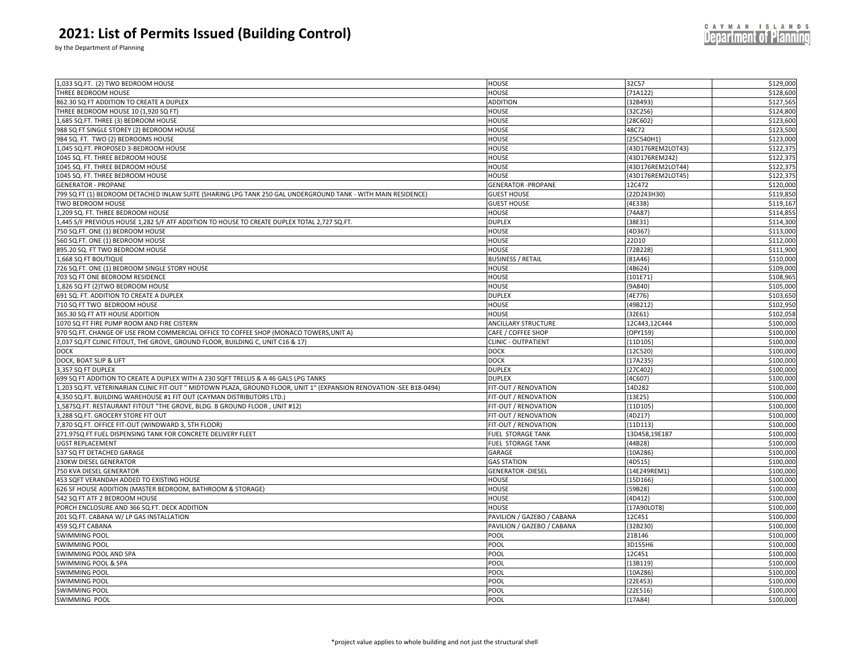by the Department of Planning

| 1,033 SQ.FT. (2) TWO BEDROOM HOUSE                                                                                   | HOUSE                      | 32C57             | \$129,000 |
|----------------------------------------------------------------------------------------------------------------------|----------------------------|-------------------|-----------|
| THREE BEDROOM HOUSE                                                                                                  | HOUSE                      | ${71A122}$        | \$128,600 |
| 862.30 SQ FT ADDITION TO CREATE A DUPLEX                                                                             | ADDITION                   | {32B493}          | \$127,565 |
| THREE BEDROOM HOUSE 10 (1,920 SQ FT)                                                                                 | HOUSE                      | ${32C256}$        | \$124,800 |
| ,685 SQ.FT. THREE (3) BEDROOM HOUSE                                                                                  | <b>HOUSE</b>               | ${28C602}$        | \$123,600 |
| 988 SQ FT SINGLE STOREY (2) BEDROOM HOUSE                                                                            | HOUSE                      | 48C72             | \$123,500 |
| 984 SQ. FT. TWO (2) BEDROOMS HOUSE                                                                                   | HOUSE                      | {25C540H1}        | \$123,000 |
| ,045 SQ.FT. PROPOSED 3-BEDROOM HOUSE                                                                                 | HOUSE                      | {43D176REM2LOT43} | \$122,375 |
| 1045 SQ. FT. THREE BEDROOM HOUSE                                                                                     | <b>HOUSE</b>               | {43D176REM242}    | \$122,375 |
| 1045 SQ. FT. THREE BEDROOM HOUSE                                                                                     | HOUSE                      | {43D176REM2LOT44} | \$122,375 |
| 1045 SQ. FT. THREE BEDROOM HOUSE                                                                                     | HOUSE                      | {43D176REM2LOT45} | \$122,37  |
| <b>GENERATOR - PROPANE</b>                                                                                           | <b>GENERATOR -PROPANE</b>  | 12C472            | \$120,000 |
| 799 SQ FT (1) BEDROOM DETACHED INLAW SUITE (SHARING LPG TANK 250 GAL UNDERGROUND TANK - WITH MAIN RESIDENCE)         | <b>GUEST HOUSE</b>         | {22D243H30}       | \$119,850 |
| TWO BEDROOM HOUSE                                                                                                    | <b>GUEST HOUSE</b>         | {4E338}           | \$119,167 |
| 1,209 SQ. FT. THREE BEDROOM HOUSE                                                                                    | HOUSE                      | ${74A87}$         | \$114,85  |
| 1,445 S/F PREVIOUS HOUSE 1,282 S/F ATF ADDITION TO HOUSE TO CREATE DUPLEX TOTAL 2,727 SQ.FT.                         | <b>DUPLEX</b>              | ${38E31}$         | \$114,300 |
| 750 SQ.FT. ONE (1) BEDROOM HOUSE                                                                                     | <b>HOUSE</b>               | ${4D367}$         | \$113,000 |
|                                                                                                                      |                            |                   | \$112,000 |
| 560 SQ.FT. ONE (1) BEDROOM HOUSE                                                                                     | HOUSE                      | 22D10             |           |
| 895.20 SQ. FT TWO BEDROOM HOUSE                                                                                      | <b>HOUSE</b>               | {72B228           | \$111,900 |
| 1,668 SQ FT BOUTIQUE                                                                                                 | <b>BUSINESS / RETAIL</b>   | ${81A46}$         | \$110,000 |
| 726 SQ.FT. ONE (1) BEDROOM SINGLE STORY HOUSE                                                                        | HOUSE                      | ${4B624}$         | \$109,000 |
| 703 SQ FT ONE BEDROOM RESIDENCE                                                                                      | <b>HOUSE</b>               | ${101E71}$        | \$108,965 |
| 1,826 SQ FT (2)TWO BEDROOM HOUSE                                                                                     | HOUSE                      | ${9A840}$         | \$105,000 |
| 691 SQ. FT. ADDITION TO CREATE A DUPLEX                                                                              | <b>DUPLEX</b>              | 4E776}            | \$103,650 |
| 710 SQ FT TWO BEDROOM HOUSE                                                                                          | HOUSE                      | 49B212            | \$102,950 |
| 365.30 SQ FT ATF HOUSE ADDITION                                                                                      | <b>HOUSE</b>               | ${32E61}$         | \$102,058 |
| 1070 SQ FT FIRE PUMP ROOM AND FIRE CISTERN                                                                           | <b>ANCILLARY STRUCTURE</b> | 12C443,12C444     | \$100,000 |
| 970 SQ.FT. CHANGE OF USE FROM COMMERCIAL OFFICE TO COFFEE SHOP (MONACO TOWERS,UNIT A)                                | CAFE / COFFEE SHOP         | {OPY159}          | \$100,000 |
| 2,037 SQ.FT CLINIC FITOUT, THE GROVE, GROUND FLOOR, BUILDING C, UNIT C16 & 17)                                       | CLINIC - OUTPATIENT        | ${11D105}$        | \$100,000 |
| <b>DOCK</b>                                                                                                          | <b>DOCK</b>                | ${12C520}$        | \$100,000 |
| DOCK, BOAT SLIP & LIFT                                                                                               | <b>DOCK</b>                | {17A235           | \$100,000 |
| 3,357 SQ FT DUPLEX                                                                                                   | <b>DUPLEX</b>              | ${27C402}$        | \$100,000 |
| 699 SQ FT ADDITION TO CREATE A DUPLEX WITH A 230 SQFT TRELLIS & A 46 GALS LPG TANKS                                  | <b>DUPLEX</b>              | ${4C607}$         | \$100,000 |
| l,203 SQ.FT. VETERINARIAN CLINIC FIT-OUT " MIDTOWN PLAZA, GROUND FLOOR, UNIT 1" (EXPANSION RENOVATION -SEE B18-0494) | FIT-OUT / RENOVATION       | 14D282            | \$100,000 |
| 4,350 SQ.FT. BUILDING WAREHOUSE #1 FIT OUT (CAYMAN DISTRIBUTORS LTD.)                                                | FIT-OUT / RENOVATION       | ${13E25}$         | \$100,000 |
| .,587SQ.FT. RESTAURANT FITOUT "THE GROVE, BLDG. B GROUND FLOOR , UNIT #12)                                           | FIT-OUT / RENOVATION       | {11D105           | \$100,000 |
| 288 SQ.FT. GROCERY STORE FIT OUT                                                                                     | FIT-OUT / RENOVATION       | ${4D217}$         | \$100,000 |
| 7,870 SQ.FT. OFFICE FIT-OUT (WINDWARD 3, 5TH FLOOR)                                                                  | FIT-OUT / RENOVATION       | ${11D113}$        | \$100,000 |
| 271.97SQ FT FUEL DISPENSING TANK FOR CONCRETE DELIVERY FLEET                                                         | <b>FUEL STORAGE TANK</b>   | 13D458,19E187     | \$100,000 |
| <b>UGST REPLACEMENT</b>                                                                                              | <b>FUEL STORAGE TANK</b>   | ${44B28}$         | \$100,000 |
| 537 SQ FT DETACHED GARAGE                                                                                            | GARAGE                     | ${10A286}$        | \$100,000 |
| 230KW DIESEL GENERATOR                                                                                               | <b>GAS STATION</b>         | ${4D515}$         | \$100,000 |
| 750 KVA DIESEL GENERATOR                                                                                             | <b>GENERATOR - DIESEL</b>  | {14E249REM1}      | \$100,000 |
| 453 SQFT VERANDAH ADDED TO EXISTING HOUSE                                                                            | HOUSE                      | ${15D166}$        | \$100,000 |
| 626 SF HOUSE ADDITION (MASTER BEDROOM, BATHROOM & STORAGE)                                                           | HOUSE                      | {59B28}           | \$100,000 |
| 542 SQ FT ATF 2 BEDROOM HOUSE                                                                                        | HOUSE                      | ${4D412}$         | \$100,000 |
| ORCH ENCLOSURE AND 366 SQ.FT. DECK ADDITION                                                                          | HOUSE                      | {17A90LOT8}       | \$100,000 |
| 201 SQ.FT. CABANA W/ LP GAS INSTALLATION                                                                             | PAVILION / GAZEBO / CABANA | 12C451            | \$100,000 |
| 459 SQ.FT CABANA                                                                                                     | PAVILION / GAZEBO / CABANA | {32B230           | \$100,000 |
| <b>SWIMMING POOL</b>                                                                                                 | POOL                       | 21B146            | \$100,000 |
| SWIMMING POOL                                                                                                        | POOL                       | 3D155H6           | \$100,000 |
| SWIMMING POOL AND SPA                                                                                                | POOL                       | 12C451            | \$100,000 |
| SWIMMING POOL & SPA                                                                                                  | POOL                       | ${13B119}$        | \$100,000 |
| <b>SWIMMING POOL</b>                                                                                                 | POOL                       | {10A286           | \$100,000 |
| <b>SWIMMING POOL</b>                                                                                                 | POOL                       | 22E453            | \$100,000 |
| <b>SWIMMING POOL</b>                                                                                                 | POOL                       | {22E516           | \$100,000 |
| SWIMMING POOL                                                                                                        | POOL                       | ${17A84}$         | \$100,000 |
|                                                                                                                      |                            |                   |           |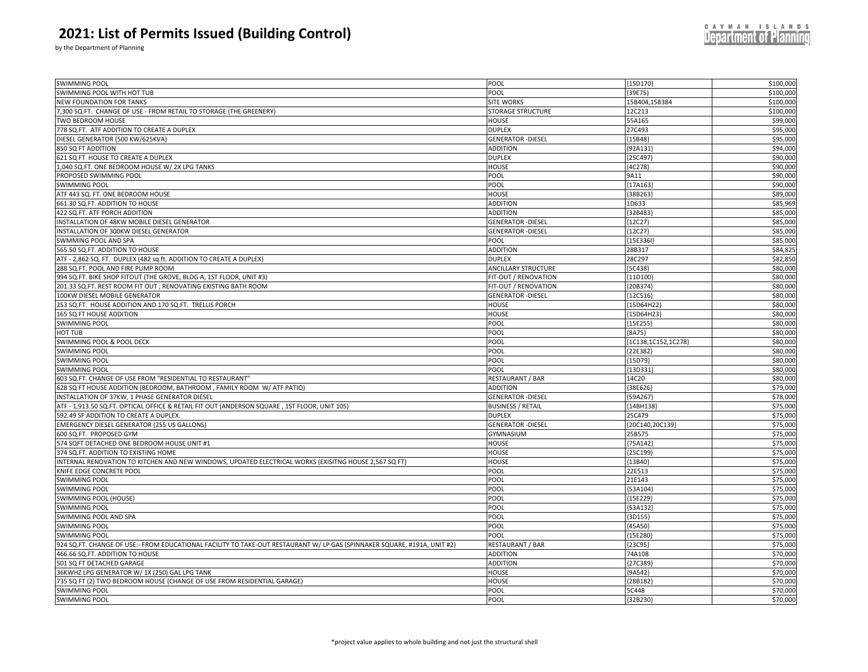by the Department of Planning

| SWIMMING POOL WITH HOT TUB<br>POOL<br>${39E75}$<br>\$100,000<br><b>NEW FOUNDATION FOR TANKS</b><br>SITE WORKS<br>\$100,000<br>15B404,15B384<br>\$100,000<br>7,300 SQ.FT. CHANGE OF USE - FROM RETAIL TO STORAGE (THE GREENERY)<br>STORAGE STRUCTURE<br>12C213<br>55A165<br>\$99,000<br>TWO BEDROOM HOUSE<br><b>HOUSE</b><br>\$95,000<br>778 SQ.FT. ATF ADDITION TO CREATE A DUPLEX<br><b>DUPLEX</b><br>27C493<br>\$95,000<br>DIESEL GENERATOR (500 KW/625KVA)<br><b>GENERATOR - DIESEL</b><br>${15B48}$<br>\$94,000<br>850 SQ FT ADDITION<br><b>ADDITION</b><br>{92A131<br>\$90,000<br>621 SQ FT HOUSE TO CREATE A DUPLEX<br><b>DUPLEX</b><br>${25C497}$<br>1,040 SQ.FT. ONE BEDROOM HOUSE W/ 2X LPG TANKS<br>HOUSE<br>${4C278}$<br>\$90,000<br>\$90,000<br>PROPOSED SWIMMING POOL<br>9A11<br>POOL<br>\$90,000<br>SWIMMING POOL<br>POOL<br>${17A163}$<br>\$89,000<br>ATF 443 SQ. FT. ONE BEDROOM HOUSE<br>HOUSE<br>${38B263}$<br>661.30 SQ.FT. ADDITION TO HOUSE<br>\$85,969<br><b>ADDITION</b><br>1D633<br>\$85,000<br>422 SQ.FT. ATF PORCH ADDITION<br><b>ADDITION</b><br>${32B483}$<br>\$85,000<br>INSTALLATION OF 48KW MOBILE DIESEL GENERATOR<br><b>GENERATOR - DIESEL</b><br>${12C27}$<br>\$85,000<br>INSTALLATION OF 300KW DIESEL GENERATOR<br><b>GENERATOR - DIESEL</b><br>[12C27]<br>\$85,000<br>SWMMING POOL AND SPA<br><b>POOL</b><br>${15E336I}$<br>\$84,82<br>565.50 SQ.FT. ADDITION TO HOUSE<br>28B317<br><b>ADDITION</b><br>\$82,850<br>ATF - 2,862 SQ. FT. DUPLEX (482 sq.ft. ADDITION TO CREATE A DUPLEX)<br><b>DUPLEX</b><br>28C297<br>\$80,000<br>288 SQ.FT. POOL AND FIRE PUMP ROOM<br><b>ANCILLARY STRUCTURE</b><br>[5C438]<br>\$80,000<br>994 SQ.FT. BIKE SHOP FITOUT (THE GROVE, BLDG A, 1ST FLOOR, UNIT #3)<br>FIT-OUT / RENOVATION<br>{11D100<br>\$80,000<br>201.33 SQ.FT. REST ROOM FIT OUT, RENOVATING EXISTING BATH ROOM<br>FIT-OUT / RENOVATION<br>${20B374}$<br>\$80,000<br>100KW DIESEL MOBILE GENERATOR<br><b>GENERATOR - DIESEL</b><br>${12C516}$<br>\$80,000<br>253 SQ.FT. HOUSE ADDITION AND 170 SQ.FT. TRELLIS PORCH<br><b>HOUSE</b><br>{15D64H22<br>\$80,000<br>165 SQ FT HOUSE ADDITION<br><b>HOUSE</b><br>${15D64H23}$<br>\$80,000<br>SWIMMING POOL<br>POOL<br>${15E255}$<br>\$80,000<br>POOL<br><b>HOT TUB</b><br>[8A75}<br>\$80,000<br>SWIMMING POOL & POOL DECK<br>POOL<br>{1C138,1C152,1C278}<br>\$80,000<br><b>SWIMMING POOL</b><br>POOL<br>{22E382}<br>\$80,000<br><b>SWIMMING POOL</b><br>POOL<br>${15D79}$<br>POOL<br>{13D331<br>\$80,000<br><b>SWIMMING POOL</b><br>\$80,000<br>603 SQ.FT. CHANGE OF USE FROM "RESIDENTIAL TO RESTAURANT'<br>RESTAURANT / BAR<br>14C20<br>\$79,000<br>38E626<br>628 SQ FT HOUSE ADDITION (BEDROOM, BATHROOM, FAMILY ROOM W/ ATF PATIO)<br><b>ADDITION</b><br>\$78,000<br>INSTALLATION OF 37KW, 1 PHASE GENERATOR DIESEL<br><b>GENERATOR - DIESEL</b><br>{59A267}<br>\$75,000<br>ATF - 1,913.50 SQ.FT. OPTICAL OFFICE & RETAIL FIT OUT (ANDERSON SQUARE, 1ST FLOOR, UNIT 105)<br><b>BUSINESS / RETAIL</b><br>${14BH138}$<br>\$75,000<br>592.49 SF ADDITION TO CREATE A DUPLEX.<br><b>DUPLEX</b><br>25C479<br>\$75,000<br><b>EMERGENCY DIESEL GENERATOR (255 US GALLONS)</b><br><b>GENERATOR - DIESEL</b><br>{20C140,20C139}<br>\$75,000<br>600 SQ.FT. PROPOSED GYM<br>GYMNASIUM<br>25B575<br>\$75,000<br>574 SQFT DETACHED ONE BEDROOM HOUSE UNIT #1<br><b>HOUSE</b><br>${75A142}$<br>\$75,000<br>374 SQ.FT. ADDITION TO EXISTING HOME<br><b>HOUSE</b><br>${25C199}$<br>\$75,000<br>INTERNAL RENOVATION TO KITCHEN AND NEW WINDOWS, UPDATED ELECTRICAL WORKS (EXISITNG HOUSE 2,567 SQ FT)<br>HOUSE<br>${13B40}$<br>22E513<br>\$75,000<br>KNIFE EDGE CONCRETE POOL<br>POOL<br>\$75,000<br><b>SWIMMING POOL</b><br>21E143<br>POOL<br>\$75,000<br>POOL<br>SWIMMING POOL<br>${53A104}$<br>\$75,000<br>POOL<br>SWIMMING POOL (HOUSE)<br>{15E229}<br>\$75,000<br>SWIMMING POOL<br>POOL<br>{53A132<br>\$75,000<br>SWIMMING POOL AND SPA<br>POOL<br>${3D155}$<br>\$75,000<br><b>SWIMMING POOL</b><br>POOL<br>${45A50}$<br>\$75,000<br><b>SWIMMING POOL</b><br>POOL<br>${15E280}$<br>\$75,000<br>924 SQ.FT. CHANGE OF USE:- FROM EDUCATIONAL FACILITY TO TAKE-OUT RESTAURANT W/ LP GAS (SPINNAKER SQUARE, #191A, UNIT #2)<br>RESTAURANT / BAR<br>${23C95}$<br>\$70,000<br>466.66 SQ.FT. ADDITION TO HOUSE<br><b>ADDITION</b><br>74A108<br>\$70,000<br>501 SQ FT DETACHED GARAGE<br><b>ADDITION</b><br>${27C389}$<br>\$70,000<br>36KWHZ LPG GENERATOR W/ 1X (250) GAL LPG TANK<br>HOUSE<br>[9A542]<br>\$70,000<br>735 SQ FT (2) TWO BEDROOM HOUSE (CHANGE OF USE FROM RESIDENTIAL GARAGE)<br><b>HOUSE</b><br>[28B182]<br>\$70,000<br>SWIMMING POOL<br>POOL<br>5C448<br>\$70,000<br><b>SWIMMING POOL</b><br>POOL<br>${32B230}$ | <b>SWIMMING POOL</b> | POOL | ${15D170}$ | \$100,000 |
|----------------------------------------------------------------------------------------------------------------------------------------------------------------------------------------------------------------------------------------------------------------------------------------------------------------------------------------------------------------------------------------------------------------------------------------------------------------------------------------------------------------------------------------------------------------------------------------------------------------------------------------------------------------------------------------------------------------------------------------------------------------------------------------------------------------------------------------------------------------------------------------------------------------------------------------------------------------------------------------------------------------------------------------------------------------------------------------------------------------------------------------------------------------------------------------------------------------------------------------------------------------------------------------------------------------------------------------------------------------------------------------------------------------------------------------------------------------------------------------------------------------------------------------------------------------------------------------------------------------------------------------------------------------------------------------------------------------------------------------------------------------------------------------------------------------------------------------------------------------------------------------------------------------------------------------------------------------------------------------------------------------------------------------------------------------------------------------------------------------------------------------------------------------------------------------------------------------------------------------------------------------------------------------------------------------------------------------------------------------------------------------------------------------------------------------------------------------------------------------------------------------------------------------------------------------------------------------------------------------------------------------------------------------------------------------------------------------------------------------------------------------------------------------------------------------------------------------------------------------------------------------------------------------------------------------------------------------------------------------------------------------------------------------------------------------------------------------------------------------------------------------------------------------------------------------------------------------------------------------------------------------------------------------------------------------------------------------------------------------------------------------------------------------------------------------------------------------------------------------------------------------------------------------------------------------------------------------------------------------------------------------------------------------------------------------------------------------------------------------------------------------------------------------------------------------------------------------------------------------------------------------------------------------------------------------------------------------------------------------------------------------------------------------------------------------------------------------------------------------------------------------------------------------------------------------------------------------------------------------------------------------------------------------------------------------------------------------------------------------------------------------------------------------------------------------------------------------------------------------------------------------------------------------------------------------------------------------------------------------------------------------------------------------------------------------------------|----------------------|------|------------|-----------|
|                                                                                                                                                                                                                                                                                                                                                                                                                                                                                                                                                                                                                                                                                                                                                                                                                                                                                                                                                                                                                                                                                                                                                                                                                                                                                                                                                                                                                                                                                                                                                                                                                                                                                                                                                                                                                                                                                                                                                                                                                                                                                                                                                                                                                                                                                                                                                                                                                                                                                                                                                                                                                                                                                                                                                                                                                                                                                                                                                                                                                                                                                                                                                                                                                                                                                                                                                                                                                                                                                                                                                                                                                                                                                                                                                                                                                                                                                                                                                                                                                                                                                                                                                                                                                                                                                                                                                                                                                                                                                                                                                                                                                                                                                                    |                      |      |            |           |
|                                                                                                                                                                                                                                                                                                                                                                                                                                                                                                                                                                                                                                                                                                                                                                                                                                                                                                                                                                                                                                                                                                                                                                                                                                                                                                                                                                                                                                                                                                                                                                                                                                                                                                                                                                                                                                                                                                                                                                                                                                                                                                                                                                                                                                                                                                                                                                                                                                                                                                                                                                                                                                                                                                                                                                                                                                                                                                                                                                                                                                                                                                                                                                                                                                                                                                                                                                                                                                                                                                                                                                                                                                                                                                                                                                                                                                                                                                                                                                                                                                                                                                                                                                                                                                                                                                                                                                                                                                                                                                                                                                                                                                                                                                    |                      |      |            |           |
|                                                                                                                                                                                                                                                                                                                                                                                                                                                                                                                                                                                                                                                                                                                                                                                                                                                                                                                                                                                                                                                                                                                                                                                                                                                                                                                                                                                                                                                                                                                                                                                                                                                                                                                                                                                                                                                                                                                                                                                                                                                                                                                                                                                                                                                                                                                                                                                                                                                                                                                                                                                                                                                                                                                                                                                                                                                                                                                                                                                                                                                                                                                                                                                                                                                                                                                                                                                                                                                                                                                                                                                                                                                                                                                                                                                                                                                                                                                                                                                                                                                                                                                                                                                                                                                                                                                                                                                                                                                                                                                                                                                                                                                                                                    |                      |      |            |           |
|                                                                                                                                                                                                                                                                                                                                                                                                                                                                                                                                                                                                                                                                                                                                                                                                                                                                                                                                                                                                                                                                                                                                                                                                                                                                                                                                                                                                                                                                                                                                                                                                                                                                                                                                                                                                                                                                                                                                                                                                                                                                                                                                                                                                                                                                                                                                                                                                                                                                                                                                                                                                                                                                                                                                                                                                                                                                                                                                                                                                                                                                                                                                                                                                                                                                                                                                                                                                                                                                                                                                                                                                                                                                                                                                                                                                                                                                                                                                                                                                                                                                                                                                                                                                                                                                                                                                                                                                                                                                                                                                                                                                                                                                                                    |                      |      |            |           |
|                                                                                                                                                                                                                                                                                                                                                                                                                                                                                                                                                                                                                                                                                                                                                                                                                                                                                                                                                                                                                                                                                                                                                                                                                                                                                                                                                                                                                                                                                                                                                                                                                                                                                                                                                                                                                                                                                                                                                                                                                                                                                                                                                                                                                                                                                                                                                                                                                                                                                                                                                                                                                                                                                                                                                                                                                                                                                                                                                                                                                                                                                                                                                                                                                                                                                                                                                                                                                                                                                                                                                                                                                                                                                                                                                                                                                                                                                                                                                                                                                                                                                                                                                                                                                                                                                                                                                                                                                                                                                                                                                                                                                                                                                                    |                      |      |            |           |
|                                                                                                                                                                                                                                                                                                                                                                                                                                                                                                                                                                                                                                                                                                                                                                                                                                                                                                                                                                                                                                                                                                                                                                                                                                                                                                                                                                                                                                                                                                                                                                                                                                                                                                                                                                                                                                                                                                                                                                                                                                                                                                                                                                                                                                                                                                                                                                                                                                                                                                                                                                                                                                                                                                                                                                                                                                                                                                                                                                                                                                                                                                                                                                                                                                                                                                                                                                                                                                                                                                                                                                                                                                                                                                                                                                                                                                                                                                                                                                                                                                                                                                                                                                                                                                                                                                                                                                                                                                                                                                                                                                                                                                                                                                    |                      |      |            |           |
|                                                                                                                                                                                                                                                                                                                                                                                                                                                                                                                                                                                                                                                                                                                                                                                                                                                                                                                                                                                                                                                                                                                                                                                                                                                                                                                                                                                                                                                                                                                                                                                                                                                                                                                                                                                                                                                                                                                                                                                                                                                                                                                                                                                                                                                                                                                                                                                                                                                                                                                                                                                                                                                                                                                                                                                                                                                                                                                                                                                                                                                                                                                                                                                                                                                                                                                                                                                                                                                                                                                                                                                                                                                                                                                                                                                                                                                                                                                                                                                                                                                                                                                                                                                                                                                                                                                                                                                                                                                                                                                                                                                                                                                                                                    |                      |      |            |           |
|                                                                                                                                                                                                                                                                                                                                                                                                                                                                                                                                                                                                                                                                                                                                                                                                                                                                                                                                                                                                                                                                                                                                                                                                                                                                                                                                                                                                                                                                                                                                                                                                                                                                                                                                                                                                                                                                                                                                                                                                                                                                                                                                                                                                                                                                                                                                                                                                                                                                                                                                                                                                                                                                                                                                                                                                                                                                                                                                                                                                                                                                                                                                                                                                                                                                                                                                                                                                                                                                                                                                                                                                                                                                                                                                                                                                                                                                                                                                                                                                                                                                                                                                                                                                                                                                                                                                                                                                                                                                                                                                                                                                                                                                                                    |                      |      |            |           |
|                                                                                                                                                                                                                                                                                                                                                                                                                                                                                                                                                                                                                                                                                                                                                                                                                                                                                                                                                                                                                                                                                                                                                                                                                                                                                                                                                                                                                                                                                                                                                                                                                                                                                                                                                                                                                                                                                                                                                                                                                                                                                                                                                                                                                                                                                                                                                                                                                                                                                                                                                                                                                                                                                                                                                                                                                                                                                                                                                                                                                                                                                                                                                                                                                                                                                                                                                                                                                                                                                                                                                                                                                                                                                                                                                                                                                                                                                                                                                                                                                                                                                                                                                                                                                                                                                                                                                                                                                                                                                                                                                                                                                                                                                                    |                      |      |            |           |
|                                                                                                                                                                                                                                                                                                                                                                                                                                                                                                                                                                                                                                                                                                                                                                                                                                                                                                                                                                                                                                                                                                                                                                                                                                                                                                                                                                                                                                                                                                                                                                                                                                                                                                                                                                                                                                                                                                                                                                                                                                                                                                                                                                                                                                                                                                                                                                                                                                                                                                                                                                                                                                                                                                                                                                                                                                                                                                                                                                                                                                                                                                                                                                                                                                                                                                                                                                                                                                                                                                                                                                                                                                                                                                                                                                                                                                                                                                                                                                                                                                                                                                                                                                                                                                                                                                                                                                                                                                                                                                                                                                                                                                                                                                    |                      |      |            |           |
|                                                                                                                                                                                                                                                                                                                                                                                                                                                                                                                                                                                                                                                                                                                                                                                                                                                                                                                                                                                                                                                                                                                                                                                                                                                                                                                                                                                                                                                                                                                                                                                                                                                                                                                                                                                                                                                                                                                                                                                                                                                                                                                                                                                                                                                                                                                                                                                                                                                                                                                                                                                                                                                                                                                                                                                                                                                                                                                                                                                                                                                                                                                                                                                                                                                                                                                                                                                                                                                                                                                                                                                                                                                                                                                                                                                                                                                                                                                                                                                                                                                                                                                                                                                                                                                                                                                                                                                                                                                                                                                                                                                                                                                                                                    |                      |      |            |           |
|                                                                                                                                                                                                                                                                                                                                                                                                                                                                                                                                                                                                                                                                                                                                                                                                                                                                                                                                                                                                                                                                                                                                                                                                                                                                                                                                                                                                                                                                                                                                                                                                                                                                                                                                                                                                                                                                                                                                                                                                                                                                                                                                                                                                                                                                                                                                                                                                                                                                                                                                                                                                                                                                                                                                                                                                                                                                                                                                                                                                                                                                                                                                                                                                                                                                                                                                                                                                                                                                                                                                                                                                                                                                                                                                                                                                                                                                                                                                                                                                                                                                                                                                                                                                                                                                                                                                                                                                                                                                                                                                                                                                                                                                                                    |                      |      |            |           |
|                                                                                                                                                                                                                                                                                                                                                                                                                                                                                                                                                                                                                                                                                                                                                                                                                                                                                                                                                                                                                                                                                                                                                                                                                                                                                                                                                                                                                                                                                                                                                                                                                                                                                                                                                                                                                                                                                                                                                                                                                                                                                                                                                                                                                                                                                                                                                                                                                                                                                                                                                                                                                                                                                                                                                                                                                                                                                                                                                                                                                                                                                                                                                                                                                                                                                                                                                                                                                                                                                                                                                                                                                                                                                                                                                                                                                                                                                                                                                                                                                                                                                                                                                                                                                                                                                                                                                                                                                                                                                                                                                                                                                                                                                                    |                      |      |            |           |
|                                                                                                                                                                                                                                                                                                                                                                                                                                                                                                                                                                                                                                                                                                                                                                                                                                                                                                                                                                                                                                                                                                                                                                                                                                                                                                                                                                                                                                                                                                                                                                                                                                                                                                                                                                                                                                                                                                                                                                                                                                                                                                                                                                                                                                                                                                                                                                                                                                                                                                                                                                                                                                                                                                                                                                                                                                                                                                                                                                                                                                                                                                                                                                                                                                                                                                                                                                                                                                                                                                                                                                                                                                                                                                                                                                                                                                                                                                                                                                                                                                                                                                                                                                                                                                                                                                                                                                                                                                                                                                                                                                                                                                                                                                    |                      |      |            |           |
|                                                                                                                                                                                                                                                                                                                                                                                                                                                                                                                                                                                                                                                                                                                                                                                                                                                                                                                                                                                                                                                                                                                                                                                                                                                                                                                                                                                                                                                                                                                                                                                                                                                                                                                                                                                                                                                                                                                                                                                                                                                                                                                                                                                                                                                                                                                                                                                                                                                                                                                                                                                                                                                                                                                                                                                                                                                                                                                                                                                                                                                                                                                                                                                                                                                                                                                                                                                                                                                                                                                                                                                                                                                                                                                                                                                                                                                                                                                                                                                                                                                                                                                                                                                                                                                                                                                                                                                                                                                                                                                                                                                                                                                                                                    |                      |      |            |           |
|                                                                                                                                                                                                                                                                                                                                                                                                                                                                                                                                                                                                                                                                                                                                                                                                                                                                                                                                                                                                                                                                                                                                                                                                                                                                                                                                                                                                                                                                                                                                                                                                                                                                                                                                                                                                                                                                                                                                                                                                                                                                                                                                                                                                                                                                                                                                                                                                                                                                                                                                                                                                                                                                                                                                                                                                                                                                                                                                                                                                                                                                                                                                                                                                                                                                                                                                                                                                                                                                                                                                                                                                                                                                                                                                                                                                                                                                                                                                                                                                                                                                                                                                                                                                                                                                                                                                                                                                                                                                                                                                                                                                                                                                                                    |                      |      |            |           |
|                                                                                                                                                                                                                                                                                                                                                                                                                                                                                                                                                                                                                                                                                                                                                                                                                                                                                                                                                                                                                                                                                                                                                                                                                                                                                                                                                                                                                                                                                                                                                                                                                                                                                                                                                                                                                                                                                                                                                                                                                                                                                                                                                                                                                                                                                                                                                                                                                                                                                                                                                                                                                                                                                                                                                                                                                                                                                                                                                                                                                                                                                                                                                                                                                                                                                                                                                                                                                                                                                                                                                                                                                                                                                                                                                                                                                                                                                                                                                                                                                                                                                                                                                                                                                                                                                                                                                                                                                                                                                                                                                                                                                                                                                                    |                      |      |            |           |
|                                                                                                                                                                                                                                                                                                                                                                                                                                                                                                                                                                                                                                                                                                                                                                                                                                                                                                                                                                                                                                                                                                                                                                                                                                                                                                                                                                                                                                                                                                                                                                                                                                                                                                                                                                                                                                                                                                                                                                                                                                                                                                                                                                                                                                                                                                                                                                                                                                                                                                                                                                                                                                                                                                                                                                                                                                                                                                                                                                                                                                                                                                                                                                                                                                                                                                                                                                                                                                                                                                                                                                                                                                                                                                                                                                                                                                                                                                                                                                                                                                                                                                                                                                                                                                                                                                                                                                                                                                                                                                                                                                                                                                                                                                    |                      |      |            |           |
|                                                                                                                                                                                                                                                                                                                                                                                                                                                                                                                                                                                                                                                                                                                                                                                                                                                                                                                                                                                                                                                                                                                                                                                                                                                                                                                                                                                                                                                                                                                                                                                                                                                                                                                                                                                                                                                                                                                                                                                                                                                                                                                                                                                                                                                                                                                                                                                                                                                                                                                                                                                                                                                                                                                                                                                                                                                                                                                                                                                                                                                                                                                                                                                                                                                                                                                                                                                                                                                                                                                                                                                                                                                                                                                                                                                                                                                                                                                                                                                                                                                                                                                                                                                                                                                                                                                                                                                                                                                                                                                                                                                                                                                                                                    |                      |      |            |           |
|                                                                                                                                                                                                                                                                                                                                                                                                                                                                                                                                                                                                                                                                                                                                                                                                                                                                                                                                                                                                                                                                                                                                                                                                                                                                                                                                                                                                                                                                                                                                                                                                                                                                                                                                                                                                                                                                                                                                                                                                                                                                                                                                                                                                                                                                                                                                                                                                                                                                                                                                                                                                                                                                                                                                                                                                                                                                                                                                                                                                                                                                                                                                                                                                                                                                                                                                                                                                                                                                                                                                                                                                                                                                                                                                                                                                                                                                                                                                                                                                                                                                                                                                                                                                                                                                                                                                                                                                                                                                                                                                                                                                                                                                                                    |                      |      |            |           |
|                                                                                                                                                                                                                                                                                                                                                                                                                                                                                                                                                                                                                                                                                                                                                                                                                                                                                                                                                                                                                                                                                                                                                                                                                                                                                                                                                                                                                                                                                                                                                                                                                                                                                                                                                                                                                                                                                                                                                                                                                                                                                                                                                                                                                                                                                                                                                                                                                                                                                                                                                                                                                                                                                                                                                                                                                                                                                                                                                                                                                                                                                                                                                                                                                                                                                                                                                                                                                                                                                                                                                                                                                                                                                                                                                                                                                                                                                                                                                                                                                                                                                                                                                                                                                                                                                                                                                                                                                                                                                                                                                                                                                                                                                                    |                      |      |            |           |
|                                                                                                                                                                                                                                                                                                                                                                                                                                                                                                                                                                                                                                                                                                                                                                                                                                                                                                                                                                                                                                                                                                                                                                                                                                                                                                                                                                                                                                                                                                                                                                                                                                                                                                                                                                                                                                                                                                                                                                                                                                                                                                                                                                                                                                                                                                                                                                                                                                                                                                                                                                                                                                                                                                                                                                                                                                                                                                                                                                                                                                                                                                                                                                                                                                                                                                                                                                                                                                                                                                                                                                                                                                                                                                                                                                                                                                                                                                                                                                                                                                                                                                                                                                                                                                                                                                                                                                                                                                                                                                                                                                                                                                                                                                    |                      |      |            |           |
|                                                                                                                                                                                                                                                                                                                                                                                                                                                                                                                                                                                                                                                                                                                                                                                                                                                                                                                                                                                                                                                                                                                                                                                                                                                                                                                                                                                                                                                                                                                                                                                                                                                                                                                                                                                                                                                                                                                                                                                                                                                                                                                                                                                                                                                                                                                                                                                                                                                                                                                                                                                                                                                                                                                                                                                                                                                                                                                                                                                                                                                                                                                                                                                                                                                                                                                                                                                                                                                                                                                                                                                                                                                                                                                                                                                                                                                                                                                                                                                                                                                                                                                                                                                                                                                                                                                                                                                                                                                                                                                                                                                                                                                                                                    |                      |      |            |           |
|                                                                                                                                                                                                                                                                                                                                                                                                                                                                                                                                                                                                                                                                                                                                                                                                                                                                                                                                                                                                                                                                                                                                                                                                                                                                                                                                                                                                                                                                                                                                                                                                                                                                                                                                                                                                                                                                                                                                                                                                                                                                                                                                                                                                                                                                                                                                                                                                                                                                                                                                                                                                                                                                                                                                                                                                                                                                                                                                                                                                                                                                                                                                                                                                                                                                                                                                                                                                                                                                                                                                                                                                                                                                                                                                                                                                                                                                                                                                                                                                                                                                                                                                                                                                                                                                                                                                                                                                                                                                                                                                                                                                                                                                                                    |                      |      |            |           |
|                                                                                                                                                                                                                                                                                                                                                                                                                                                                                                                                                                                                                                                                                                                                                                                                                                                                                                                                                                                                                                                                                                                                                                                                                                                                                                                                                                                                                                                                                                                                                                                                                                                                                                                                                                                                                                                                                                                                                                                                                                                                                                                                                                                                                                                                                                                                                                                                                                                                                                                                                                                                                                                                                                                                                                                                                                                                                                                                                                                                                                                                                                                                                                                                                                                                                                                                                                                                                                                                                                                                                                                                                                                                                                                                                                                                                                                                                                                                                                                                                                                                                                                                                                                                                                                                                                                                                                                                                                                                                                                                                                                                                                                                                                    |                      |      |            |           |
|                                                                                                                                                                                                                                                                                                                                                                                                                                                                                                                                                                                                                                                                                                                                                                                                                                                                                                                                                                                                                                                                                                                                                                                                                                                                                                                                                                                                                                                                                                                                                                                                                                                                                                                                                                                                                                                                                                                                                                                                                                                                                                                                                                                                                                                                                                                                                                                                                                                                                                                                                                                                                                                                                                                                                                                                                                                                                                                                                                                                                                                                                                                                                                                                                                                                                                                                                                                                                                                                                                                                                                                                                                                                                                                                                                                                                                                                                                                                                                                                                                                                                                                                                                                                                                                                                                                                                                                                                                                                                                                                                                                                                                                                                                    |                      |      |            |           |
|                                                                                                                                                                                                                                                                                                                                                                                                                                                                                                                                                                                                                                                                                                                                                                                                                                                                                                                                                                                                                                                                                                                                                                                                                                                                                                                                                                                                                                                                                                                                                                                                                                                                                                                                                                                                                                                                                                                                                                                                                                                                                                                                                                                                                                                                                                                                                                                                                                                                                                                                                                                                                                                                                                                                                                                                                                                                                                                                                                                                                                                                                                                                                                                                                                                                                                                                                                                                                                                                                                                                                                                                                                                                                                                                                                                                                                                                                                                                                                                                                                                                                                                                                                                                                                                                                                                                                                                                                                                                                                                                                                                                                                                                                                    |                      |      |            |           |
|                                                                                                                                                                                                                                                                                                                                                                                                                                                                                                                                                                                                                                                                                                                                                                                                                                                                                                                                                                                                                                                                                                                                                                                                                                                                                                                                                                                                                                                                                                                                                                                                                                                                                                                                                                                                                                                                                                                                                                                                                                                                                                                                                                                                                                                                                                                                                                                                                                                                                                                                                                                                                                                                                                                                                                                                                                                                                                                                                                                                                                                                                                                                                                                                                                                                                                                                                                                                                                                                                                                                                                                                                                                                                                                                                                                                                                                                                                                                                                                                                                                                                                                                                                                                                                                                                                                                                                                                                                                                                                                                                                                                                                                                                                    |                      |      |            |           |
|                                                                                                                                                                                                                                                                                                                                                                                                                                                                                                                                                                                                                                                                                                                                                                                                                                                                                                                                                                                                                                                                                                                                                                                                                                                                                                                                                                                                                                                                                                                                                                                                                                                                                                                                                                                                                                                                                                                                                                                                                                                                                                                                                                                                                                                                                                                                                                                                                                                                                                                                                                                                                                                                                                                                                                                                                                                                                                                                                                                                                                                                                                                                                                                                                                                                                                                                                                                                                                                                                                                                                                                                                                                                                                                                                                                                                                                                                                                                                                                                                                                                                                                                                                                                                                                                                                                                                                                                                                                                                                                                                                                                                                                                                                    |                      |      |            |           |
|                                                                                                                                                                                                                                                                                                                                                                                                                                                                                                                                                                                                                                                                                                                                                                                                                                                                                                                                                                                                                                                                                                                                                                                                                                                                                                                                                                                                                                                                                                                                                                                                                                                                                                                                                                                                                                                                                                                                                                                                                                                                                                                                                                                                                                                                                                                                                                                                                                                                                                                                                                                                                                                                                                                                                                                                                                                                                                                                                                                                                                                                                                                                                                                                                                                                                                                                                                                                                                                                                                                                                                                                                                                                                                                                                                                                                                                                                                                                                                                                                                                                                                                                                                                                                                                                                                                                                                                                                                                                                                                                                                                                                                                                                                    |                      |      |            |           |
|                                                                                                                                                                                                                                                                                                                                                                                                                                                                                                                                                                                                                                                                                                                                                                                                                                                                                                                                                                                                                                                                                                                                                                                                                                                                                                                                                                                                                                                                                                                                                                                                                                                                                                                                                                                                                                                                                                                                                                                                                                                                                                                                                                                                                                                                                                                                                                                                                                                                                                                                                                                                                                                                                                                                                                                                                                                                                                                                                                                                                                                                                                                                                                                                                                                                                                                                                                                                                                                                                                                                                                                                                                                                                                                                                                                                                                                                                                                                                                                                                                                                                                                                                                                                                                                                                                                                                                                                                                                                                                                                                                                                                                                                                                    |                      |      |            |           |
|                                                                                                                                                                                                                                                                                                                                                                                                                                                                                                                                                                                                                                                                                                                                                                                                                                                                                                                                                                                                                                                                                                                                                                                                                                                                                                                                                                                                                                                                                                                                                                                                                                                                                                                                                                                                                                                                                                                                                                                                                                                                                                                                                                                                                                                                                                                                                                                                                                                                                                                                                                                                                                                                                                                                                                                                                                                                                                                                                                                                                                                                                                                                                                                                                                                                                                                                                                                                                                                                                                                                                                                                                                                                                                                                                                                                                                                                                                                                                                                                                                                                                                                                                                                                                                                                                                                                                                                                                                                                                                                                                                                                                                                                                                    |                      |      |            |           |
|                                                                                                                                                                                                                                                                                                                                                                                                                                                                                                                                                                                                                                                                                                                                                                                                                                                                                                                                                                                                                                                                                                                                                                                                                                                                                                                                                                                                                                                                                                                                                                                                                                                                                                                                                                                                                                                                                                                                                                                                                                                                                                                                                                                                                                                                                                                                                                                                                                                                                                                                                                                                                                                                                                                                                                                                                                                                                                                                                                                                                                                                                                                                                                                                                                                                                                                                                                                                                                                                                                                                                                                                                                                                                                                                                                                                                                                                                                                                                                                                                                                                                                                                                                                                                                                                                                                                                                                                                                                                                                                                                                                                                                                                                                    |                      |      |            |           |
|                                                                                                                                                                                                                                                                                                                                                                                                                                                                                                                                                                                                                                                                                                                                                                                                                                                                                                                                                                                                                                                                                                                                                                                                                                                                                                                                                                                                                                                                                                                                                                                                                                                                                                                                                                                                                                                                                                                                                                                                                                                                                                                                                                                                                                                                                                                                                                                                                                                                                                                                                                                                                                                                                                                                                                                                                                                                                                                                                                                                                                                                                                                                                                                                                                                                                                                                                                                                                                                                                                                                                                                                                                                                                                                                                                                                                                                                                                                                                                                                                                                                                                                                                                                                                                                                                                                                                                                                                                                                                                                                                                                                                                                                                                    |                      |      |            |           |
|                                                                                                                                                                                                                                                                                                                                                                                                                                                                                                                                                                                                                                                                                                                                                                                                                                                                                                                                                                                                                                                                                                                                                                                                                                                                                                                                                                                                                                                                                                                                                                                                                                                                                                                                                                                                                                                                                                                                                                                                                                                                                                                                                                                                                                                                                                                                                                                                                                                                                                                                                                                                                                                                                                                                                                                                                                                                                                                                                                                                                                                                                                                                                                                                                                                                                                                                                                                                                                                                                                                                                                                                                                                                                                                                                                                                                                                                                                                                                                                                                                                                                                                                                                                                                                                                                                                                                                                                                                                                                                                                                                                                                                                                                                    |                      |      |            |           |
|                                                                                                                                                                                                                                                                                                                                                                                                                                                                                                                                                                                                                                                                                                                                                                                                                                                                                                                                                                                                                                                                                                                                                                                                                                                                                                                                                                                                                                                                                                                                                                                                                                                                                                                                                                                                                                                                                                                                                                                                                                                                                                                                                                                                                                                                                                                                                                                                                                                                                                                                                                                                                                                                                                                                                                                                                                                                                                                                                                                                                                                                                                                                                                                                                                                                                                                                                                                                                                                                                                                                                                                                                                                                                                                                                                                                                                                                                                                                                                                                                                                                                                                                                                                                                                                                                                                                                                                                                                                                                                                                                                                                                                                                                                    |                      |      |            |           |
|                                                                                                                                                                                                                                                                                                                                                                                                                                                                                                                                                                                                                                                                                                                                                                                                                                                                                                                                                                                                                                                                                                                                                                                                                                                                                                                                                                                                                                                                                                                                                                                                                                                                                                                                                                                                                                                                                                                                                                                                                                                                                                                                                                                                                                                                                                                                                                                                                                                                                                                                                                                                                                                                                                                                                                                                                                                                                                                                                                                                                                                                                                                                                                                                                                                                                                                                                                                                                                                                                                                                                                                                                                                                                                                                                                                                                                                                                                                                                                                                                                                                                                                                                                                                                                                                                                                                                                                                                                                                                                                                                                                                                                                                                                    |                      |      |            |           |
|                                                                                                                                                                                                                                                                                                                                                                                                                                                                                                                                                                                                                                                                                                                                                                                                                                                                                                                                                                                                                                                                                                                                                                                                                                                                                                                                                                                                                                                                                                                                                                                                                                                                                                                                                                                                                                                                                                                                                                                                                                                                                                                                                                                                                                                                                                                                                                                                                                                                                                                                                                                                                                                                                                                                                                                                                                                                                                                                                                                                                                                                                                                                                                                                                                                                                                                                                                                                                                                                                                                                                                                                                                                                                                                                                                                                                                                                                                                                                                                                                                                                                                                                                                                                                                                                                                                                                                                                                                                                                                                                                                                                                                                                                                    |                      |      |            |           |
|                                                                                                                                                                                                                                                                                                                                                                                                                                                                                                                                                                                                                                                                                                                                                                                                                                                                                                                                                                                                                                                                                                                                                                                                                                                                                                                                                                                                                                                                                                                                                                                                                                                                                                                                                                                                                                                                                                                                                                                                                                                                                                                                                                                                                                                                                                                                                                                                                                                                                                                                                                                                                                                                                                                                                                                                                                                                                                                                                                                                                                                                                                                                                                                                                                                                                                                                                                                                                                                                                                                                                                                                                                                                                                                                                                                                                                                                                                                                                                                                                                                                                                                                                                                                                                                                                                                                                                                                                                                                                                                                                                                                                                                                                                    |                      |      |            |           |
|                                                                                                                                                                                                                                                                                                                                                                                                                                                                                                                                                                                                                                                                                                                                                                                                                                                                                                                                                                                                                                                                                                                                                                                                                                                                                                                                                                                                                                                                                                                                                                                                                                                                                                                                                                                                                                                                                                                                                                                                                                                                                                                                                                                                                                                                                                                                                                                                                                                                                                                                                                                                                                                                                                                                                                                                                                                                                                                                                                                                                                                                                                                                                                                                                                                                                                                                                                                                                                                                                                                                                                                                                                                                                                                                                                                                                                                                                                                                                                                                                                                                                                                                                                                                                                                                                                                                                                                                                                                                                                                                                                                                                                                                                                    |                      |      |            |           |
|                                                                                                                                                                                                                                                                                                                                                                                                                                                                                                                                                                                                                                                                                                                                                                                                                                                                                                                                                                                                                                                                                                                                                                                                                                                                                                                                                                                                                                                                                                                                                                                                                                                                                                                                                                                                                                                                                                                                                                                                                                                                                                                                                                                                                                                                                                                                                                                                                                                                                                                                                                                                                                                                                                                                                                                                                                                                                                                                                                                                                                                                                                                                                                                                                                                                                                                                                                                                                                                                                                                                                                                                                                                                                                                                                                                                                                                                                                                                                                                                                                                                                                                                                                                                                                                                                                                                                                                                                                                                                                                                                                                                                                                                                                    |                      |      |            |           |
|                                                                                                                                                                                                                                                                                                                                                                                                                                                                                                                                                                                                                                                                                                                                                                                                                                                                                                                                                                                                                                                                                                                                                                                                                                                                                                                                                                                                                                                                                                                                                                                                                                                                                                                                                                                                                                                                                                                                                                                                                                                                                                                                                                                                                                                                                                                                                                                                                                                                                                                                                                                                                                                                                                                                                                                                                                                                                                                                                                                                                                                                                                                                                                                                                                                                                                                                                                                                                                                                                                                                                                                                                                                                                                                                                                                                                                                                                                                                                                                                                                                                                                                                                                                                                                                                                                                                                                                                                                                                                                                                                                                                                                                                                                    |                      |      |            |           |
|                                                                                                                                                                                                                                                                                                                                                                                                                                                                                                                                                                                                                                                                                                                                                                                                                                                                                                                                                                                                                                                                                                                                                                                                                                                                                                                                                                                                                                                                                                                                                                                                                                                                                                                                                                                                                                                                                                                                                                                                                                                                                                                                                                                                                                                                                                                                                                                                                                                                                                                                                                                                                                                                                                                                                                                                                                                                                                                                                                                                                                                                                                                                                                                                                                                                                                                                                                                                                                                                                                                                                                                                                                                                                                                                                                                                                                                                                                                                                                                                                                                                                                                                                                                                                                                                                                                                                                                                                                                                                                                                                                                                                                                                                                    |                      |      |            |           |
|                                                                                                                                                                                                                                                                                                                                                                                                                                                                                                                                                                                                                                                                                                                                                                                                                                                                                                                                                                                                                                                                                                                                                                                                                                                                                                                                                                                                                                                                                                                                                                                                                                                                                                                                                                                                                                                                                                                                                                                                                                                                                                                                                                                                                                                                                                                                                                                                                                                                                                                                                                                                                                                                                                                                                                                                                                                                                                                                                                                                                                                                                                                                                                                                                                                                                                                                                                                                                                                                                                                                                                                                                                                                                                                                                                                                                                                                                                                                                                                                                                                                                                                                                                                                                                                                                                                                                                                                                                                                                                                                                                                                                                                                                                    |                      |      |            |           |
|                                                                                                                                                                                                                                                                                                                                                                                                                                                                                                                                                                                                                                                                                                                                                                                                                                                                                                                                                                                                                                                                                                                                                                                                                                                                                                                                                                                                                                                                                                                                                                                                                                                                                                                                                                                                                                                                                                                                                                                                                                                                                                                                                                                                                                                                                                                                                                                                                                                                                                                                                                                                                                                                                                                                                                                                                                                                                                                                                                                                                                                                                                                                                                                                                                                                                                                                                                                                                                                                                                                                                                                                                                                                                                                                                                                                                                                                                                                                                                                                                                                                                                                                                                                                                                                                                                                                                                                                                                                                                                                                                                                                                                                                                                    |                      |      |            |           |
|                                                                                                                                                                                                                                                                                                                                                                                                                                                                                                                                                                                                                                                                                                                                                                                                                                                                                                                                                                                                                                                                                                                                                                                                                                                                                                                                                                                                                                                                                                                                                                                                                                                                                                                                                                                                                                                                                                                                                                                                                                                                                                                                                                                                                                                                                                                                                                                                                                                                                                                                                                                                                                                                                                                                                                                                                                                                                                                                                                                                                                                                                                                                                                                                                                                                                                                                                                                                                                                                                                                                                                                                                                                                                                                                                                                                                                                                                                                                                                                                                                                                                                                                                                                                                                                                                                                                                                                                                                                                                                                                                                                                                                                                                                    |                      |      |            |           |
|                                                                                                                                                                                                                                                                                                                                                                                                                                                                                                                                                                                                                                                                                                                                                                                                                                                                                                                                                                                                                                                                                                                                                                                                                                                                                                                                                                                                                                                                                                                                                                                                                                                                                                                                                                                                                                                                                                                                                                                                                                                                                                                                                                                                                                                                                                                                                                                                                                                                                                                                                                                                                                                                                                                                                                                                                                                                                                                                                                                                                                                                                                                                                                                                                                                                                                                                                                                                                                                                                                                                                                                                                                                                                                                                                                                                                                                                                                                                                                                                                                                                                                                                                                                                                                                                                                                                                                                                                                                                                                                                                                                                                                                                                                    |                      |      |            |           |
|                                                                                                                                                                                                                                                                                                                                                                                                                                                                                                                                                                                                                                                                                                                                                                                                                                                                                                                                                                                                                                                                                                                                                                                                                                                                                                                                                                                                                                                                                                                                                                                                                                                                                                                                                                                                                                                                                                                                                                                                                                                                                                                                                                                                                                                                                                                                                                                                                                                                                                                                                                                                                                                                                                                                                                                                                                                                                                                                                                                                                                                                                                                                                                                                                                                                                                                                                                                                                                                                                                                                                                                                                                                                                                                                                                                                                                                                                                                                                                                                                                                                                                                                                                                                                                                                                                                                                                                                                                                                                                                                                                                                                                                                                                    |                      |      |            |           |
|                                                                                                                                                                                                                                                                                                                                                                                                                                                                                                                                                                                                                                                                                                                                                                                                                                                                                                                                                                                                                                                                                                                                                                                                                                                                                                                                                                                                                                                                                                                                                                                                                                                                                                                                                                                                                                                                                                                                                                                                                                                                                                                                                                                                                                                                                                                                                                                                                                                                                                                                                                                                                                                                                                                                                                                                                                                                                                                                                                                                                                                                                                                                                                                                                                                                                                                                                                                                                                                                                                                                                                                                                                                                                                                                                                                                                                                                                                                                                                                                                                                                                                                                                                                                                                                                                                                                                                                                                                                                                                                                                                                                                                                                                                    |                      |      |            |           |
|                                                                                                                                                                                                                                                                                                                                                                                                                                                                                                                                                                                                                                                                                                                                                                                                                                                                                                                                                                                                                                                                                                                                                                                                                                                                                                                                                                                                                                                                                                                                                                                                                                                                                                                                                                                                                                                                                                                                                                                                                                                                                                                                                                                                                                                                                                                                                                                                                                                                                                                                                                                                                                                                                                                                                                                                                                                                                                                                                                                                                                                                                                                                                                                                                                                                                                                                                                                                                                                                                                                                                                                                                                                                                                                                                                                                                                                                                                                                                                                                                                                                                                                                                                                                                                                                                                                                                                                                                                                                                                                                                                                                                                                                                                    |                      |      |            |           |
|                                                                                                                                                                                                                                                                                                                                                                                                                                                                                                                                                                                                                                                                                                                                                                                                                                                                                                                                                                                                                                                                                                                                                                                                                                                                                                                                                                                                                                                                                                                                                                                                                                                                                                                                                                                                                                                                                                                                                                                                                                                                                                                                                                                                                                                                                                                                                                                                                                                                                                                                                                                                                                                                                                                                                                                                                                                                                                                                                                                                                                                                                                                                                                                                                                                                                                                                                                                                                                                                                                                                                                                                                                                                                                                                                                                                                                                                                                                                                                                                                                                                                                                                                                                                                                                                                                                                                                                                                                                                                                                                                                                                                                                                                                    |                      |      |            |           |
|                                                                                                                                                                                                                                                                                                                                                                                                                                                                                                                                                                                                                                                                                                                                                                                                                                                                                                                                                                                                                                                                                                                                                                                                                                                                                                                                                                                                                                                                                                                                                                                                                                                                                                                                                                                                                                                                                                                                                                                                                                                                                                                                                                                                                                                                                                                                                                                                                                                                                                                                                                                                                                                                                                                                                                                                                                                                                                                                                                                                                                                                                                                                                                                                                                                                                                                                                                                                                                                                                                                                                                                                                                                                                                                                                                                                                                                                                                                                                                                                                                                                                                                                                                                                                                                                                                                                                                                                                                                                                                                                                                                                                                                                                                    |                      |      |            |           |
|                                                                                                                                                                                                                                                                                                                                                                                                                                                                                                                                                                                                                                                                                                                                                                                                                                                                                                                                                                                                                                                                                                                                                                                                                                                                                                                                                                                                                                                                                                                                                                                                                                                                                                                                                                                                                                                                                                                                                                                                                                                                                                                                                                                                                                                                                                                                                                                                                                                                                                                                                                                                                                                                                                                                                                                                                                                                                                                                                                                                                                                                                                                                                                                                                                                                                                                                                                                                                                                                                                                                                                                                                                                                                                                                                                                                                                                                                                                                                                                                                                                                                                                                                                                                                                                                                                                                                                                                                                                                                                                                                                                                                                                                                                    |                      |      |            |           |
|                                                                                                                                                                                                                                                                                                                                                                                                                                                                                                                                                                                                                                                                                                                                                                                                                                                                                                                                                                                                                                                                                                                                                                                                                                                                                                                                                                                                                                                                                                                                                                                                                                                                                                                                                                                                                                                                                                                                                                                                                                                                                                                                                                                                                                                                                                                                                                                                                                                                                                                                                                                                                                                                                                                                                                                                                                                                                                                                                                                                                                                                                                                                                                                                                                                                                                                                                                                                                                                                                                                                                                                                                                                                                                                                                                                                                                                                                                                                                                                                                                                                                                                                                                                                                                                                                                                                                                                                                                                                                                                                                                                                                                                                                                    |                      |      |            |           |
|                                                                                                                                                                                                                                                                                                                                                                                                                                                                                                                                                                                                                                                                                                                                                                                                                                                                                                                                                                                                                                                                                                                                                                                                                                                                                                                                                                                                                                                                                                                                                                                                                                                                                                                                                                                                                                                                                                                                                                                                                                                                                                                                                                                                                                                                                                                                                                                                                                                                                                                                                                                                                                                                                                                                                                                                                                                                                                                                                                                                                                                                                                                                                                                                                                                                                                                                                                                                                                                                                                                                                                                                                                                                                                                                                                                                                                                                                                                                                                                                                                                                                                                                                                                                                                                                                                                                                                                                                                                                                                                                                                                                                                                                                                    |                      |      |            |           |
|                                                                                                                                                                                                                                                                                                                                                                                                                                                                                                                                                                                                                                                                                                                                                                                                                                                                                                                                                                                                                                                                                                                                                                                                                                                                                                                                                                                                                                                                                                                                                                                                                                                                                                                                                                                                                                                                                                                                                                                                                                                                                                                                                                                                                                                                                                                                                                                                                                                                                                                                                                                                                                                                                                                                                                                                                                                                                                                                                                                                                                                                                                                                                                                                                                                                                                                                                                                                                                                                                                                                                                                                                                                                                                                                                                                                                                                                                                                                                                                                                                                                                                                                                                                                                                                                                                                                                                                                                                                                                                                                                                                                                                                                                                    |                      |      |            |           |
|                                                                                                                                                                                                                                                                                                                                                                                                                                                                                                                                                                                                                                                                                                                                                                                                                                                                                                                                                                                                                                                                                                                                                                                                                                                                                                                                                                                                                                                                                                                                                                                                                                                                                                                                                                                                                                                                                                                                                                                                                                                                                                                                                                                                                                                                                                                                                                                                                                                                                                                                                                                                                                                                                                                                                                                                                                                                                                                                                                                                                                                                                                                                                                                                                                                                                                                                                                                                                                                                                                                                                                                                                                                                                                                                                                                                                                                                                                                                                                                                                                                                                                                                                                                                                                                                                                                                                                                                                                                                                                                                                                                                                                                                                                    |                      |      |            |           |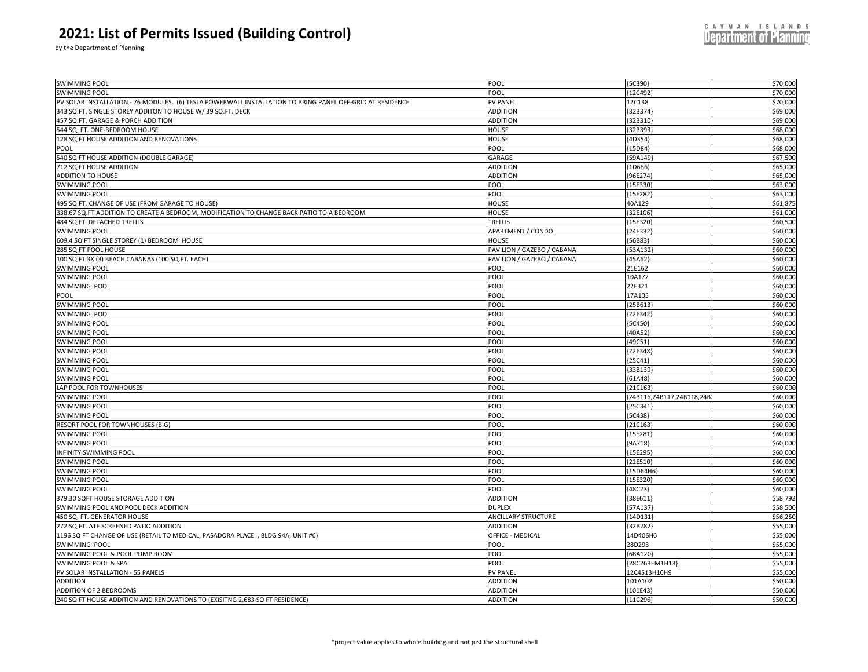by the Department of Planning

| SWIMMING POOL                                                                                             | POOL                                                     | ${5C390}$                 | \$70,000 |
|-----------------------------------------------------------------------------------------------------------|----------------------------------------------------------|---------------------------|----------|
| <b>SWIMMING POOL</b>                                                                                      | POOL                                                     | 12C492                    | \$70,000 |
| PV SOLAR INSTALLATION - 76 MODULES. (6) TESLA POWERWALL INSTALLATION TO BRING PANEL OFF-GRID AT RESIDENCE | PV PANEL                                                 | 12C138                    | \$70,000 |
| 343 SQ.FT. SINGLE STOREY ADDITON TO HOUSE W/ 39 SQ.FT. DECK                                               | <b>ADDITION</b>                                          | 32B374                    | \$69,000 |
| 457 SQ.FT. GARAGE & PORCH ADDITION                                                                        | <b>ADDITION</b>                                          | 32B310                    | \$69,000 |
| 544 SQ. FT. ONE-BEDROOM HOUSE                                                                             | HOUSE                                                    | 32B393                    | \$68,000 |
| 128 SQ FT HOUSE ADDITION AND RENOVATIONS                                                                  | HOUSE                                                    | 4D354}                    | \$68,000 |
| POOL                                                                                                      | POOL                                                     | ${15D84}$                 | \$68,000 |
| 540 SQ FT HOUSE ADDITION (DOUBLE GARAGE)                                                                  | GARAGE                                                   | 59A149                    | \$67,500 |
| 712 SQ FT HOUSE ADDITION                                                                                  | <b>ADDITION</b>                                          | 1D686                     | \$65,000 |
| <b>ADDITION TO HOUSE</b>                                                                                  | <b>ADDITION</b>                                          | 96E274                    | \$65,000 |
| <b>SWIMMING POOL</b>                                                                                      | POOL                                                     | 15E330                    | \$63,000 |
| <b>SWIMMING POOL</b>                                                                                      | POOL                                                     | {15E282}                  | \$63,00  |
| 495 SQ.FT. CHANGE OF USE (FROM GARAGE TO HOUSE)                                                           | HOUSE                                                    | 40A129                    | \$61,87  |
| 338.67 SQ.FT ADDITION TO CREATE A BEDROOM, MODIFICATION TO CHANGE BACK PATIO TO A BEDROOM                 | HOUSE                                                    | 32E106                    | \$61,000 |
| 484 SQ FT DETACHED TRELLIS                                                                                | TRELLIS                                                  | 15E320                    | \$60,500 |
| <b>SWIMMING POOL</b>                                                                                      | APARTMENT / CONDO                                        | 24E332                    | \$60,000 |
| 609.4 SQ FT SINGLE STOREY (1) BEDROOM HOUSE                                                               | HOUSE                                                    | [56B83]                   | \$60,000 |
| 285 SQ.FT POOL HOUSE                                                                                      |                                                          | 53A132                    | \$60,000 |
|                                                                                                           | PAVILION / GAZEBO / CABANA<br>PAVILION / GAZEBO / CABANA | [45A62]                   | \$60,000 |
| 100 SQ FT 3X (3) BEACH CABANAS (100 SQ.FT. EACH)                                                          |                                                          |                           |          |
| <b>SWIMMING POOL</b>                                                                                      | POOL                                                     | 21E162                    | \$60,000 |
| <b>SWIMMING POOL</b>                                                                                      | POOL                                                     | 10A172<br>22E321          | \$60,000 |
| SWIMMING POOL                                                                                             | POOL<br>POOL                                             | 17A105                    | \$60,000 |
| POOL                                                                                                      | POOL                                                     |                           | \$60,000 |
| <b>SWIMMING POOL</b>                                                                                      |                                                          | {25B613                   | \$60,000 |
| SWIMMING POOL                                                                                             | POOL                                                     | ${22E342}$                | \$60,000 |
| <b>SWIMMING POOL</b>                                                                                      | POOL                                                     | [5C450]                   | \$60,000 |
| <b>SWIMMING POOL</b>                                                                                      | POOL                                                     | ${40A52}$                 | \$60,000 |
| <b>SWIMMING POOL</b>                                                                                      | POOL                                                     | ${49C51}$                 | \$60,000 |
| <b>SWIMMING POOL</b>                                                                                      | POOL                                                     | 22E348                    | \$60,000 |
| <b>SWIMMING POOL</b>                                                                                      | POOL                                                     | ${25C41}$                 | \$60,000 |
| <b>SWIMMING POOL</b>                                                                                      | POOL                                                     | 33B139                    | \$60,000 |
| <b>SWIMMING POOL</b>                                                                                      | POOL                                                     | ${61A48}$                 | \$60,000 |
| LAP POOL FOR TOWNHOUSES                                                                                   | POOL                                                     | $[21C163]$                | \$60,000 |
| <b>SWIMMING POOL</b>                                                                                      | POOL                                                     | {24B116,24B117,24B118,24E | \$60,000 |
| <b>SWIMMING POOL</b>                                                                                      | POOL                                                     | ${25C341}$                | \$60,000 |
| <b>SWIMMING POOL</b>                                                                                      | POOL                                                     | ${5C438}$                 | \$60,000 |
| RESORT POOL FOR TOWNHOUSES (BIG)                                                                          | POOL                                                     | {21C163                   | \$60,000 |
| <b>SWIMMING POOL</b>                                                                                      | POOL                                                     | 15E281                    | \$60,000 |
| <b>SWIMMING POOL</b>                                                                                      | POOL                                                     | ${9A718}$                 | \$60,00  |
| <b>INFINITY SWIMMING POOL</b>                                                                             | POOL                                                     | 15E295                    | \$60,000 |
| <b>SWIMMING POOL</b>                                                                                      | POOL                                                     | 22E510                    | \$60,000 |
| <b>SWIMMING POOL</b>                                                                                      | POOL                                                     | ${15D64H6}$               | \$60,000 |
| <b>SWIMMING POOL</b>                                                                                      | POOL                                                     | ${15E320}$                | \$60,000 |
| <b>SWIMMING POOL</b>                                                                                      | POOL                                                     | ${48C23}$                 | \$60,000 |
| 379.30 SQFT HOUSE STORAGE ADDITION                                                                        | <b>ADDITION</b>                                          | 38E611                    | \$58,79  |
| SWIMMING POOL AND POOL DECK ADDITION                                                                      | <b>DUPLEX</b>                                            | 57A137                    | \$58,50  |
| 450 SQ. FT. GENERATOR HOUSE                                                                               | <b>ANCILLARY STRUCTURE</b>                               | [14D131]                  | \$56,250 |
| 272 SQ.FT. ATF SCREENED PATIO ADDITION                                                                    | <b>ADDITION</b>                                          | 32B282                    | \$55,000 |
| 1196 SQ FT CHANGE OF USE (RETAIL TO MEDICAL, PASADORA PLACE, BLDG 94A, UNIT #6)                           | OFFICE - MEDICAL                                         | 14D406H6                  | \$55,000 |
| SWIMMING POOL                                                                                             | POOL                                                     | 28D293                    | \$55,000 |
| SWIMMING POOL & POOL PUMP ROOM                                                                            | POOL                                                     | [68A120]                  | \$55,000 |
| SWIMMING POOL & SPA                                                                                       | POOL                                                     | {28C26REM1H13}            | \$55,000 |
| PV SOLAR INSTALLATION - 55 PANELS                                                                         | <b>PV PANEL</b>                                          | 12C4513H10H9              | \$55,000 |
| <b>ADDITION</b>                                                                                           | <b>ADDITION</b>                                          | 101A102                   | \$50,000 |
| ADDITION OF 2 BEDROOMS                                                                                    | <b>ADDITION</b>                                          | 101E43                    | \$50,000 |
| 240 SQ FT HOUSE ADDITION AND RENOVATIONS TO (EXISITNG 2,683 SQ FT RESIDENCE)                              | <b>ADDITION</b>                                          | [11C296]                  | \$50,000 |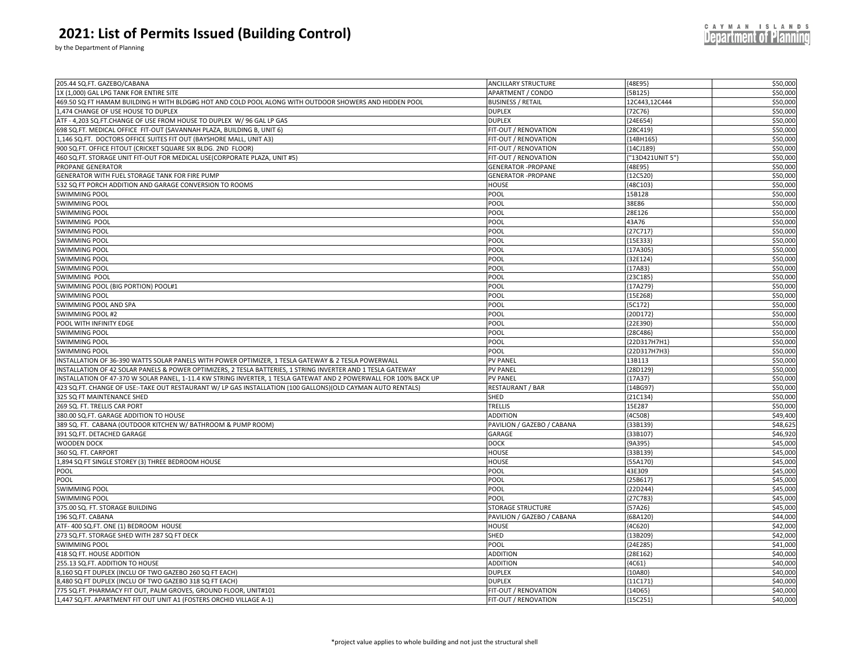by the Department of Planning

| 1X (1,000) GAL LPG TANK FOR ENTIRE SITE<br>[5B125]<br>\$50,000<br>APARTMENT / CONDO<br>469.50 SQ FT HAMAM BUILDING H WITH BLDG#G HOT AND COLD POOL ALONG WITH OUTDOOR SHOWERS AND HIDDEN POOL<br><b>BUSINESS / RETAIL</b><br>12C443,12C444<br>\$50,000<br>1,474 CHANGE OF USE HOUSE TO DUPLEX<br>[72C76]<br>\$50,000<br><b>DUPLEX</b><br>ATF - 4,203 SQ.FT.CHANGE OF USE FROM HOUSE TO DUPLEX W/ 96 GAL LP GAS<br><b>DUPLEX</b><br>${24E654}$<br>\$50,000<br>698 SQ.FT. MEDICAL OFFICE FIT-OUT (SAVANNAH PLAZA, BUILDING B, UNIT 6)<br>${28C419}$<br>\$50,000<br>FIT-OUT / RENOVATION<br>1,146 SQ.FT. DOCTORS OFFICE SUITES FIT OUT (BAYSHORE MALL, UNIT A3)<br>FIT-OUT / RENOVATION<br>${14BH165}$<br>\$50,000<br>900 SQ.FT. OFFICE FITOUT (CRICKET SQUARE SIX BLDG. 2ND FLOOR)<br>FIT-OUT / RENOVATION<br>\$50,000<br>{14CJ189}<br>\$50,000<br>460 SQ.FT. STORAGE UNIT FIT-OUT FOR MEDICAL USE(CORPORATE PLAZA, UNIT #5)<br>FIT-OUT / RENOVATION<br>"13D421UNIT 5"}<br>PROPANE GENERATOR<br><b>GENERATOR -PROPANE</b><br>${48E95}$<br>\$50,000<br>GENERATOR WITH FUEL STORAGE TANK FOR FIRE PUMP<br><b>GENERATOR - PROPANE</b><br>${12C520}$<br>\$50,000<br>532 SQ FT PORCH ADDITION AND GARAGE CONVERSION TO ROOMS<br>\$50,000<br>HOUSE<br>{48C103<br><b>SWIMMING POOL</b><br>POOL<br>15B128<br>\$50,000<br><b>SWIMMING POOL</b><br>POOL<br>38E86<br>\$50,000<br><b>SWIMMING POOL</b><br>POOL<br>28E126<br>\$50,000<br>POOL<br>43A76<br>SWIMMING POOL<br>\$50,000<br>{27C717<br>\$50,000<br><b>SWIMMING POOL</b><br>POOL<br>POOL<br>${15E333}$<br>\$50,000<br><b>SWIMMING POOL</b><br><b>SWIMMING POOL</b><br>POOL<br>{17A305}<br>\$50,000<br><b>SWIMMING POOL</b><br>POOL<br>${32E124}$<br>\$50,000<br>\$50,000<br><b>SWIMMING POOL</b><br>POOL<br>${17A83}$<br>POOL<br>${23C185}$<br>\$50,000<br>SWIMMING POOL<br>POOL<br>{17A279}<br>SWIMMING POOL (BIG PORTION) POOL#1<br>\$50,000<br><b>SWIMMING POOL</b><br>POOL<br>${15E268}$<br>\$50,000<br>POOL<br>\$50,000<br>{5C172}<br>POOL<br>{20D172}<br>POOL<br>[22E390]<br>POOL<br>\$50,000<br>${28C486}$<br>POOL<br>{22D317H7H1}<br>POOL<br>\$50,000<br>{22D317H7H3}<br><b>PV PANEL</b><br>13B113<br>\$50,000<br>{28D129}<br>\$50,000<br><b>PV PANEL</b><br><b>PV PANEL</b><br>${17A37}$<br>\$50,000<br>RESTAURANT / BAR<br>${14BG97}$<br>\$50,000<br>SHED<br>${21C134}$<br><b>TRELLIS</b><br>15E287<br>\$50,000<br><b>ADDITION</b><br>{4C508}<br>\$49,400<br>\$48,625<br>PAVILION / GAZEBO / CABANA<br>33B139<br>{33B107<br>\$46,920<br>GARAGE<br><b>DOCK</b><br>${9A395}$<br>HOUSE<br>{33B139}<br>\$45,000<br>${55A170}$<br>HOUSE<br>\$45,000<br>POOL<br>43E309<br>\$45,000<br>POOL<br>\$45,000<br>${25B617}$<br>SWIMMING POOL<br>POOL<br>${22D244}$<br>\$45,000<br><b>SWIMMING POOL</b><br>POOL<br>${27C783}$<br>\$45,000<br>375.00 SQ. FT. STORAGE BUILDING<br>STORAGE STRUCTURE<br>${57A26}$<br>\$45,000<br>PAVILION / GAZEBO / CABANA<br>${68A120}$<br>\$44,000<br>ATF- 400 SQ.FT. ONE (1) BEDROOM HOUSE<br>HOUSE<br>${4C620}$<br>\$42,000<br>273 SQ.FT. STORAGE SHED WITH 287 SQ FT DECK<br>SHED<br>[13B209]<br>\$42,000<br><b>SWIMMING POOL</b><br>POOL<br>${24E285}$<br>\$41,000<br>418 SQ FT. HOUSE ADDITION<br><b>ADDITION</b><br>{28E162}<br>\$40,000<br>255.13 SQ.FT. ADDITION TO HOUSE<br><b>ADDITION</b><br>[4C61]<br>\$40,000 |                                                                                                                   |                            |           | \$50,000 |
|---------------------------------------------------------------------------------------------------------------------------------------------------------------------------------------------------------------------------------------------------------------------------------------------------------------------------------------------------------------------------------------------------------------------------------------------------------------------------------------------------------------------------------------------------------------------------------------------------------------------------------------------------------------------------------------------------------------------------------------------------------------------------------------------------------------------------------------------------------------------------------------------------------------------------------------------------------------------------------------------------------------------------------------------------------------------------------------------------------------------------------------------------------------------------------------------------------------------------------------------------------------------------------------------------------------------------------------------------------------------------------------------------------------------------------------------------------------------------------------------------------------------------------------------------------------------------------------------------------------------------------------------------------------------------------------------------------------------------------------------------------------------------------------------------------------------------------------------------------------------------------------------------------------------------------------------------------------------------------------------------------------------------------------------------------------------------------------------------------------------------------------------------------------------------------------------------------------------------------------------------------------------------------------------------------------------------------------------------------------------------------------------------------------------------------------------------------------------------------------------------------------------------------------------------------------------------------------------------------------------------------------------------------------------------------------------------------------------------------------------------------------------------------------------------------------------------------------------------------------------------------------------------------------------------------------------------------------------------------------------------------------------------------------------------------------------------------------------------------------------------------------------------------------------------------------------------------------------------------------------------------------------------------------------------|-------------------------------------------------------------------------------------------------------------------|----------------------------|-----------|----------|
|                                                                                                                                                                                                                                                                                                                                                                                                                                                                                                                                                                                                                                                                                                                                                                                                                                                                                                                                                                                                                                                                                                                                                                                                                                                                                                                                                                                                                                                                                                                                                                                                                                                                                                                                                                                                                                                                                                                                                                                                                                                                                                                                                                                                                                                                                                                                                                                                                                                                                                                                                                                                                                                                                                                                                                                                                                                                                                                                                                                                                                                                                                                                                                                                                                                                                                   | 205.44 SQ.FT. GAZEBO/CABANA                                                                                       | <b>ANCILLARY STRUCTURE</b> | ${48E95}$ |          |
|                                                                                                                                                                                                                                                                                                                                                                                                                                                                                                                                                                                                                                                                                                                                                                                                                                                                                                                                                                                                                                                                                                                                                                                                                                                                                                                                                                                                                                                                                                                                                                                                                                                                                                                                                                                                                                                                                                                                                                                                                                                                                                                                                                                                                                                                                                                                                                                                                                                                                                                                                                                                                                                                                                                                                                                                                                                                                                                                                                                                                                                                                                                                                                                                                                                                                                   |                                                                                                                   |                            |           |          |
|                                                                                                                                                                                                                                                                                                                                                                                                                                                                                                                                                                                                                                                                                                                                                                                                                                                                                                                                                                                                                                                                                                                                                                                                                                                                                                                                                                                                                                                                                                                                                                                                                                                                                                                                                                                                                                                                                                                                                                                                                                                                                                                                                                                                                                                                                                                                                                                                                                                                                                                                                                                                                                                                                                                                                                                                                                                                                                                                                                                                                                                                                                                                                                                                                                                                                                   |                                                                                                                   |                            |           |          |
|                                                                                                                                                                                                                                                                                                                                                                                                                                                                                                                                                                                                                                                                                                                                                                                                                                                                                                                                                                                                                                                                                                                                                                                                                                                                                                                                                                                                                                                                                                                                                                                                                                                                                                                                                                                                                                                                                                                                                                                                                                                                                                                                                                                                                                                                                                                                                                                                                                                                                                                                                                                                                                                                                                                                                                                                                                                                                                                                                                                                                                                                                                                                                                                                                                                                                                   |                                                                                                                   |                            |           |          |
|                                                                                                                                                                                                                                                                                                                                                                                                                                                                                                                                                                                                                                                                                                                                                                                                                                                                                                                                                                                                                                                                                                                                                                                                                                                                                                                                                                                                                                                                                                                                                                                                                                                                                                                                                                                                                                                                                                                                                                                                                                                                                                                                                                                                                                                                                                                                                                                                                                                                                                                                                                                                                                                                                                                                                                                                                                                                                                                                                                                                                                                                                                                                                                                                                                                                                                   |                                                                                                                   |                            |           |          |
|                                                                                                                                                                                                                                                                                                                                                                                                                                                                                                                                                                                                                                                                                                                                                                                                                                                                                                                                                                                                                                                                                                                                                                                                                                                                                                                                                                                                                                                                                                                                                                                                                                                                                                                                                                                                                                                                                                                                                                                                                                                                                                                                                                                                                                                                                                                                                                                                                                                                                                                                                                                                                                                                                                                                                                                                                                                                                                                                                                                                                                                                                                                                                                                                                                                                                                   |                                                                                                                   |                            |           |          |
|                                                                                                                                                                                                                                                                                                                                                                                                                                                                                                                                                                                                                                                                                                                                                                                                                                                                                                                                                                                                                                                                                                                                                                                                                                                                                                                                                                                                                                                                                                                                                                                                                                                                                                                                                                                                                                                                                                                                                                                                                                                                                                                                                                                                                                                                                                                                                                                                                                                                                                                                                                                                                                                                                                                                                                                                                                                                                                                                                                                                                                                                                                                                                                                                                                                                                                   |                                                                                                                   |                            |           |          |
|                                                                                                                                                                                                                                                                                                                                                                                                                                                                                                                                                                                                                                                                                                                                                                                                                                                                                                                                                                                                                                                                                                                                                                                                                                                                                                                                                                                                                                                                                                                                                                                                                                                                                                                                                                                                                                                                                                                                                                                                                                                                                                                                                                                                                                                                                                                                                                                                                                                                                                                                                                                                                                                                                                                                                                                                                                                                                                                                                                                                                                                                                                                                                                                                                                                                                                   |                                                                                                                   |                            |           |          |
|                                                                                                                                                                                                                                                                                                                                                                                                                                                                                                                                                                                                                                                                                                                                                                                                                                                                                                                                                                                                                                                                                                                                                                                                                                                                                                                                                                                                                                                                                                                                                                                                                                                                                                                                                                                                                                                                                                                                                                                                                                                                                                                                                                                                                                                                                                                                                                                                                                                                                                                                                                                                                                                                                                                                                                                                                                                                                                                                                                                                                                                                                                                                                                                                                                                                                                   |                                                                                                                   |                            |           |          |
|                                                                                                                                                                                                                                                                                                                                                                                                                                                                                                                                                                                                                                                                                                                                                                                                                                                                                                                                                                                                                                                                                                                                                                                                                                                                                                                                                                                                                                                                                                                                                                                                                                                                                                                                                                                                                                                                                                                                                                                                                                                                                                                                                                                                                                                                                                                                                                                                                                                                                                                                                                                                                                                                                                                                                                                                                                                                                                                                                                                                                                                                                                                                                                                                                                                                                                   |                                                                                                                   |                            |           |          |
|                                                                                                                                                                                                                                                                                                                                                                                                                                                                                                                                                                                                                                                                                                                                                                                                                                                                                                                                                                                                                                                                                                                                                                                                                                                                                                                                                                                                                                                                                                                                                                                                                                                                                                                                                                                                                                                                                                                                                                                                                                                                                                                                                                                                                                                                                                                                                                                                                                                                                                                                                                                                                                                                                                                                                                                                                                                                                                                                                                                                                                                                                                                                                                                                                                                                                                   |                                                                                                                   |                            |           |          |
|                                                                                                                                                                                                                                                                                                                                                                                                                                                                                                                                                                                                                                                                                                                                                                                                                                                                                                                                                                                                                                                                                                                                                                                                                                                                                                                                                                                                                                                                                                                                                                                                                                                                                                                                                                                                                                                                                                                                                                                                                                                                                                                                                                                                                                                                                                                                                                                                                                                                                                                                                                                                                                                                                                                                                                                                                                                                                                                                                                                                                                                                                                                                                                                                                                                                                                   |                                                                                                                   |                            |           |          |
|                                                                                                                                                                                                                                                                                                                                                                                                                                                                                                                                                                                                                                                                                                                                                                                                                                                                                                                                                                                                                                                                                                                                                                                                                                                                                                                                                                                                                                                                                                                                                                                                                                                                                                                                                                                                                                                                                                                                                                                                                                                                                                                                                                                                                                                                                                                                                                                                                                                                                                                                                                                                                                                                                                                                                                                                                                                                                                                                                                                                                                                                                                                                                                                                                                                                                                   |                                                                                                                   |                            |           |          |
|                                                                                                                                                                                                                                                                                                                                                                                                                                                                                                                                                                                                                                                                                                                                                                                                                                                                                                                                                                                                                                                                                                                                                                                                                                                                                                                                                                                                                                                                                                                                                                                                                                                                                                                                                                                                                                                                                                                                                                                                                                                                                                                                                                                                                                                                                                                                                                                                                                                                                                                                                                                                                                                                                                                                                                                                                                                                                                                                                                                                                                                                                                                                                                                                                                                                                                   |                                                                                                                   |                            |           |          |
|                                                                                                                                                                                                                                                                                                                                                                                                                                                                                                                                                                                                                                                                                                                                                                                                                                                                                                                                                                                                                                                                                                                                                                                                                                                                                                                                                                                                                                                                                                                                                                                                                                                                                                                                                                                                                                                                                                                                                                                                                                                                                                                                                                                                                                                                                                                                                                                                                                                                                                                                                                                                                                                                                                                                                                                                                                                                                                                                                                                                                                                                                                                                                                                                                                                                                                   |                                                                                                                   |                            |           |          |
|                                                                                                                                                                                                                                                                                                                                                                                                                                                                                                                                                                                                                                                                                                                                                                                                                                                                                                                                                                                                                                                                                                                                                                                                                                                                                                                                                                                                                                                                                                                                                                                                                                                                                                                                                                                                                                                                                                                                                                                                                                                                                                                                                                                                                                                                                                                                                                                                                                                                                                                                                                                                                                                                                                                                                                                                                                                                                                                                                                                                                                                                                                                                                                                                                                                                                                   |                                                                                                                   |                            |           |          |
|                                                                                                                                                                                                                                                                                                                                                                                                                                                                                                                                                                                                                                                                                                                                                                                                                                                                                                                                                                                                                                                                                                                                                                                                                                                                                                                                                                                                                                                                                                                                                                                                                                                                                                                                                                                                                                                                                                                                                                                                                                                                                                                                                                                                                                                                                                                                                                                                                                                                                                                                                                                                                                                                                                                                                                                                                                                                                                                                                                                                                                                                                                                                                                                                                                                                                                   |                                                                                                                   |                            |           |          |
|                                                                                                                                                                                                                                                                                                                                                                                                                                                                                                                                                                                                                                                                                                                                                                                                                                                                                                                                                                                                                                                                                                                                                                                                                                                                                                                                                                                                                                                                                                                                                                                                                                                                                                                                                                                                                                                                                                                                                                                                                                                                                                                                                                                                                                                                                                                                                                                                                                                                                                                                                                                                                                                                                                                                                                                                                                                                                                                                                                                                                                                                                                                                                                                                                                                                                                   |                                                                                                                   |                            |           |          |
|                                                                                                                                                                                                                                                                                                                                                                                                                                                                                                                                                                                                                                                                                                                                                                                                                                                                                                                                                                                                                                                                                                                                                                                                                                                                                                                                                                                                                                                                                                                                                                                                                                                                                                                                                                                                                                                                                                                                                                                                                                                                                                                                                                                                                                                                                                                                                                                                                                                                                                                                                                                                                                                                                                                                                                                                                                                                                                                                                                                                                                                                                                                                                                                                                                                                                                   |                                                                                                                   |                            |           |          |
|                                                                                                                                                                                                                                                                                                                                                                                                                                                                                                                                                                                                                                                                                                                                                                                                                                                                                                                                                                                                                                                                                                                                                                                                                                                                                                                                                                                                                                                                                                                                                                                                                                                                                                                                                                                                                                                                                                                                                                                                                                                                                                                                                                                                                                                                                                                                                                                                                                                                                                                                                                                                                                                                                                                                                                                                                                                                                                                                                                                                                                                                                                                                                                                                                                                                                                   |                                                                                                                   |                            |           |          |
|                                                                                                                                                                                                                                                                                                                                                                                                                                                                                                                                                                                                                                                                                                                                                                                                                                                                                                                                                                                                                                                                                                                                                                                                                                                                                                                                                                                                                                                                                                                                                                                                                                                                                                                                                                                                                                                                                                                                                                                                                                                                                                                                                                                                                                                                                                                                                                                                                                                                                                                                                                                                                                                                                                                                                                                                                                                                                                                                                                                                                                                                                                                                                                                                                                                                                                   |                                                                                                                   |                            |           |          |
|                                                                                                                                                                                                                                                                                                                                                                                                                                                                                                                                                                                                                                                                                                                                                                                                                                                                                                                                                                                                                                                                                                                                                                                                                                                                                                                                                                                                                                                                                                                                                                                                                                                                                                                                                                                                                                                                                                                                                                                                                                                                                                                                                                                                                                                                                                                                                                                                                                                                                                                                                                                                                                                                                                                                                                                                                                                                                                                                                                                                                                                                                                                                                                                                                                                                                                   |                                                                                                                   |                            |           |          |
|                                                                                                                                                                                                                                                                                                                                                                                                                                                                                                                                                                                                                                                                                                                                                                                                                                                                                                                                                                                                                                                                                                                                                                                                                                                                                                                                                                                                                                                                                                                                                                                                                                                                                                                                                                                                                                                                                                                                                                                                                                                                                                                                                                                                                                                                                                                                                                                                                                                                                                                                                                                                                                                                                                                                                                                                                                                                                                                                                                                                                                                                                                                                                                                                                                                                                                   |                                                                                                                   |                            |           |          |
|                                                                                                                                                                                                                                                                                                                                                                                                                                                                                                                                                                                                                                                                                                                                                                                                                                                                                                                                                                                                                                                                                                                                                                                                                                                                                                                                                                                                                                                                                                                                                                                                                                                                                                                                                                                                                                                                                                                                                                                                                                                                                                                                                                                                                                                                                                                                                                                                                                                                                                                                                                                                                                                                                                                                                                                                                                                                                                                                                                                                                                                                                                                                                                                                                                                                                                   |                                                                                                                   |                            |           |          |
|                                                                                                                                                                                                                                                                                                                                                                                                                                                                                                                                                                                                                                                                                                                                                                                                                                                                                                                                                                                                                                                                                                                                                                                                                                                                                                                                                                                                                                                                                                                                                                                                                                                                                                                                                                                                                                                                                                                                                                                                                                                                                                                                                                                                                                                                                                                                                                                                                                                                                                                                                                                                                                                                                                                                                                                                                                                                                                                                                                                                                                                                                                                                                                                                                                                                                                   | SWIMMING POOL AND SPA                                                                                             |                            |           |          |
|                                                                                                                                                                                                                                                                                                                                                                                                                                                                                                                                                                                                                                                                                                                                                                                                                                                                                                                                                                                                                                                                                                                                                                                                                                                                                                                                                                                                                                                                                                                                                                                                                                                                                                                                                                                                                                                                                                                                                                                                                                                                                                                                                                                                                                                                                                                                                                                                                                                                                                                                                                                                                                                                                                                                                                                                                                                                                                                                                                                                                                                                                                                                                                                                                                                                                                   | SWIMMING POOL #2                                                                                                  |                            |           | \$50,000 |
|                                                                                                                                                                                                                                                                                                                                                                                                                                                                                                                                                                                                                                                                                                                                                                                                                                                                                                                                                                                                                                                                                                                                                                                                                                                                                                                                                                                                                                                                                                                                                                                                                                                                                                                                                                                                                                                                                                                                                                                                                                                                                                                                                                                                                                                                                                                                                                                                                                                                                                                                                                                                                                                                                                                                                                                                                                                                                                                                                                                                                                                                                                                                                                                                                                                                                                   | POOL WITH INFINITY EDGE                                                                                           |                            |           | \$50,000 |
|                                                                                                                                                                                                                                                                                                                                                                                                                                                                                                                                                                                                                                                                                                                                                                                                                                                                                                                                                                                                                                                                                                                                                                                                                                                                                                                                                                                                                                                                                                                                                                                                                                                                                                                                                                                                                                                                                                                                                                                                                                                                                                                                                                                                                                                                                                                                                                                                                                                                                                                                                                                                                                                                                                                                                                                                                                                                                                                                                                                                                                                                                                                                                                                                                                                                                                   | <b>SWIMMING POOL</b>                                                                                              |                            |           |          |
|                                                                                                                                                                                                                                                                                                                                                                                                                                                                                                                                                                                                                                                                                                                                                                                                                                                                                                                                                                                                                                                                                                                                                                                                                                                                                                                                                                                                                                                                                                                                                                                                                                                                                                                                                                                                                                                                                                                                                                                                                                                                                                                                                                                                                                                                                                                                                                                                                                                                                                                                                                                                                                                                                                                                                                                                                                                                                                                                                                                                                                                                                                                                                                                                                                                                                                   | <b>SWIMMING POOL</b>                                                                                              |                            |           | \$50,000 |
|                                                                                                                                                                                                                                                                                                                                                                                                                                                                                                                                                                                                                                                                                                                                                                                                                                                                                                                                                                                                                                                                                                                                                                                                                                                                                                                                                                                                                                                                                                                                                                                                                                                                                                                                                                                                                                                                                                                                                                                                                                                                                                                                                                                                                                                                                                                                                                                                                                                                                                                                                                                                                                                                                                                                                                                                                                                                                                                                                                                                                                                                                                                                                                                                                                                                                                   | <b>SWIMMING POOL</b>                                                                                              |                            |           |          |
|                                                                                                                                                                                                                                                                                                                                                                                                                                                                                                                                                                                                                                                                                                                                                                                                                                                                                                                                                                                                                                                                                                                                                                                                                                                                                                                                                                                                                                                                                                                                                                                                                                                                                                                                                                                                                                                                                                                                                                                                                                                                                                                                                                                                                                                                                                                                                                                                                                                                                                                                                                                                                                                                                                                                                                                                                                                                                                                                                                                                                                                                                                                                                                                                                                                                                                   | INSTALLATION OF 36-390 WATTS SOLAR PANELS WITH POWER OPTIMIZER, 1 TESLA GATEWAY & 2 TESLA POWERWALL               |                            |           |          |
|                                                                                                                                                                                                                                                                                                                                                                                                                                                                                                                                                                                                                                                                                                                                                                                                                                                                                                                                                                                                                                                                                                                                                                                                                                                                                                                                                                                                                                                                                                                                                                                                                                                                                                                                                                                                                                                                                                                                                                                                                                                                                                                                                                                                                                                                                                                                                                                                                                                                                                                                                                                                                                                                                                                                                                                                                                                                                                                                                                                                                                                                                                                                                                                                                                                                                                   | INSTALLATION OF 42 SOLAR PANELS & POWER OPTIMIZERS, 2 TESLA BATTERIES, 1 STRING INVERTER AND 1 TESLA GATEWAY      |                            |           |          |
|                                                                                                                                                                                                                                                                                                                                                                                                                                                                                                                                                                                                                                                                                                                                                                                                                                                                                                                                                                                                                                                                                                                                                                                                                                                                                                                                                                                                                                                                                                                                                                                                                                                                                                                                                                                                                                                                                                                                                                                                                                                                                                                                                                                                                                                                                                                                                                                                                                                                                                                                                                                                                                                                                                                                                                                                                                                                                                                                                                                                                                                                                                                                                                                                                                                                                                   | INSTALLATION OF 47-370 W SOLAR PANEL, 1-11.4 KW STRING INVERTER, 1 TESLA GATEWAT AND 2 POWERWALL FOR 100% BACK UP |                            |           |          |
|                                                                                                                                                                                                                                                                                                                                                                                                                                                                                                                                                                                                                                                                                                                                                                                                                                                                                                                                                                                                                                                                                                                                                                                                                                                                                                                                                                                                                                                                                                                                                                                                                                                                                                                                                                                                                                                                                                                                                                                                                                                                                                                                                                                                                                                                                                                                                                                                                                                                                                                                                                                                                                                                                                                                                                                                                                                                                                                                                                                                                                                                                                                                                                                                                                                                                                   | 423 SQ.FT. CHANGE OF USE:-TAKE OUT RESTAURANT W/ LP GAS INSTALLATION (100 GALLONS)(OLD CAYMAN AUTO RENTALS)       |                            |           |          |
|                                                                                                                                                                                                                                                                                                                                                                                                                                                                                                                                                                                                                                                                                                                                                                                                                                                                                                                                                                                                                                                                                                                                                                                                                                                                                                                                                                                                                                                                                                                                                                                                                                                                                                                                                                                                                                                                                                                                                                                                                                                                                                                                                                                                                                                                                                                                                                                                                                                                                                                                                                                                                                                                                                                                                                                                                                                                                                                                                                                                                                                                                                                                                                                                                                                                                                   | 325 SQ FT MAINTENANCE SHED                                                                                        |                            |           | \$50,000 |
|                                                                                                                                                                                                                                                                                                                                                                                                                                                                                                                                                                                                                                                                                                                                                                                                                                                                                                                                                                                                                                                                                                                                                                                                                                                                                                                                                                                                                                                                                                                                                                                                                                                                                                                                                                                                                                                                                                                                                                                                                                                                                                                                                                                                                                                                                                                                                                                                                                                                                                                                                                                                                                                                                                                                                                                                                                                                                                                                                                                                                                                                                                                                                                                                                                                                                                   | 269 SQ. FT. TRELLIS CAR PORT                                                                                      |                            |           |          |
|                                                                                                                                                                                                                                                                                                                                                                                                                                                                                                                                                                                                                                                                                                                                                                                                                                                                                                                                                                                                                                                                                                                                                                                                                                                                                                                                                                                                                                                                                                                                                                                                                                                                                                                                                                                                                                                                                                                                                                                                                                                                                                                                                                                                                                                                                                                                                                                                                                                                                                                                                                                                                                                                                                                                                                                                                                                                                                                                                                                                                                                                                                                                                                                                                                                                                                   | 380.00 SQ.FT. GARAGE ADDITION TO HOUSE                                                                            |                            |           |          |
|                                                                                                                                                                                                                                                                                                                                                                                                                                                                                                                                                                                                                                                                                                                                                                                                                                                                                                                                                                                                                                                                                                                                                                                                                                                                                                                                                                                                                                                                                                                                                                                                                                                                                                                                                                                                                                                                                                                                                                                                                                                                                                                                                                                                                                                                                                                                                                                                                                                                                                                                                                                                                                                                                                                                                                                                                                                                                                                                                                                                                                                                                                                                                                                                                                                                                                   | 389 SQ. FT. CABANA (OUTDOOR KITCHEN W/ BATHROOM & PUMP ROOM)                                                      |                            |           |          |
|                                                                                                                                                                                                                                                                                                                                                                                                                                                                                                                                                                                                                                                                                                                                                                                                                                                                                                                                                                                                                                                                                                                                                                                                                                                                                                                                                                                                                                                                                                                                                                                                                                                                                                                                                                                                                                                                                                                                                                                                                                                                                                                                                                                                                                                                                                                                                                                                                                                                                                                                                                                                                                                                                                                                                                                                                                                                                                                                                                                                                                                                                                                                                                                                                                                                                                   | 391 SQ.FT. DETACHED GARAGE                                                                                        |                            |           |          |
|                                                                                                                                                                                                                                                                                                                                                                                                                                                                                                                                                                                                                                                                                                                                                                                                                                                                                                                                                                                                                                                                                                                                                                                                                                                                                                                                                                                                                                                                                                                                                                                                                                                                                                                                                                                                                                                                                                                                                                                                                                                                                                                                                                                                                                                                                                                                                                                                                                                                                                                                                                                                                                                                                                                                                                                                                                                                                                                                                                                                                                                                                                                                                                                                                                                                                                   | WOODEN DOCK                                                                                                       |                            |           | \$45,000 |
|                                                                                                                                                                                                                                                                                                                                                                                                                                                                                                                                                                                                                                                                                                                                                                                                                                                                                                                                                                                                                                                                                                                                                                                                                                                                                                                                                                                                                                                                                                                                                                                                                                                                                                                                                                                                                                                                                                                                                                                                                                                                                                                                                                                                                                                                                                                                                                                                                                                                                                                                                                                                                                                                                                                                                                                                                                                                                                                                                                                                                                                                                                                                                                                                                                                                                                   | 360 SQ. FT. CARPORT                                                                                               |                            |           |          |
|                                                                                                                                                                                                                                                                                                                                                                                                                                                                                                                                                                                                                                                                                                                                                                                                                                                                                                                                                                                                                                                                                                                                                                                                                                                                                                                                                                                                                                                                                                                                                                                                                                                                                                                                                                                                                                                                                                                                                                                                                                                                                                                                                                                                                                                                                                                                                                                                                                                                                                                                                                                                                                                                                                                                                                                                                                                                                                                                                                                                                                                                                                                                                                                                                                                                                                   | 1,894 SQ FT SINGLE STOREY (3) THREE BEDROOM HOUSE                                                                 |                            |           |          |
|                                                                                                                                                                                                                                                                                                                                                                                                                                                                                                                                                                                                                                                                                                                                                                                                                                                                                                                                                                                                                                                                                                                                                                                                                                                                                                                                                                                                                                                                                                                                                                                                                                                                                                                                                                                                                                                                                                                                                                                                                                                                                                                                                                                                                                                                                                                                                                                                                                                                                                                                                                                                                                                                                                                                                                                                                                                                                                                                                                                                                                                                                                                                                                                                                                                                                                   | POOL                                                                                                              |                            |           |          |
|                                                                                                                                                                                                                                                                                                                                                                                                                                                                                                                                                                                                                                                                                                                                                                                                                                                                                                                                                                                                                                                                                                                                                                                                                                                                                                                                                                                                                                                                                                                                                                                                                                                                                                                                                                                                                                                                                                                                                                                                                                                                                                                                                                                                                                                                                                                                                                                                                                                                                                                                                                                                                                                                                                                                                                                                                                                                                                                                                                                                                                                                                                                                                                                                                                                                                                   | POOL                                                                                                              |                            |           |          |
|                                                                                                                                                                                                                                                                                                                                                                                                                                                                                                                                                                                                                                                                                                                                                                                                                                                                                                                                                                                                                                                                                                                                                                                                                                                                                                                                                                                                                                                                                                                                                                                                                                                                                                                                                                                                                                                                                                                                                                                                                                                                                                                                                                                                                                                                                                                                                                                                                                                                                                                                                                                                                                                                                                                                                                                                                                                                                                                                                                                                                                                                                                                                                                                                                                                                                                   |                                                                                                                   |                            |           |          |
|                                                                                                                                                                                                                                                                                                                                                                                                                                                                                                                                                                                                                                                                                                                                                                                                                                                                                                                                                                                                                                                                                                                                                                                                                                                                                                                                                                                                                                                                                                                                                                                                                                                                                                                                                                                                                                                                                                                                                                                                                                                                                                                                                                                                                                                                                                                                                                                                                                                                                                                                                                                                                                                                                                                                                                                                                                                                                                                                                                                                                                                                                                                                                                                                                                                                                                   |                                                                                                                   |                            |           |          |
|                                                                                                                                                                                                                                                                                                                                                                                                                                                                                                                                                                                                                                                                                                                                                                                                                                                                                                                                                                                                                                                                                                                                                                                                                                                                                                                                                                                                                                                                                                                                                                                                                                                                                                                                                                                                                                                                                                                                                                                                                                                                                                                                                                                                                                                                                                                                                                                                                                                                                                                                                                                                                                                                                                                                                                                                                                                                                                                                                                                                                                                                                                                                                                                                                                                                                                   |                                                                                                                   |                            |           |          |
|                                                                                                                                                                                                                                                                                                                                                                                                                                                                                                                                                                                                                                                                                                                                                                                                                                                                                                                                                                                                                                                                                                                                                                                                                                                                                                                                                                                                                                                                                                                                                                                                                                                                                                                                                                                                                                                                                                                                                                                                                                                                                                                                                                                                                                                                                                                                                                                                                                                                                                                                                                                                                                                                                                                                                                                                                                                                                                                                                                                                                                                                                                                                                                                                                                                                                                   | 196 SQ.FT. CABANA                                                                                                 |                            |           |          |
|                                                                                                                                                                                                                                                                                                                                                                                                                                                                                                                                                                                                                                                                                                                                                                                                                                                                                                                                                                                                                                                                                                                                                                                                                                                                                                                                                                                                                                                                                                                                                                                                                                                                                                                                                                                                                                                                                                                                                                                                                                                                                                                                                                                                                                                                                                                                                                                                                                                                                                                                                                                                                                                                                                                                                                                                                                                                                                                                                                                                                                                                                                                                                                                                                                                                                                   |                                                                                                                   |                            |           |          |
|                                                                                                                                                                                                                                                                                                                                                                                                                                                                                                                                                                                                                                                                                                                                                                                                                                                                                                                                                                                                                                                                                                                                                                                                                                                                                                                                                                                                                                                                                                                                                                                                                                                                                                                                                                                                                                                                                                                                                                                                                                                                                                                                                                                                                                                                                                                                                                                                                                                                                                                                                                                                                                                                                                                                                                                                                                                                                                                                                                                                                                                                                                                                                                                                                                                                                                   |                                                                                                                   |                            |           |          |
|                                                                                                                                                                                                                                                                                                                                                                                                                                                                                                                                                                                                                                                                                                                                                                                                                                                                                                                                                                                                                                                                                                                                                                                                                                                                                                                                                                                                                                                                                                                                                                                                                                                                                                                                                                                                                                                                                                                                                                                                                                                                                                                                                                                                                                                                                                                                                                                                                                                                                                                                                                                                                                                                                                                                                                                                                                                                                                                                                                                                                                                                                                                                                                                                                                                                                                   |                                                                                                                   |                            |           |          |
|                                                                                                                                                                                                                                                                                                                                                                                                                                                                                                                                                                                                                                                                                                                                                                                                                                                                                                                                                                                                                                                                                                                                                                                                                                                                                                                                                                                                                                                                                                                                                                                                                                                                                                                                                                                                                                                                                                                                                                                                                                                                                                                                                                                                                                                                                                                                                                                                                                                                                                                                                                                                                                                                                                                                                                                                                                                                                                                                                                                                                                                                                                                                                                                                                                                                                                   |                                                                                                                   |                            |           |          |
|                                                                                                                                                                                                                                                                                                                                                                                                                                                                                                                                                                                                                                                                                                                                                                                                                                                                                                                                                                                                                                                                                                                                                                                                                                                                                                                                                                                                                                                                                                                                                                                                                                                                                                                                                                                                                                                                                                                                                                                                                                                                                                                                                                                                                                                                                                                                                                                                                                                                                                                                                                                                                                                                                                                                                                                                                                                                                                                                                                                                                                                                                                                                                                                                                                                                                                   |                                                                                                                   |                            |           |          |
|                                                                                                                                                                                                                                                                                                                                                                                                                                                                                                                                                                                                                                                                                                                                                                                                                                                                                                                                                                                                                                                                                                                                                                                                                                                                                                                                                                                                                                                                                                                                                                                                                                                                                                                                                                                                                                                                                                                                                                                                                                                                                                                                                                                                                                                                                                                                                                                                                                                                                                                                                                                                                                                                                                                                                                                                                                                                                                                                                                                                                                                                                                                                                                                                                                                                                                   | 8,160 SQ FT DUPLEX (INCLU OF TWO GAZEBO 260 SQ FT EACH)                                                           | <b>DUPLEX</b>              | ${10A80}$ | \$40,000 |

CAYMAN ISLANDS **Department of Planning** 

8,480 SQ FT DUPLEX (INCLU OF TWO GAZEBO 318 SQ FT EACH) \$40,000 \$40,000 \$40,000 \$40,000 \$40,000 \$40,000 \$50,000 775 SQ.FT. PHARMACY FIT OUT, PALM GROVES, GROUND FLOOR, UNIT#101 FIT-OUT / RENOVATION {14D65} {14D65} \$40,000 1,447 SQ.FT. APARTMENT FIT OUT UNIT A1 (FOSTERS ORCHID VILLAGE A-1) \$40,000 FIT-OUT / RENOVATION {15C251} \$40,000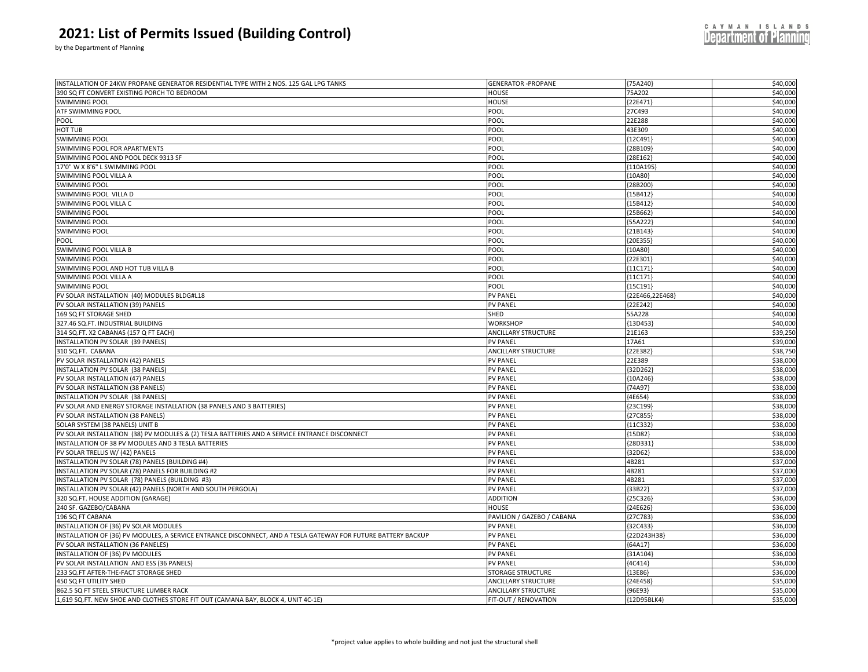by the Department of Planning

| 390 SQ FT CONVERT EXISTING PORCH TO BEDROOM<br>75A202<br>\$40,000<br>HOUSE<br>\$40,000<br><b>SWIMMING POOL</b><br>HOUSE<br>{22E471}<br>\$40,000<br>ATF SWIMMING POOL<br>POOL<br>27C493<br>22E288<br>\$40,000<br>POOL<br>POOL<br>\$40,000<br>HOT TUB<br>POOL<br>43E309<br>\$40,000<br>SWIMMING POOL<br>POOL<br>12C491<br>\$40,000<br>SWIMMING POOL FOR APARTMENTS<br>POOL<br>{28B109<br>\$40,000<br>SWIMMING POOL AND POOL DECK 9313 SF<br>POOL<br>{28E162<br>\$40,000<br>17'0" W X 8'6" L SWIMMING POOL<br>POOL<br>{110A195}<br>\$40,000<br>SWIMMING POOL VILLA A<br><b>POOL</b><br>${10A80}$<br>\$40,000<br><b>SWIMMING POOL</b><br>POOL<br>{28B200<br>\$40,000<br>SWIMMING POOL VILLA D<br>POOL<br>${15B412}$<br>SWIMMING POOL VILLA C<br>POOL<br>\$40,000<br>{15B412}<br>POOL<br>\$40,000<br><b>SWIMMING POOL</b><br>{25B662<br>\$40,000<br><b>SWIMMING POOL</b><br>POOL<br>55A222<br>\$40,000<br><b>SWIMMING POOL</b><br>POOL<br>21B143<br>\$40,000<br>POOL<br>POOL<br>{20E355<br>POOL<br>\$40,000<br>SWIMMING POOL VILLA B<br>${10A80}$<br>\$40,000<br><b>SWIMMING POOL</b><br>POOL<br>{22E301<br>\$40,000<br>SWIMMING POOL AND HOT TUB VILLA B<br>POOL<br>${11C171}$<br>\$40,000<br>SWIMMING POOL VILLA A<br>POOL<br>${11C171}$<br>\$40,000<br><b>SWIMMING POOL</b><br>POOL<br>${15C191}$<br>\$40,000<br>PV SOLAR INSTALLATION (40) MODULES BLDG#L18<br><b>PV PANEL</b><br>{22E466,22E468}<br>PV SOLAR INSTALLATION (39) PANELS<br><b>PV PANEL</b><br>${22E242}$<br>\$40,000<br>\$40,000<br>169 SQ FT STORAGE SHED<br>SHED<br>55A228<br>\$40,000<br>327.46 SQ.FT. INDUSTRIAL BUILDING<br><b>WORKSHOP</b><br>{13D453<br>\$39,250<br>314 SQ.FT. X2 CABANAS (157 Q FT EACH)<br><b>ANCILLARY STRUCTURE</b><br>21E163<br>\$39,000<br>NSTALLATION PV SOLAR (39 PANELS)<br><b>PV PANEL</b><br>17A61<br>\$38,750<br>310 SQ.FT. CABANA<br><b>ANCILLARY STRUCTURE</b><br>{22E382<br>\$38,000<br>PV SOLAR INSTALLATION (42) PANELS<br><b>PV PANEL</b><br>22E389<br>\$38,000<br>NSTALLATION PV SOLAR (38 PANELS)<br><b>PV PANEL</b><br>{32D262<br><b>PV PANEL</b><br>\$38,000<br>PV SOLAR INSTALLATION (47) PANELS<br>{10A246<br>\$38,000<br>PV SOLAR INSTALLATION (38 PANELS)<br><b>PV PANEL</b><br>${74A97}$<br><b>PV PANEL</b><br>\$38,000<br>NSTALLATION PV SOLAR (38 PANELS)<br>${4E654}$<br>PV SOLAR AND ENERGY STORAGE INSTALLATION (38 PANELS AND 3 BATTERIES)<br>\$38,000<br><b>PV PANEL</b><br>{23C199<br>PV SOLAR INSTALLATION (38 PANELS)<br><b>PV PANEL</b><br>\$38,000<br><b>27C855</b><br><b>PV PANEL</b><br>\$38,000<br>SOLAR SYSTEM (38 PANELS) UNIT B<br>${11C332}$<br>\$38,000<br>PV SOLAR INSTALLATION (38) PV MODULES & (2) TESLA BATTERIES AND A SERVICE ENTRANCE DISCONNECT<br><b>PV PANEI</b><br>${15D82}$<br>\$38,000<br>NSTALLATION OF 38 PV MODULES AND 3 TESLA BATTERIES<br><b>PV PANEL</b><br>28D331<br>\$38,000<br>PV SOLAR TRELLIS W/ (42) PANELS<br><b>PV PANEL</b><br>${32D62}$<br>NSTALLATION PV SOLAR (78) PANELS (BUILDING #4)<br>\$37,000<br><b>PV PANEL</b><br>4B281<br>\$37,000<br>NSTALLATION PV SOLAR (78) PANELS FOR BUILDING #2<br><b>PV PANEL</b><br>4B281<br>NSTALLATION PV SOLAR (78) PANELS (BUILDING #3)<br>\$37,000<br><b>PV PANEL</b><br>4B281<br>\$37,000<br>NSTALLATION PV SOLAR (42) PANELS (NORTH AND SOUTH PERGOLA)<br><b>PV PANEL</b><br>${33B22}$<br>320 SQ.FT. HOUSE ADDITION (GARAGE)<br><b>ADDITION</b><br>${25C326}$<br>\$36,000<br>\$36,000<br>240 SF. GAZEBO/CABANA<br>HOUSE<br>${24E626}$<br>196 SQ FT CABANA<br>PAVILION / GAZEBO / CABANA<br>{27C783)<br>\$36,000<br>\$36,000<br>NSTALLATION OF (36) PV SOLAR MODULES<br><b>PV PANEL</b><br>${32C433}$<br>\$36,000<br>NSTALLATION OF (36) PV MODULES, A SERVICE ENTRANCE DISCONNECT, AND A TESLA GATEWAY FOR FUTURE BATTERY BACKUP<br><b>PV PANEL</b><br>{22D243H38}<br>PV SOLAR INSTALLATION (36 PANELES)<br><b>PV PANEL</b><br>${64A17}$<br>\$36,000<br>\$36,000<br>NSTALLATION OF (36) PV MODULES<br><b>PV PANEL</b><br>{31A104<br>\$36,000<br>PV SOLAR INSTALLATION AND ESS (36 PANELS)<br><b>PV PANEL</b><br>${4C414}$<br>\$36,000<br>233 SQ.FT AFTER-THE-FACT STORAGE SHED<br><b>STORAGE STRUCTURE</b><br>${13E86}$<br>\$35,000<br>450 SQ FT UTILITY SHED<br><b>ANCILLARY STRUCTURE</b><br>24E458<br>\$35,000<br>862.5 SQ FT STEEL STRUCTURE LUMBER RACK<br><b>ANCILLARY STRUCTURE</b><br>${96E93}$<br>1,619 SQ.FT. NEW SHOE AND CLOTHES STORE FIT OUT (CAMANA BAY, BLOCK 4, UNIT 4C-1E)<br>FIT-OUT / RENOVATION<br>\$35,000<br>{12D95BLK4} |                                                                                       |                           |            |          |
|---------------------------------------------------------------------------------------------------------------------------------------------------------------------------------------------------------------------------------------------------------------------------------------------------------------------------------------------------------------------------------------------------------------------------------------------------------------------------------------------------------------------------------------------------------------------------------------------------------------------------------------------------------------------------------------------------------------------------------------------------------------------------------------------------------------------------------------------------------------------------------------------------------------------------------------------------------------------------------------------------------------------------------------------------------------------------------------------------------------------------------------------------------------------------------------------------------------------------------------------------------------------------------------------------------------------------------------------------------------------------------------------------------------------------------------------------------------------------------------------------------------------------------------------------------------------------------------------------------------------------------------------------------------------------------------------------------------------------------------------------------------------------------------------------------------------------------------------------------------------------------------------------------------------------------------------------------------------------------------------------------------------------------------------------------------------------------------------------------------------------------------------------------------------------------------------------------------------------------------------------------------------------------------------------------------------------------------------------------------------------------------------------------------------------------------------------------------------------------------------------------------------------------------------------------------------------------------------------------------------------------------------------------------------------------------------------------------------------------------------------------------------------------------------------------------------------------------------------------------------------------------------------------------------------------------------------------------------------------------------------------------------------------------------------------------------------------------------------------------------------------------------------------------------------------------------------------------------------------------------------------------------------------------------------------------------------------------------------------------------------------------------------------------------------------------------------------------------------------------------------------------------------------------------------------------------------------------------------------------------------------------------------------------------------------------------------------------------------------------------------------------------------------------------------------------------------------------------------------------------------------------------------------------------------------------------------------------------------------------------------------------------------------------------------------------------------------------------------------------------------------------------------------------------------------------------------------------------------------------------------------------------------------------------------------------------------------------------------------------------------------------------------------------------------------------------------------------|---------------------------------------------------------------------------------------|---------------------------|------------|----------|
|                                                                                                                                                                                                                                                                                                                                                                                                                                                                                                                                                                                                                                                                                                                                                                                                                                                                                                                                                                                                                                                                                                                                                                                                                                                                                                                                                                                                                                                                                                                                                                                                                                                                                                                                                                                                                                                                                                                                                                                                                                                                                                                                                                                                                                                                                                                                                                                                                                                                                                                                                                                                                                                                                                                                                                                                                                                                                                                                                                                                                                                                                                                                                                                                                                                                                                                                                                                                                                                                                                                                                                                                                                                                                                                                                                                                                                                                                                                                                                                                                                                                                                                                                                                                                                                                                                                                                                                                                                                               | INSTALLATION OF 24KW PROPANE GENERATOR RESIDENTIAL TYPE WITH 2 NOS. 125 GAL LPG TANKS | <b>GENERATOR -PROPANE</b> | ${75A240}$ | \$40,000 |
|                                                                                                                                                                                                                                                                                                                                                                                                                                                                                                                                                                                                                                                                                                                                                                                                                                                                                                                                                                                                                                                                                                                                                                                                                                                                                                                                                                                                                                                                                                                                                                                                                                                                                                                                                                                                                                                                                                                                                                                                                                                                                                                                                                                                                                                                                                                                                                                                                                                                                                                                                                                                                                                                                                                                                                                                                                                                                                                                                                                                                                                                                                                                                                                                                                                                                                                                                                                                                                                                                                                                                                                                                                                                                                                                                                                                                                                                                                                                                                                                                                                                                                                                                                                                                                                                                                                                                                                                                                                               |                                                                                       |                           |            |          |
|                                                                                                                                                                                                                                                                                                                                                                                                                                                                                                                                                                                                                                                                                                                                                                                                                                                                                                                                                                                                                                                                                                                                                                                                                                                                                                                                                                                                                                                                                                                                                                                                                                                                                                                                                                                                                                                                                                                                                                                                                                                                                                                                                                                                                                                                                                                                                                                                                                                                                                                                                                                                                                                                                                                                                                                                                                                                                                                                                                                                                                                                                                                                                                                                                                                                                                                                                                                                                                                                                                                                                                                                                                                                                                                                                                                                                                                                                                                                                                                                                                                                                                                                                                                                                                                                                                                                                                                                                                                               |                                                                                       |                           |            |          |
|                                                                                                                                                                                                                                                                                                                                                                                                                                                                                                                                                                                                                                                                                                                                                                                                                                                                                                                                                                                                                                                                                                                                                                                                                                                                                                                                                                                                                                                                                                                                                                                                                                                                                                                                                                                                                                                                                                                                                                                                                                                                                                                                                                                                                                                                                                                                                                                                                                                                                                                                                                                                                                                                                                                                                                                                                                                                                                                                                                                                                                                                                                                                                                                                                                                                                                                                                                                                                                                                                                                                                                                                                                                                                                                                                                                                                                                                                                                                                                                                                                                                                                                                                                                                                                                                                                                                                                                                                                                               |                                                                                       |                           |            |          |
|                                                                                                                                                                                                                                                                                                                                                                                                                                                                                                                                                                                                                                                                                                                                                                                                                                                                                                                                                                                                                                                                                                                                                                                                                                                                                                                                                                                                                                                                                                                                                                                                                                                                                                                                                                                                                                                                                                                                                                                                                                                                                                                                                                                                                                                                                                                                                                                                                                                                                                                                                                                                                                                                                                                                                                                                                                                                                                                                                                                                                                                                                                                                                                                                                                                                                                                                                                                                                                                                                                                                                                                                                                                                                                                                                                                                                                                                                                                                                                                                                                                                                                                                                                                                                                                                                                                                                                                                                                                               |                                                                                       |                           |            |          |
|                                                                                                                                                                                                                                                                                                                                                                                                                                                                                                                                                                                                                                                                                                                                                                                                                                                                                                                                                                                                                                                                                                                                                                                                                                                                                                                                                                                                                                                                                                                                                                                                                                                                                                                                                                                                                                                                                                                                                                                                                                                                                                                                                                                                                                                                                                                                                                                                                                                                                                                                                                                                                                                                                                                                                                                                                                                                                                                                                                                                                                                                                                                                                                                                                                                                                                                                                                                                                                                                                                                                                                                                                                                                                                                                                                                                                                                                                                                                                                                                                                                                                                                                                                                                                                                                                                                                                                                                                                                               |                                                                                       |                           |            |          |
|                                                                                                                                                                                                                                                                                                                                                                                                                                                                                                                                                                                                                                                                                                                                                                                                                                                                                                                                                                                                                                                                                                                                                                                                                                                                                                                                                                                                                                                                                                                                                                                                                                                                                                                                                                                                                                                                                                                                                                                                                                                                                                                                                                                                                                                                                                                                                                                                                                                                                                                                                                                                                                                                                                                                                                                                                                                                                                                                                                                                                                                                                                                                                                                                                                                                                                                                                                                                                                                                                                                                                                                                                                                                                                                                                                                                                                                                                                                                                                                                                                                                                                                                                                                                                                                                                                                                                                                                                                                               |                                                                                       |                           |            |          |
|                                                                                                                                                                                                                                                                                                                                                                                                                                                                                                                                                                                                                                                                                                                                                                                                                                                                                                                                                                                                                                                                                                                                                                                                                                                                                                                                                                                                                                                                                                                                                                                                                                                                                                                                                                                                                                                                                                                                                                                                                                                                                                                                                                                                                                                                                                                                                                                                                                                                                                                                                                                                                                                                                                                                                                                                                                                                                                                                                                                                                                                                                                                                                                                                                                                                                                                                                                                                                                                                                                                                                                                                                                                                                                                                                                                                                                                                                                                                                                                                                                                                                                                                                                                                                                                                                                                                                                                                                                                               |                                                                                       |                           |            |          |
|                                                                                                                                                                                                                                                                                                                                                                                                                                                                                                                                                                                                                                                                                                                                                                                                                                                                                                                                                                                                                                                                                                                                                                                                                                                                                                                                                                                                                                                                                                                                                                                                                                                                                                                                                                                                                                                                                                                                                                                                                                                                                                                                                                                                                                                                                                                                                                                                                                                                                                                                                                                                                                                                                                                                                                                                                                                                                                                                                                                                                                                                                                                                                                                                                                                                                                                                                                                                                                                                                                                                                                                                                                                                                                                                                                                                                                                                                                                                                                                                                                                                                                                                                                                                                                                                                                                                                                                                                                                               |                                                                                       |                           |            |          |
|                                                                                                                                                                                                                                                                                                                                                                                                                                                                                                                                                                                                                                                                                                                                                                                                                                                                                                                                                                                                                                                                                                                                                                                                                                                                                                                                                                                                                                                                                                                                                                                                                                                                                                                                                                                                                                                                                                                                                                                                                                                                                                                                                                                                                                                                                                                                                                                                                                                                                                                                                                                                                                                                                                                                                                                                                                                                                                                                                                                                                                                                                                                                                                                                                                                                                                                                                                                                                                                                                                                                                                                                                                                                                                                                                                                                                                                                                                                                                                                                                                                                                                                                                                                                                                                                                                                                                                                                                                                               |                                                                                       |                           |            |          |
|                                                                                                                                                                                                                                                                                                                                                                                                                                                                                                                                                                                                                                                                                                                                                                                                                                                                                                                                                                                                                                                                                                                                                                                                                                                                                                                                                                                                                                                                                                                                                                                                                                                                                                                                                                                                                                                                                                                                                                                                                                                                                                                                                                                                                                                                                                                                                                                                                                                                                                                                                                                                                                                                                                                                                                                                                                                                                                                                                                                                                                                                                                                                                                                                                                                                                                                                                                                                                                                                                                                                                                                                                                                                                                                                                                                                                                                                                                                                                                                                                                                                                                                                                                                                                                                                                                                                                                                                                                                               |                                                                                       |                           |            |          |
|                                                                                                                                                                                                                                                                                                                                                                                                                                                                                                                                                                                                                                                                                                                                                                                                                                                                                                                                                                                                                                                                                                                                                                                                                                                                                                                                                                                                                                                                                                                                                                                                                                                                                                                                                                                                                                                                                                                                                                                                                                                                                                                                                                                                                                                                                                                                                                                                                                                                                                                                                                                                                                                                                                                                                                                                                                                                                                                                                                                                                                                                                                                                                                                                                                                                                                                                                                                                                                                                                                                                                                                                                                                                                                                                                                                                                                                                                                                                                                                                                                                                                                                                                                                                                                                                                                                                                                                                                                                               |                                                                                       |                           |            |          |
|                                                                                                                                                                                                                                                                                                                                                                                                                                                                                                                                                                                                                                                                                                                                                                                                                                                                                                                                                                                                                                                                                                                                                                                                                                                                                                                                                                                                                                                                                                                                                                                                                                                                                                                                                                                                                                                                                                                                                                                                                                                                                                                                                                                                                                                                                                                                                                                                                                                                                                                                                                                                                                                                                                                                                                                                                                                                                                                                                                                                                                                                                                                                                                                                                                                                                                                                                                                                                                                                                                                                                                                                                                                                                                                                                                                                                                                                                                                                                                                                                                                                                                                                                                                                                                                                                                                                                                                                                                                               |                                                                                       |                           |            |          |
|                                                                                                                                                                                                                                                                                                                                                                                                                                                                                                                                                                                                                                                                                                                                                                                                                                                                                                                                                                                                                                                                                                                                                                                                                                                                                                                                                                                                                                                                                                                                                                                                                                                                                                                                                                                                                                                                                                                                                                                                                                                                                                                                                                                                                                                                                                                                                                                                                                                                                                                                                                                                                                                                                                                                                                                                                                                                                                                                                                                                                                                                                                                                                                                                                                                                                                                                                                                                                                                                                                                                                                                                                                                                                                                                                                                                                                                                                                                                                                                                                                                                                                                                                                                                                                                                                                                                                                                                                                                               |                                                                                       |                           |            |          |
|                                                                                                                                                                                                                                                                                                                                                                                                                                                                                                                                                                                                                                                                                                                                                                                                                                                                                                                                                                                                                                                                                                                                                                                                                                                                                                                                                                                                                                                                                                                                                                                                                                                                                                                                                                                                                                                                                                                                                                                                                                                                                                                                                                                                                                                                                                                                                                                                                                                                                                                                                                                                                                                                                                                                                                                                                                                                                                                                                                                                                                                                                                                                                                                                                                                                                                                                                                                                                                                                                                                                                                                                                                                                                                                                                                                                                                                                                                                                                                                                                                                                                                                                                                                                                                                                                                                                                                                                                                                               |                                                                                       |                           |            |          |
|                                                                                                                                                                                                                                                                                                                                                                                                                                                                                                                                                                                                                                                                                                                                                                                                                                                                                                                                                                                                                                                                                                                                                                                                                                                                                                                                                                                                                                                                                                                                                                                                                                                                                                                                                                                                                                                                                                                                                                                                                                                                                                                                                                                                                                                                                                                                                                                                                                                                                                                                                                                                                                                                                                                                                                                                                                                                                                                                                                                                                                                                                                                                                                                                                                                                                                                                                                                                                                                                                                                                                                                                                                                                                                                                                                                                                                                                                                                                                                                                                                                                                                                                                                                                                                                                                                                                                                                                                                                               |                                                                                       |                           |            |          |
|                                                                                                                                                                                                                                                                                                                                                                                                                                                                                                                                                                                                                                                                                                                                                                                                                                                                                                                                                                                                                                                                                                                                                                                                                                                                                                                                                                                                                                                                                                                                                                                                                                                                                                                                                                                                                                                                                                                                                                                                                                                                                                                                                                                                                                                                                                                                                                                                                                                                                                                                                                                                                                                                                                                                                                                                                                                                                                                                                                                                                                                                                                                                                                                                                                                                                                                                                                                                                                                                                                                                                                                                                                                                                                                                                                                                                                                                                                                                                                                                                                                                                                                                                                                                                                                                                                                                                                                                                                                               |                                                                                       |                           |            |          |
|                                                                                                                                                                                                                                                                                                                                                                                                                                                                                                                                                                                                                                                                                                                                                                                                                                                                                                                                                                                                                                                                                                                                                                                                                                                                                                                                                                                                                                                                                                                                                                                                                                                                                                                                                                                                                                                                                                                                                                                                                                                                                                                                                                                                                                                                                                                                                                                                                                                                                                                                                                                                                                                                                                                                                                                                                                                                                                                                                                                                                                                                                                                                                                                                                                                                                                                                                                                                                                                                                                                                                                                                                                                                                                                                                                                                                                                                                                                                                                                                                                                                                                                                                                                                                                                                                                                                                                                                                                                               |                                                                                       |                           |            |          |
|                                                                                                                                                                                                                                                                                                                                                                                                                                                                                                                                                                                                                                                                                                                                                                                                                                                                                                                                                                                                                                                                                                                                                                                                                                                                                                                                                                                                                                                                                                                                                                                                                                                                                                                                                                                                                                                                                                                                                                                                                                                                                                                                                                                                                                                                                                                                                                                                                                                                                                                                                                                                                                                                                                                                                                                                                                                                                                                                                                                                                                                                                                                                                                                                                                                                                                                                                                                                                                                                                                                                                                                                                                                                                                                                                                                                                                                                                                                                                                                                                                                                                                                                                                                                                                                                                                                                                                                                                                                               |                                                                                       |                           |            |          |
|                                                                                                                                                                                                                                                                                                                                                                                                                                                                                                                                                                                                                                                                                                                                                                                                                                                                                                                                                                                                                                                                                                                                                                                                                                                                                                                                                                                                                                                                                                                                                                                                                                                                                                                                                                                                                                                                                                                                                                                                                                                                                                                                                                                                                                                                                                                                                                                                                                                                                                                                                                                                                                                                                                                                                                                                                                                                                                                                                                                                                                                                                                                                                                                                                                                                                                                                                                                                                                                                                                                                                                                                                                                                                                                                                                                                                                                                                                                                                                                                                                                                                                                                                                                                                                                                                                                                                                                                                                                               |                                                                                       |                           |            |          |
|                                                                                                                                                                                                                                                                                                                                                                                                                                                                                                                                                                                                                                                                                                                                                                                                                                                                                                                                                                                                                                                                                                                                                                                                                                                                                                                                                                                                                                                                                                                                                                                                                                                                                                                                                                                                                                                                                                                                                                                                                                                                                                                                                                                                                                                                                                                                                                                                                                                                                                                                                                                                                                                                                                                                                                                                                                                                                                                                                                                                                                                                                                                                                                                                                                                                                                                                                                                                                                                                                                                                                                                                                                                                                                                                                                                                                                                                                                                                                                                                                                                                                                                                                                                                                                                                                                                                                                                                                                                               |                                                                                       |                           |            |          |
|                                                                                                                                                                                                                                                                                                                                                                                                                                                                                                                                                                                                                                                                                                                                                                                                                                                                                                                                                                                                                                                                                                                                                                                                                                                                                                                                                                                                                                                                                                                                                                                                                                                                                                                                                                                                                                                                                                                                                                                                                                                                                                                                                                                                                                                                                                                                                                                                                                                                                                                                                                                                                                                                                                                                                                                                                                                                                                                                                                                                                                                                                                                                                                                                                                                                                                                                                                                                                                                                                                                                                                                                                                                                                                                                                                                                                                                                                                                                                                                                                                                                                                                                                                                                                                                                                                                                                                                                                                                               |                                                                                       |                           |            |          |
|                                                                                                                                                                                                                                                                                                                                                                                                                                                                                                                                                                                                                                                                                                                                                                                                                                                                                                                                                                                                                                                                                                                                                                                                                                                                                                                                                                                                                                                                                                                                                                                                                                                                                                                                                                                                                                                                                                                                                                                                                                                                                                                                                                                                                                                                                                                                                                                                                                                                                                                                                                                                                                                                                                                                                                                                                                                                                                                                                                                                                                                                                                                                                                                                                                                                                                                                                                                                                                                                                                                                                                                                                                                                                                                                                                                                                                                                                                                                                                                                                                                                                                                                                                                                                                                                                                                                                                                                                                                               |                                                                                       |                           |            |          |
|                                                                                                                                                                                                                                                                                                                                                                                                                                                                                                                                                                                                                                                                                                                                                                                                                                                                                                                                                                                                                                                                                                                                                                                                                                                                                                                                                                                                                                                                                                                                                                                                                                                                                                                                                                                                                                                                                                                                                                                                                                                                                                                                                                                                                                                                                                                                                                                                                                                                                                                                                                                                                                                                                                                                                                                                                                                                                                                                                                                                                                                                                                                                                                                                                                                                                                                                                                                                                                                                                                                                                                                                                                                                                                                                                                                                                                                                                                                                                                                                                                                                                                                                                                                                                                                                                                                                                                                                                                                               |                                                                                       |                           |            |          |
|                                                                                                                                                                                                                                                                                                                                                                                                                                                                                                                                                                                                                                                                                                                                                                                                                                                                                                                                                                                                                                                                                                                                                                                                                                                                                                                                                                                                                                                                                                                                                                                                                                                                                                                                                                                                                                                                                                                                                                                                                                                                                                                                                                                                                                                                                                                                                                                                                                                                                                                                                                                                                                                                                                                                                                                                                                                                                                                                                                                                                                                                                                                                                                                                                                                                                                                                                                                                                                                                                                                                                                                                                                                                                                                                                                                                                                                                                                                                                                                                                                                                                                                                                                                                                                                                                                                                                                                                                                                               |                                                                                       |                           |            |          |
|                                                                                                                                                                                                                                                                                                                                                                                                                                                                                                                                                                                                                                                                                                                                                                                                                                                                                                                                                                                                                                                                                                                                                                                                                                                                                                                                                                                                                                                                                                                                                                                                                                                                                                                                                                                                                                                                                                                                                                                                                                                                                                                                                                                                                                                                                                                                                                                                                                                                                                                                                                                                                                                                                                                                                                                                                                                                                                                                                                                                                                                                                                                                                                                                                                                                                                                                                                                                                                                                                                                                                                                                                                                                                                                                                                                                                                                                                                                                                                                                                                                                                                                                                                                                                                                                                                                                                                                                                                                               |                                                                                       |                           |            |          |
|                                                                                                                                                                                                                                                                                                                                                                                                                                                                                                                                                                                                                                                                                                                                                                                                                                                                                                                                                                                                                                                                                                                                                                                                                                                                                                                                                                                                                                                                                                                                                                                                                                                                                                                                                                                                                                                                                                                                                                                                                                                                                                                                                                                                                                                                                                                                                                                                                                                                                                                                                                                                                                                                                                                                                                                                                                                                                                                                                                                                                                                                                                                                                                                                                                                                                                                                                                                                                                                                                                                                                                                                                                                                                                                                                                                                                                                                                                                                                                                                                                                                                                                                                                                                                                                                                                                                                                                                                                                               |                                                                                       |                           |            |          |
|                                                                                                                                                                                                                                                                                                                                                                                                                                                                                                                                                                                                                                                                                                                                                                                                                                                                                                                                                                                                                                                                                                                                                                                                                                                                                                                                                                                                                                                                                                                                                                                                                                                                                                                                                                                                                                                                                                                                                                                                                                                                                                                                                                                                                                                                                                                                                                                                                                                                                                                                                                                                                                                                                                                                                                                                                                                                                                                                                                                                                                                                                                                                                                                                                                                                                                                                                                                                                                                                                                                                                                                                                                                                                                                                                                                                                                                                                                                                                                                                                                                                                                                                                                                                                                                                                                                                                                                                                                                               |                                                                                       |                           |            |          |
|                                                                                                                                                                                                                                                                                                                                                                                                                                                                                                                                                                                                                                                                                                                                                                                                                                                                                                                                                                                                                                                                                                                                                                                                                                                                                                                                                                                                                                                                                                                                                                                                                                                                                                                                                                                                                                                                                                                                                                                                                                                                                                                                                                                                                                                                                                                                                                                                                                                                                                                                                                                                                                                                                                                                                                                                                                                                                                                                                                                                                                                                                                                                                                                                                                                                                                                                                                                                                                                                                                                                                                                                                                                                                                                                                                                                                                                                                                                                                                                                                                                                                                                                                                                                                                                                                                                                                                                                                                                               |                                                                                       |                           |            |          |
|                                                                                                                                                                                                                                                                                                                                                                                                                                                                                                                                                                                                                                                                                                                                                                                                                                                                                                                                                                                                                                                                                                                                                                                                                                                                                                                                                                                                                                                                                                                                                                                                                                                                                                                                                                                                                                                                                                                                                                                                                                                                                                                                                                                                                                                                                                                                                                                                                                                                                                                                                                                                                                                                                                                                                                                                                                                                                                                                                                                                                                                                                                                                                                                                                                                                                                                                                                                                                                                                                                                                                                                                                                                                                                                                                                                                                                                                                                                                                                                                                                                                                                                                                                                                                                                                                                                                                                                                                                                               |                                                                                       |                           |            |          |
|                                                                                                                                                                                                                                                                                                                                                                                                                                                                                                                                                                                                                                                                                                                                                                                                                                                                                                                                                                                                                                                                                                                                                                                                                                                                                                                                                                                                                                                                                                                                                                                                                                                                                                                                                                                                                                                                                                                                                                                                                                                                                                                                                                                                                                                                                                                                                                                                                                                                                                                                                                                                                                                                                                                                                                                                                                                                                                                                                                                                                                                                                                                                                                                                                                                                                                                                                                                                                                                                                                                                                                                                                                                                                                                                                                                                                                                                                                                                                                                                                                                                                                                                                                                                                                                                                                                                                                                                                                                               |                                                                                       |                           |            |          |
|                                                                                                                                                                                                                                                                                                                                                                                                                                                                                                                                                                                                                                                                                                                                                                                                                                                                                                                                                                                                                                                                                                                                                                                                                                                                                                                                                                                                                                                                                                                                                                                                                                                                                                                                                                                                                                                                                                                                                                                                                                                                                                                                                                                                                                                                                                                                                                                                                                                                                                                                                                                                                                                                                                                                                                                                                                                                                                                                                                                                                                                                                                                                                                                                                                                                                                                                                                                                                                                                                                                                                                                                                                                                                                                                                                                                                                                                                                                                                                                                                                                                                                                                                                                                                                                                                                                                                                                                                                                               |                                                                                       |                           |            |          |
|                                                                                                                                                                                                                                                                                                                                                                                                                                                                                                                                                                                                                                                                                                                                                                                                                                                                                                                                                                                                                                                                                                                                                                                                                                                                                                                                                                                                                                                                                                                                                                                                                                                                                                                                                                                                                                                                                                                                                                                                                                                                                                                                                                                                                                                                                                                                                                                                                                                                                                                                                                                                                                                                                                                                                                                                                                                                                                                                                                                                                                                                                                                                                                                                                                                                                                                                                                                                                                                                                                                                                                                                                                                                                                                                                                                                                                                                                                                                                                                                                                                                                                                                                                                                                                                                                                                                                                                                                                                               |                                                                                       |                           |            |          |
|                                                                                                                                                                                                                                                                                                                                                                                                                                                                                                                                                                                                                                                                                                                                                                                                                                                                                                                                                                                                                                                                                                                                                                                                                                                                                                                                                                                                                                                                                                                                                                                                                                                                                                                                                                                                                                                                                                                                                                                                                                                                                                                                                                                                                                                                                                                                                                                                                                                                                                                                                                                                                                                                                                                                                                                                                                                                                                                                                                                                                                                                                                                                                                                                                                                                                                                                                                                                                                                                                                                                                                                                                                                                                                                                                                                                                                                                                                                                                                                                                                                                                                                                                                                                                                                                                                                                                                                                                                                               |                                                                                       |                           |            |          |
|                                                                                                                                                                                                                                                                                                                                                                                                                                                                                                                                                                                                                                                                                                                                                                                                                                                                                                                                                                                                                                                                                                                                                                                                                                                                                                                                                                                                                                                                                                                                                                                                                                                                                                                                                                                                                                                                                                                                                                                                                                                                                                                                                                                                                                                                                                                                                                                                                                                                                                                                                                                                                                                                                                                                                                                                                                                                                                                                                                                                                                                                                                                                                                                                                                                                                                                                                                                                                                                                                                                                                                                                                                                                                                                                                                                                                                                                                                                                                                                                                                                                                                                                                                                                                                                                                                                                                                                                                                                               |                                                                                       |                           |            |          |
|                                                                                                                                                                                                                                                                                                                                                                                                                                                                                                                                                                                                                                                                                                                                                                                                                                                                                                                                                                                                                                                                                                                                                                                                                                                                                                                                                                                                                                                                                                                                                                                                                                                                                                                                                                                                                                                                                                                                                                                                                                                                                                                                                                                                                                                                                                                                                                                                                                                                                                                                                                                                                                                                                                                                                                                                                                                                                                                                                                                                                                                                                                                                                                                                                                                                                                                                                                                                                                                                                                                                                                                                                                                                                                                                                                                                                                                                                                                                                                                                                                                                                                                                                                                                                                                                                                                                                                                                                                                               |                                                                                       |                           |            |          |
|                                                                                                                                                                                                                                                                                                                                                                                                                                                                                                                                                                                                                                                                                                                                                                                                                                                                                                                                                                                                                                                                                                                                                                                                                                                                                                                                                                                                                                                                                                                                                                                                                                                                                                                                                                                                                                                                                                                                                                                                                                                                                                                                                                                                                                                                                                                                                                                                                                                                                                                                                                                                                                                                                                                                                                                                                                                                                                                                                                                                                                                                                                                                                                                                                                                                                                                                                                                                                                                                                                                                                                                                                                                                                                                                                                                                                                                                                                                                                                                                                                                                                                                                                                                                                                                                                                                                                                                                                                                               |                                                                                       |                           |            |          |
|                                                                                                                                                                                                                                                                                                                                                                                                                                                                                                                                                                                                                                                                                                                                                                                                                                                                                                                                                                                                                                                                                                                                                                                                                                                                                                                                                                                                                                                                                                                                                                                                                                                                                                                                                                                                                                                                                                                                                                                                                                                                                                                                                                                                                                                                                                                                                                                                                                                                                                                                                                                                                                                                                                                                                                                                                                                                                                                                                                                                                                                                                                                                                                                                                                                                                                                                                                                                                                                                                                                                                                                                                                                                                                                                                                                                                                                                                                                                                                                                                                                                                                                                                                                                                                                                                                                                                                                                                                                               |                                                                                       |                           |            |          |
|                                                                                                                                                                                                                                                                                                                                                                                                                                                                                                                                                                                                                                                                                                                                                                                                                                                                                                                                                                                                                                                                                                                                                                                                                                                                                                                                                                                                                                                                                                                                                                                                                                                                                                                                                                                                                                                                                                                                                                                                                                                                                                                                                                                                                                                                                                                                                                                                                                                                                                                                                                                                                                                                                                                                                                                                                                                                                                                                                                                                                                                                                                                                                                                                                                                                                                                                                                                                                                                                                                                                                                                                                                                                                                                                                                                                                                                                                                                                                                                                                                                                                                                                                                                                                                                                                                                                                                                                                                                               |                                                                                       |                           |            |          |
|                                                                                                                                                                                                                                                                                                                                                                                                                                                                                                                                                                                                                                                                                                                                                                                                                                                                                                                                                                                                                                                                                                                                                                                                                                                                                                                                                                                                                                                                                                                                                                                                                                                                                                                                                                                                                                                                                                                                                                                                                                                                                                                                                                                                                                                                                                                                                                                                                                                                                                                                                                                                                                                                                                                                                                                                                                                                                                                                                                                                                                                                                                                                                                                                                                                                                                                                                                                                                                                                                                                                                                                                                                                                                                                                                                                                                                                                                                                                                                                                                                                                                                                                                                                                                                                                                                                                                                                                                                                               |                                                                                       |                           |            |          |
|                                                                                                                                                                                                                                                                                                                                                                                                                                                                                                                                                                                                                                                                                                                                                                                                                                                                                                                                                                                                                                                                                                                                                                                                                                                                                                                                                                                                                                                                                                                                                                                                                                                                                                                                                                                                                                                                                                                                                                                                                                                                                                                                                                                                                                                                                                                                                                                                                                                                                                                                                                                                                                                                                                                                                                                                                                                                                                                                                                                                                                                                                                                                                                                                                                                                                                                                                                                                                                                                                                                                                                                                                                                                                                                                                                                                                                                                                                                                                                                                                                                                                                                                                                                                                                                                                                                                                                                                                                                               |                                                                                       |                           |            |          |
|                                                                                                                                                                                                                                                                                                                                                                                                                                                                                                                                                                                                                                                                                                                                                                                                                                                                                                                                                                                                                                                                                                                                                                                                                                                                                                                                                                                                                                                                                                                                                                                                                                                                                                                                                                                                                                                                                                                                                                                                                                                                                                                                                                                                                                                                                                                                                                                                                                                                                                                                                                                                                                                                                                                                                                                                                                                                                                                                                                                                                                                                                                                                                                                                                                                                                                                                                                                                                                                                                                                                                                                                                                                                                                                                                                                                                                                                                                                                                                                                                                                                                                                                                                                                                                                                                                                                                                                                                                                               |                                                                                       |                           |            |          |
|                                                                                                                                                                                                                                                                                                                                                                                                                                                                                                                                                                                                                                                                                                                                                                                                                                                                                                                                                                                                                                                                                                                                                                                                                                                                                                                                                                                                                                                                                                                                                                                                                                                                                                                                                                                                                                                                                                                                                                                                                                                                                                                                                                                                                                                                                                                                                                                                                                                                                                                                                                                                                                                                                                                                                                                                                                                                                                                                                                                                                                                                                                                                                                                                                                                                                                                                                                                                                                                                                                                                                                                                                                                                                                                                                                                                                                                                                                                                                                                                                                                                                                                                                                                                                                                                                                                                                                                                                                                               |                                                                                       |                           |            |          |
|                                                                                                                                                                                                                                                                                                                                                                                                                                                                                                                                                                                                                                                                                                                                                                                                                                                                                                                                                                                                                                                                                                                                                                                                                                                                                                                                                                                                                                                                                                                                                                                                                                                                                                                                                                                                                                                                                                                                                                                                                                                                                                                                                                                                                                                                                                                                                                                                                                                                                                                                                                                                                                                                                                                                                                                                                                                                                                                                                                                                                                                                                                                                                                                                                                                                                                                                                                                                                                                                                                                                                                                                                                                                                                                                                                                                                                                                                                                                                                                                                                                                                                                                                                                                                                                                                                                                                                                                                                                               |                                                                                       |                           |            |          |
|                                                                                                                                                                                                                                                                                                                                                                                                                                                                                                                                                                                                                                                                                                                                                                                                                                                                                                                                                                                                                                                                                                                                                                                                                                                                                                                                                                                                                                                                                                                                                                                                                                                                                                                                                                                                                                                                                                                                                                                                                                                                                                                                                                                                                                                                                                                                                                                                                                                                                                                                                                                                                                                                                                                                                                                                                                                                                                                                                                                                                                                                                                                                                                                                                                                                                                                                                                                                                                                                                                                                                                                                                                                                                                                                                                                                                                                                                                                                                                                                                                                                                                                                                                                                                                                                                                                                                                                                                                                               |                                                                                       |                           |            |          |
|                                                                                                                                                                                                                                                                                                                                                                                                                                                                                                                                                                                                                                                                                                                                                                                                                                                                                                                                                                                                                                                                                                                                                                                                                                                                                                                                                                                                                                                                                                                                                                                                                                                                                                                                                                                                                                                                                                                                                                                                                                                                                                                                                                                                                                                                                                                                                                                                                                                                                                                                                                                                                                                                                                                                                                                                                                                                                                                                                                                                                                                                                                                                                                                                                                                                                                                                                                                                                                                                                                                                                                                                                                                                                                                                                                                                                                                                                                                                                                                                                                                                                                                                                                                                                                                                                                                                                                                                                                                               |                                                                                       |                           |            |          |
|                                                                                                                                                                                                                                                                                                                                                                                                                                                                                                                                                                                                                                                                                                                                                                                                                                                                                                                                                                                                                                                                                                                                                                                                                                                                                                                                                                                                                                                                                                                                                                                                                                                                                                                                                                                                                                                                                                                                                                                                                                                                                                                                                                                                                                                                                                                                                                                                                                                                                                                                                                                                                                                                                                                                                                                                                                                                                                                                                                                                                                                                                                                                                                                                                                                                                                                                                                                                                                                                                                                                                                                                                                                                                                                                                                                                                                                                                                                                                                                                                                                                                                                                                                                                                                                                                                                                                                                                                                                               |                                                                                       |                           |            |          |
|                                                                                                                                                                                                                                                                                                                                                                                                                                                                                                                                                                                                                                                                                                                                                                                                                                                                                                                                                                                                                                                                                                                                                                                                                                                                                                                                                                                                                                                                                                                                                                                                                                                                                                                                                                                                                                                                                                                                                                                                                                                                                                                                                                                                                                                                                                                                                                                                                                                                                                                                                                                                                                                                                                                                                                                                                                                                                                                                                                                                                                                                                                                                                                                                                                                                                                                                                                                                                                                                                                                                                                                                                                                                                                                                                                                                                                                                                                                                                                                                                                                                                                                                                                                                                                                                                                                                                                                                                                                               |                                                                                       |                           |            |          |
|                                                                                                                                                                                                                                                                                                                                                                                                                                                                                                                                                                                                                                                                                                                                                                                                                                                                                                                                                                                                                                                                                                                                                                                                                                                                                                                                                                                                                                                                                                                                                                                                                                                                                                                                                                                                                                                                                                                                                                                                                                                                                                                                                                                                                                                                                                                                                                                                                                                                                                                                                                                                                                                                                                                                                                                                                                                                                                                                                                                                                                                                                                                                                                                                                                                                                                                                                                                                                                                                                                                                                                                                                                                                                                                                                                                                                                                                                                                                                                                                                                                                                                                                                                                                                                                                                                                                                                                                                                                               |                                                                                       |                           |            |          |
|                                                                                                                                                                                                                                                                                                                                                                                                                                                                                                                                                                                                                                                                                                                                                                                                                                                                                                                                                                                                                                                                                                                                                                                                                                                                                                                                                                                                                                                                                                                                                                                                                                                                                                                                                                                                                                                                                                                                                                                                                                                                                                                                                                                                                                                                                                                                                                                                                                                                                                                                                                                                                                                                                                                                                                                                                                                                                                                                                                                                                                                                                                                                                                                                                                                                                                                                                                                                                                                                                                                                                                                                                                                                                                                                                                                                                                                                                                                                                                                                                                                                                                                                                                                                                                                                                                                                                                                                                                                               |                                                                                       |                           |            |          |
|                                                                                                                                                                                                                                                                                                                                                                                                                                                                                                                                                                                                                                                                                                                                                                                                                                                                                                                                                                                                                                                                                                                                                                                                                                                                                                                                                                                                                                                                                                                                                                                                                                                                                                                                                                                                                                                                                                                                                                                                                                                                                                                                                                                                                                                                                                                                                                                                                                                                                                                                                                                                                                                                                                                                                                                                                                                                                                                                                                                                                                                                                                                                                                                                                                                                                                                                                                                                                                                                                                                                                                                                                                                                                                                                                                                                                                                                                                                                                                                                                                                                                                                                                                                                                                                                                                                                                                                                                                                               |                                                                                       |                           |            |          |
|                                                                                                                                                                                                                                                                                                                                                                                                                                                                                                                                                                                                                                                                                                                                                                                                                                                                                                                                                                                                                                                                                                                                                                                                                                                                                                                                                                                                                                                                                                                                                                                                                                                                                                                                                                                                                                                                                                                                                                                                                                                                                                                                                                                                                                                                                                                                                                                                                                                                                                                                                                                                                                                                                                                                                                                                                                                                                                                                                                                                                                                                                                                                                                                                                                                                                                                                                                                                                                                                                                                                                                                                                                                                                                                                                                                                                                                                                                                                                                                                                                                                                                                                                                                                                                                                                                                                                                                                                                                               |                                                                                       |                           |            |          |
|                                                                                                                                                                                                                                                                                                                                                                                                                                                                                                                                                                                                                                                                                                                                                                                                                                                                                                                                                                                                                                                                                                                                                                                                                                                                                                                                                                                                                                                                                                                                                                                                                                                                                                                                                                                                                                                                                                                                                                                                                                                                                                                                                                                                                                                                                                                                                                                                                                                                                                                                                                                                                                                                                                                                                                                                                                                                                                                                                                                                                                                                                                                                                                                                                                                                                                                                                                                                                                                                                                                                                                                                                                                                                                                                                                                                                                                                                                                                                                                                                                                                                                                                                                                                                                                                                                                                                                                                                                                               |                                                                                       |                           |            |          |
|                                                                                                                                                                                                                                                                                                                                                                                                                                                                                                                                                                                                                                                                                                                                                                                                                                                                                                                                                                                                                                                                                                                                                                                                                                                                                                                                                                                                                                                                                                                                                                                                                                                                                                                                                                                                                                                                                                                                                                                                                                                                                                                                                                                                                                                                                                                                                                                                                                                                                                                                                                                                                                                                                                                                                                                                                                                                                                                                                                                                                                                                                                                                                                                                                                                                                                                                                                                                                                                                                                                                                                                                                                                                                                                                                                                                                                                                                                                                                                                                                                                                                                                                                                                                                                                                                                                                                                                                                                                               |                                                                                       |                           |            |          |
|                                                                                                                                                                                                                                                                                                                                                                                                                                                                                                                                                                                                                                                                                                                                                                                                                                                                                                                                                                                                                                                                                                                                                                                                                                                                                                                                                                                                                                                                                                                                                                                                                                                                                                                                                                                                                                                                                                                                                                                                                                                                                                                                                                                                                                                                                                                                                                                                                                                                                                                                                                                                                                                                                                                                                                                                                                                                                                                                                                                                                                                                                                                                                                                                                                                                                                                                                                                                                                                                                                                                                                                                                                                                                                                                                                                                                                                                                                                                                                                                                                                                                                                                                                                                                                                                                                                                                                                                                                                               |                                                                                       |                           |            |          |
|                                                                                                                                                                                                                                                                                                                                                                                                                                                                                                                                                                                                                                                                                                                                                                                                                                                                                                                                                                                                                                                                                                                                                                                                                                                                                                                                                                                                                                                                                                                                                                                                                                                                                                                                                                                                                                                                                                                                                                                                                                                                                                                                                                                                                                                                                                                                                                                                                                                                                                                                                                                                                                                                                                                                                                                                                                                                                                                                                                                                                                                                                                                                                                                                                                                                                                                                                                                                                                                                                                                                                                                                                                                                                                                                                                                                                                                                                                                                                                                                                                                                                                                                                                                                                                                                                                                                                                                                                                                               |                                                                                       |                           |            |          |
|                                                                                                                                                                                                                                                                                                                                                                                                                                                                                                                                                                                                                                                                                                                                                                                                                                                                                                                                                                                                                                                                                                                                                                                                                                                                                                                                                                                                                                                                                                                                                                                                                                                                                                                                                                                                                                                                                                                                                                                                                                                                                                                                                                                                                                                                                                                                                                                                                                                                                                                                                                                                                                                                                                                                                                                                                                                                                                                                                                                                                                                                                                                                                                                                                                                                                                                                                                                                                                                                                                                                                                                                                                                                                                                                                                                                                                                                                                                                                                                                                                                                                                                                                                                                                                                                                                                                                                                                                                                               |                                                                                       |                           |            |          |
|                                                                                                                                                                                                                                                                                                                                                                                                                                                                                                                                                                                                                                                                                                                                                                                                                                                                                                                                                                                                                                                                                                                                                                                                                                                                                                                                                                                                                                                                                                                                                                                                                                                                                                                                                                                                                                                                                                                                                                                                                                                                                                                                                                                                                                                                                                                                                                                                                                                                                                                                                                                                                                                                                                                                                                                                                                                                                                                                                                                                                                                                                                                                                                                                                                                                                                                                                                                                                                                                                                                                                                                                                                                                                                                                                                                                                                                                                                                                                                                                                                                                                                                                                                                                                                                                                                                                                                                                                                                               |                                                                                       |                           |            |          |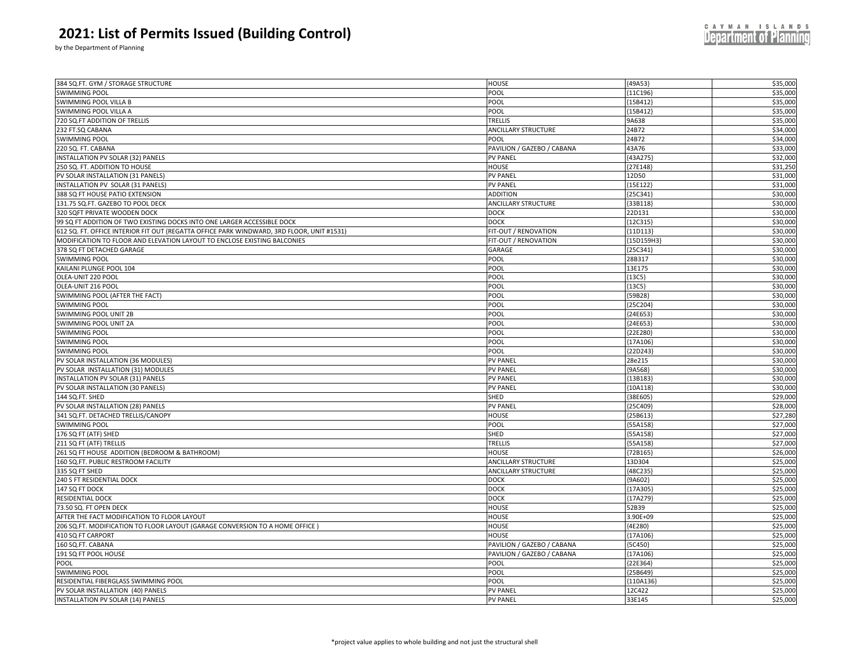by the Department of Planning

| 384 SQ.FT. GYM / STORAGE STRUCTURE                                                        | <b>HOUSE</b>                       | ${49A53}$   | \$35,000             |  |
|-------------------------------------------------------------------------------------------|------------------------------------|-------------|----------------------|--|
| <b>SWIMMING POOL</b>                                                                      | POOL                               | ${11C196}$  | \$35,000             |  |
| <b>SWIMMING POOL VILLA B</b>                                                              | POOL                               | {15B412}    | \$35,000             |  |
| SWIMMING POOL VILLA A                                                                     | POOL                               | {15B412}    | \$35,000             |  |
| 720 SQ.FT ADDITION OF TRELLIS                                                             | TRELLIS                            | 9A638       | \$35,000             |  |
| 232 FT.SQ CABANA                                                                          | <b>ANCILLARY STRUCTURE</b>         | 24B72       | \$34,000             |  |
| <b>SWIMMING POOL</b>                                                                      | POOL                               | 24B72       | \$34,000             |  |
| 220 SQ. FT. CABANA                                                                        | PAVILION / GAZEBO / CABANA         | 43A76       | \$33,000             |  |
| INSTALLATION PV SOLAR (32) PANELS                                                         | <b>PV PANEL</b>                    | ${43A275}$  | \$32,000             |  |
| 250 SQ. FT. ADDITION TO HOUSE                                                             | <b>HOUSE</b>                       | {27E148}    | \$31,250             |  |
|                                                                                           |                                    |             |                      |  |
| PV SOLAR INSTALLATION (31 PANELS)                                                         | <b>PV PANEL</b>                    | 12D50       | \$31,000<br>\$31,000 |  |
| INSTALLATION PV SOLAR (31 PANELS)                                                         | <b>PV PANEL</b>                    | {15E122}    |                      |  |
| 388 SQ FT HOUSE PATIO EXTENSION                                                           | <b>ADDITION</b>                    | ${25C341}$  | \$30,000             |  |
| 131.75 SQ.FT. GAZEBO TO POOL DECK                                                         | <b>ANCILLARY STRUCTURE</b>         | 33B118      | \$30,000             |  |
| 320 SQFT PRIVATE WOODEN DOCK                                                              | <b>DOCK</b>                        | 22D131      | \$30,000             |  |
| 99 SQ FT ADDITION OF TWO EXISTING DOCKS INTO ONE LARGER ACCESSIBLE DOCK                   | <b>DOCK</b>                        | ${12C315}$  | \$30,000             |  |
| 612 SQ. FT. OFFICE INTERIOR FIT OUT (REGATTA OFFICE PARK WINDWARD, 3RD FLOOR, UNIT #1531) | FIT-OUT / RENOVATION               | ${11D113}$  | \$30,000             |  |
| MODIFICATION TO FLOOR AND ELEVATION LAYOUT TO ENCLOSE EXISTING BALCONIES                  | FIT-OUT / RENOVATION               | {15D159H3}  | \$30,000             |  |
| 378 SQ FT DETACHED GARAGE                                                                 | GARAGE                             | {25C341     | \$30,000             |  |
| <b>SWIMMING POOL</b>                                                                      | POOL                               | 28B317      | \$30,000             |  |
| KAILANI PLUNGE POOL 104                                                                   | POOL                               | 13E175      | \$30,000             |  |
| OLEA-UNIT 220 POOI                                                                        | POOL                               | ${13C5}$    | \$30,000             |  |
| OLEA-UNIT 216 POOL                                                                        | POOL                               | ${13C5}$    | \$30,000             |  |
| SWIMMING POOL (AFTER THE FACT)                                                            | POOL                               | ${59B28}$   | \$30,000             |  |
| <b>SWIMMING POOL</b>                                                                      | POOL                               | {25C204     | \$30,000             |  |
| <b>SWIMMING POOL UNIT 2B</b>                                                              | POOL                               | {24E653     | \$30,000             |  |
| SWIMMING POOL UNIT 2A                                                                     | POOL                               | {24E653     | \$30,000             |  |
| <b>SWIMMING POOL</b>                                                                      | POOL                               | {22E280}    | \$30,000             |  |
| <b>SWIMMING POOL</b>                                                                      | POOL                               | {17A106     | \$30,000             |  |
| <b>SWIMMING POOL</b>                                                                      | POOL                               | {22D243     | \$30,000             |  |
| PV SOLAR INSTALLATION (36 MODULES)                                                        | <b>PV PANEL</b>                    | 28e215      | \$30,000             |  |
| PV SOLAR INSTALLATION (31) MODULES                                                        | PV PANEL                           | ${9A568}$   | \$30,000             |  |
| INSTALLATION PV SOLAR (31) PANELS                                                         | <b>PV PANEL</b>                    | {13B183}    | \$30,000             |  |
| PV SOLAR INSTALLATION (30 PANELS)                                                         | <b>PV PANEL</b>                    | ${10A118}$  | \$30,000             |  |
| 144 SQ.FT. SHED                                                                           | SHED                               | {38E605}    | \$29,000             |  |
| PV SOLAR INSTALLATION (28) PANELS                                                         | <b>PV PANEL</b>                    | {25C409)    | \$28,000             |  |
| 341 SQ.FT. DETACHED TRELLIS/CANOPY                                                        | HOUSE                              | {25B613     | \$27,280             |  |
| <b>SWIMMING POOL</b>                                                                      | POOL                               | ${55A158}$  | \$27,000             |  |
| 176 SQ FT (ATF) SHED                                                                      | SHED                               | {55A158     | \$27,000             |  |
| 211 SQ FT (ATF) TRELLIS                                                                   | TRELLIS                            | ${55A158}$  | \$27,000             |  |
| 261 SQ FT HOUSE ADDITION (BEDROOM & BATHROOM)                                             | HOUSE                              | ${72B165}$  | \$26,000             |  |
| 160 SQ.FT. PUBLIC RESTROOM FACILITY                                                       | <b>ANCILLARY STRUCTURE</b>         | 13D304      | \$25,000             |  |
| 335 SQ FT SHED                                                                            | <b>ANCILLARY STRUCTURE</b>         | ${48C235}$  | \$25,000             |  |
| 240 S FT RESIDENTIAL DOCK                                                                 | <b>DOCK</b>                        | ${9A602}$   | \$25,000             |  |
| 147 SQ FT DOCK                                                                            | <b>DOCK</b>                        | {17A305     | \$25,000             |  |
| RESIDENTIAL DOCK                                                                          | DOCK                               | ${17A279}$  | \$25,000             |  |
| 73.50 SQ. FT OPEN DECK                                                                    | HOUSE                              | 52B39       | \$25,000             |  |
| AFTER THE FACT MODIFICATION TO FLOOR LAYOUT                                               | HOUSE                              | 3.90E+09    | \$25,000             |  |
| 206 SQ.FT. MODIFICATION TO FLOOR LAYOUT (GARAGE CONVERSION TO A HOME OFFICE)              | HOUSE                              | {4E280}     | \$25,000             |  |
| 410 SQ FT CARPORT                                                                         | HOUSE                              | ${17A106}$  | \$25,000             |  |
| 160 SQ.FT. CABANA                                                                         | PAVILION / GAZEBO / CABANA         | ${5C450}$   | \$25,000             |  |
| 191 SQ FT POOL HOUSE                                                                      |                                    |             | \$25,000             |  |
| <b>POOL</b>                                                                               | PAVILION / GAZEBO / CABANA<br>POOL | ${17A106}$  | \$25,000             |  |
|                                                                                           |                                    | ${22E364}$  |                      |  |
| <b>SWIMMING POOL</b>                                                                      | POOL                               | ${25B649}$  | \$25,000             |  |
| RESIDENTIAL FIBERGLASS SWIMMING POOL                                                      | POOL                               | ${110A136}$ | \$25,000             |  |
| PV SOLAR INSTALLATION (40) PANELS                                                         | <b>PV PANEL</b>                    | 12C422      | \$25,000             |  |
| INSTALLATION PV SOLAR (14) PANELS                                                         | <b>PV PANEL</b>                    | 33E145      | \$25,000             |  |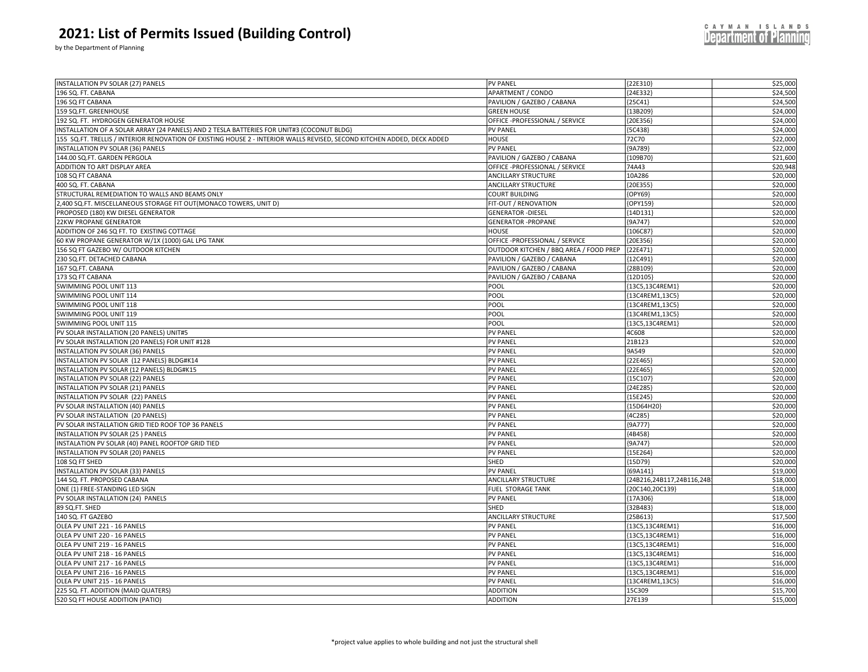| <b>Department of Planning</b> |
|-------------------------------|
|                               |
|                               |

CAYMAN ISLANDS

| INSTALLATION PV SOLAR (27) PANELS                                                                                       | <b>PV PANEL</b>                        | ${22E310}$               | \$25,000             |
|-------------------------------------------------------------------------------------------------------------------------|----------------------------------------|--------------------------|----------------------|
| 196 SQ. FT. CABANA                                                                                                      | APARTMENT / CONDO                      | [24E332]                 | \$24,500             |
| 196 SQ FT CABANA                                                                                                        | PAVILION / GAZEBO / CABANA             | $[25C41]$                | \$24,500             |
|                                                                                                                         | <b>GREEN HOUSE</b>                     |                          |                      |
| 159 SQ.FT. GREENHOUSE<br>192 SQ. FT. HYDROGEN GENERATOR HOUSE                                                           | OFFICE -PROFESSIONAL / SERVICE         | [13B209]<br>[20E356]     | \$24,000<br>\$24,000 |
|                                                                                                                         |                                        |                          | \$24,000             |
| INSTALLATION OF A SOLAR ARRAY (24 PANELS) AND 2 TESLA BATTERIES FOR UNIT#3 (COCONUT BLDG)                               | <b>PV PANEL</b>                        | ${5C438}$                |                      |
| 155 SQ.FT. TRELLIS / INTERIOR RENOVATION OF EXISTING HOUSE 2 - INTERIOR WALLS REVISED, SECOND KITCHEN ADDED, DECK ADDED | <b>HOUSE</b><br><b>PV PANEL</b>        | 72C70<br>{9A789          | \$22,000<br>\$22,000 |
| INSTALLATION PV SOLAR (36) PANELS                                                                                       |                                        |                          |                      |
| 144.00 SQ.FT. GARDEN PERGOLA                                                                                            | PAVILION / GAZEBO / CABANA             | [109B70]                 | \$21,600             |
| ADDITION TO ART DISPLAY AREA                                                                                            | OFFICE -PROFESSIONAL / SERVICE         | 74A43                    | \$20,948             |
| 108 SQ FT CABANA                                                                                                        | <b>ANCILLARY STRUCTURE</b>             | 10A286                   | \$20,000             |
| 400 SQ. FT. CABANA                                                                                                      | <b>ANCILLARY STRUCTURE</b>             | [20E355]                 | \$20,000             |
| STRUCTURAL REMEDIATION TO WALLS AND BEAMS ONLY                                                                          | <b>COURT BUILDING</b>                  | [OPY69]                  | \$20,000             |
| 2,400 SQ.FT. MISCELLANEOUS STORAGE FIT OUT(MONACO TOWERS, UNIT D)                                                       | FIT-OUT / RENOVATION                   | OPY159                   | \$20,000             |
| PROPOSED (180) KW DIESEL GENERATOR                                                                                      | <b>GENERATOR - DIESEL</b>              | 14D131                   | \$20,000             |
| 22KW PROPANE GENERATOR                                                                                                  | <b>GENERATOR - PROPANE</b>             | ${9A747}$                | \$20,000             |
| ADDITION OF 246 SQ FT. TO EXISTING COTTAGE                                                                              | HOUSE                                  | 106C87                   | \$20,000             |
| 60 KW PROPANE GENERATOR W/1X (1000) GAL LPG TANK                                                                        | OFFICE -PROFESSIONAL / SERVICE         | [20E356]                 | \$20,000             |
| 156 SQ FT GAZEBO W/ OUTDOOR KITCHEN                                                                                     | OUTDOOR KITCHEN / BBQ AREA / FOOD PREP | {22E471                  | \$20,000             |
| 230 SQ.FT. DETACHED CABANA                                                                                              | PAVILION / GAZEBO / CABANA             | 12C491                   | \$20,000             |
| 167 SQ.FT. CABANA                                                                                                       | PAVILION / GAZEBO / CABANA             | [28B109]                 | \$20,000             |
| 173 SQ FT CABANA                                                                                                        | PAVILION / GAZEBO / CABANA             | [12D105]                 | \$20,000             |
| SWIMMING POOL UNIT 113                                                                                                  | POOL                                   | {13C5,13C4REM1}          | \$20,000             |
| SWIMMING POOL UNIT 114                                                                                                  | POOL                                   | {13C4REM1,13C5}          | \$20,000             |
| SWIMMING POOL UNIT 118                                                                                                  | POOL                                   | {13C4REM1,13C5}          | \$20,000             |
| SWIMMING POOL UNIT 119                                                                                                  | POOL                                   | {13C4REM1,13C5}          | \$20,000             |
| SWIMMING POOL UNIT 115                                                                                                  | POOL                                   | [13C5, 13C4REM1]         | \$20,000             |
| PV SOLAR INSTALLATION (20 PANELS) UNIT#5                                                                                | <b>PV PANEL</b>                        | 4C608                    | \$20,000             |
| PV SOLAR INSTALLATION (20 PANELS) FOR UNIT #128                                                                         | <b>PV PANEL</b>                        | 21B123                   | \$20,000             |
| INSTALLATION PV SOLAR (36) PANELS                                                                                       | <b>PV PANEL</b>                        | 9A549                    | \$20,000             |
| INSTALLATION PV SOLAR (12 PANELS) BLDG#K14                                                                              | <b>PV PANEL</b>                        | {22E465}                 | \$20,000             |
| INSTALLATION PV SOLAR (12 PANELS) BLDG#K15                                                                              | <b>PV PANEL</b>                        | [22E465]                 | \$20,000             |
| INSTALLATION PV SOLAR (22) PANELS                                                                                       | <b>PV PANEL</b>                        | {15C107}                 | \$20,000             |
| INSTALLATION PV SOLAR (21) PANELS                                                                                       | <b>PV PANEL</b>                        | 24E285                   | \$20,000             |
| INSTALLATION PV SOLAR (22) PANELS                                                                                       | <b>PV PANEL</b>                        | [15E245]                 | \$20,000             |
| PV SOLAR INSTALLATION (40) PANELS                                                                                       | <b>PV PANEL</b>                        | {15D64H20}               | \$20,000             |
| PV SOLAR INSTALLATION (20 PANELS)                                                                                       | <b>PV PANEL</b>                        | [4C285]                  | \$20,000             |
| PV SOLAR INSTALLATION GRID TIED ROOF TOP 36 PANELS                                                                      | <b>PV PANEL</b>                        | ${9A777}$                | \$20,000             |
| INSTALLATION PV SOLAR (25) PANELS                                                                                       | <b>PV PANEL</b>                        | [4B458]                  | \$20,000             |
| INSTALATION PV SOLAR (40) PANEL ROOFTOP GRID TIED                                                                       | <b>PV PANEL</b>                        | ${9A747}$                | \$20,000             |
| INSTALLATION PV SOLAR (20) PANELS                                                                                       | <b>PV PANEL</b>                        | $[15E264]$               | \$20,000             |
| 108 SQ FT SHED                                                                                                          | SHED                                   | [15D79]                  | \$20,000             |
| INSTALLATION PV SOLAR (33) PANELS                                                                                       | <b>PV PANEL</b>                        | ${69A141}$               | \$19,000             |
| 144 SQ. FT. PROPOSED CABANA                                                                                             | <b>ANCILLARY STRUCTURE</b>             | 24B216,24B117,24B116,24B | \$18,000             |
| ONE (1) FREE-STANDING LED SIGN                                                                                          | FUEL STORAGE TANK                      | {20C140,20C139}          | \$18,000             |
| PV SOLAR INSTALLATION (24) PANELS                                                                                       | <b>PV PANEL</b>                        | ${17A306}$               | \$18,000             |
| 89 SQ.FT. SHED                                                                                                          | SHED                                   | [32B483]                 | \$18,000             |
| 140 SQ. FT GAZEBO                                                                                                       | <b>ANCILLARY STRUCTURE</b>             | ${25B613}$               | \$17,500             |
| OLEA PV UNIT 221 - 16 PANELS                                                                                            | <b>PV PANEL</b>                        | {13C5,13C4REM1}          | \$16,000             |
| OLEA PV UNIT 220 - 16 PANELS                                                                                            | <b>PV PANEL</b>                        | [13C5, 13C4REM1]         | \$16,000             |
| OLEA PV UNIT 219 - 16 PANELS                                                                                            | <b>PV PANEL</b>                        | {13C5,13C4REM1}          | \$16,000             |
| OLEA PV UNIT 218 - 16 PANELS                                                                                            | PV PANEL                               | [13C5, 13C4REM1]         | \$16,000             |
| OLEA PV UNIT 217 - 16 PANELS                                                                                            | <b>PV PANEL</b>                        | {13C5,13C4REM1}          | \$16,000             |
| OLEA PV UNIT 216 - 16 PANELS                                                                                            | <b>PV PANEL</b>                        | [13C5, 13C4REM1]         | \$16,000             |
| OLEA PV UNIT 215 - 16 PANELS                                                                                            | <b>PV PANEL</b>                        | [13C4REM1,13C5]          | \$16,000             |
| 225 SQ. FT. ADDITION (MAID QUATERS)                                                                                     | <b>ADDITION</b>                        | 15C309                   | \$15,700             |
| 520 SQ FT HOUSE ADDITION (PATIO)                                                                                        | <b>ADDITION</b>                        | 27E139                   | \$15,000             |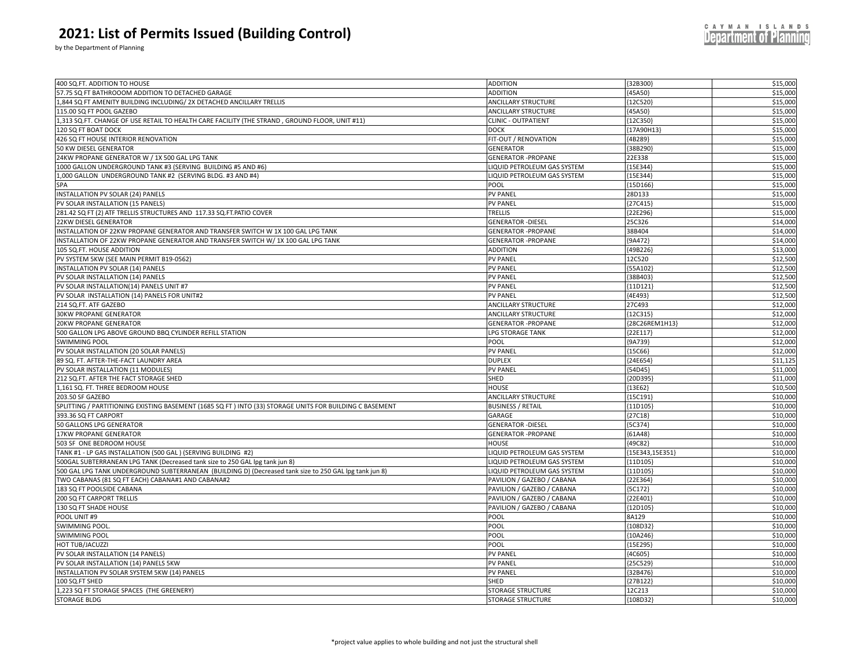by the Department of Planning

|  |  |  | CAYMAN ISLANDS                |  |  |  |
|--|--|--|-------------------------------|--|--|--|
|  |  |  | <b>Department of Planning</b> |  |  |  |
|  |  |  |                               |  |  |  |

| 400 SQ.FT. ADDITION TO HOUSE                                                                             | <b>ADDITION</b>             | ${32B300}$         | \$15,000 |  |
|----------------------------------------------------------------------------------------------------------|-----------------------------|--------------------|----------|--|
| 57.75 SQ FT BATHROOOM ADDITION TO DETACHED GARAGE                                                        | <b>ADDITION</b>             | (45A50)            | \$15,000 |  |
| 1,844 SQ FT AMENITY BUILDING INCLUDING/ 2X DETACHED ANCILLARY TRELLIS                                    | ANCILLARY STRUCTURE         | ${12C520}$         | \$15,000 |  |
| 115.00 SQ FT POOL GAZEBO                                                                                 | <b>ANCILLARY STRUCTURE</b>  | ${45A50}$          | \$15,000 |  |
| 1,313 SQ.FT. CHANGE OF USE RETAIL TO HEALTH CARE FACILITY (THE STRAND, GROUND FLOOR, UNIT #11)           | <b>CLINIC - OUTPATIENT</b>  | ${12C350}$         | \$15,000 |  |
| 120 SQ FT BOAT DOCK                                                                                      | <b>DOCK</b>                 | {17A90H13}         | \$15,000 |  |
| 426 SQ FT HOUSE INTERIOR RENOVATION                                                                      | FIT-OUT / RENOVATION        | [4B289]            | \$15,000 |  |
| 50 KW DIESEL GENERATOR                                                                                   | <b>GENERATOR</b>            | [38B290]           | \$15,000 |  |
| 24KW PROPANE GENERATOR W / 1X 500 GAL LPG TANK                                                           | <b>GENERATOR -PROPANE</b>   | 22E338             | \$15,000 |  |
| 1000 GALLON UNDERGROUND TANK #3 (SERVING BUILDING #5 AND #6)                                             | LIQUID PETROLEUM GAS SYSTEM | {15E344            | \$15,000 |  |
| 1,000 GALLON UNDERGROUND TANK #2 (SERVING BLDG. #3 AND #4)                                               | LIQUID PETROLEUM GAS SYSTEM | {15E344}           | \$15,000 |  |
| SPA                                                                                                      | POOL                        | ${15D166}$         | \$15,000 |  |
| INSTALLATION PV SOLAR (24) PANELS                                                                        | <b>PV PANEL</b>             | 28D133             | \$15,000 |  |
| PV SOLAR INSTALLATION (15 PANELS)                                                                        | <b>PV PANEL</b>             | 27C415             | \$15,000 |  |
| 281.42 SQ FT (2) ATF TRELLIS STRUCTURES AND 117.33 SQ.FT.PATIO COVER                                     | TRELLIS                     | {22E296            | \$15,000 |  |
| 22KW DIESEL GENERATOR                                                                                    | <b>GENERATOR - DIESEL</b>   | 25C326             | \$14,000 |  |
| INSTALLATION OF 22KW PROPANE GENERATOR AND TRANSFER SWITCH W 1X 100 GAL LPG TANK                         | <b>GENERATOR - PROPANE</b>  | 38B404             | \$14,000 |  |
| INSTALLATION OF 22KW PROPANE GENERATOR AND TRANSFER SWITCH W/ 1X 100 GAL LPG TANK                        | <b>GENERATOR -PROPANE</b>   | (9A472)            | \$14,000 |  |
| 105 SQ.FT. HOUSE ADDITION                                                                                | <b>ADDITION</b>             | 49B226             | \$13,000 |  |
| PV SYSTEM 5KW (SEE MAIN PERMIT B19-0562)                                                                 | <b>PV PANEL</b>             | 12C520             | \$12,500 |  |
|                                                                                                          | <b>PV PANEL</b>             |                    | \$12,500 |  |
| INSTALLATION PV SOLAR (14) PANELS<br>PV SOLAR INSTALLATION (14) PANELS                                   | <b>PV PANEL</b>             | 55A102             | \$12,500 |  |
|                                                                                                          |                             | {38B403            |          |  |
| PV SOLAR INSTALLATION(14) PANELS UNIT #7                                                                 | <b>PV PANEL</b>             | ${11D121}$         | \$12,500 |  |
| PV SOLAR INSTALLATION (14) PANELS FOR UNIT#2                                                             | <b>PV PANEL</b>             | 4E493              | \$12,500 |  |
| 214 SQ.FT. ATF GAZEBO                                                                                    | <b>ANCILLARY STRUCTURE</b>  | 27C493             | \$12,000 |  |
| <b>30KW PROPANE GENERATOR</b>                                                                            | <b>ANCILLARY STRUCTURE</b>  | [12C315]           | \$12,000 |  |
| <b>20KW PROPANE GENERATOR</b>                                                                            | <b>GENERATOR - PROPANE</b>  | [28C26REM1H13]     | \$12,000 |  |
| 500 GALLON LPG ABOVE GROUND BBQ CYLINDER REFILL STATION                                                  | <b>LPG STORAGE TANK</b>     | ${22E117}$         | \$12,000 |  |
| <b>SWIMMING POOL</b>                                                                                     | POOL                        | ${9A739}$          | \$12,000 |  |
| PV SOLAR INSTALLATION (20 SOLAR PANELS)                                                                  | <b>PV PANEL</b>             | ${15C66}$          | \$12,000 |  |
| 89 SQ. FT. AFTER-THE-FACT LAUNDRY AREA                                                                   | <b>DUPLEX</b>               | ${24E654}$         | \$11,125 |  |
| PV SOLAR INSTALLATION (11 MODULES)                                                                       | <b>PV PANEL</b>             | [54D45]            | \$11,000 |  |
| 212 SQ.FT. AFTER THE FACT STORAGE SHED                                                                   | SHED                        | {20D395}           | \$11,000 |  |
| 1,161 SQ. FT. THREE BEDROOM HOUSE                                                                        | <b>HOUSE</b>                | [13E62]            | \$10,500 |  |
| 203.50 SF GAZEBO                                                                                         | <b>ANCILLARY STRUCTURE</b>  | {15C191            | \$10,000 |  |
| SPLITTING / PARTITIONING EXISTING BASEMENT (1685 SQ FT ) INTO (33) STORAGE UNITS FOR BUILDING C BASEMENT | <b>BUSINESS / RETAIL</b>    | ${11D105}$         | \$10,000 |  |
| 393.36 SQ FT CARPORT                                                                                     | GARAGE                      | [27C18]            | \$10,000 |  |
| 50 GALLONS LPG GENERATOR                                                                                 | <b>GENERATOR - DIESEL</b>   | ${5C374}$          | \$10,000 |  |
| 17KW PROPANE GENERATOR                                                                                   | <b>GENERATOR - PROPANE</b>  | 61A48              | \$10,000 |  |
| 503 SF ONE BEDROOM HOUSE                                                                                 | HOUSE                       | 49C82}             | \$10,000 |  |
| TANK #1 - LP GAS INSTALLATION (500 GAL) (SERVING BUILDING #2)                                            | LIQUID PETROLEUM GAS SYSTEM | ${15E343, 15E351}$ | \$10,000 |  |
| 500GAL SUBTERRANEAN LPG TANK (Decreased tank size to 250 GAL lpg tank jun 8)                             | LIQUID PETROLEUM GAS SYSTEM | ${11D105}$         | \$10,000 |  |
| 500 GAL LPG TANK UNDERGROUND SUBTERRANEAN (BUILDING D) (Decreased tank size to 250 GAL lpg tank jun 8)   | LIQUID PETROLEUM GAS SYSTEM | ${11D105}$         | \$10,000 |  |
| TWO CABANAS (81 SQ FT EACH) CABANA#1 AND CABANA#2                                                        | PAVILION / GAZEBO / CABANA  | [22E364]           | \$10,000 |  |
| 183 SQ FT POOLSIDE CABANA                                                                                | PAVILION / GAZEBO / CABANA  | ${5C172}$          | \$10,000 |  |
| 200 SQ FT CARPORT TRELLIS                                                                                | PAVILION / GAZEBO / CABANA  | {22E401            | \$10,000 |  |
| 130 SQ FT SHADE HOUSE                                                                                    | PAVILION / GAZEBO / CABANA  | [12D105]           | \$10,000 |  |
| POOL UNIT #9                                                                                             | POOL                        | 8A129              | \$10,000 |  |
| <b>SWIMMING POOL</b>                                                                                     | POOL                        | [108D32            | \$10,000 |  |
| <b>SWIMMING POOL</b>                                                                                     | POOL                        | [10A246]           | \$10,000 |  |
| HOT TUB/JACUZZI                                                                                          | POOL                        | 15E295             | \$10,000 |  |
| PV SOLAR INSTALLATION (14 PANELS)                                                                        | <b>PV PANEL</b>             | ${4C605}$          | \$10,000 |  |
| PV SOLAR INSTALLATION (14) PANELS 5KW                                                                    | <b>PV PANEL</b>             | 25C529             | \$10,000 |  |
| INSTALLATION PV SOLAR SYSTEM 5KW (14) PANELS                                                             | <b>PV PANEL</b>             | {32B476            | \$10,000 |  |
| 100 SQ.FT SHED                                                                                           | SHED                        | ${27B122}$         | \$10,000 |  |
| 1,223 SQ FT STORAGE SPACES (THE GREENERY)                                                                | <b>STORAGE STRUCTURE</b>    | 12C213             | \$10,000 |  |
| <b>STORAGE BLDG</b>                                                                                      | <b>STORAGE STRUCTURE</b>    | {108D32}           | \$10,000 |  |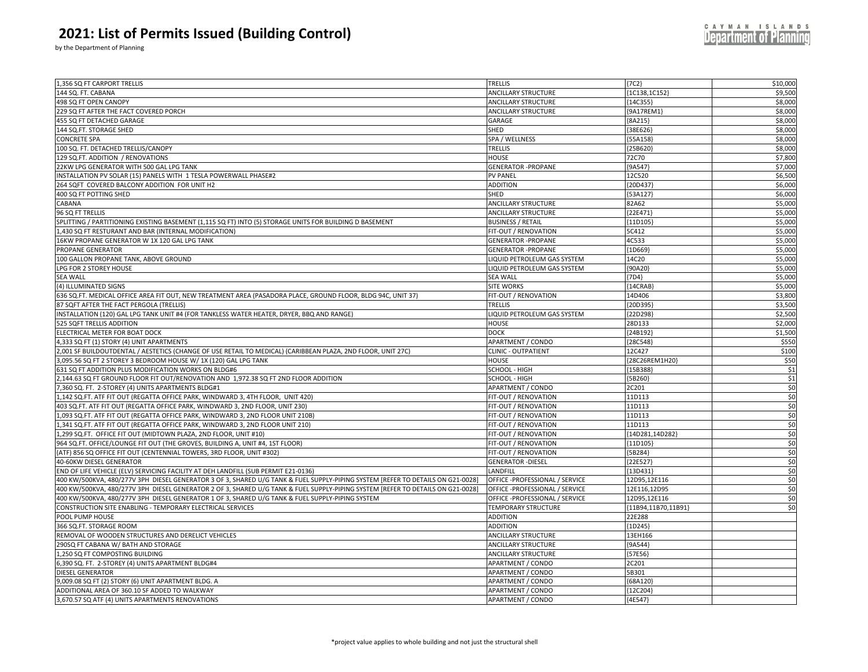by the Department of Planning

| ${7C2}$<br>\$10,000<br>1,356 SQ FT CARPORT TRELLIS<br><b>TRELLIS</b><br>\$9,500<br>144 SQ. FT. CABANA<br><b>ANCILLARY STRUCTURE</b><br>${1C138, 1C152}$<br>\$8,000<br>498 SQ FT OPEN CANOPY<br><b>ANCILLARY STRUCTURE</b><br>${14C355}$<br>\$8,000<br><b>ANCILLARY STRUCTURE</b><br>{9A17REM1}<br>229 SQ FT AFTER THE FACT COVERED PORCH<br>\$8,000<br>455 SQ FT DETACHED GARAGE<br>GARAGE<br>${8A215}$<br>\$8,000<br>144 SQ.FT. STORAGE SHED<br>SHED<br>${38E626}$<br>\$8,000<br>CONCRETE SPA<br>55A158<br>SPA / WELLNESS<br>\$8,000<br>100 SQ. FT. DETACHED TRELLIS/CANOPY<br>TRELLIS<br>${25B620}$<br>129 SQ.FT. ADDITION / RENOVATIONS<br>\$7,800<br>HOUSE<br>72C70<br>22KW LPG GENERATOR WITH 500 GAL LPG TANK<br>${9A547}$<br>\$7,000<br><b>GENERATOR -PROPANE</b><br>\$6,500<br>INSTALLATION PV SOLAR (15) PANELS WITH 1 TESLA POWERWALL PHASE#2<br>12C520<br><b>PV PANEL</b><br>\$6,000<br>264 SQFT COVERED BALCONY ADDITION FOR UNIT H2<br><b>ADDITION</b><br>20D437<br>400 SQ FT POTTING SHED<br>${53A127}$<br>\$6,000<br>SHED<br>\$5,000<br><b>ANCILLARY STRUCTURE</b><br>82A62<br>CABANA<br>${22E471}$<br>\$5,000<br>96 SQ FT TRELLIS<br><b>ANCILLARY STRUCTURE</b><br>\$5,000<br>SPLITTING / PARTITIONING EXISTING BASEMENT (1,115 SQ FT) INTO (5) STORAGE UNITS FOR BUILDING D BASEMENT<br><b>BUSINESS / RETAIL</b><br>${11D105}$<br>\$5,000<br>1,430 SQ FT RESTURANT AND BAR (INTERNAL MODIFICATION)<br>FIT-OUT / RENOVATION<br>5C412<br>16KW PROPANE GENERATOR W 1X 120 GAL LPG TANK<br>4C533<br>\$5,000<br><b>GENERATOR - PROPANE</b><br>\$5,000<br>PROPANE GENERATOR<br><b>GENERATOR - PROPANE</b><br>{1D669}<br>\$5,000<br>14C20<br>100 GALLON PROPANE TANK, ABOVE GROUND<br>LIQUID PETROLEUM GAS SYSTEM<br>\$5,000<br>LPG FOR 2 STOREY HOUSE<br>LIQUID PETROLEUM GAS SYSTEM<br>{90A20}<br>\$5,000<br><b>SEA WALL</b><br><b>SEA WALL</b><br>${7D4}$<br>\$5,000<br>(4) ILLUMINATED SIGNS<br><b>SITE WORKS</b><br>${14CRAB}$<br>\$3,800<br>636 SQ.FT. MEDICAL OFFICE AREA FIT OUT, NEW TREATMENT AREA (PASADORA PLACE, GROUND FLOOR, BLDG 94C, UNIT 37)<br>FIT-OUT / RENOVATION<br>14D406<br><b>TRELLIS</b><br>{20D395}<br>\$3,500<br>87 SQFT AFTER THE FACT PERGOLA (TRELLIS)<br>\$2,500<br>INSTALLATION (120) GAL LPG TANK UNIT #4 (FOR TANKLESS WATER HEATER, DRYER, BBQ AND RANGE)<br>LIQUID PETROLEUM GAS SYSTEM<br>${22D298}$<br>\$2,000<br>525 SQFT TRELLIS ADDITION<br>HOUSE<br>28D133<br>\$1,500<br>ELECTRICAL METER FOR BOAT DOCK<br><b>DOCK</b><br>${24B192}$<br>\$550<br>4,333 SQ FT (1) STORY (4) UNIT APARTMENTS<br>APARTMENT / CONDO<br>${28C548}$<br>\$100<br>2,001 SF BUILDOUTDENTAL / AESTETICS (CHANGE OF USE RETAIL TO MEDICAL) (CARIBBEAN PLAZA, 2ND FLOOR, UNIT 27C)<br>CLINIC - OUTPATIENT<br>12C427<br>3,095.56 SQ FT 2 STOREY 3 BEDROOM HOUSE W/ 1X (120) GAL LPG TANK<br><b>HOUSE</b><br>\$50<br>{28C26REM1H20}<br>\$1<br>631 SQ FT ADDITION PLUS MODIFICATION WORKS ON BLDG#6<br>SCHOOL - HIGH<br>${15B388}$<br>\$1<br>2,144.63 SQ FT GROUND FLOOR FIT OUT/RENOVATION AND 1,972.38 SQ FT 2ND FLOOR ADDITION<br>${5B260}$<br>SCHOOL - HIGH<br>\$0<br>7,360 SQ. FT. 2-STOREY (4) UNITS APARTMENTS BLDG#1<br>APARTMENT / CONDO<br>2C201<br>\$0<br>1,142 SQ.FT. ATF FIT OUT (REGATTA OFFICE PARK, WINDWARD 3, 4TH FLOOR, UNIT 420)<br>FIT-OUT / RENOVATION<br>11D113<br>\$0<br>403 SQ.FT. ATF FIT OUT (REGATTA OFFICE PARK, WINDWARD 3, 2ND FLOOR, UNIT 230)<br>11D113<br>FIT-OUT / RENOVATION<br>\$0<br>1,093 SQ.FT. ATF FIT OUT (REGATTA OFFICE PARK, WINDWARD 3, 2ND FLOOR UNIT 210B)<br>FIT-OUT / RENOVATION<br>11D113<br>\$0<br>11D113<br>1,341 SQ.FT. ATF FIT OUT (REGATTA OFFICE PARK, WINDWARD 3, 2ND FLOOR UNIT 210)<br>FIT-OUT / RENOVATION<br>\$0<br>1,299 SQ.FT. OFFICE FIT OUT (MIDTOWN PLAZA, 2ND FLOOR, UNIT #10)<br>FIT-OUT / RENOVATION<br>{14D281,14D282}<br>\$0<br>964 SQ.FT. OFFICE/LOUNGE FIT OUT (THE GROVES, BUILDING A, UNIT #4, 1ST FLOOR)<br>FIT-OUT / RENOVATION<br>${11D105}$<br>\$0<br>(ATF) 856 SQ OFFICE FIT OUT (CENTENNIAL TOWERS, 3RD FLOOR, UNIT #302)<br>FIT-OUT / RENOVATION<br>${5B284}$<br>\$0<br>40-60KW DIESEL GENERATOR<br><b>GENERATOR - DIESEL</b><br>${22E527}$<br>\$0<br>END OF LIFE VEHICLE (ELV) SERVICING FACILITY AT DEH LANDFILL (SUB PERMIT E21-0136)<br>LANDFILL<br>${13D431}$<br>\$0<br>400 KW/500KVA, 480/277V 3PH DIESEL GENERATOR 3 OF 3, SHARED U/G TANK & FUEL SUPPLY-PIPING SYSTEM [REFER TO DETAILS ON G21-0028]<br>OFFICE -PROFESSIONAL / SERVICE<br>12D95,12E116<br>\$0<br>400 KW/500KVA, 480/277V 3PH DIESEL GENERATOR 2 OF 3, SHARED U/G TANK & FUEL SUPPLY-PIPING SYSTEM [REFER TO DETAILS ON G21-0028]<br>OFFICE -PROFESSIONAL / SERVICE<br>12E116,12D95<br>\$0<br>400 KW/500KVA, 480/277V 3PH DIESEL GENERATOR 1 OF 3, SHARED U/G TANK & FUEL SUPPLY-PIPING SYSTEM<br>OFFICE -PROFESSIONAL / SERVICE<br>12D95,12E116<br>\$0<br>CONSTRUCTION SITE ENABLING - TEMPORARY ELECTRICAL SERVICES<br>TEMPORARY STRUCTURE<br>{11B94,11B70,11B91}<br>22E288<br>POOL PUMP HOUSE<br><b>ADDITION</b><br>366 SQ.FT. STORAGE ROOM<br><b>ADDITION</b><br>${1D245}$<br>REMOVAL OF WOODEN STRUCTURES AND DERELICT VEHICLES<br><b>ANCILLARY STRUCTURE</b><br>13EH166<br>${9A544}$<br>290SQ FT CABANA W/ BATH AND STORAGE<br><b>ANCILLARY STRUCTURE</b><br>${57E56}$<br>1,250 SQ FT COMPOSTING BUILDING<br><b>ANCILLARY STRUCTURE</b><br>6,390 SQ. FT. 2-STOREY (4) UNITS APARTMENT BLDG#4<br>APARTMENT / CONDO<br>2C201<br>APARTMENT / CONDO<br>5B301<br><b>DIESEL GENERATOR</b><br>9,009.08 SQ FT (2) STORY (6) UNIT APARTMENT BLDG. A<br>APARTMENT / CONDO<br>${68A120}$<br>ADDITIONAL AREA OF 360.10 SF ADDED TO WALKWAY<br>APARTMENT / CONDO<br>${12C204}$<br>3,670.57 SQ ATF (4) UNITS APARTMENTS RENOVATIONS<br>APARTMENT / CONDO<br>${4E547}$ |  |  |
|-----------------------------------------------------------------------------------------------------------------------------------------------------------------------------------------------------------------------------------------------------------------------------------------------------------------------------------------------------------------------------------------------------------------------------------------------------------------------------------------------------------------------------------------------------------------------------------------------------------------------------------------------------------------------------------------------------------------------------------------------------------------------------------------------------------------------------------------------------------------------------------------------------------------------------------------------------------------------------------------------------------------------------------------------------------------------------------------------------------------------------------------------------------------------------------------------------------------------------------------------------------------------------------------------------------------------------------------------------------------------------------------------------------------------------------------------------------------------------------------------------------------------------------------------------------------------------------------------------------------------------------------------------------------------------------------------------------------------------------------------------------------------------------------------------------------------------------------------------------------------------------------------------------------------------------------------------------------------------------------------------------------------------------------------------------------------------------------------------------------------------------------------------------------------------------------------------------------------------------------------------------------------------------------------------------------------------------------------------------------------------------------------------------------------------------------------------------------------------------------------------------------------------------------------------------------------------------------------------------------------------------------------------------------------------------------------------------------------------------------------------------------------------------------------------------------------------------------------------------------------------------------------------------------------------------------------------------------------------------------------------------------------------------------------------------------------------------------------------------------------------------------------------------------------------------------------------------------------------------------------------------------------------------------------------------------------------------------------------------------------------------------------------------------------------------------------------------------------------------------------------------------------------------------------------------------------------------------------------------------------------------------------------------------------------------------------------------------------------------------------------------------------------------------------------------------------------------------------------------------------------------------------------------------------------------------------------------------------------------------------------------------------------------------------------------------------------------------------------------------------------------------------------------------------------------------------------------------------------------------------------------------------------------------------------------------------------------------------------------------------------------------------------------------------------------------------------------------------------------------------------------------------------------------------------------------------------------------------------------------------------------------------------------------------------------------------------------------------------------------------------------------------------------------------------------------------------------------------------------------------------------------------------------------------------------------------------------------------------------------------------------------------------------------------------------------------------------------------------------------------------------------------------------------------------------------------------------------------------------------------------------------------------------------------------------------------------------------------------------------------------------------------------------------------------------------------------------------------------------------------------------------------------------------------------------------------------------------------------------------------------------------------------------------------------------------------------------------------------------------------|--|--|
|                                                                                                                                                                                                                                                                                                                                                                                                                                                                                                                                                                                                                                                                                                                                                                                                                                                                                                                                                                                                                                                                                                                                                                                                                                                                                                                                                                                                                                                                                                                                                                                                                                                                                                                                                                                                                                                                                                                                                                                                                                                                                                                                                                                                                                                                                                                                                                                                                                                                                                                                                                                                                                                                                                                                                                                                                                                                                                                                                                                                                                                                                                                                                                                                                                                                                                                                                                                                                                                                                                                                                                                                                                                                                                                                                                                                                                                                                                                                                                                                                                                                                                                                                                                                                                                                                                                                                                                                                                                                                                                                                                                                                                                                                                                                                                                                                                                                                                                                                                                                                                                                                                                                                                                                                                                                                                                                                                                                                                                                                                                                                                                                                                                                                                                                               |  |  |
|                                                                                                                                                                                                                                                                                                                                                                                                                                                                                                                                                                                                                                                                                                                                                                                                                                                                                                                                                                                                                                                                                                                                                                                                                                                                                                                                                                                                                                                                                                                                                                                                                                                                                                                                                                                                                                                                                                                                                                                                                                                                                                                                                                                                                                                                                                                                                                                                                                                                                                                                                                                                                                                                                                                                                                                                                                                                                                                                                                                                                                                                                                                                                                                                                                                                                                                                                                                                                                                                                                                                                                                                                                                                                                                                                                                                                                                                                                                                                                                                                                                                                                                                                                                                                                                                                                                                                                                                                                                                                                                                                                                                                                                                                                                                                                                                                                                                                                                                                                                                                                                                                                                                                                                                                                                                                                                                                                                                                                                                                                                                                                                                                                                                                                                                               |  |  |
|                                                                                                                                                                                                                                                                                                                                                                                                                                                                                                                                                                                                                                                                                                                                                                                                                                                                                                                                                                                                                                                                                                                                                                                                                                                                                                                                                                                                                                                                                                                                                                                                                                                                                                                                                                                                                                                                                                                                                                                                                                                                                                                                                                                                                                                                                                                                                                                                                                                                                                                                                                                                                                                                                                                                                                                                                                                                                                                                                                                                                                                                                                                                                                                                                                                                                                                                                                                                                                                                                                                                                                                                                                                                                                                                                                                                                                                                                                                                                                                                                                                                                                                                                                                                                                                                                                                                                                                                                                                                                                                                                                                                                                                                                                                                                                                                                                                                                                                                                                                                                                                                                                                                                                                                                                                                                                                                                                                                                                                                                                                                                                                                                                                                                                                                               |  |  |
|                                                                                                                                                                                                                                                                                                                                                                                                                                                                                                                                                                                                                                                                                                                                                                                                                                                                                                                                                                                                                                                                                                                                                                                                                                                                                                                                                                                                                                                                                                                                                                                                                                                                                                                                                                                                                                                                                                                                                                                                                                                                                                                                                                                                                                                                                                                                                                                                                                                                                                                                                                                                                                                                                                                                                                                                                                                                                                                                                                                                                                                                                                                                                                                                                                                                                                                                                                                                                                                                                                                                                                                                                                                                                                                                                                                                                                                                                                                                                                                                                                                                                                                                                                                                                                                                                                                                                                                                                                                                                                                                                                                                                                                                                                                                                                                                                                                                                                                                                                                                                                                                                                                                                                                                                                                                                                                                                                                                                                                                                                                                                                                                                                                                                                                                               |  |  |
|                                                                                                                                                                                                                                                                                                                                                                                                                                                                                                                                                                                                                                                                                                                                                                                                                                                                                                                                                                                                                                                                                                                                                                                                                                                                                                                                                                                                                                                                                                                                                                                                                                                                                                                                                                                                                                                                                                                                                                                                                                                                                                                                                                                                                                                                                                                                                                                                                                                                                                                                                                                                                                                                                                                                                                                                                                                                                                                                                                                                                                                                                                                                                                                                                                                                                                                                                                                                                                                                                                                                                                                                                                                                                                                                                                                                                                                                                                                                                                                                                                                                                                                                                                                                                                                                                                                                                                                                                                                                                                                                                                                                                                                                                                                                                                                                                                                                                                                                                                                                                                                                                                                                                                                                                                                                                                                                                                                                                                                                                                                                                                                                                                                                                                                                               |  |  |
|                                                                                                                                                                                                                                                                                                                                                                                                                                                                                                                                                                                                                                                                                                                                                                                                                                                                                                                                                                                                                                                                                                                                                                                                                                                                                                                                                                                                                                                                                                                                                                                                                                                                                                                                                                                                                                                                                                                                                                                                                                                                                                                                                                                                                                                                                                                                                                                                                                                                                                                                                                                                                                                                                                                                                                                                                                                                                                                                                                                                                                                                                                                                                                                                                                                                                                                                                                                                                                                                                                                                                                                                                                                                                                                                                                                                                                                                                                                                                                                                                                                                                                                                                                                                                                                                                                                                                                                                                                                                                                                                                                                                                                                                                                                                                                                                                                                                                                                                                                                                                                                                                                                                                                                                                                                                                                                                                                                                                                                                                                                                                                                                                                                                                                                                               |  |  |
|                                                                                                                                                                                                                                                                                                                                                                                                                                                                                                                                                                                                                                                                                                                                                                                                                                                                                                                                                                                                                                                                                                                                                                                                                                                                                                                                                                                                                                                                                                                                                                                                                                                                                                                                                                                                                                                                                                                                                                                                                                                                                                                                                                                                                                                                                                                                                                                                                                                                                                                                                                                                                                                                                                                                                                                                                                                                                                                                                                                                                                                                                                                                                                                                                                                                                                                                                                                                                                                                                                                                                                                                                                                                                                                                                                                                                                                                                                                                                                                                                                                                                                                                                                                                                                                                                                                                                                                                                                                                                                                                                                                                                                                                                                                                                                                                                                                                                                                                                                                                                                                                                                                                                                                                                                                                                                                                                                                                                                                                                                                                                                                                                                                                                                                                               |  |  |
|                                                                                                                                                                                                                                                                                                                                                                                                                                                                                                                                                                                                                                                                                                                                                                                                                                                                                                                                                                                                                                                                                                                                                                                                                                                                                                                                                                                                                                                                                                                                                                                                                                                                                                                                                                                                                                                                                                                                                                                                                                                                                                                                                                                                                                                                                                                                                                                                                                                                                                                                                                                                                                                                                                                                                                                                                                                                                                                                                                                                                                                                                                                                                                                                                                                                                                                                                                                                                                                                                                                                                                                                                                                                                                                                                                                                                                                                                                                                                                                                                                                                                                                                                                                                                                                                                                                                                                                                                                                                                                                                                                                                                                                                                                                                                                                                                                                                                                                                                                                                                                                                                                                                                                                                                                                                                                                                                                                                                                                                                                                                                                                                                                                                                                                                               |  |  |
|                                                                                                                                                                                                                                                                                                                                                                                                                                                                                                                                                                                                                                                                                                                                                                                                                                                                                                                                                                                                                                                                                                                                                                                                                                                                                                                                                                                                                                                                                                                                                                                                                                                                                                                                                                                                                                                                                                                                                                                                                                                                                                                                                                                                                                                                                                                                                                                                                                                                                                                                                                                                                                                                                                                                                                                                                                                                                                                                                                                                                                                                                                                                                                                                                                                                                                                                                                                                                                                                                                                                                                                                                                                                                                                                                                                                                                                                                                                                                                                                                                                                                                                                                                                                                                                                                                                                                                                                                                                                                                                                                                                                                                                                                                                                                                                                                                                                                                                                                                                                                                                                                                                                                                                                                                                                                                                                                                                                                                                                                                                                                                                                                                                                                                                                               |  |  |
|                                                                                                                                                                                                                                                                                                                                                                                                                                                                                                                                                                                                                                                                                                                                                                                                                                                                                                                                                                                                                                                                                                                                                                                                                                                                                                                                                                                                                                                                                                                                                                                                                                                                                                                                                                                                                                                                                                                                                                                                                                                                                                                                                                                                                                                                                                                                                                                                                                                                                                                                                                                                                                                                                                                                                                                                                                                                                                                                                                                                                                                                                                                                                                                                                                                                                                                                                                                                                                                                                                                                                                                                                                                                                                                                                                                                                                                                                                                                                                                                                                                                                                                                                                                                                                                                                                                                                                                                                                                                                                                                                                                                                                                                                                                                                                                                                                                                                                                                                                                                                                                                                                                                                                                                                                                                                                                                                                                                                                                                                                                                                                                                                                                                                                                                               |  |  |
|                                                                                                                                                                                                                                                                                                                                                                                                                                                                                                                                                                                                                                                                                                                                                                                                                                                                                                                                                                                                                                                                                                                                                                                                                                                                                                                                                                                                                                                                                                                                                                                                                                                                                                                                                                                                                                                                                                                                                                                                                                                                                                                                                                                                                                                                                                                                                                                                                                                                                                                                                                                                                                                                                                                                                                                                                                                                                                                                                                                                                                                                                                                                                                                                                                                                                                                                                                                                                                                                                                                                                                                                                                                                                                                                                                                                                                                                                                                                                                                                                                                                                                                                                                                                                                                                                                                                                                                                                                                                                                                                                                                                                                                                                                                                                                                                                                                                                                                                                                                                                                                                                                                                                                                                                                                                                                                                                                                                                                                                                                                                                                                                                                                                                                                                               |  |  |
|                                                                                                                                                                                                                                                                                                                                                                                                                                                                                                                                                                                                                                                                                                                                                                                                                                                                                                                                                                                                                                                                                                                                                                                                                                                                                                                                                                                                                                                                                                                                                                                                                                                                                                                                                                                                                                                                                                                                                                                                                                                                                                                                                                                                                                                                                                                                                                                                                                                                                                                                                                                                                                                                                                                                                                                                                                                                                                                                                                                                                                                                                                                                                                                                                                                                                                                                                                                                                                                                                                                                                                                                                                                                                                                                                                                                                                                                                                                                                                                                                                                                                                                                                                                                                                                                                                                                                                                                                                                                                                                                                                                                                                                                                                                                                                                                                                                                                                                                                                                                                                                                                                                                                                                                                                                                                                                                                                                                                                                                                                                                                                                                                                                                                                                                               |  |  |
|                                                                                                                                                                                                                                                                                                                                                                                                                                                                                                                                                                                                                                                                                                                                                                                                                                                                                                                                                                                                                                                                                                                                                                                                                                                                                                                                                                                                                                                                                                                                                                                                                                                                                                                                                                                                                                                                                                                                                                                                                                                                                                                                                                                                                                                                                                                                                                                                                                                                                                                                                                                                                                                                                                                                                                                                                                                                                                                                                                                                                                                                                                                                                                                                                                                                                                                                                                                                                                                                                                                                                                                                                                                                                                                                                                                                                                                                                                                                                                                                                                                                                                                                                                                                                                                                                                                                                                                                                                                                                                                                                                                                                                                                                                                                                                                                                                                                                                                                                                                                                                                                                                                                                                                                                                                                                                                                                                                                                                                                                                                                                                                                                                                                                                                                               |  |  |
|                                                                                                                                                                                                                                                                                                                                                                                                                                                                                                                                                                                                                                                                                                                                                                                                                                                                                                                                                                                                                                                                                                                                                                                                                                                                                                                                                                                                                                                                                                                                                                                                                                                                                                                                                                                                                                                                                                                                                                                                                                                                                                                                                                                                                                                                                                                                                                                                                                                                                                                                                                                                                                                                                                                                                                                                                                                                                                                                                                                                                                                                                                                                                                                                                                                                                                                                                                                                                                                                                                                                                                                                                                                                                                                                                                                                                                                                                                                                                                                                                                                                                                                                                                                                                                                                                                                                                                                                                                                                                                                                                                                                                                                                                                                                                                                                                                                                                                                                                                                                                                                                                                                                                                                                                                                                                                                                                                                                                                                                                                                                                                                                                                                                                                                                               |  |  |
|                                                                                                                                                                                                                                                                                                                                                                                                                                                                                                                                                                                                                                                                                                                                                                                                                                                                                                                                                                                                                                                                                                                                                                                                                                                                                                                                                                                                                                                                                                                                                                                                                                                                                                                                                                                                                                                                                                                                                                                                                                                                                                                                                                                                                                                                                                                                                                                                                                                                                                                                                                                                                                                                                                                                                                                                                                                                                                                                                                                                                                                                                                                                                                                                                                                                                                                                                                                                                                                                                                                                                                                                                                                                                                                                                                                                                                                                                                                                                                                                                                                                                                                                                                                                                                                                                                                                                                                                                                                                                                                                                                                                                                                                                                                                                                                                                                                                                                                                                                                                                                                                                                                                                                                                                                                                                                                                                                                                                                                                                                                                                                                                                                                                                                                                               |  |  |
|                                                                                                                                                                                                                                                                                                                                                                                                                                                                                                                                                                                                                                                                                                                                                                                                                                                                                                                                                                                                                                                                                                                                                                                                                                                                                                                                                                                                                                                                                                                                                                                                                                                                                                                                                                                                                                                                                                                                                                                                                                                                                                                                                                                                                                                                                                                                                                                                                                                                                                                                                                                                                                                                                                                                                                                                                                                                                                                                                                                                                                                                                                                                                                                                                                                                                                                                                                                                                                                                                                                                                                                                                                                                                                                                                                                                                                                                                                                                                                                                                                                                                                                                                                                                                                                                                                                                                                                                                                                                                                                                                                                                                                                                                                                                                                                                                                                                                                                                                                                                                                                                                                                                                                                                                                                                                                                                                                                                                                                                                                                                                                                                                                                                                                                                               |  |  |
|                                                                                                                                                                                                                                                                                                                                                                                                                                                                                                                                                                                                                                                                                                                                                                                                                                                                                                                                                                                                                                                                                                                                                                                                                                                                                                                                                                                                                                                                                                                                                                                                                                                                                                                                                                                                                                                                                                                                                                                                                                                                                                                                                                                                                                                                                                                                                                                                                                                                                                                                                                                                                                                                                                                                                                                                                                                                                                                                                                                                                                                                                                                                                                                                                                                                                                                                                                                                                                                                                                                                                                                                                                                                                                                                                                                                                                                                                                                                                                                                                                                                                                                                                                                                                                                                                                                                                                                                                                                                                                                                                                                                                                                                                                                                                                                                                                                                                                                                                                                                                                                                                                                                                                                                                                                                                                                                                                                                                                                                                                                                                                                                                                                                                                                                               |  |  |
|                                                                                                                                                                                                                                                                                                                                                                                                                                                                                                                                                                                                                                                                                                                                                                                                                                                                                                                                                                                                                                                                                                                                                                                                                                                                                                                                                                                                                                                                                                                                                                                                                                                                                                                                                                                                                                                                                                                                                                                                                                                                                                                                                                                                                                                                                                                                                                                                                                                                                                                                                                                                                                                                                                                                                                                                                                                                                                                                                                                                                                                                                                                                                                                                                                                                                                                                                                                                                                                                                                                                                                                                                                                                                                                                                                                                                                                                                                                                                                                                                                                                                                                                                                                                                                                                                                                                                                                                                                                                                                                                                                                                                                                                                                                                                                                                                                                                                                                                                                                                                                                                                                                                                                                                                                                                                                                                                                                                                                                                                                                                                                                                                                                                                                                                               |  |  |
|                                                                                                                                                                                                                                                                                                                                                                                                                                                                                                                                                                                                                                                                                                                                                                                                                                                                                                                                                                                                                                                                                                                                                                                                                                                                                                                                                                                                                                                                                                                                                                                                                                                                                                                                                                                                                                                                                                                                                                                                                                                                                                                                                                                                                                                                                                                                                                                                                                                                                                                                                                                                                                                                                                                                                                                                                                                                                                                                                                                                                                                                                                                                                                                                                                                                                                                                                                                                                                                                                                                                                                                                                                                                                                                                                                                                                                                                                                                                                                                                                                                                                                                                                                                                                                                                                                                                                                                                                                                                                                                                                                                                                                                                                                                                                                                                                                                                                                                                                                                                                                                                                                                                                                                                                                                                                                                                                                                                                                                                                                                                                                                                                                                                                                                                               |  |  |
|                                                                                                                                                                                                                                                                                                                                                                                                                                                                                                                                                                                                                                                                                                                                                                                                                                                                                                                                                                                                                                                                                                                                                                                                                                                                                                                                                                                                                                                                                                                                                                                                                                                                                                                                                                                                                                                                                                                                                                                                                                                                                                                                                                                                                                                                                                                                                                                                                                                                                                                                                                                                                                                                                                                                                                                                                                                                                                                                                                                                                                                                                                                                                                                                                                                                                                                                                                                                                                                                                                                                                                                                                                                                                                                                                                                                                                                                                                                                                                                                                                                                                                                                                                                                                                                                                                                                                                                                                                                                                                                                                                                                                                                                                                                                                                                                                                                                                                                                                                                                                                                                                                                                                                                                                                                                                                                                                                                                                                                                                                                                                                                                                                                                                                                                               |  |  |
|                                                                                                                                                                                                                                                                                                                                                                                                                                                                                                                                                                                                                                                                                                                                                                                                                                                                                                                                                                                                                                                                                                                                                                                                                                                                                                                                                                                                                                                                                                                                                                                                                                                                                                                                                                                                                                                                                                                                                                                                                                                                                                                                                                                                                                                                                                                                                                                                                                                                                                                                                                                                                                                                                                                                                                                                                                                                                                                                                                                                                                                                                                                                                                                                                                                                                                                                                                                                                                                                                                                                                                                                                                                                                                                                                                                                                                                                                                                                                                                                                                                                                                                                                                                                                                                                                                                                                                                                                                                                                                                                                                                                                                                                                                                                                                                                                                                                                                                                                                                                                                                                                                                                                                                                                                                                                                                                                                                                                                                                                                                                                                                                                                                                                                                                               |  |  |
|                                                                                                                                                                                                                                                                                                                                                                                                                                                                                                                                                                                                                                                                                                                                                                                                                                                                                                                                                                                                                                                                                                                                                                                                                                                                                                                                                                                                                                                                                                                                                                                                                                                                                                                                                                                                                                                                                                                                                                                                                                                                                                                                                                                                                                                                                                                                                                                                                                                                                                                                                                                                                                                                                                                                                                                                                                                                                                                                                                                                                                                                                                                                                                                                                                                                                                                                                                                                                                                                                                                                                                                                                                                                                                                                                                                                                                                                                                                                                                                                                                                                                                                                                                                                                                                                                                                                                                                                                                                                                                                                                                                                                                                                                                                                                                                                                                                                                                                                                                                                                                                                                                                                                                                                                                                                                                                                                                                                                                                                                                                                                                                                                                                                                                                                               |  |  |
|                                                                                                                                                                                                                                                                                                                                                                                                                                                                                                                                                                                                                                                                                                                                                                                                                                                                                                                                                                                                                                                                                                                                                                                                                                                                                                                                                                                                                                                                                                                                                                                                                                                                                                                                                                                                                                                                                                                                                                                                                                                                                                                                                                                                                                                                                                                                                                                                                                                                                                                                                                                                                                                                                                                                                                                                                                                                                                                                                                                                                                                                                                                                                                                                                                                                                                                                                                                                                                                                                                                                                                                                                                                                                                                                                                                                                                                                                                                                                                                                                                                                                                                                                                                                                                                                                                                                                                                                                                                                                                                                                                                                                                                                                                                                                                                                                                                                                                                                                                                                                                                                                                                                                                                                                                                                                                                                                                                                                                                                                                                                                                                                                                                                                                                                               |  |  |
|                                                                                                                                                                                                                                                                                                                                                                                                                                                                                                                                                                                                                                                                                                                                                                                                                                                                                                                                                                                                                                                                                                                                                                                                                                                                                                                                                                                                                                                                                                                                                                                                                                                                                                                                                                                                                                                                                                                                                                                                                                                                                                                                                                                                                                                                                                                                                                                                                                                                                                                                                                                                                                                                                                                                                                                                                                                                                                                                                                                                                                                                                                                                                                                                                                                                                                                                                                                                                                                                                                                                                                                                                                                                                                                                                                                                                                                                                                                                                                                                                                                                                                                                                                                                                                                                                                                                                                                                                                                                                                                                                                                                                                                                                                                                                                                                                                                                                                                                                                                                                                                                                                                                                                                                                                                                                                                                                                                                                                                                                                                                                                                                                                                                                                                                               |  |  |
|                                                                                                                                                                                                                                                                                                                                                                                                                                                                                                                                                                                                                                                                                                                                                                                                                                                                                                                                                                                                                                                                                                                                                                                                                                                                                                                                                                                                                                                                                                                                                                                                                                                                                                                                                                                                                                                                                                                                                                                                                                                                                                                                                                                                                                                                                                                                                                                                                                                                                                                                                                                                                                                                                                                                                                                                                                                                                                                                                                                                                                                                                                                                                                                                                                                                                                                                                                                                                                                                                                                                                                                                                                                                                                                                                                                                                                                                                                                                                                                                                                                                                                                                                                                                                                                                                                                                                                                                                                                                                                                                                                                                                                                                                                                                                                                                                                                                                                                                                                                                                                                                                                                                                                                                                                                                                                                                                                                                                                                                                                                                                                                                                                                                                                                                               |  |  |
|                                                                                                                                                                                                                                                                                                                                                                                                                                                                                                                                                                                                                                                                                                                                                                                                                                                                                                                                                                                                                                                                                                                                                                                                                                                                                                                                                                                                                                                                                                                                                                                                                                                                                                                                                                                                                                                                                                                                                                                                                                                                                                                                                                                                                                                                                                                                                                                                                                                                                                                                                                                                                                                                                                                                                                                                                                                                                                                                                                                                                                                                                                                                                                                                                                                                                                                                                                                                                                                                                                                                                                                                                                                                                                                                                                                                                                                                                                                                                                                                                                                                                                                                                                                                                                                                                                                                                                                                                                                                                                                                                                                                                                                                                                                                                                                                                                                                                                                                                                                                                                                                                                                                                                                                                                                                                                                                                                                                                                                                                                                                                                                                                                                                                                                                               |  |  |
|                                                                                                                                                                                                                                                                                                                                                                                                                                                                                                                                                                                                                                                                                                                                                                                                                                                                                                                                                                                                                                                                                                                                                                                                                                                                                                                                                                                                                                                                                                                                                                                                                                                                                                                                                                                                                                                                                                                                                                                                                                                                                                                                                                                                                                                                                                                                                                                                                                                                                                                                                                                                                                                                                                                                                                                                                                                                                                                                                                                                                                                                                                                                                                                                                                                                                                                                                                                                                                                                                                                                                                                                                                                                                                                                                                                                                                                                                                                                                                                                                                                                                                                                                                                                                                                                                                                                                                                                                                                                                                                                                                                                                                                                                                                                                                                                                                                                                                                                                                                                                                                                                                                                                                                                                                                                                                                                                                                                                                                                                                                                                                                                                                                                                                                                               |  |  |
|                                                                                                                                                                                                                                                                                                                                                                                                                                                                                                                                                                                                                                                                                                                                                                                                                                                                                                                                                                                                                                                                                                                                                                                                                                                                                                                                                                                                                                                                                                                                                                                                                                                                                                                                                                                                                                                                                                                                                                                                                                                                                                                                                                                                                                                                                                                                                                                                                                                                                                                                                                                                                                                                                                                                                                                                                                                                                                                                                                                                                                                                                                                                                                                                                                                                                                                                                                                                                                                                                                                                                                                                                                                                                                                                                                                                                                                                                                                                                                                                                                                                                                                                                                                                                                                                                                                                                                                                                                                                                                                                                                                                                                                                                                                                                                                                                                                                                                                                                                                                                                                                                                                                                                                                                                                                                                                                                                                                                                                                                                                                                                                                                                                                                                                                               |  |  |
|                                                                                                                                                                                                                                                                                                                                                                                                                                                                                                                                                                                                                                                                                                                                                                                                                                                                                                                                                                                                                                                                                                                                                                                                                                                                                                                                                                                                                                                                                                                                                                                                                                                                                                                                                                                                                                                                                                                                                                                                                                                                                                                                                                                                                                                                                                                                                                                                                                                                                                                                                                                                                                                                                                                                                                                                                                                                                                                                                                                                                                                                                                                                                                                                                                                                                                                                                                                                                                                                                                                                                                                                                                                                                                                                                                                                                                                                                                                                                                                                                                                                                                                                                                                                                                                                                                                                                                                                                                                                                                                                                                                                                                                                                                                                                                                                                                                                                                                                                                                                                                                                                                                                                                                                                                                                                                                                                                                                                                                                                                                                                                                                                                                                                                                                               |  |  |
|                                                                                                                                                                                                                                                                                                                                                                                                                                                                                                                                                                                                                                                                                                                                                                                                                                                                                                                                                                                                                                                                                                                                                                                                                                                                                                                                                                                                                                                                                                                                                                                                                                                                                                                                                                                                                                                                                                                                                                                                                                                                                                                                                                                                                                                                                                                                                                                                                                                                                                                                                                                                                                                                                                                                                                                                                                                                                                                                                                                                                                                                                                                                                                                                                                                                                                                                                                                                                                                                                                                                                                                                                                                                                                                                                                                                                                                                                                                                                                                                                                                                                                                                                                                                                                                                                                                                                                                                                                                                                                                                                                                                                                                                                                                                                                                                                                                                                                                                                                                                                                                                                                                                                                                                                                                                                                                                                                                                                                                                                                                                                                                                                                                                                                                                               |  |  |
|                                                                                                                                                                                                                                                                                                                                                                                                                                                                                                                                                                                                                                                                                                                                                                                                                                                                                                                                                                                                                                                                                                                                                                                                                                                                                                                                                                                                                                                                                                                                                                                                                                                                                                                                                                                                                                                                                                                                                                                                                                                                                                                                                                                                                                                                                                                                                                                                                                                                                                                                                                                                                                                                                                                                                                                                                                                                                                                                                                                                                                                                                                                                                                                                                                                                                                                                                                                                                                                                                                                                                                                                                                                                                                                                                                                                                                                                                                                                                                                                                                                                                                                                                                                                                                                                                                                                                                                                                                                                                                                                                                                                                                                                                                                                                                                                                                                                                                                                                                                                                                                                                                                                                                                                                                                                                                                                                                                                                                                                                                                                                                                                                                                                                                                                               |  |  |
|                                                                                                                                                                                                                                                                                                                                                                                                                                                                                                                                                                                                                                                                                                                                                                                                                                                                                                                                                                                                                                                                                                                                                                                                                                                                                                                                                                                                                                                                                                                                                                                                                                                                                                                                                                                                                                                                                                                                                                                                                                                                                                                                                                                                                                                                                                                                                                                                                                                                                                                                                                                                                                                                                                                                                                                                                                                                                                                                                                                                                                                                                                                                                                                                                                                                                                                                                                                                                                                                                                                                                                                                                                                                                                                                                                                                                                                                                                                                                                                                                                                                                                                                                                                                                                                                                                                                                                                                                                                                                                                                                                                                                                                                                                                                                                                                                                                                                                                                                                                                                                                                                                                                                                                                                                                                                                                                                                                                                                                                                                                                                                                                                                                                                                                                               |  |  |
|                                                                                                                                                                                                                                                                                                                                                                                                                                                                                                                                                                                                                                                                                                                                                                                                                                                                                                                                                                                                                                                                                                                                                                                                                                                                                                                                                                                                                                                                                                                                                                                                                                                                                                                                                                                                                                                                                                                                                                                                                                                                                                                                                                                                                                                                                                                                                                                                                                                                                                                                                                                                                                                                                                                                                                                                                                                                                                                                                                                                                                                                                                                                                                                                                                                                                                                                                                                                                                                                                                                                                                                                                                                                                                                                                                                                                                                                                                                                                                                                                                                                                                                                                                                                                                                                                                                                                                                                                                                                                                                                                                                                                                                                                                                                                                                                                                                                                                                                                                                                                                                                                                                                                                                                                                                                                                                                                                                                                                                                                                                                                                                                                                                                                                                                               |  |  |
|                                                                                                                                                                                                                                                                                                                                                                                                                                                                                                                                                                                                                                                                                                                                                                                                                                                                                                                                                                                                                                                                                                                                                                                                                                                                                                                                                                                                                                                                                                                                                                                                                                                                                                                                                                                                                                                                                                                                                                                                                                                                                                                                                                                                                                                                                                                                                                                                                                                                                                                                                                                                                                                                                                                                                                                                                                                                                                                                                                                                                                                                                                                                                                                                                                                                                                                                                                                                                                                                                                                                                                                                                                                                                                                                                                                                                                                                                                                                                                                                                                                                                                                                                                                                                                                                                                                                                                                                                                                                                                                                                                                                                                                                                                                                                                                                                                                                                                                                                                                                                                                                                                                                                                                                                                                                                                                                                                                                                                                                                                                                                                                                                                                                                                                                               |  |  |
|                                                                                                                                                                                                                                                                                                                                                                                                                                                                                                                                                                                                                                                                                                                                                                                                                                                                                                                                                                                                                                                                                                                                                                                                                                                                                                                                                                                                                                                                                                                                                                                                                                                                                                                                                                                                                                                                                                                                                                                                                                                                                                                                                                                                                                                                                                                                                                                                                                                                                                                                                                                                                                                                                                                                                                                                                                                                                                                                                                                                                                                                                                                                                                                                                                                                                                                                                                                                                                                                                                                                                                                                                                                                                                                                                                                                                                                                                                                                                                                                                                                                                                                                                                                                                                                                                                                                                                                                                                                                                                                                                                                                                                                                                                                                                                                                                                                                                                                                                                                                                                                                                                                                                                                                                                                                                                                                                                                                                                                                                                                                                                                                                                                                                                                                               |  |  |
|                                                                                                                                                                                                                                                                                                                                                                                                                                                                                                                                                                                                                                                                                                                                                                                                                                                                                                                                                                                                                                                                                                                                                                                                                                                                                                                                                                                                                                                                                                                                                                                                                                                                                                                                                                                                                                                                                                                                                                                                                                                                                                                                                                                                                                                                                                                                                                                                                                                                                                                                                                                                                                                                                                                                                                                                                                                                                                                                                                                                                                                                                                                                                                                                                                                                                                                                                                                                                                                                                                                                                                                                                                                                                                                                                                                                                                                                                                                                                                                                                                                                                                                                                                                                                                                                                                                                                                                                                                                                                                                                                                                                                                                                                                                                                                                                                                                                                                                                                                                                                                                                                                                                                                                                                                                                                                                                                                                                                                                                                                                                                                                                                                                                                                                                               |  |  |
|                                                                                                                                                                                                                                                                                                                                                                                                                                                                                                                                                                                                                                                                                                                                                                                                                                                                                                                                                                                                                                                                                                                                                                                                                                                                                                                                                                                                                                                                                                                                                                                                                                                                                                                                                                                                                                                                                                                                                                                                                                                                                                                                                                                                                                                                                                                                                                                                                                                                                                                                                                                                                                                                                                                                                                                                                                                                                                                                                                                                                                                                                                                                                                                                                                                                                                                                                                                                                                                                                                                                                                                                                                                                                                                                                                                                                                                                                                                                                                                                                                                                                                                                                                                                                                                                                                                                                                                                                                                                                                                                                                                                                                                                                                                                                                                                                                                                                                                                                                                                                                                                                                                                                                                                                                                                                                                                                                                                                                                                                                                                                                                                                                                                                                                                               |  |  |
|                                                                                                                                                                                                                                                                                                                                                                                                                                                                                                                                                                                                                                                                                                                                                                                                                                                                                                                                                                                                                                                                                                                                                                                                                                                                                                                                                                                                                                                                                                                                                                                                                                                                                                                                                                                                                                                                                                                                                                                                                                                                                                                                                                                                                                                                                                                                                                                                                                                                                                                                                                                                                                                                                                                                                                                                                                                                                                                                                                                                                                                                                                                                                                                                                                                                                                                                                                                                                                                                                                                                                                                                                                                                                                                                                                                                                                                                                                                                                                                                                                                                                                                                                                                                                                                                                                                                                                                                                                                                                                                                                                                                                                                                                                                                                                                                                                                                                                                                                                                                                                                                                                                                                                                                                                                                                                                                                                                                                                                                                                                                                                                                                                                                                                                                               |  |  |
|                                                                                                                                                                                                                                                                                                                                                                                                                                                                                                                                                                                                                                                                                                                                                                                                                                                                                                                                                                                                                                                                                                                                                                                                                                                                                                                                                                                                                                                                                                                                                                                                                                                                                                                                                                                                                                                                                                                                                                                                                                                                                                                                                                                                                                                                                                                                                                                                                                                                                                                                                                                                                                                                                                                                                                                                                                                                                                                                                                                                                                                                                                                                                                                                                                                                                                                                                                                                                                                                                                                                                                                                                                                                                                                                                                                                                                                                                                                                                                                                                                                                                                                                                                                                                                                                                                                                                                                                                                                                                                                                                                                                                                                                                                                                                                                                                                                                                                                                                                                                                                                                                                                                                                                                                                                                                                                                                                                                                                                                                                                                                                                                                                                                                                                                               |  |  |
|                                                                                                                                                                                                                                                                                                                                                                                                                                                                                                                                                                                                                                                                                                                                                                                                                                                                                                                                                                                                                                                                                                                                                                                                                                                                                                                                                                                                                                                                                                                                                                                                                                                                                                                                                                                                                                                                                                                                                                                                                                                                                                                                                                                                                                                                                                                                                                                                                                                                                                                                                                                                                                                                                                                                                                                                                                                                                                                                                                                                                                                                                                                                                                                                                                                                                                                                                                                                                                                                                                                                                                                                                                                                                                                                                                                                                                                                                                                                                                                                                                                                                                                                                                                                                                                                                                                                                                                                                                                                                                                                                                                                                                                                                                                                                                                                                                                                                                                                                                                                                                                                                                                                                                                                                                                                                                                                                                                                                                                                                                                                                                                                                                                                                                                                               |  |  |
|                                                                                                                                                                                                                                                                                                                                                                                                                                                                                                                                                                                                                                                                                                                                                                                                                                                                                                                                                                                                                                                                                                                                                                                                                                                                                                                                                                                                                                                                                                                                                                                                                                                                                                                                                                                                                                                                                                                                                                                                                                                                                                                                                                                                                                                                                                                                                                                                                                                                                                                                                                                                                                                                                                                                                                                                                                                                                                                                                                                                                                                                                                                                                                                                                                                                                                                                                                                                                                                                                                                                                                                                                                                                                                                                                                                                                                                                                                                                                                                                                                                                                                                                                                                                                                                                                                                                                                                                                                                                                                                                                                                                                                                                                                                                                                                                                                                                                                                                                                                                                                                                                                                                                                                                                                                                                                                                                                                                                                                                                                                                                                                                                                                                                                                                               |  |  |
|                                                                                                                                                                                                                                                                                                                                                                                                                                                                                                                                                                                                                                                                                                                                                                                                                                                                                                                                                                                                                                                                                                                                                                                                                                                                                                                                                                                                                                                                                                                                                                                                                                                                                                                                                                                                                                                                                                                                                                                                                                                                                                                                                                                                                                                                                                                                                                                                                                                                                                                                                                                                                                                                                                                                                                                                                                                                                                                                                                                                                                                                                                                                                                                                                                                                                                                                                                                                                                                                                                                                                                                                                                                                                                                                                                                                                                                                                                                                                                                                                                                                                                                                                                                                                                                                                                                                                                                                                                                                                                                                                                                                                                                                                                                                                                                                                                                                                                                                                                                                                                                                                                                                                                                                                                                                                                                                                                                                                                                                                                                                                                                                                                                                                                                                               |  |  |
|                                                                                                                                                                                                                                                                                                                                                                                                                                                                                                                                                                                                                                                                                                                                                                                                                                                                                                                                                                                                                                                                                                                                                                                                                                                                                                                                                                                                                                                                                                                                                                                                                                                                                                                                                                                                                                                                                                                                                                                                                                                                                                                                                                                                                                                                                                                                                                                                                                                                                                                                                                                                                                                                                                                                                                                                                                                                                                                                                                                                                                                                                                                                                                                                                                                                                                                                                                                                                                                                                                                                                                                                                                                                                                                                                                                                                                                                                                                                                                                                                                                                                                                                                                                                                                                                                                                                                                                                                                                                                                                                                                                                                                                                                                                                                                                                                                                                                                                                                                                                                                                                                                                                                                                                                                                                                                                                                                                                                                                                                                                                                                                                                                                                                                                                               |  |  |
|                                                                                                                                                                                                                                                                                                                                                                                                                                                                                                                                                                                                                                                                                                                                                                                                                                                                                                                                                                                                                                                                                                                                                                                                                                                                                                                                                                                                                                                                                                                                                                                                                                                                                                                                                                                                                                                                                                                                                                                                                                                                                                                                                                                                                                                                                                                                                                                                                                                                                                                                                                                                                                                                                                                                                                                                                                                                                                                                                                                                                                                                                                                                                                                                                                                                                                                                                                                                                                                                                                                                                                                                                                                                                                                                                                                                                                                                                                                                                                                                                                                                                                                                                                                                                                                                                                                                                                                                                                                                                                                                                                                                                                                                                                                                                                                                                                                                                                                                                                                                                                                                                                                                                                                                                                                                                                                                                                                                                                                                                                                                                                                                                                                                                                                                               |  |  |
|                                                                                                                                                                                                                                                                                                                                                                                                                                                                                                                                                                                                                                                                                                                                                                                                                                                                                                                                                                                                                                                                                                                                                                                                                                                                                                                                                                                                                                                                                                                                                                                                                                                                                                                                                                                                                                                                                                                                                                                                                                                                                                                                                                                                                                                                                                                                                                                                                                                                                                                                                                                                                                                                                                                                                                                                                                                                                                                                                                                                                                                                                                                                                                                                                                                                                                                                                                                                                                                                                                                                                                                                                                                                                                                                                                                                                                                                                                                                                                                                                                                                                                                                                                                                                                                                                                                                                                                                                                                                                                                                                                                                                                                                                                                                                                                                                                                                                                                                                                                                                                                                                                                                                                                                                                                                                                                                                                                                                                                                                                                                                                                                                                                                                                                                               |  |  |
|                                                                                                                                                                                                                                                                                                                                                                                                                                                                                                                                                                                                                                                                                                                                                                                                                                                                                                                                                                                                                                                                                                                                                                                                                                                                                                                                                                                                                                                                                                                                                                                                                                                                                                                                                                                                                                                                                                                                                                                                                                                                                                                                                                                                                                                                                                                                                                                                                                                                                                                                                                                                                                                                                                                                                                                                                                                                                                                                                                                                                                                                                                                                                                                                                                                                                                                                                                                                                                                                                                                                                                                                                                                                                                                                                                                                                                                                                                                                                                                                                                                                                                                                                                                                                                                                                                                                                                                                                                                                                                                                                                                                                                                                                                                                                                                                                                                                                                                                                                                                                                                                                                                                                                                                                                                                                                                                                                                                                                                                                                                                                                                                                                                                                                                                               |  |  |
|                                                                                                                                                                                                                                                                                                                                                                                                                                                                                                                                                                                                                                                                                                                                                                                                                                                                                                                                                                                                                                                                                                                                                                                                                                                                                                                                                                                                                                                                                                                                                                                                                                                                                                                                                                                                                                                                                                                                                                                                                                                                                                                                                                                                                                                                                                                                                                                                                                                                                                                                                                                                                                                                                                                                                                                                                                                                                                                                                                                                                                                                                                                                                                                                                                                                                                                                                                                                                                                                                                                                                                                                                                                                                                                                                                                                                                                                                                                                                                                                                                                                                                                                                                                                                                                                                                                                                                                                                                                                                                                                                                                                                                                                                                                                                                                                                                                                                                                                                                                                                                                                                                                                                                                                                                                                                                                                                                                                                                                                                                                                                                                                                                                                                                                                               |  |  |
|                                                                                                                                                                                                                                                                                                                                                                                                                                                                                                                                                                                                                                                                                                                                                                                                                                                                                                                                                                                                                                                                                                                                                                                                                                                                                                                                                                                                                                                                                                                                                                                                                                                                                                                                                                                                                                                                                                                                                                                                                                                                                                                                                                                                                                                                                                                                                                                                                                                                                                                                                                                                                                                                                                                                                                                                                                                                                                                                                                                                                                                                                                                                                                                                                                                                                                                                                                                                                                                                                                                                                                                                                                                                                                                                                                                                                                                                                                                                                                                                                                                                                                                                                                                                                                                                                                                                                                                                                                                                                                                                                                                                                                                                                                                                                                                                                                                                                                                                                                                                                                                                                                                                                                                                                                                                                                                                                                                                                                                                                                                                                                                                                                                                                                                                               |  |  |
|                                                                                                                                                                                                                                                                                                                                                                                                                                                                                                                                                                                                                                                                                                                                                                                                                                                                                                                                                                                                                                                                                                                                                                                                                                                                                                                                                                                                                                                                                                                                                                                                                                                                                                                                                                                                                                                                                                                                                                                                                                                                                                                                                                                                                                                                                                                                                                                                                                                                                                                                                                                                                                                                                                                                                                                                                                                                                                                                                                                                                                                                                                                                                                                                                                                                                                                                                                                                                                                                                                                                                                                                                                                                                                                                                                                                                                                                                                                                                                                                                                                                                                                                                                                                                                                                                                                                                                                                                                                                                                                                                                                                                                                                                                                                                                                                                                                                                                                                                                                                                                                                                                                                                                                                                                                                                                                                                                                                                                                                                                                                                                                                                                                                                                                                               |  |  |
|                                                                                                                                                                                                                                                                                                                                                                                                                                                                                                                                                                                                                                                                                                                                                                                                                                                                                                                                                                                                                                                                                                                                                                                                                                                                                                                                                                                                                                                                                                                                                                                                                                                                                                                                                                                                                                                                                                                                                                                                                                                                                                                                                                                                                                                                                                                                                                                                                                                                                                                                                                                                                                                                                                                                                                                                                                                                                                                                                                                                                                                                                                                                                                                                                                                                                                                                                                                                                                                                                                                                                                                                                                                                                                                                                                                                                                                                                                                                                                                                                                                                                                                                                                                                                                                                                                                                                                                                                                                                                                                                                                                                                                                                                                                                                                                                                                                                                                                                                                                                                                                                                                                                                                                                                                                                                                                                                                                                                                                                                                                                                                                                                                                                                                                                               |  |  |
|                                                                                                                                                                                                                                                                                                                                                                                                                                                                                                                                                                                                                                                                                                                                                                                                                                                                                                                                                                                                                                                                                                                                                                                                                                                                                                                                                                                                                                                                                                                                                                                                                                                                                                                                                                                                                                                                                                                                                                                                                                                                                                                                                                                                                                                                                                                                                                                                                                                                                                                                                                                                                                                                                                                                                                                                                                                                                                                                                                                                                                                                                                                                                                                                                                                                                                                                                                                                                                                                                                                                                                                                                                                                                                                                                                                                                                                                                                                                                                                                                                                                                                                                                                                                                                                                                                                                                                                                                                                                                                                                                                                                                                                                                                                                                                                                                                                                                                                                                                                                                                                                                                                                                                                                                                                                                                                                                                                                                                                                                                                                                                                                                                                                                                                                               |  |  |
|                                                                                                                                                                                                                                                                                                                                                                                                                                                                                                                                                                                                                                                                                                                                                                                                                                                                                                                                                                                                                                                                                                                                                                                                                                                                                                                                                                                                                                                                                                                                                                                                                                                                                                                                                                                                                                                                                                                                                                                                                                                                                                                                                                                                                                                                                                                                                                                                                                                                                                                                                                                                                                                                                                                                                                                                                                                                                                                                                                                                                                                                                                                                                                                                                                                                                                                                                                                                                                                                                                                                                                                                                                                                                                                                                                                                                                                                                                                                                                                                                                                                                                                                                                                                                                                                                                                                                                                                                                                                                                                                                                                                                                                                                                                                                                                                                                                                                                                                                                                                                                                                                                                                                                                                                                                                                                                                                                                                                                                                                                                                                                                                                                                                                                                                               |  |  |
|                                                                                                                                                                                                                                                                                                                                                                                                                                                                                                                                                                                                                                                                                                                                                                                                                                                                                                                                                                                                                                                                                                                                                                                                                                                                                                                                                                                                                                                                                                                                                                                                                                                                                                                                                                                                                                                                                                                                                                                                                                                                                                                                                                                                                                                                                                                                                                                                                                                                                                                                                                                                                                                                                                                                                                                                                                                                                                                                                                                                                                                                                                                                                                                                                                                                                                                                                                                                                                                                                                                                                                                                                                                                                                                                                                                                                                                                                                                                                                                                                                                                                                                                                                                                                                                                                                                                                                                                                                                                                                                                                                                                                                                                                                                                                                                                                                                                                                                                                                                                                                                                                                                                                                                                                                                                                                                                                                                                                                                                                                                                                                                                                                                                                                                                               |  |  |
|                                                                                                                                                                                                                                                                                                                                                                                                                                                                                                                                                                                                                                                                                                                                                                                                                                                                                                                                                                                                                                                                                                                                                                                                                                                                                                                                                                                                                                                                                                                                                                                                                                                                                                                                                                                                                                                                                                                                                                                                                                                                                                                                                                                                                                                                                                                                                                                                                                                                                                                                                                                                                                                                                                                                                                                                                                                                                                                                                                                                                                                                                                                                                                                                                                                                                                                                                                                                                                                                                                                                                                                                                                                                                                                                                                                                                                                                                                                                                                                                                                                                                                                                                                                                                                                                                                                                                                                                                                                                                                                                                                                                                                                                                                                                                                                                                                                                                                                                                                                                                                                                                                                                                                                                                                                                                                                                                                                                                                                                                                                                                                                                                                                                                                                                               |  |  |
|                                                                                                                                                                                                                                                                                                                                                                                                                                                                                                                                                                                                                                                                                                                                                                                                                                                                                                                                                                                                                                                                                                                                                                                                                                                                                                                                                                                                                                                                                                                                                                                                                                                                                                                                                                                                                                                                                                                                                                                                                                                                                                                                                                                                                                                                                                                                                                                                                                                                                                                                                                                                                                                                                                                                                                                                                                                                                                                                                                                                                                                                                                                                                                                                                                                                                                                                                                                                                                                                                                                                                                                                                                                                                                                                                                                                                                                                                                                                                                                                                                                                                                                                                                                                                                                                                                                                                                                                                                                                                                                                                                                                                                                                                                                                                                                                                                                                                                                                                                                                                                                                                                                                                                                                                                                                                                                                                                                                                                                                                                                                                                                                                                                                                                                                               |  |  |
|                                                                                                                                                                                                                                                                                                                                                                                                                                                                                                                                                                                                                                                                                                                                                                                                                                                                                                                                                                                                                                                                                                                                                                                                                                                                                                                                                                                                                                                                                                                                                                                                                                                                                                                                                                                                                                                                                                                                                                                                                                                                                                                                                                                                                                                                                                                                                                                                                                                                                                                                                                                                                                                                                                                                                                                                                                                                                                                                                                                                                                                                                                                                                                                                                                                                                                                                                                                                                                                                                                                                                                                                                                                                                                                                                                                                                                                                                                                                                                                                                                                                                                                                                                                                                                                                                                                                                                                                                                                                                                                                                                                                                                                                                                                                                                                                                                                                                                                                                                                                                                                                                                                                                                                                                                                                                                                                                                                                                                                                                                                                                                                                                                                                                                                                               |  |  |
|                                                                                                                                                                                                                                                                                                                                                                                                                                                                                                                                                                                                                                                                                                                                                                                                                                                                                                                                                                                                                                                                                                                                                                                                                                                                                                                                                                                                                                                                                                                                                                                                                                                                                                                                                                                                                                                                                                                                                                                                                                                                                                                                                                                                                                                                                                                                                                                                                                                                                                                                                                                                                                                                                                                                                                                                                                                                                                                                                                                                                                                                                                                                                                                                                                                                                                                                                                                                                                                                                                                                                                                                                                                                                                                                                                                                                                                                                                                                                                                                                                                                                                                                                                                                                                                                                                                                                                                                                                                                                                                                                                                                                                                                                                                                                                                                                                                                                                                                                                                                                                                                                                                                                                                                                                                                                                                                                                                                                                                                                                                                                                                                                                                                                                                                               |  |  |
|                                                                                                                                                                                                                                                                                                                                                                                                                                                                                                                                                                                                                                                                                                                                                                                                                                                                                                                                                                                                                                                                                                                                                                                                                                                                                                                                                                                                                                                                                                                                                                                                                                                                                                                                                                                                                                                                                                                                                                                                                                                                                                                                                                                                                                                                                                                                                                                                                                                                                                                                                                                                                                                                                                                                                                                                                                                                                                                                                                                                                                                                                                                                                                                                                                                                                                                                                                                                                                                                                                                                                                                                                                                                                                                                                                                                                                                                                                                                                                                                                                                                                                                                                                                                                                                                                                                                                                                                                                                                                                                                                                                                                                                                                                                                                                                                                                                                                                                                                                                                                                                                                                                                                                                                                                                                                                                                                                                                                                                                                                                                                                                                                                                                                                                                               |  |  |